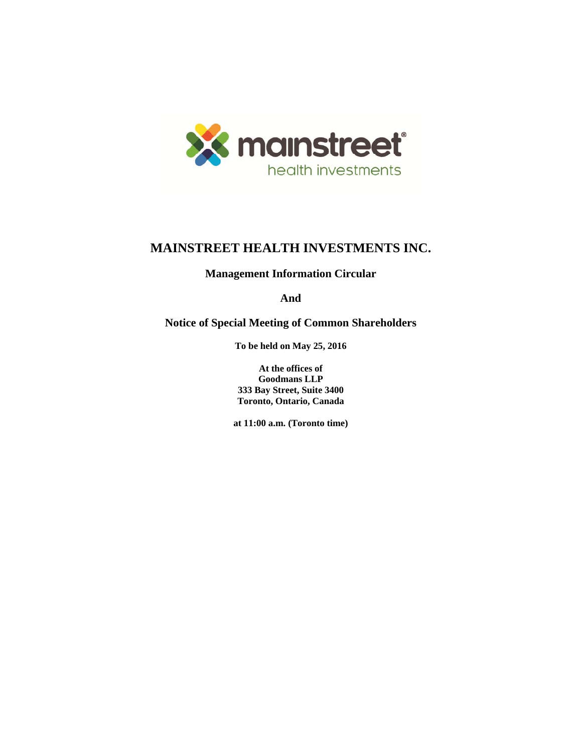

# **MAINSTREET HEALTH INVESTMENTS INC.**

**Management Information Circular** 

**And** 

**Notice of Special Meeting of Common Shareholders** 

**To be held on May 25, 2016** 

**At the offices of Goodmans LLP 333 Bay Street, Suite 3400 Toronto, Ontario, Canada** 

**at 11:00 a.m. (Toronto time)**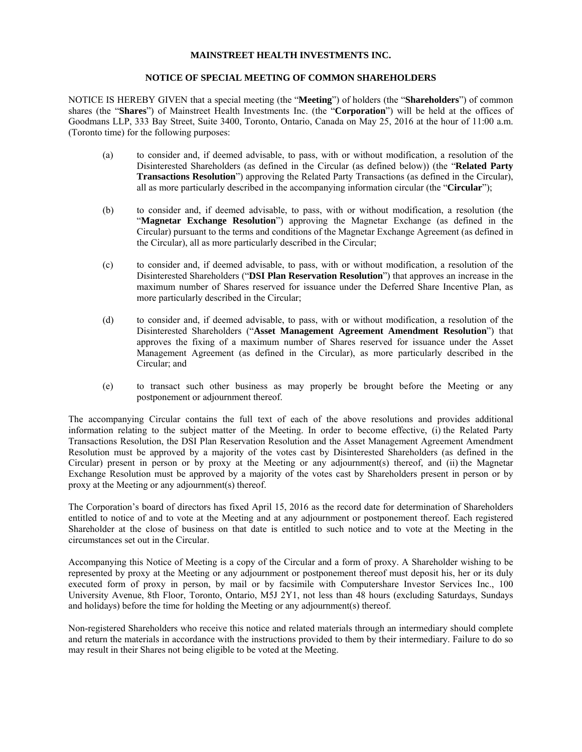### **MAINSTREET HEALTH INVESTMENTS INC.**

### **NOTICE OF SPECIAL MEETING OF COMMON SHAREHOLDERS**

NOTICE IS HEREBY GIVEN that a special meeting (the "**Meeting**") of holders (the "**Shareholders**") of common shares (the "**Shares**") of Mainstreet Health Investments Inc. (the "**Corporation**") will be held at the offices of Goodmans LLP, 333 Bay Street, Suite 3400, Toronto, Ontario, Canada on May 25, 2016 at the hour of 11:00 a.m. (Toronto time) for the following purposes:

- (a) to consider and, if deemed advisable, to pass, with or without modification, a resolution of the Disinterested Shareholders (as defined in the Circular (as defined below)) (the "**Related Party Transactions Resolution**") approving the Related Party Transactions (as defined in the Circular), all as more particularly described in the accompanying information circular (the "**Circular**");
- (b) to consider and, if deemed advisable, to pass, with or without modification, a resolution (the "**Magnetar Exchange Resolution**") approving the Magnetar Exchange (as defined in the Circular) pursuant to the terms and conditions of the Magnetar Exchange Agreement (as defined in the Circular), all as more particularly described in the Circular;
- (c) to consider and, if deemed advisable, to pass, with or without modification, a resolution of the Disinterested Shareholders ("**DSI Plan Reservation Resolution**") that approves an increase in the maximum number of Shares reserved for issuance under the Deferred Share Incentive Plan, as more particularly described in the Circular;
- (d) to consider and, if deemed advisable, to pass, with or without modification, a resolution of the Disinterested Shareholders ("**Asset Management Agreement Amendment Resolution**") that approves the fixing of a maximum number of Shares reserved for issuance under the Asset Management Agreement (as defined in the Circular), as more particularly described in the Circular; and
- (e) to transact such other business as may properly be brought before the Meeting or any postponement or adjournment thereof.

The accompanying Circular contains the full text of each of the above resolutions and provides additional information relating to the subject matter of the Meeting. In order to become effective, (i) the Related Party Transactions Resolution, the DSI Plan Reservation Resolution and the Asset Management Agreement Amendment Resolution must be approved by a majority of the votes cast by Disinterested Shareholders (as defined in the Circular) present in person or by proxy at the Meeting or any adjournment(s) thereof, and (ii) the Magnetar Exchange Resolution must be approved by a majority of the votes cast by Shareholders present in person or by proxy at the Meeting or any adjournment(s) thereof.

The Corporation's board of directors has fixed April 15, 2016 as the record date for determination of Shareholders entitled to notice of and to vote at the Meeting and at any adjournment or postponement thereof. Each registered Shareholder at the close of business on that date is entitled to such notice and to vote at the Meeting in the circumstances set out in the Circular.

Accompanying this Notice of Meeting is a copy of the Circular and a form of proxy. A Shareholder wishing to be represented by proxy at the Meeting or any adjournment or postponement thereof must deposit his, her or its duly executed form of proxy in person, by mail or by facsimile with Computershare Investor Services Inc., 100 University Avenue, 8th Floor, Toronto, Ontario, M5J 2Y1, not less than 48 hours (excluding Saturdays, Sundays and holidays) before the time for holding the Meeting or any adjournment(s) thereof.

Non-registered Shareholders who receive this notice and related materials through an intermediary should complete and return the materials in accordance with the instructions provided to them by their intermediary. Failure to do so may result in their Shares not being eligible to be voted at the Meeting.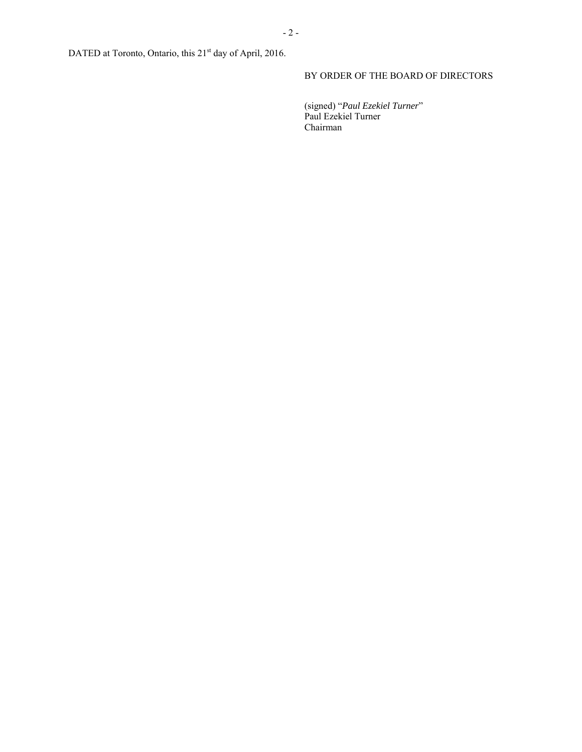DATED at Toronto, Ontario, this 21<sup>st</sup> day of April, 2016.

# BY ORDER OF THE BOARD OF DIRECTORS

 (signed) "*Paul Ezekiel Turner*" Paul Ezekiel Turner Chairman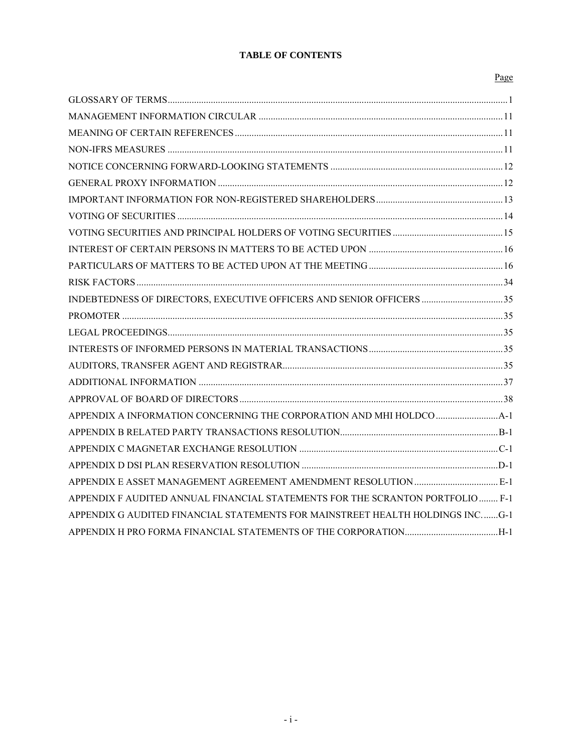# **TABLE OF CONTENTS**

# Page

| INDEBTEDNESS OF DIRECTORS, EXECUTIVE OFFICERS AND SENIOR OFFICERS 35           |  |
|--------------------------------------------------------------------------------|--|
|                                                                                |  |
|                                                                                |  |
|                                                                                |  |
|                                                                                |  |
|                                                                                |  |
|                                                                                |  |
|                                                                                |  |
|                                                                                |  |
|                                                                                |  |
|                                                                                |  |
|                                                                                |  |
| APPENDIX F AUDITED ANNUAL FINANCIAL STATEMENTS FOR THE SCRANTON PORTFOLIO  F-1 |  |
| APPENDIX G AUDITED FINANCIAL STATEMENTS FOR MAINSTREET HEALTH HOLDINGS INCG-1  |  |
|                                                                                |  |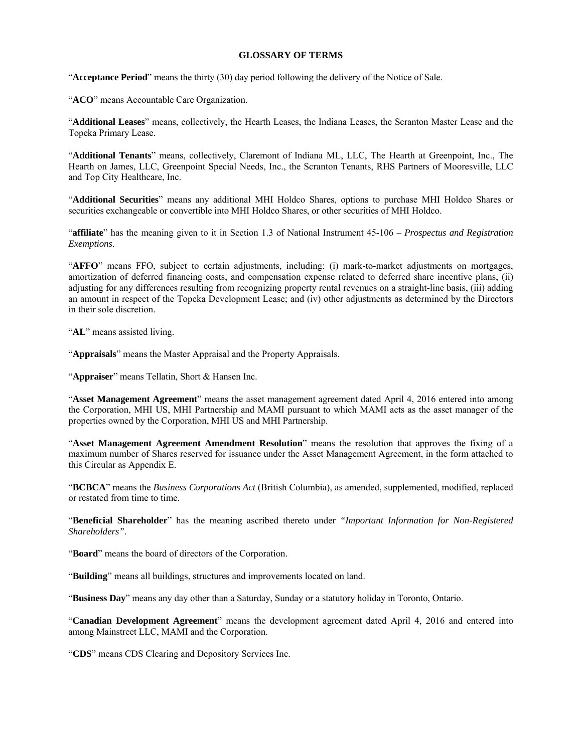#### **GLOSSARY OF TERMS**

"**Acceptance Period**" means the thirty (30) day period following the delivery of the Notice of Sale.

"**ACO**" means Accountable Care Organization.

"**Additional Leases**" means, collectively, the Hearth Leases, the Indiana Leases, the Scranton Master Lease and the Topeka Primary Lease.

"**Additional Tenants**" means, collectively, Claremont of Indiana ML, LLC, The Hearth at Greenpoint, Inc., The Hearth on James, LLC, Greenpoint Special Needs, Inc., the Scranton Tenants, RHS Partners of Mooresville, LLC and Top City Healthcare, Inc.

"**Additional Securities**" means any additional MHI Holdco Shares, options to purchase MHI Holdco Shares or securities exchangeable or convertible into MHI Holdco Shares, or other securities of MHI Holdco.

"**affiliate**" has the meaning given to it in Section 1.3 of National Instrument 45-106 – *Prospectus and Registration Exemptions*.

"**AFFO**" means FFO, subject to certain adjustments, including: (i) mark-to-market adjustments on mortgages, amortization of deferred financing costs, and compensation expense related to deferred share incentive plans, (ii) adjusting for any differences resulting from recognizing property rental revenues on a straight-line basis, (iii) adding an amount in respect of the Topeka Development Lease; and (iv) other adjustments as determined by the Directors in their sole discretion.

"AL" means assisted living.

"**Appraisals**" means the Master Appraisal and the Property Appraisals.

"**Appraiser**" means Tellatin, Short & Hansen Inc.

"**Asset Management Agreement**" means the asset management agreement dated April 4, 2016 entered into among the Corporation, MHI US, MHI Partnership and MAMI pursuant to which MAMI acts as the asset manager of the properties owned by the Corporation, MHI US and MHI Partnership.

"**Asset Management Agreement Amendment Resolution**" means the resolution that approves the fixing of a maximum number of Shares reserved for issuance under the Asset Management Agreement, in the form attached to this Circular as Appendix E.

"**BCBCA**" means the *Business Corporations Act* (British Columbia), as amended, supplemented, modified, replaced or restated from time to time.

"**Beneficial Shareholder**" has the meaning ascribed thereto under *"Important Information for Non-Registered Shareholders"*.

"**Board**" means the board of directors of the Corporation.

"**Building**" means all buildings, structures and improvements located on land.

"**Business Day**" means any day other than a Saturday, Sunday or a statutory holiday in Toronto, Ontario.

"**Canadian Development Agreement**" means the development agreement dated April 4, 2016 and entered into among Mainstreet LLC, MAMI and the Corporation.

"**CDS**" means CDS Clearing and Depository Services Inc.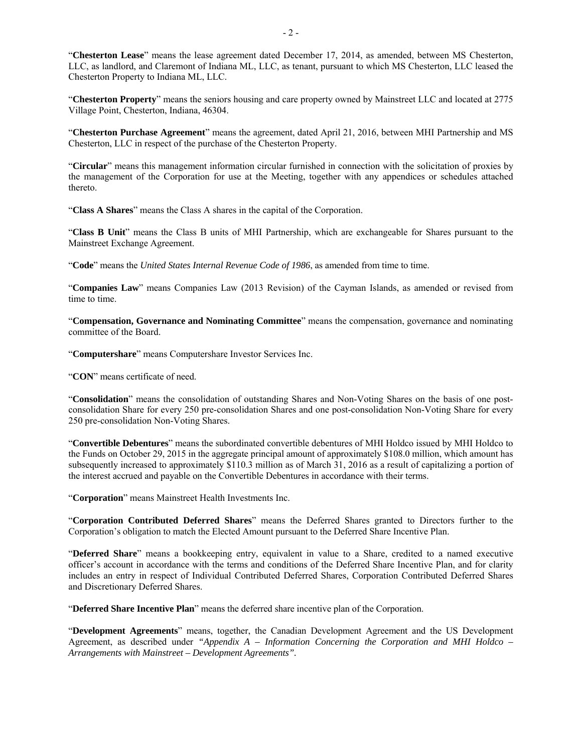"**Chesterton Lease**" means the lease agreement dated December 17, 2014, as amended, between MS Chesterton, LLC, as landlord, and Claremont of Indiana ML, LLC, as tenant, pursuant to which MS Chesterton, LLC leased the Chesterton Property to Indiana ML, LLC.

"**Chesterton Property**" means the seniors housing and care property owned by Mainstreet LLC and located at 2775 Village Point, Chesterton, Indiana, 46304.

"**Chesterton Purchase Agreement**" means the agreement, dated April 21, 2016, between MHI Partnership and MS Chesterton, LLC in respect of the purchase of the Chesterton Property.

"**Circular**" means this management information circular furnished in connection with the solicitation of proxies by the management of the Corporation for use at the Meeting, together with any appendices or schedules attached thereto.

"**Class A Shares**" means the Class A shares in the capital of the Corporation.

"**Class B Unit**" means the Class B units of MHI Partnership, which are exchangeable for Shares pursuant to the Mainstreet Exchange Agreement.

"**Code**" means the *United States Internal Revenue Code of 1986*, as amended from time to time.

"**Companies Law**" means Companies Law (2013 Revision) of the Cayman Islands, as amended or revised from time to time.

"**Compensation, Governance and Nominating Committee**" means the compensation, governance and nominating committee of the Board.

"**Computershare**" means Computershare Investor Services Inc.

"**CON**" means certificate of need.

"**Consolidation**" means the consolidation of outstanding Shares and Non-Voting Shares on the basis of one postconsolidation Share for every 250 pre-consolidation Shares and one post-consolidation Non-Voting Share for every 250 pre-consolidation Non-Voting Shares.

"**Convertible Debentures**" means the subordinated convertible debentures of MHI Holdco issued by MHI Holdco to the Funds on October 29, 2015 in the aggregate principal amount of approximately \$108.0 million, which amount has subsequently increased to approximately \$110.3 million as of March 31, 2016 as a result of capitalizing a portion of the interest accrued and payable on the Convertible Debentures in accordance with their terms.

"**Corporation**" means Mainstreet Health Investments Inc.

"**Corporation Contributed Deferred Shares**" means the Deferred Shares granted to Directors further to the Corporation's obligation to match the Elected Amount pursuant to the Deferred Share Incentive Plan.

"**Deferred Share**" means a bookkeeping entry, equivalent in value to a Share, credited to a named executive officer's account in accordance with the terms and conditions of the Deferred Share Incentive Plan, and for clarity includes an entry in respect of Individual Contributed Deferred Shares, Corporation Contributed Deferred Shares and Discretionary Deferred Shares.

"**Deferred Share Incentive Plan**" means the deferred share incentive plan of the Corporation.

"**Development Agreements**" means, together, the Canadian Development Agreement and the US Development Agreement, as described under *"Appendix A – Information Concerning the Corporation and MHI Holdco – Arrangements with Mainstreet – Development Agreements".*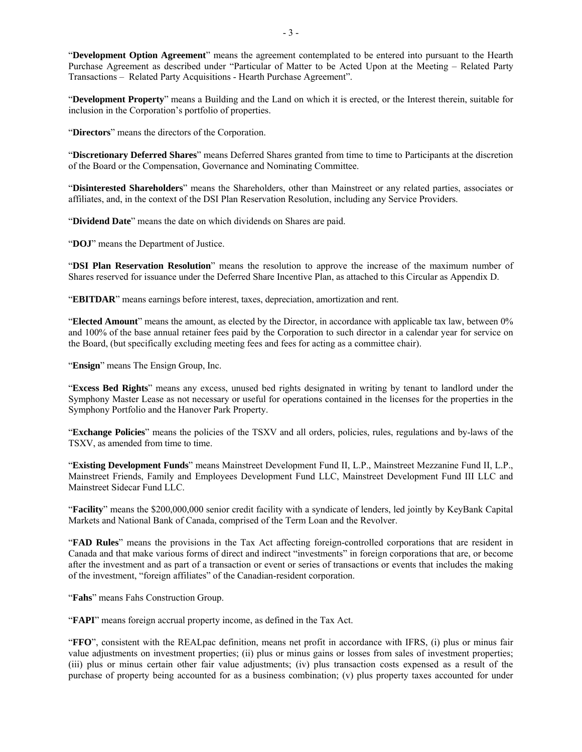"**Development Property**" means a Building and the Land on which it is erected, or the Interest therein, suitable for inclusion in the Corporation's portfolio of properties.

"**Directors**" means the directors of the Corporation.

"**Discretionary Deferred Shares**" means Deferred Shares granted from time to time to Participants at the discretion of the Board or the Compensation, Governance and Nominating Committee.

"**Disinterested Shareholders**" means the Shareholders, other than Mainstreet or any related parties, associates or affiliates, and, in the context of the DSI Plan Reservation Resolution, including any Service Providers.

"**Dividend Date**" means the date on which dividends on Shares are paid.

"**DOJ**" means the Department of Justice.

"**DSI Plan Reservation Resolution**" means the resolution to approve the increase of the maximum number of Shares reserved for issuance under the Deferred Share Incentive Plan, as attached to this Circular as Appendix D.

"**EBITDAR**" means earnings before interest, taxes, depreciation, amortization and rent.

"**Elected Amount**" means the amount, as elected by the Director, in accordance with applicable tax law, between 0% and 100% of the base annual retainer fees paid by the Corporation to such director in a calendar year for service on the Board, (but specifically excluding meeting fees and fees for acting as a committee chair).

"**Ensign**" means The Ensign Group, Inc.

"**Excess Bed Rights**" means any excess, unused bed rights designated in writing by tenant to landlord under the Symphony Master Lease as not necessary or useful for operations contained in the licenses for the properties in the Symphony Portfolio and the Hanover Park Property.

"**Exchange Policies**" means the policies of the TSXV and all orders, policies, rules, regulations and by-laws of the TSXV, as amended from time to time.

"**Existing Development Funds**" means Mainstreet Development Fund II, L.P., Mainstreet Mezzanine Fund II, L.P., Mainstreet Friends, Family and Employees Development Fund LLC, Mainstreet Development Fund III LLC and Mainstreet Sidecar Fund LLC.

"**Facility**" means the \$200,000,000 senior credit facility with a syndicate of lenders, led jointly by KeyBank Capital Markets and National Bank of Canada, comprised of the Term Loan and the Revolver.

"**FAD Rules**" means the provisions in the Tax Act affecting foreign-controlled corporations that are resident in Canada and that make various forms of direct and indirect "investments" in foreign corporations that are, or become after the investment and as part of a transaction or event or series of transactions or events that includes the making of the investment, "foreign affiliates" of the Canadian-resident corporation.

"**Fahs**" means Fahs Construction Group.

"**FAPI**" means foreign accrual property income, as defined in the Tax Act.

"**FFO**", consistent with the REALpac definition, means net profit in accordance with IFRS, (i) plus or minus fair value adjustments on investment properties; (ii) plus or minus gains or losses from sales of investment properties; (iii) plus or minus certain other fair value adjustments; (iv) plus transaction costs expensed as a result of the purchase of property being accounted for as a business combination; (v) plus property taxes accounted for under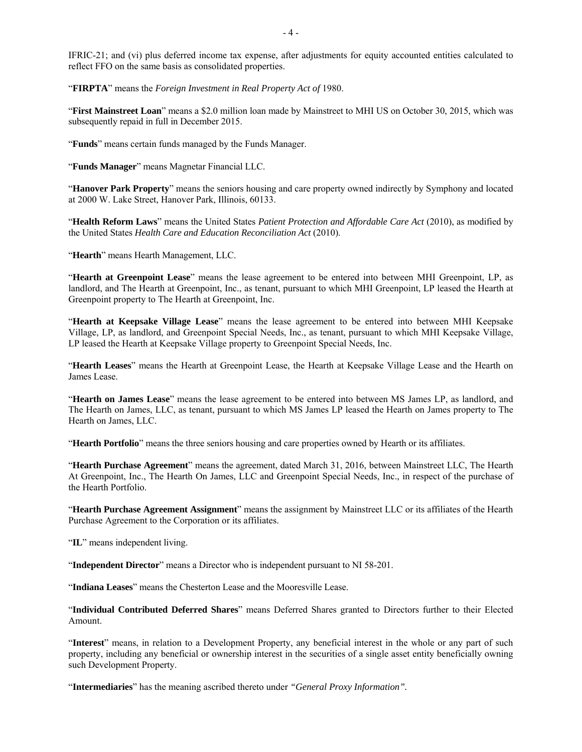IFRIC-21; and (vi) plus deferred income tax expense, after adjustments for equity accounted entities calculated to reflect FFO on the same basis as consolidated properties.

"**FIRPTA**" means the *Foreign Investment in Real Property Act of* 1980.

"**First Mainstreet Loan**" means a \$2.0 million loan made by Mainstreet to MHI US on October 30, 2015, which was subsequently repaid in full in December 2015.

"**Funds**" means certain funds managed by the Funds Manager.

"**Funds Manager**" means Magnetar Financial LLC.

"**Hanover Park Property**" means the seniors housing and care property owned indirectly by Symphony and located at 2000 W. Lake Street, Hanover Park, Illinois, 60133.

"**Health Reform Laws**" means the United States *Patient Protection and Affordable Care Act* (2010), as modified by the United States *Health Care and Education Reconciliation Act* (2010).

"**Hearth**" means Hearth Management, LLC.

"**Hearth at Greenpoint Lease**" means the lease agreement to be entered into between MHI Greenpoint, LP, as landlord, and The Hearth at Greenpoint, Inc., as tenant, pursuant to which MHI Greenpoint, LP leased the Hearth at Greenpoint property to The Hearth at Greenpoint, Inc.

"**Hearth at Keepsake Village Lease**" means the lease agreement to be entered into between MHI Keepsake Village, LP, as landlord, and Greenpoint Special Needs, Inc., as tenant, pursuant to which MHI Keepsake Village, LP leased the Hearth at Keepsake Village property to Greenpoint Special Needs, Inc.

"**Hearth Leases**" means the Hearth at Greenpoint Lease, the Hearth at Keepsake Village Lease and the Hearth on James Lease.

"**Hearth on James Lease**" means the lease agreement to be entered into between MS James LP, as landlord, and The Hearth on James, LLC, as tenant, pursuant to which MS James LP leased the Hearth on James property to The Hearth on James, LLC.

"**Hearth Portfolio**" means the three seniors housing and care properties owned by Hearth or its affiliates.

"**Hearth Purchase Agreement**" means the agreement, dated March 31, 2016, between Mainstreet LLC, The Hearth At Greenpoint, Inc., The Hearth On James, LLC and Greenpoint Special Needs, Inc., in respect of the purchase of the Hearth Portfolio.

"**Hearth Purchase Agreement Assignment**" means the assignment by Mainstreet LLC or its affiliates of the Hearth Purchase Agreement to the Corporation or its affiliates.

"IL" means independent living.

"**Independent Director**" means a Director who is independent pursuant to NI 58-201.

"**Indiana Leases**" means the Chesterton Lease and the Mooresville Lease.

"**Individual Contributed Deferred Shares**" means Deferred Shares granted to Directors further to their Elected Amount.

"**Interest**" means, in relation to a Development Property, any beneficial interest in the whole or any part of such property, including any beneficial or ownership interest in the securities of a single asset entity beneficially owning such Development Property.

"**Intermediaries**" has the meaning ascribed thereto under *"General Proxy Information".*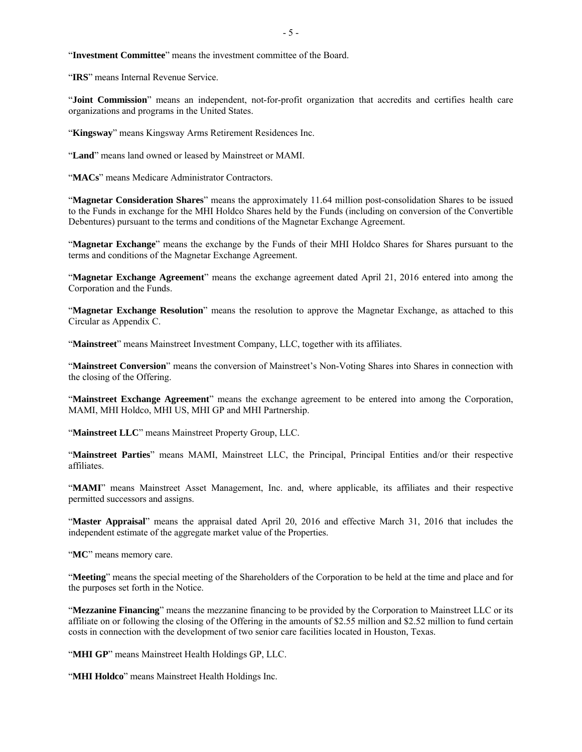- 5 -

"**Investment Committee**" means the investment committee of the Board.

"**IRS**" means Internal Revenue Service.

"**Joint Commission**" means an independent, not-for-profit organization that accredits and certifies health care organizations and programs in the United States.

"**Kingsway**" means Kingsway Arms Retirement Residences Inc.

"**Land**" means land owned or leased by Mainstreet or MAMI.

"**MACs**" means Medicare Administrator Contractors.

"**Magnetar Consideration Shares**" means the approximately 11.64 million post-consolidation Shares to be issued to the Funds in exchange for the MHI Holdco Shares held by the Funds (including on conversion of the Convertible Debentures) pursuant to the terms and conditions of the Magnetar Exchange Agreement.

"**Magnetar Exchange**" means the exchange by the Funds of their MHI Holdco Shares for Shares pursuant to the terms and conditions of the Magnetar Exchange Agreement.

"**Magnetar Exchange Agreement**" means the exchange agreement dated April 21, 2016 entered into among the Corporation and the Funds.

"**Magnetar Exchange Resolution**" means the resolution to approve the Magnetar Exchange, as attached to this Circular as Appendix C.

"**Mainstreet**" means Mainstreet Investment Company, LLC, together with its affiliates.

"**Mainstreet Conversion**" means the conversion of Mainstreet's Non-Voting Shares into Shares in connection with the closing of the Offering.

"**Mainstreet Exchange Agreement**" means the exchange agreement to be entered into among the Corporation, MAMI, MHI Holdco, MHI US, MHI GP and MHI Partnership.

"Mainstreet LLC" means Mainstreet Property Group, LLC.

"**Mainstreet Parties**" means MAMI, Mainstreet LLC, the Principal, Principal Entities and/or their respective affiliates.

"**MAMI**" means Mainstreet Asset Management, Inc. and, where applicable, its affiliates and their respective permitted successors and assigns.

"**Master Appraisal**" means the appraisal dated April 20, 2016 and effective March 31, 2016 that includes the independent estimate of the aggregate market value of the Properties.

"**MC**" means memory care.

"**Meeting**" means the special meeting of the Shareholders of the Corporation to be held at the time and place and for the purposes set forth in the Notice.

"**Mezzanine Financing**" means the mezzanine financing to be provided by the Corporation to Mainstreet LLC or its affiliate on or following the closing of the Offering in the amounts of \$2.55 million and \$2.52 million to fund certain costs in connection with the development of two senior care facilities located in Houston, Texas.

"**MHI GP**" means Mainstreet Health Holdings GP, LLC.

"**MHI Holdco**" means Mainstreet Health Holdings Inc.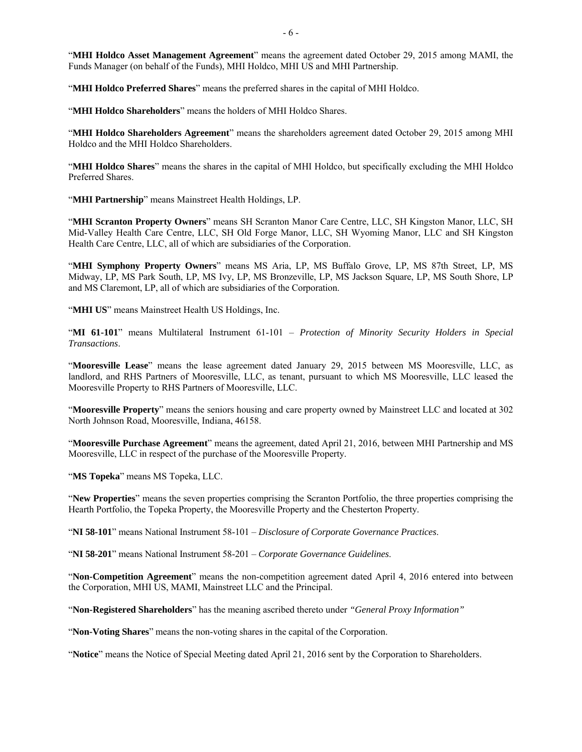"**MHI Holdco Asset Management Agreement**" means the agreement dated October 29, 2015 among MAMI, the Funds Manager (on behalf of the Funds), MHI Holdco, MHI US and MHI Partnership.

"**MHI Holdco Preferred Shares**" means the preferred shares in the capital of MHI Holdco.

"**MHI Holdco Shareholders**" means the holders of MHI Holdco Shares.

"**MHI Holdco Shareholders Agreement**" means the shareholders agreement dated October 29, 2015 among MHI Holdco and the MHI Holdco Shareholders.

"**MHI Holdco Shares**" means the shares in the capital of MHI Holdco, but specifically excluding the MHI Holdco Preferred Shares.

"**MHI Partnership**" means Mainstreet Health Holdings, LP.

"**MHI Scranton Property Owners**" means SH Scranton Manor Care Centre, LLC, SH Kingston Manor, LLC, SH Mid-Valley Health Care Centre, LLC, SH Old Forge Manor, LLC, SH Wyoming Manor, LLC and SH Kingston Health Care Centre, LLC, all of which are subsidiaries of the Corporation.

"**MHI Symphony Property Owners**" means MS Aria, LP, MS Buffalo Grove, LP, MS 87th Street, LP, MS Midway, LP, MS Park South, LP, MS Ivy, LP, MS Bronzeville, LP, MS Jackson Square, LP, MS South Shore, LP and MS Claremont, LP, all of which are subsidiaries of the Corporation.

"**MHI US**" means Mainstreet Health US Holdings, Inc.

"**MI 61-101**" means Multilateral Instrument 61-101 – *Protection of Minority Security Holders in Special Transactions*.

"**Mooresville Lease**" means the lease agreement dated January 29, 2015 between MS Mooresville, LLC, as landlord, and RHS Partners of Mooresville, LLC, as tenant, pursuant to which MS Mooresville, LLC leased the Mooresville Property to RHS Partners of Mooresville, LLC.

"**Mooresville Property**" means the seniors housing and care property owned by Mainstreet LLC and located at 302 North Johnson Road, Mooresville, Indiana, 46158.

"**Mooresville Purchase Agreement**" means the agreement, dated April 21, 2016, between MHI Partnership and MS Mooresville, LLC in respect of the purchase of the Mooresville Property.

"**MS Topeka**" means MS Topeka, LLC.

"**New Properties**" means the seven properties comprising the Scranton Portfolio, the three properties comprising the Hearth Portfolio, the Topeka Property, the Mooresville Property and the Chesterton Property.

"**NI 58-101**" means National Instrument 58-101 – *Disclosure of Corporate Governance Practices*.

"**NI 58-201**" means National Instrument 58-201 – *Corporate Governance Guidelines*.

"**Non-Competition Agreement**" means the non-competition agreement dated April 4, 2016 entered into between the Corporation, MHI US, MAMI, Mainstreet LLC and the Principal.

"**Non-Registered Shareholders**" has the meaning ascribed thereto under *"General Proxy Information"*

"**Non-Voting Shares**" means the non-voting shares in the capital of the Corporation.

"**Notice**" means the Notice of Special Meeting dated April 21, 2016 sent by the Corporation to Shareholders.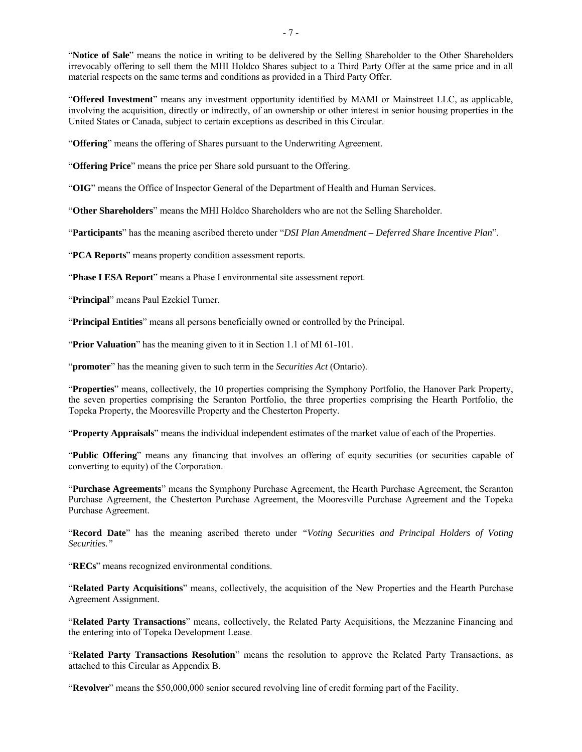"**Notice of Sale**" means the notice in writing to be delivered by the Selling Shareholder to the Other Shareholders irrevocably offering to sell them the MHI Holdco Shares subject to a Third Party Offer at the same price and in all material respects on the same terms and conditions as provided in a Third Party Offer.

"**Offered Investment**" means any investment opportunity identified by MAMI or Mainstreet LLC, as applicable, involving the acquisition, directly or indirectly, of an ownership or other interest in senior housing properties in the United States or Canada, subject to certain exceptions as described in this Circular.

"**Offering**" means the offering of Shares pursuant to the Underwriting Agreement.

"**Offering Price**" means the price per Share sold pursuant to the Offering.

"**OIG**" means the Office of Inspector General of the Department of Health and Human Services.

"**Other Shareholders**" means the MHI Holdco Shareholders who are not the Selling Shareholder.

"**Participants**" has the meaning ascribed thereto under "*DSI Plan Amendment – Deferred Share Incentive Plan*".

"**PCA Reports**" means property condition assessment reports.

"**Phase I ESA Report**" means a Phase I environmental site assessment report.

"**Principal**" means Paul Ezekiel Turner.

"**Principal Entities**" means all persons beneficially owned or controlled by the Principal.

"**Prior Valuation**" has the meaning given to it in Section 1.1 of MI 61-101.

"**promoter**" has the meaning given to such term in the *Securities Act* (Ontario).

"**Properties**" means, collectively, the 10 properties comprising the Symphony Portfolio, the Hanover Park Property, the seven properties comprising the Scranton Portfolio, the three properties comprising the Hearth Portfolio, the Topeka Property, the Mooresville Property and the Chesterton Property.

"**Property Appraisals**" means the individual independent estimates of the market value of each of the Properties.

"**Public Offering**" means any financing that involves an offering of equity securities (or securities capable of converting to equity) of the Corporation.

"**Purchase Agreements**" means the Symphony Purchase Agreement, the Hearth Purchase Agreement, the Scranton Purchase Agreement, the Chesterton Purchase Agreement, the Mooresville Purchase Agreement and the Topeka Purchase Agreement.

"**Record Date**" has the meaning ascribed thereto under *"Voting Securities and Principal Holders of Voting Securities."*

"**RECs**" means recognized environmental conditions.

"**Related Party Acquisitions**" means, collectively, the acquisition of the New Properties and the Hearth Purchase Agreement Assignment.

"**Related Party Transactions**" means, collectively, the Related Party Acquisitions, the Mezzanine Financing and the entering into of Topeka Development Lease.

"**Related Party Transactions Resolution**" means the resolution to approve the Related Party Transactions, as attached to this Circular as Appendix B.

"**Revolver**" means the \$50,000,000 senior secured revolving line of credit forming part of the Facility.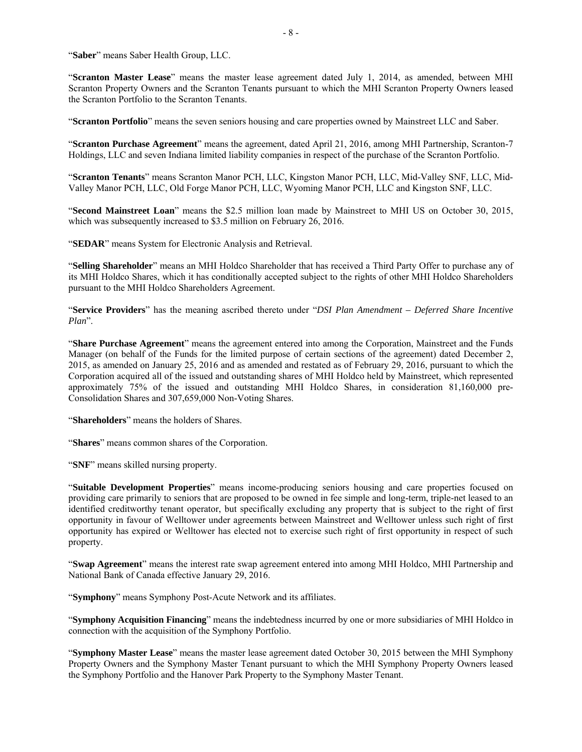"**Saber**" means Saber Health Group, LLC.

"**Scranton Master Lease**" means the master lease agreement dated July 1, 2014, as amended, between MHI Scranton Property Owners and the Scranton Tenants pursuant to which the MHI Scranton Property Owners leased the Scranton Portfolio to the Scranton Tenants.

"**Scranton Portfolio**" means the seven seniors housing and care properties owned by Mainstreet LLC and Saber.

"**Scranton Purchase Agreement**" means the agreement, dated April 21, 2016, among MHI Partnership, Scranton-7 Holdings, LLC and seven Indiana limited liability companies in respect of the purchase of the Scranton Portfolio.

"**Scranton Tenants**" means Scranton Manor PCH, LLC, Kingston Manor PCH, LLC, Mid-Valley SNF, LLC, Mid-Valley Manor PCH, LLC, Old Forge Manor PCH, LLC, Wyoming Manor PCH, LLC and Kingston SNF, LLC.

"**Second Mainstreet Loan**" means the \$2.5 million loan made by Mainstreet to MHI US on October 30, 2015, which was subsequently increased to \$3.5 million on February 26, 2016.

"**SEDAR**" means System for Electronic Analysis and Retrieval.

"**Selling Shareholder**" means an MHI Holdco Shareholder that has received a Third Party Offer to purchase any of its MHI Holdco Shares, which it has conditionally accepted subject to the rights of other MHI Holdco Shareholders pursuant to the MHI Holdco Shareholders Agreement.

"**Service Providers**" has the meaning ascribed thereto under "*DSI Plan Amendment – Deferred Share Incentive Plan*".

"**Share Purchase Agreement**" means the agreement entered into among the Corporation, Mainstreet and the Funds Manager (on behalf of the Funds for the limited purpose of certain sections of the agreement) dated December 2, 2015, as amended on January 25, 2016 and as amended and restated as of February 29, 2016, pursuant to which the Corporation acquired all of the issued and outstanding shares of MHI Holdco held by Mainstreet, which represented approximately 75% of the issued and outstanding MHI Holdco Shares, in consideration 81,160,000 pre-Consolidation Shares and 307,659,000 Non-Voting Shares.

"**Shareholders**" means the holders of Shares.

"**Shares**" means common shares of the Corporation.

"**SNF**" means skilled nursing property.

"**Suitable Development Properties**" means income-producing seniors housing and care properties focused on providing care primarily to seniors that are proposed to be owned in fee simple and long-term, triple-net leased to an identified creditworthy tenant operator, but specifically excluding any property that is subject to the right of first opportunity in favour of Welltower under agreements between Mainstreet and Welltower unless such right of first opportunity has expired or Welltower has elected not to exercise such right of first opportunity in respect of such property.

"**Swap Agreement**" means the interest rate swap agreement entered into among MHI Holdco, MHI Partnership and National Bank of Canada effective January 29, 2016.

"**Symphony**" means Symphony Post-Acute Network and its affiliates.

"**Symphony Acquisition Financing**" means the indebtedness incurred by one or more subsidiaries of MHI Holdco in connection with the acquisition of the Symphony Portfolio.

"**Symphony Master Lease**" means the master lease agreement dated October 30, 2015 between the MHI Symphony Property Owners and the Symphony Master Tenant pursuant to which the MHI Symphony Property Owners leased the Symphony Portfolio and the Hanover Park Property to the Symphony Master Tenant.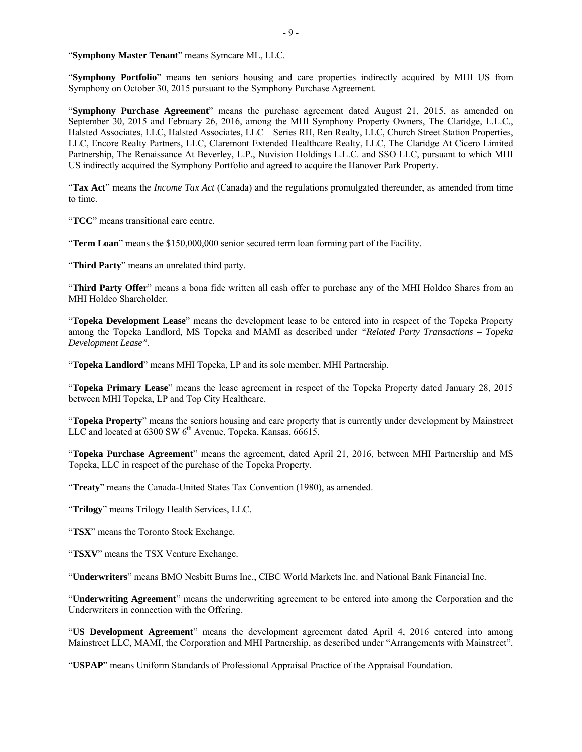"**Symphony Master Tenant**" means Symcare ML, LLC.

"**Symphony Portfolio**" means ten seniors housing and care properties indirectly acquired by MHI US from Symphony on October 30, 2015 pursuant to the Symphony Purchase Agreement.

"**Symphony Purchase Agreement**" means the purchase agreement dated August 21, 2015, as amended on September 30, 2015 and February 26, 2016, among the MHI Symphony Property Owners, The Claridge, L.L.C., Halsted Associates, LLC, Halsted Associates, LLC – Series RH, Ren Realty, LLC, Church Street Station Properties, LLC, Encore Realty Partners, LLC, Claremont Extended Healthcare Realty, LLC, The Claridge At Cicero Limited Partnership, The Renaissance At Beverley, L.P., Nuvision Holdings L.L.C. and SSO LLC, pursuant to which MHI US indirectly acquired the Symphony Portfolio and agreed to acquire the Hanover Park Property.

"**Tax Act**" means the *Income Tax Act* (Canada) and the regulations promulgated thereunder, as amended from time to time.

"**TCC**" means transitional care centre.

"**Term Loan**" means the \$150,000,000 senior secured term loan forming part of the Facility.

"**Third Party**" means an unrelated third party.

"**Third Party Offer**" means a bona fide written all cash offer to purchase any of the MHI Holdco Shares from an MHI Holdco Shareholder.

"**Topeka Development Lease**" means the development lease to be entered into in respect of the Topeka Property among the Topeka Landlord, MS Topeka and MAMI as described under *"Related Party Transactions – Topeka Development Lease".*

"**Topeka Landlord**" means MHI Topeka, LP and its sole member, MHI Partnership.

"**Topeka Primary Lease**" means the lease agreement in respect of the Topeka Property dated January 28, 2015 between MHI Topeka, LP and Top City Healthcare.

"**Topeka Property**" means the seniors housing and care property that is currently under development by Mainstreet LLC and located at  $6300$  SW  $6<sup>th</sup>$  Avenue, Topeka, Kansas,  $66615$ .

"**Topeka Purchase Agreement**" means the agreement, dated April 21, 2016, between MHI Partnership and MS Topeka, LLC in respect of the purchase of the Topeka Property.

"**Treaty**" means the Canada-United States Tax Convention (1980), as amended.

"**Trilogy**" means Trilogy Health Services, LLC.

"**TSX**" means the Toronto Stock Exchange.

"**TSXV**" means the TSX Venture Exchange.

"**Underwriters**" means BMO Nesbitt Burns Inc., CIBC World Markets Inc. and National Bank Financial Inc.

"**Underwriting Agreement**" means the underwriting agreement to be entered into among the Corporation and the Underwriters in connection with the Offering.

"**US Development Agreement**" means the development agreement dated April 4, 2016 entered into among Mainstreet LLC, MAMI, the Corporation and MHI Partnership, as described under "Arrangements with Mainstreet".

"**USPAP**" means Uniform Standards of Professional Appraisal Practice of the Appraisal Foundation.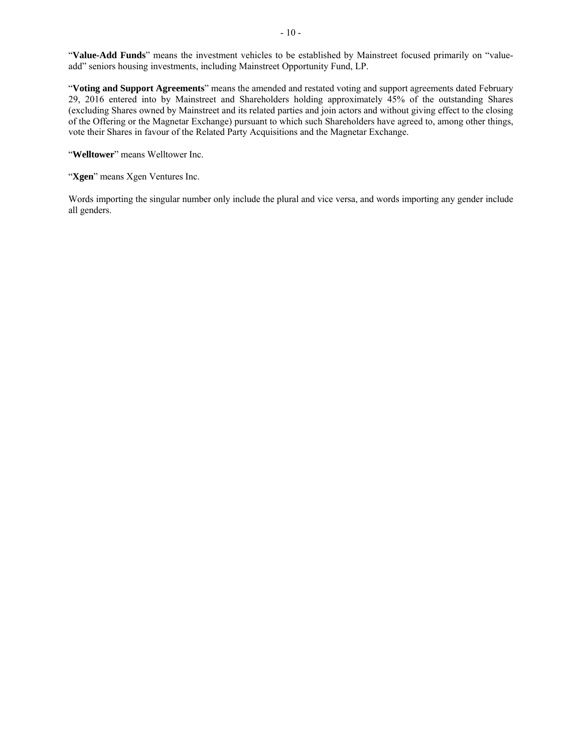"**Value-Add Funds**" means the investment vehicles to be established by Mainstreet focused primarily on "valueadd" seniors housing investments, including Mainstreet Opportunity Fund, LP.

"**Voting and Support Agreements**" means the amended and restated voting and support agreements dated February 29, 2016 entered into by Mainstreet and Shareholders holding approximately 45% of the outstanding Shares (excluding Shares owned by Mainstreet and its related parties and join actors and without giving effect to the closing of the Offering or the Magnetar Exchange) pursuant to which such Shareholders have agreed to, among other things, vote their Shares in favour of the Related Party Acquisitions and the Magnetar Exchange.

"**Welltower**" means Welltower Inc.

"**Xgen**" means Xgen Ventures Inc.

Words importing the singular number only include the plural and vice versa, and words importing any gender include all genders.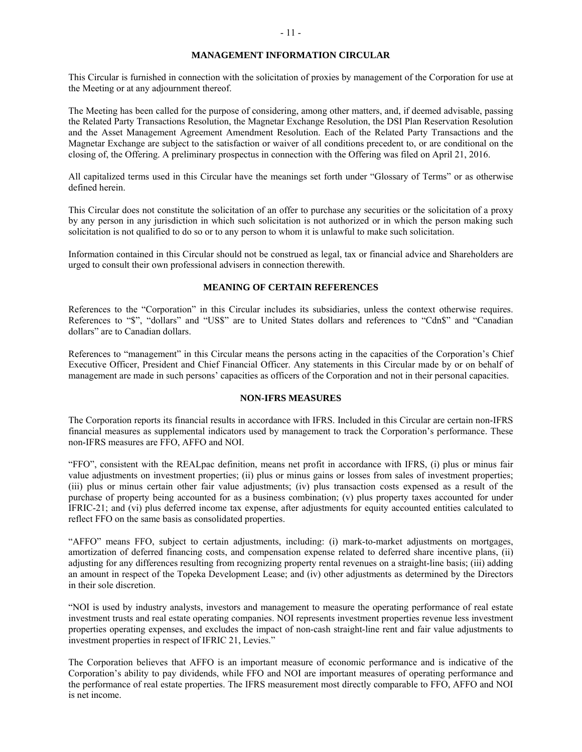#### **MANAGEMENT INFORMATION CIRCULAR**

This Circular is furnished in connection with the solicitation of proxies by management of the Corporation for use at the Meeting or at any adjournment thereof.

The Meeting has been called for the purpose of considering, among other matters, and, if deemed advisable, passing the Related Party Transactions Resolution, the Magnetar Exchange Resolution, the DSI Plan Reservation Resolution and the Asset Management Agreement Amendment Resolution. Each of the Related Party Transactions and the Magnetar Exchange are subject to the satisfaction or waiver of all conditions precedent to, or are conditional on the closing of, the Offering. A preliminary prospectus in connection with the Offering was filed on April 21, 2016.

All capitalized terms used in this Circular have the meanings set forth under "Glossary of Terms" or as otherwise defined herein.

This Circular does not constitute the solicitation of an offer to purchase any securities or the solicitation of a proxy by any person in any jurisdiction in which such solicitation is not authorized or in which the person making such solicitation is not qualified to do so or to any person to whom it is unlawful to make such solicitation.

Information contained in this Circular should not be construed as legal, tax or financial advice and Shareholders are urged to consult their own professional advisers in connection therewith.

# **MEANING OF CERTAIN REFERENCES**

References to the "Corporation" in this Circular includes its subsidiaries, unless the context otherwise requires. References to "\$", "dollars" and "US\$" are to United States dollars and references to "Cdn\$" and "Canadian dollars" are to Canadian dollars.

References to "management" in this Circular means the persons acting in the capacities of the Corporation's Chief Executive Officer, President and Chief Financial Officer. Any statements in this Circular made by or on behalf of management are made in such persons' capacities as officers of the Corporation and not in their personal capacities.

# **NON-IFRS MEASURES**

The Corporation reports its financial results in accordance with IFRS. Included in this Circular are certain non-IFRS financial measures as supplemental indicators used by management to track the Corporation's performance. These non-IFRS measures are FFO, AFFO and NOI.

"FFO", consistent with the REALpac definition, means net profit in accordance with IFRS, (i) plus or minus fair value adjustments on investment properties; (ii) plus or minus gains or losses from sales of investment properties; (iii) plus or minus certain other fair value adjustments; (iv) plus transaction costs expensed as a result of the purchase of property being accounted for as a business combination; (v) plus property taxes accounted for under IFRIC-21; and (vi) plus deferred income tax expense, after adjustments for equity accounted entities calculated to reflect FFO on the same basis as consolidated properties.

"AFFO" means FFO, subject to certain adjustments, including: (i) mark-to-market adjustments on mortgages, amortization of deferred financing costs, and compensation expense related to deferred share incentive plans, (ii) adjusting for any differences resulting from recognizing property rental revenues on a straight-line basis; (iii) adding an amount in respect of the Topeka Development Lease; and (iv) other adjustments as determined by the Directors in their sole discretion.

"NOI is used by industry analysts, investors and management to measure the operating performance of real estate investment trusts and real estate operating companies. NOI represents investment properties revenue less investment properties operating expenses, and excludes the impact of non-cash straight-line rent and fair value adjustments to investment properties in respect of IFRIC 21, Levies."

The Corporation believes that AFFO is an important measure of economic performance and is indicative of the Corporation's ability to pay dividends, while FFO and NOI are important measures of operating performance and the performance of real estate properties. The IFRS measurement most directly comparable to FFO, AFFO and NOI is net income.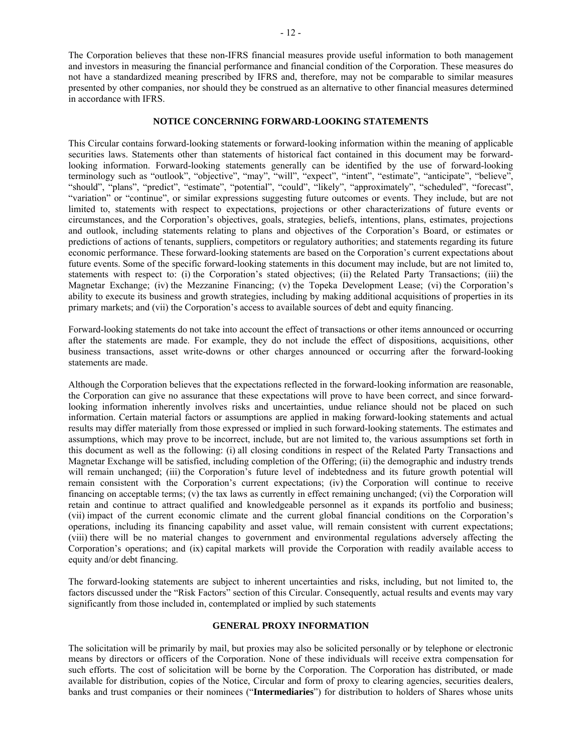The Corporation believes that these non-IFRS financial measures provide useful information to both management and investors in measuring the financial performance and financial condition of the Corporation. These measures do not have a standardized meaning prescribed by IFRS and, therefore, may not be comparable to similar measures presented by other companies, nor should they be construed as an alternative to other financial measures determined in accordance with IFRS.

# **NOTICE CONCERNING FORWARD-LOOKING STATEMENTS**

This Circular contains forward-looking statements or forward-looking information within the meaning of applicable securities laws. Statements other than statements of historical fact contained in this document may be forwardlooking information. Forward-looking statements generally can be identified by the use of forward-looking terminology such as "outlook", "objective", "may", "will", "expect", "intent", "estimate", "anticipate", "believe", "should", "plans", "predict", "estimate", "potential", "could", "likely", "approximately", "scheduled", "forecast", "variation" or "continue", or similar expressions suggesting future outcomes or events. They include, but are not limited to, statements with respect to expectations, projections or other characterizations of future events or circumstances, and the Corporation's objectives, goals, strategies, beliefs, intentions, plans, estimates, projections and outlook, including statements relating to plans and objectives of the Corporation's Board, or estimates or predictions of actions of tenants, suppliers, competitors or regulatory authorities; and statements regarding its future economic performance. These forward-looking statements are based on the Corporation's current expectations about future events. Some of the specific forward-looking statements in this document may include, but are not limited to, statements with respect to: (i) the Corporation's stated objectives; (ii) the Related Party Transactions; (iii) the Magnetar Exchange; (iv) the Mezzanine Financing; (v) the Topeka Development Lease; (vi) the Corporation's ability to execute its business and growth strategies, including by making additional acquisitions of properties in its primary markets; and (vii) the Corporation's access to available sources of debt and equity financing.

Forward-looking statements do not take into account the effect of transactions or other items announced or occurring after the statements are made. For example, they do not include the effect of dispositions, acquisitions, other business transactions, asset write-downs or other charges announced or occurring after the forward-looking statements are made.

Although the Corporation believes that the expectations reflected in the forward-looking information are reasonable, the Corporation can give no assurance that these expectations will prove to have been correct, and since forwardlooking information inherently involves risks and uncertainties, undue reliance should not be placed on such information. Certain material factors or assumptions are applied in making forward-looking statements and actual results may differ materially from those expressed or implied in such forward-looking statements. The estimates and assumptions, which may prove to be incorrect, include, but are not limited to, the various assumptions set forth in this document as well as the following: (i) all closing conditions in respect of the Related Party Transactions and Magnetar Exchange will be satisfied, including completion of the Offering; (ii) the demographic and industry trends will remain unchanged; (iii) the Corporation's future level of indebtedness and its future growth potential will remain consistent with the Corporation's current expectations; (iv) the Corporation will continue to receive financing on acceptable terms; (v) the tax laws as currently in effect remaining unchanged; (vi) the Corporation will retain and continue to attract qualified and knowledgeable personnel as it expands its portfolio and business; (vii) impact of the current economic climate and the current global financial conditions on the Corporation's operations, including its financing capability and asset value, will remain consistent with current expectations; (viii) there will be no material changes to government and environmental regulations adversely affecting the Corporation's operations; and (ix) capital markets will provide the Corporation with readily available access to equity and/or debt financing.

The forward-looking statements are subject to inherent uncertainties and risks, including, but not limited to, the factors discussed under the "Risk Factors" section of this Circular. Consequently, actual results and events may vary significantly from those included in, contemplated or implied by such statements

#### **GENERAL PROXY INFORMATION**

The solicitation will be primarily by mail, but proxies may also be solicited personally or by telephone or electronic means by directors or officers of the Corporation. None of these individuals will receive extra compensation for such efforts. The cost of solicitation will be borne by the Corporation. The Corporation has distributed, or made available for distribution, copies of the Notice, Circular and form of proxy to clearing agencies, securities dealers, banks and trust companies or their nominees ("**Intermediaries**") for distribution to holders of Shares whose units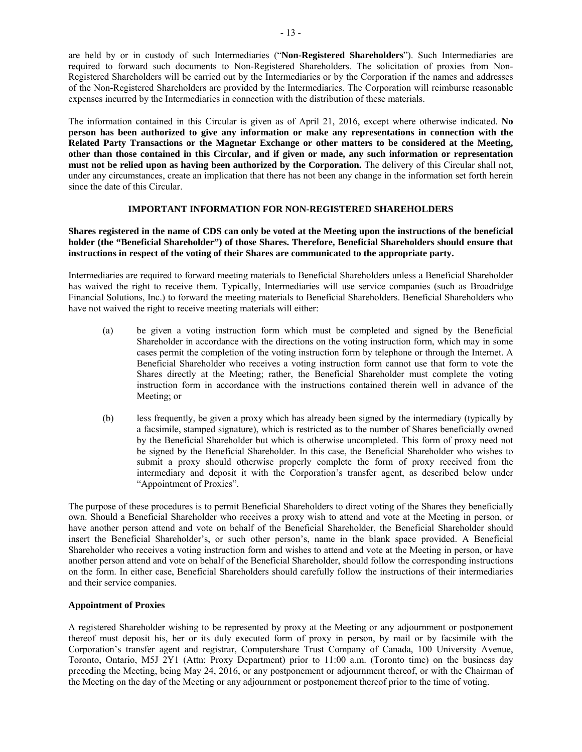are held by or in custody of such Intermediaries ("**Non-Registered Shareholders**"). Such Intermediaries are required to forward such documents to Non-Registered Shareholders. The solicitation of proxies from Non-Registered Shareholders will be carried out by the Intermediaries or by the Corporation if the names and addresses of the Non-Registered Shareholders are provided by the Intermediaries. The Corporation will reimburse reasonable expenses incurred by the Intermediaries in connection with the distribution of these materials.

The information contained in this Circular is given as of April 21, 2016, except where otherwise indicated. **No person has been authorized to give any information or make any representations in connection with the Related Party Transactions or the Magnetar Exchange or other matters to be considered at the Meeting, other than those contained in this Circular, and if given or made, any such information or representation must not be relied upon as having been authorized by the Corporation.** The delivery of this Circular shall not, under any circumstances, create an implication that there has not been any change in the information set forth herein since the date of this Circular.

# **IMPORTANT INFORMATION FOR NON-REGISTERED SHAREHOLDERS**

**Shares registered in the name of CDS can only be voted at the Meeting upon the instructions of the beneficial holder (the "Beneficial Shareholder") of those Shares. Therefore, Beneficial Shareholders should ensure that instructions in respect of the voting of their Shares are communicated to the appropriate party.** 

Intermediaries are required to forward meeting materials to Beneficial Shareholders unless a Beneficial Shareholder has waived the right to receive them. Typically, Intermediaries will use service companies (such as Broadridge Financial Solutions, Inc.) to forward the meeting materials to Beneficial Shareholders. Beneficial Shareholders who have not waived the right to receive meeting materials will either:

- (a) be given a voting instruction form which must be completed and signed by the Beneficial Shareholder in accordance with the directions on the voting instruction form, which may in some cases permit the completion of the voting instruction form by telephone or through the Internet. A Beneficial Shareholder who receives a voting instruction form cannot use that form to vote the Shares directly at the Meeting; rather, the Beneficial Shareholder must complete the voting instruction form in accordance with the instructions contained therein well in advance of the Meeting; or
- (b) less frequently, be given a proxy which has already been signed by the intermediary (typically by a facsimile, stamped signature), which is restricted as to the number of Shares beneficially owned by the Beneficial Shareholder but which is otherwise uncompleted. This form of proxy need not be signed by the Beneficial Shareholder. In this case, the Beneficial Shareholder who wishes to submit a proxy should otherwise properly complete the form of proxy received from the intermediary and deposit it with the Corporation's transfer agent, as described below under "Appointment of Proxies".

The purpose of these procedures is to permit Beneficial Shareholders to direct voting of the Shares they beneficially own. Should a Beneficial Shareholder who receives a proxy wish to attend and vote at the Meeting in person, or have another person attend and vote on behalf of the Beneficial Shareholder, the Beneficial Shareholder should insert the Beneficial Shareholder's, or such other person's, name in the blank space provided. A Beneficial Shareholder who receives a voting instruction form and wishes to attend and vote at the Meeting in person, or have another person attend and vote on behalf of the Beneficial Shareholder, should follow the corresponding instructions on the form. In either case, Beneficial Shareholders should carefully follow the instructions of their intermediaries and their service companies.

# **Appointment of Proxies**

A registered Shareholder wishing to be represented by proxy at the Meeting or any adjournment or postponement thereof must deposit his, her or its duly executed form of proxy in person, by mail or by facsimile with the Corporation's transfer agent and registrar, Computershare Trust Company of Canada, 100 University Avenue, Toronto, Ontario, M5J 2Y1 (Attn: Proxy Department) prior to 11:00 a.m. (Toronto time) on the business day preceding the Meeting, being May 24, 2016, or any postponement or adjournment thereof, or with the Chairman of the Meeting on the day of the Meeting or any adjournment or postponement thereof prior to the time of voting.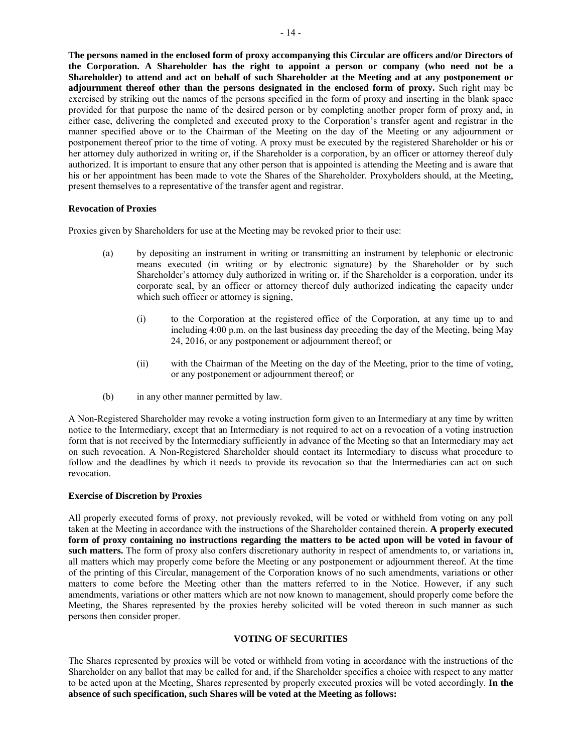**The persons named in the enclosed form of proxy accompanying this Circular are officers and/or Directors of the Corporation. A Shareholder has the right to appoint a person or company (who need not be a Shareholder) to attend and act on behalf of such Shareholder at the Meeting and at any postponement or adjournment thereof other than the persons designated in the enclosed form of proxy.** Such right may be exercised by striking out the names of the persons specified in the form of proxy and inserting in the blank space provided for that purpose the name of the desired person or by completing another proper form of proxy and, in either case, delivering the completed and executed proxy to the Corporation's transfer agent and registrar in the manner specified above or to the Chairman of the Meeting on the day of the Meeting or any adjournment or postponement thereof prior to the time of voting. A proxy must be executed by the registered Shareholder or his or her attorney duly authorized in writing or, if the Shareholder is a corporation, by an officer or attorney thereof duly authorized. It is important to ensure that any other person that is appointed is attending the Meeting and is aware that his or her appointment has been made to vote the Shares of the Shareholder. Proxyholders should, at the Meeting, present themselves to a representative of the transfer agent and registrar.

# **Revocation of Proxies**

Proxies given by Shareholders for use at the Meeting may be revoked prior to their use:

- (a) by depositing an instrument in writing or transmitting an instrument by telephonic or electronic means executed (in writing or by electronic signature) by the Shareholder or by such Shareholder's attorney duly authorized in writing or, if the Shareholder is a corporation, under its corporate seal, by an officer or attorney thereof duly authorized indicating the capacity under which such officer or attorney is signing,
	- (i) to the Corporation at the registered office of the Corporation, at any time up to and including 4:00 p.m. on the last business day preceding the day of the Meeting, being May 24, 2016, or any postponement or adjournment thereof; or
	- (ii) with the Chairman of the Meeting on the day of the Meeting, prior to the time of voting, or any postponement or adjournment thereof; or
- (b) in any other manner permitted by law.

A Non-Registered Shareholder may revoke a voting instruction form given to an Intermediary at any time by written notice to the Intermediary, except that an Intermediary is not required to act on a revocation of a voting instruction form that is not received by the Intermediary sufficiently in advance of the Meeting so that an Intermediary may act on such revocation. A Non-Registered Shareholder should contact its Intermediary to discuss what procedure to follow and the deadlines by which it needs to provide its revocation so that the Intermediaries can act on such revocation.

#### **Exercise of Discretion by Proxies**

All properly executed forms of proxy, not previously revoked, will be voted or withheld from voting on any poll taken at the Meeting in accordance with the instructions of the Shareholder contained therein. **A properly executed form of proxy containing no instructions regarding the matters to be acted upon will be voted in favour of such matters.** The form of proxy also confers discretionary authority in respect of amendments to, or variations in, all matters which may properly come before the Meeting or any postponement or adjournment thereof. At the time of the printing of this Circular, management of the Corporation knows of no such amendments, variations or other matters to come before the Meeting other than the matters referred to in the Notice. However, if any such amendments, variations or other matters which are not now known to management, should properly come before the Meeting, the Shares represented by the proxies hereby solicited will be voted thereon in such manner as such persons then consider proper.

#### **VOTING OF SECURITIES**

The Shares represented by proxies will be voted or withheld from voting in accordance with the instructions of the Shareholder on any ballot that may be called for and, if the Shareholder specifies a choice with respect to any matter to be acted upon at the Meeting, Shares represented by properly executed proxies will be voted accordingly. **In the absence of such specification, such Shares will be voted at the Meeting as follows:**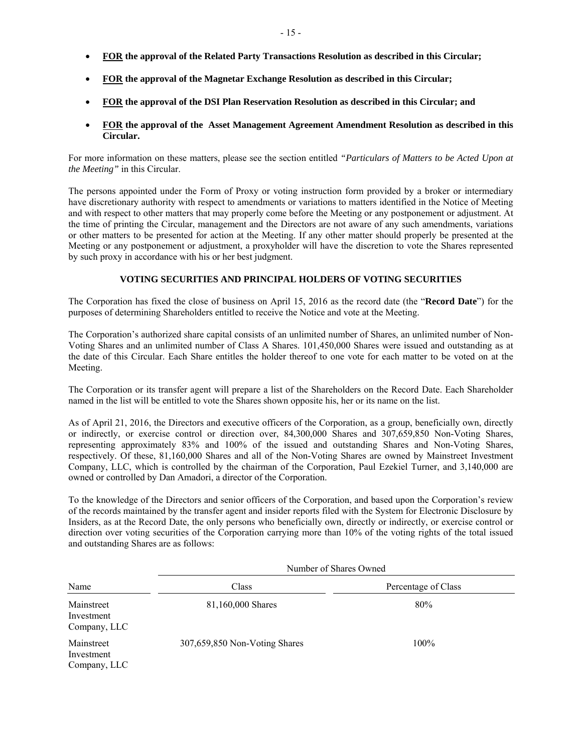- **FOR the approval of the Related Party Transactions Resolution as described in this Circular;**
- **FOR the approval of the Magnetar Exchange Resolution as described in this Circular;**
- **FOR the approval of the DSI Plan Reservation Resolution as described in this Circular; and**
- **FOR the approval of the Asset Management Agreement Amendment Resolution as described in this Circular.**

For more information on these matters, please see the section entitled *"Particulars of Matters to be Acted Upon at the Meeting"* in this Circular.

The persons appointed under the Form of Proxy or voting instruction form provided by a broker or intermediary have discretionary authority with respect to amendments or variations to matters identified in the Notice of Meeting and with respect to other matters that may properly come before the Meeting or any postponement or adjustment. At the time of printing the Circular, management and the Directors are not aware of any such amendments, variations or other matters to be presented for action at the Meeting. If any other matter should properly be presented at the Meeting or any postponement or adjustment, a proxyholder will have the discretion to vote the Shares represented by such proxy in accordance with his or her best judgment.

# **VOTING SECURITIES AND PRINCIPAL HOLDERS OF VOTING SECURITIES**

The Corporation has fixed the close of business on April 15, 2016 as the record date (the "**Record Date**") for the purposes of determining Shareholders entitled to receive the Notice and vote at the Meeting.

The Corporation's authorized share capital consists of an unlimited number of Shares, an unlimited number of Non-Voting Shares and an unlimited number of Class A Shares. 101,450,000 Shares were issued and outstanding as at the date of this Circular. Each Share entitles the holder thereof to one vote for each matter to be voted on at the Meeting.

The Corporation or its transfer agent will prepare a list of the Shareholders on the Record Date. Each Shareholder named in the list will be entitled to vote the Shares shown opposite his, her or its name on the list.

As of April 21, 2016, the Directors and executive officers of the Corporation, as a group, beneficially own, directly or indirectly, or exercise control or direction over, 84,300,000 Shares and 307,659,850 Non-Voting Shares, representing approximately 83% and 100% of the issued and outstanding Shares and Non-Voting Shares, respectively. Of these, 81,160,000 Shares and all of the Non-Voting Shares are owned by Mainstreet Investment Company, LLC, which is controlled by the chairman of the Corporation, Paul Ezekiel Turner, and 3,140,000 are owned or controlled by Dan Amadori, a director of the Corporation.

To the knowledge of the Directors and senior officers of the Corporation, and based upon the Corporation's review of the records maintained by the transfer agent and insider reports filed with the System for Electronic Disclosure by Insiders, as at the Record Date, the only persons who beneficially own, directly or indirectly, or exercise control or direction over voting securities of the Corporation carrying more than 10% of the voting rights of the total issued and outstanding Shares are as follows:

| Name                                     | Number of Shares Owned        |                     |  |  |
|------------------------------------------|-------------------------------|---------------------|--|--|
|                                          | Class                         | Percentage of Class |  |  |
| Mainstreet<br>Investment<br>Company, LLC | 81,160,000 Shares             | 80%                 |  |  |
| Mainstreet<br>Investment<br>Company, LLC | 307,659,850 Non-Voting Shares | $100\%$             |  |  |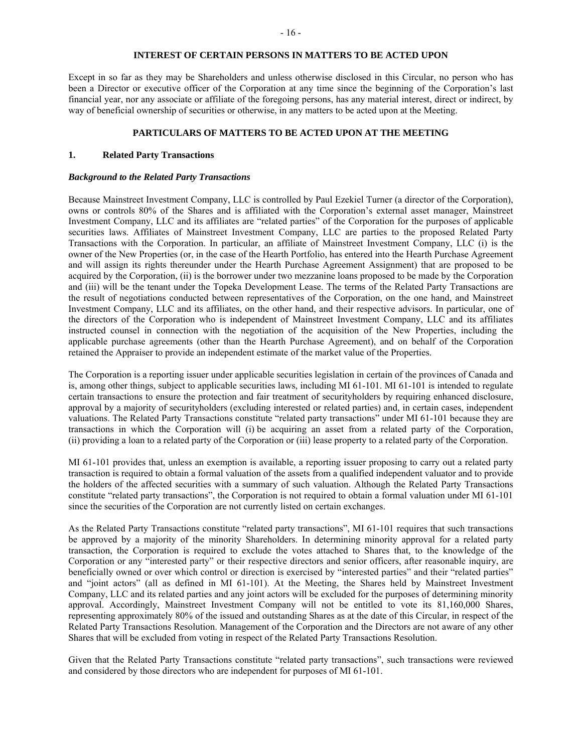#### **INTEREST OF CERTAIN PERSONS IN MATTERS TO BE ACTED UPON**

Except in so far as they may be Shareholders and unless otherwise disclosed in this Circular, no person who has been a Director or executive officer of the Corporation at any time since the beginning of the Corporation's last financial year, nor any associate or affiliate of the foregoing persons, has any material interest, direct or indirect, by way of beneficial ownership of securities or otherwise, in any matters to be acted upon at the Meeting.

### **PARTICULARS OF MATTERS TO BE ACTED UPON AT THE MEETING**

#### **1. Related Party Transactions**

#### *Background to the Related Party Transactions*

Because Mainstreet Investment Company, LLC is controlled by Paul Ezekiel Turner (a director of the Corporation), owns or controls 80% of the Shares and is affiliated with the Corporation's external asset manager, Mainstreet Investment Company, LLC and its affiliates are "related parties" of the Corporation for the purposes of applicable securities laws. Affiliates of Mainstreet Investment Company, LLC are parties to the proposed Related Party Transactions with the Corporation. In particular, an affiliate of Mainstreet Investment Company, LLC (i) is the owner of the New Properties (or, in the case of the Hearth Portfolio, has entered into the Hearth Purchase Agreement and will assign its rights thereunder under the Hearth Purchase Agreement Assignment) that are proposed to be acquired by the Corporation, (ii) is the borrower under two mezzanine loans proposed to be made by the Corporation and (iii) will be the tenant under the Topeka Development Lease. The terms of the Related Party Transactions are the result of negotiations conducted between representatives of the Corporation, on the one hand, and Mainstreet Investment Company, LLC and its affiliates, on the other hand, and their respective advisors. In particular, one of the directors of the Corporation who is independent of Mainstreet Investment Company, LLC and its affiliates instructed counsel in connection with the negotiation of the acquisition of the New Properties, including the applicable purchase agreements (other than the Hearth Purchase Agreement), and on behalf of the Corporation retained the Appraiser to provide an independent estimate of the market value of the Properties.

The Corporation is a reporting issuer under applicable securities legislation in certain of the provinces of Canada and is, among other things, subject to applicable securities laws, including MI 61-101. MI 61-101 is intended to regulate certain transactions to ensure the protection and fair treatment of securityholders by requiring enhanced disclosure, approval by a majority of securityholders (excluding interested or related parties) and, in certain cases, independent valuations. The Related Party Transactions constitute "related party transactions" under MI 61-101 because they are transactions in which the Corporation will (i) be acquiring an asset from a related party of the Corporation, (ii) providing a loan to a related party of the Corporation or (iii) lease property to a related party of the Corporation.

MI 61-101 provides that, unless an exemption is available, a reporting issuer proposing to carry out a related party transaction is required to obtain a formal valuation of the assets from a qualified independent valuator and to provide the holders of the affected securities with a summary of such valuation. Although the Related Party Transactions constitute "related party transactions", the Corporation is not required to obtain a formal valuation under MI 61-101 since the securities of the Corporation are not currently listed on certain exchanges.

As the Related Party Transactions constitute "related party transactions", MI 61-101 requires that such transactions be approved by a majority of the minority Shareholders. In determining minority approval for a related party transaction, the Corporation is required to exclude the votes attached to Shares that, to the knowledge of the Corporation or any "interested party" or their respective directors and senior officers, after reasonable inquiry, are beneficially owned or over which control or direction is exercised by "interested parties" and their "related parties" and "joint actors" (all as defined in MI 61-101). At the Meeting, the Shares held by Mainstreet Investment Company, LLC and its related parties and any joint actors will be excluded for the purposes of determining minority approval. Accordingly, Mainstreet Investment Company will not be entitled to vote its 81,160,000 Shares, representing approximately 80% of the issued and outstanding Shares as at the date of this Circular, in respect of the Related Party Transactions Resolution. Management of the Corporation and the Directors are not aware of any other Shares that will be excluded from voting in respect of the Related Party Transactions Resolution.

Given that the Related Party Transactions constitute "related party transactions", such transactions were reviewed and considered by those directors who are independent for purposes of MI 61-101.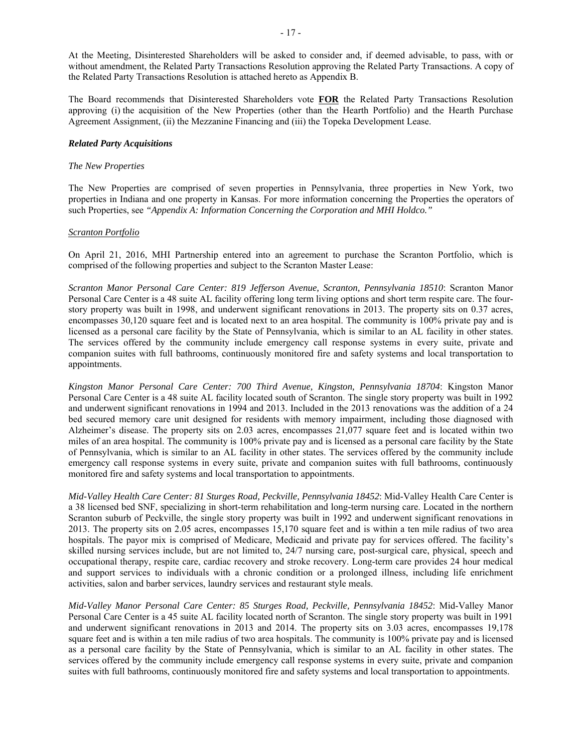At the Meeting, Disinterested Shareholders will be asked to consider and, if deemed advisable, to pass, with or without amendment, the Related Party Transactions Resolution approving the Related Party Transactions. A copy of the Related Party Transactions Resolution is attached hereto as Appendix B.

The Board recommends that Disinterested Shareholders vote **FOR** the Related Party Transactions Resolution approving (i) the acquisition of the New Properties (other than the Hearth Portfolio) and the Hearth Purchase Agreement Assignment, (ii) the Mezzanine Financing and (iii) the Topeka Development Lease.

# *Related Party Acquisitions*

#### *The New Properties*

The New Properties are comprised of seven properties in Pennsylvania, three properties in New York, two properties in Indiana and one property in Kansas. For more information concerning the Properties the operators of such Properties, see *"Appendix A: Information Concerning the Corporation and MHI Holdco."*

# *Scranton Portfolio*

On April 21, 2016, MHI Partnership entered into an agreement to purchase the Scranton Portfolio, which is comprised of the following properties and subject to the Scranton Master Lease:

*Scranton Manor Personal Care Center: 819 Jefferson Avenue, Scranton, Pennsylvania 18510*: Scranton Manor Personal Care Center is a 48 suite AL facility offering long term living options and short term respite care. The fourstory property was built in 1998, and underwent significant renovations in 2013. The property sits on 0.37 acres, encompasses 30,120 square feet and is located next to an area hospital. The community is 100% private pay and is licensed as a personal care facility by the State of Pennsylvania, which is similar to an AL facility in other states. The services offered by the community include emergency call response systems in every suite, private and companion suites with full bathrooms, continuously monitored fire and safety systems and local transportation to appointments.

*Kingston Manor Personal Care Center: 700 Third Avenue, Kingston, Pennsylvania 18704*: Kingston Manor Personal Care Center is a 48 suite AL facility located south of Scranton. The single story property was built in 1992 and underwent significant renovations in 1994 and 2013. Included in the 2013 renovations was the addition of a 24 bed secured memory care unit designed for residents with memory impairment, including those diagnosed with Alzheimer's disease. The property sits on 2.03 acres, encompasses 21,077 square feet and is located within two miles of an area hospital. The community is 100% private pay and is licensed as a personal care facility by the State of Pennsylvania, which is similar to an AL facility in other states. The services offered by the community include emergency call response systems in every suite, private and companion suites with full bathrooms, continuously monitored fire and safety systems and local transportation to appointments.

*Mid-Valley Health Care Center: 81 Sturges Road, Peckville, Pennsylvania 18452*: Mid-Valley Health Care Center is a 38 licensed bed SNF, specializing in short-term rehabilitation and long-term nursing care. Located in the northern Scranton suburb of Peckville, the single story property was built in 1992 and underwent significant renovations in 2013. The property sits on 2.05 acres, encompasses 15,170 square feet and is within a ten mile radius of two area hospitals. The payor mix is comprised of Medicare, Medicaid and private pay for services offered. The facility's skilled nursing services include, but are not limited to, 24/7 nursing care, post-surgical care, physical, speech and occupational therapy, respite care, cardiac recovery and stroke recovery. Long-term care provides 24 hour medical and support services to individuals with a chronic condition or a prolonged illness, including life enrichment activities, salon and barber services, laundry services and restaurant style meals.

*Mid-Valley Manor Personal Care Center: 85 Sturges Road, Peckville, Pennsylvania 18452*: Mid-Valley Manor Personal Care Center is a 45 suite AL facility located north of Scranton. The single story property was built in 1991 and underwent significant renovations in 2013 and 2014. The property sits on 3.03 acres, encompasses 19,178 square feet and is within a ten mile radius of two area hospitals. The community is 100% private pay and is licensed as a personal care facility by the State of Pennsylvania, which is similar to an AL facility in other states. The services offered by the community include emergency call response systems in every suite, private and companion suites with full bathrooms, continuously monitored fire and safety systems and local transportation to appointments.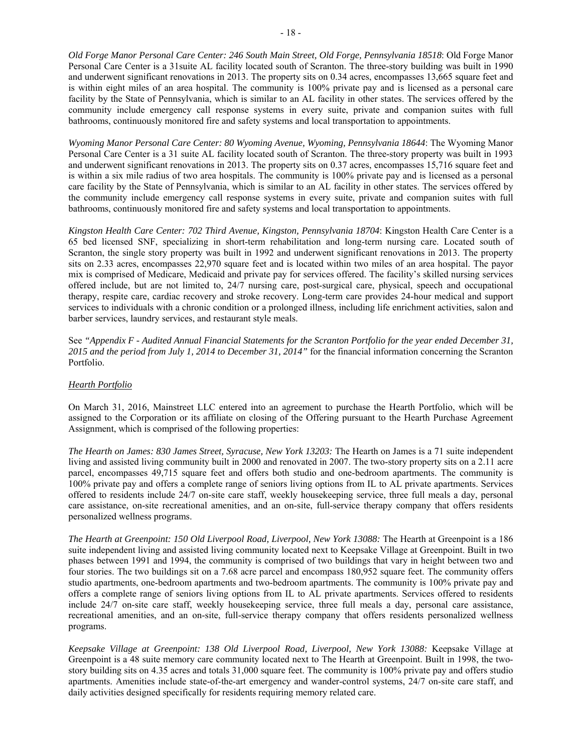*Old Forge Manor Personal Care Center: 246 South Main Street, Old Forge, Pennsylvania 18518*: Old Forge Manor Personal Care Center is a 31suite AL facility located south of Scranton. The three-story building was built in 1990 and underwent significant renovations in 2013. The property sits on 0.34 acres, encompasses 13,665 square feet and is within eight miles of an area hospital. The community is 100% private pay and is licensed as a personal care facility by the State of Pennsylvania, which is similar to an AL facility in other states. The services offered by the community include emergency call response systems in every suite, private and companion suites with full bathrooms, continuously monitored fire and safety systems and local transportation to appointments.

*Wyoming Manor Personal Care Center: 80 Wyoming Avenue, Wyoming, Pennsylvania 18644*: The Wyoming Manor Personal Care Center is a 31 suite AL facility located south of Scranton. The three-story property was built in 1993 and underwent significant renovations in 2013. The property sits on 0.37 acres, encompasses 15,716 square feet and is within a six mile radius of two area hospitals. The community is 100% private pay and is licensed as a personal care facility by the State of Pennsylvania, which is similar to an AL facility in other states. The services offered by the community include emergency call response systems in every suite, private and companion suites with full bathrooms, continuously monitored fire and safety systems and local transportation to appointments.

*Kingston Health Care Center: 702 Third Avenue, Kingston, Pennsylvania 18704*: Kingston Health Care Center is a 65 bed licensed SNF, specializing in short-term rehabilitation and long-term nursing care. Located south of Scranton, the single story property was built in 1992 and underwent significant renovations in 2013. The property sits on 2.33 acres, encompasses 22,970 square feet and is located within two miles of an area hospital. The payor mix is comprised of Medicare, Medicaid and private pay for services offered. The facility's skilled nursing services offered include, but are not limited to, 24/7 nursing care, post-surgical care, physical, speech and occupational therapy, respite care, cardiac recovery and stroke recovery. Long-term care provides 24-hour medical and support services to individuals with a chronic condition or a prolonged illness, including life enrichment activities, salon and barber services, laundry services, and restaurant style meals.

See *"Appendix F - Audited Annual Financial Statements for the Scranton Portfolio for the year ended December 31, 2015 and the period from July 1, 2014 to December 31, 2014"* for the financial information concerning the Scranton Portfolio.

# *Hearth Portfolio*

On March 31, 2016, Mainstreet LLC entered into an agreement to purchase the Hearth Portfolio, which will be assigned to the Corporation or its affiliate on closing of the Offering pursuant to the Hearth Purchase Agreement Assignment, which is comprised of the following properties:

*The Hearth on James: 830 James Street, Syracuse, New York 13203:* The Hearth on James is a 71 suite independent living and assisted living community built in 2000 and renovated in 2007. The two-story property sits on a 2.11 acre parcel, encompasses 49,715 square feet and offers both studio and one-bedroom apartments. The community is 100% private pay and offers a complete range of seniors living options from IL to AL private apartments. Services offered to residents include 24/7 on-site care staff, weekly housekeeping service, three full meals a day, personal care assistance, on-site recreational amenities, and an on-site, full-service therapy company that offers residents personalized wellness programs.

*The Hearth at Greenpoint: 150 Old Liverpool Road, Liverpool, New York 13088:* The Hearth at Greenpoint is a 186 suite independent living and assisted living community located next to Keepsake Village at Greenpoint. Built in two phases between 1991 and 1994, the community is comprised of two buildings that vary in height between two and four stories. The two buildings sit on a 7.68 acre parcel and encompass 180,952 square feet. The community offers studio apartments, one-bedroom apartments and two-bedroom apartments. The community is 100% private pay and offers a complete range of seniors living options from IL to AL private apartments. Services offered to residents include 24/7 on-site care staff, weekly housekeeping service, three full meals a day, personal care assistance, recreational amenities, and an on-site, full-service therapy company that offers residents personalized wellness programs.

*Keepsake Village at Greenpoint: 138 Old Liverpool Road, Liverpool, New York 13088:* Keepsake Village at Greenpoint is a 48 suite memory care community located next to The Hearth at Greenpoint. Built in 1998, the twostory building sits on 4.35 acres and totals 31,000 square feet. The community is 100% private pay and offers studio apartments. Amenities include state-of-the-art emergency and wander-control systems, 24/7 on-site care staff, and daily activities designed specifically for residents requiring memory related care.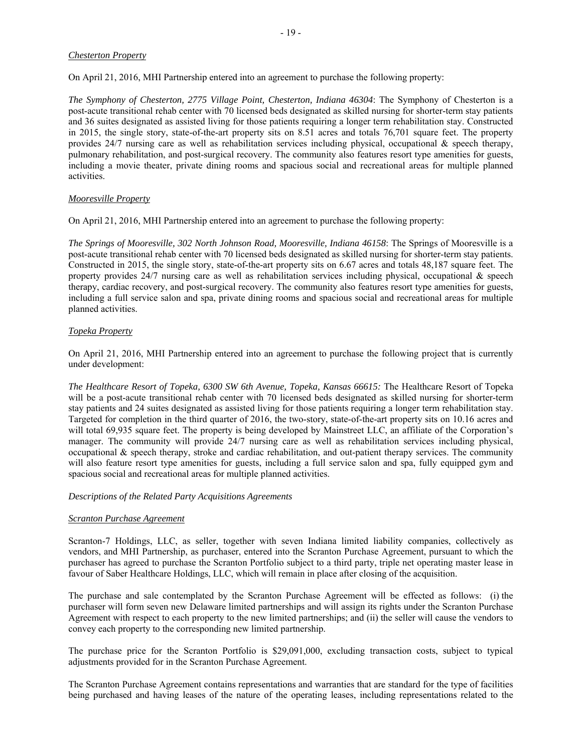# *Chesterton Property*

On April 21, 2016, MHI Partnership entered into an agreement to purchase the following property:

*The Symphony of Chesterton, 2775 Village Point, Chesterton, Indiana 46304*: The Symphony of Chesterton is a post-acute transitional rehab center with 70 licensed beds designated as skilled nursing for shorter-term stay patients and 36 suites designated as assisted living for those patients requiring a longer term rehabilitation stay. Constructed in 2015, the single story, state-of-the-art property sits on 8.51 acres and totals 76,701 square feet. The property provides 24/7 nursing care as well as rehabilitation services including physical, occupational & speech therapy, pulmonary rehabilitation, and post-surgical recovery. The community also features resort type amenities for guests, including a movie theater, private dining rooms and spacious social and recreational areas for multiple planned activities.

# *Mooresville Property*

On April 21, 2016, MHI Partnership entered into an agreement to purchase the following property:

*The Springs of Mooresville, 302 North Johnson Road, Mooresville, Indiana 46158*: The Springs of Mooresville is a post-acute transitional rehab center with 70 licensed beds designated as skilled nursing for shorter-term stay patients. Constructed in 2015, the single story, state-of-the-art property sits on 6.67 acres and totals 48,187 square feet. The property provides  $24/7$  nursing care as well as rehabilitation services including physical, occupational  $\&$  speech therapy, cardiac recovery, and post-surgical recovery. The community also features resort type amenities for guests, including a full service salon and spa, private dining rooms and spacious social and recreational areas for multiple planned activities.

# *Topeka Property*

On April 21, 2016, MHI Partnership entered into an agreement to purchase the following project that is currently under development:

*The Healthcare Resort of Topeka, 6300 SW 6th Avenue, Topeka, Kansas 66615:* The Healthcare Resort of Topeka will be a post-acute transitional rehab center with 70 licensed beds designated as skilled nursing for shorter-term stay patients and 24 suites designated as assisted living for those patients requiring a longer term rehabilitation stay. Targeted for completion in the third quarter of 2016, the two-story, state-of-the-art property sits on 10.16 acres and will total 69,935 square feet. The property is being developed by Mainstreet LLC, an affiliate of the Corporation's manager. The community will provide 24/7 nursing care as well as rehabilitation services including physical, occupational  $\&$  speech therapy, stroke and cardiac rehabilitation, and out-patient therapy services. The community will also feature resort type amenities for guests, including a full service salon and spa, fully equipped gym and spacious social and recreational areas for multiple planned activities.

# *Descriptions of the Related Party Acquisitions Agreements*

#### *Scranton Purchase Agreement*

Scranton-7 Holdings, LLC, as seller, together with seven Indiana limited liability companies, collectively as vendors, and MHI Partnership, as purchaser, entered into the Scranton Purchase Agreement, pursuant to which the purchaser has agreed to purchase the Scranton Portfolio subject to a third party, triple net operating master lease in favour of Saber Healthcare Holdings, LLC, which will remain in place after closing of the acquisition.

The purchase and sale contemplated by the Scranton Purchase Agreement will be effected as follows: (i) the purchaser will form seven new Delaware limited partnerships and will assign its rights under the Scranton Purchase Agreement with respect to each property to the new limited partnerships; and (ii) the seller will cause the vendors to convey each property to the corresponding new limited partnership.

The purchase price for the Scranton Portfolio is \$29,091,000, excluding transaction costs, subject to typical adjustments provided for in the Scranton Purchase Agreement.

The Scranton Purchase Agreement contains representations and warranties that are standard for the type of facilities being purchased and having leases of the nature of the operating leases, including representations related to the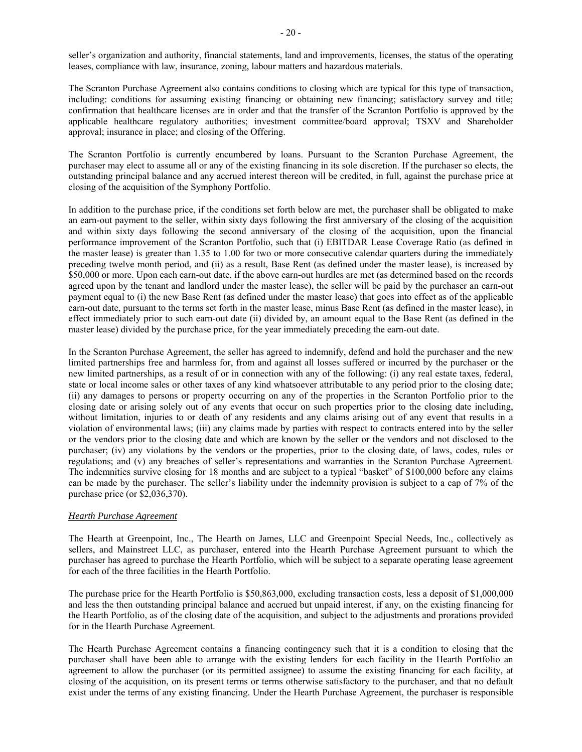seller's organization and authority, financial statements, land and improvements, licenses, the status of the operating leases, compliance with law, insurance, zoning, labour matters and hazardous materials.

The Scranton Purchase Agreement also contains conditions to closing which are typical for this type of transaction, including: conditions for assuming existing financing or obtaining new financing; satisfactory survey and title; confirmation that healthcare licenses are in order and that the transfer of the Scranton Portfolio is approved by the applicable healthcare regulatory authorities; investment committee/board approval; TSXV and Shareholder approval; insurance in place; and closing of the Offering.

The Scranton Portfolio is currently encumbered by loans. Pursuant to the Scranton Purchase Agreement, the purchaser may elect to assume all or any of the existing financing in its sole discretion. If the purchaser so elects, the outstanding principal balance and any accrued interest thereon will be credited, in full, against the purchase price at closing of the acquisition of the Symphony Portfolio.

In addition to the purchase price, if the conditions set forth below are met, the purchaser shall be obligated to make an earn-out payment to the seller, within sixty days following the first anniversary of the closing of the acquisition and within sixty days following the second anniversary of the closing of the acquisition, upon the financial performance improvement of the Scranton Portfolio, such that (i) EBITDAR Lease Coverage Ratio (as defined in the master lease) is greater than 1.35 to 1.00 for two or more consecutive calendar quarters during the immediately preceding twelve month period, and (ii) as a result, Base Rent (as defined under the master lease), is increased by \$50,000 or more. Upon each earn-out date, if the above earn-out hurdles are met (as determined based on the records agreed upon by the tenant and landlord under the master lease), the seller will be paid by the purchaser an earn-out payment equal to (i) the new Base Rent (as defined under the master lease) that goes into effect as of the applicable earn-out date, pursuant to the terms set forth in the master lease, minus Base Rent (as defined in the master lease), in effect immediately prior to such earn-out date (ii) divided by, an amount equal to the Base Rent (as defined in the master lease) divided by the purchase price, for the year immediately preceding the earn-out date.

In the Scranton Purchase Agreement, the seller has agreed to indemnify, defend and hold the purchaser and the new limited partnerships free and harmless for, from and against all losses suffered or incurred by the purchaser or the new limited partnerships, as a result of or in connection with any of the following: (i) any real estate taxes, federal, state or local income sales or other taxes of any kind whatsoever attributable to any period prior to the closing date; (ii) any damages to persons or property occurring on any of the properties in the Scranton Portfolio prior to the closing date or arising solely out of any events that occur on such properties prior to the closing date including, without limitation, injuries to or death of any residents and any claims arising out of any event that results in a violation of environmental laws; (iii) any claims made by parties with respect to contracts entered into by the seller or the vendors prior to the closing date and which are known by the seller or the vendors and not disclosed to the purchaser; (iv) any violations by the vendors or the properties, prior to the closing date, of laws, codes, rules or regulations; and (v) any breaches of seller's representations and warranties in the Scranton Purchase Agreement. The indemnities survive closing for 18 months and are subject to a typical "basket" of \$100,000 before any claims can be made by the purchaser. The seller's liability under the indemnity provision is subject to a cap of 7% of the purchase price (or \$2,036,370).

#### *Hearth Purchase Agreement*

The Hearth at Greenpoint, Inc., The Hearth on James, LLC and Greenpoint Special Needs, Inc., collectively as sellers, and Mainstreet LLC, as purchaser, entered into the Hearth Purchase Agreement pursuant to which the purchaser has agreed to purchase the Hearth Portfolio, which will be subject to a separate operating lease agreement for each of the three facilities in the Hearth Portfolio.

The purchase price for the Hearth Portfolio is \$50,863,000, excluding transaction costs, less a deposit of \$1,000,000 and less the then outstanding principal balance and accrued but unpaid interest, if any, on the existing financing for the Hearth Portfolio, as of the closing date of the acquisition, and subject to the adjustments and prorations provided for in the Hearth Purchase Agreement.

The Hearth Purchase Agreement contains a financing contingency such that it is a condition to closing that the purchaser shall have been able to arrange with the existing lenders for each facility in the Hearth Portfolio an agreement to allow the purchaser (or its permitted assignee) to assume the existing financing for each facility, at closing of the acquisition, on its present terms or terms otherwise satisfactory to the purchaser, and that no default exist under the terms of any existing financing. Under the Hearth Purchase Agreement, the purchaser is responsible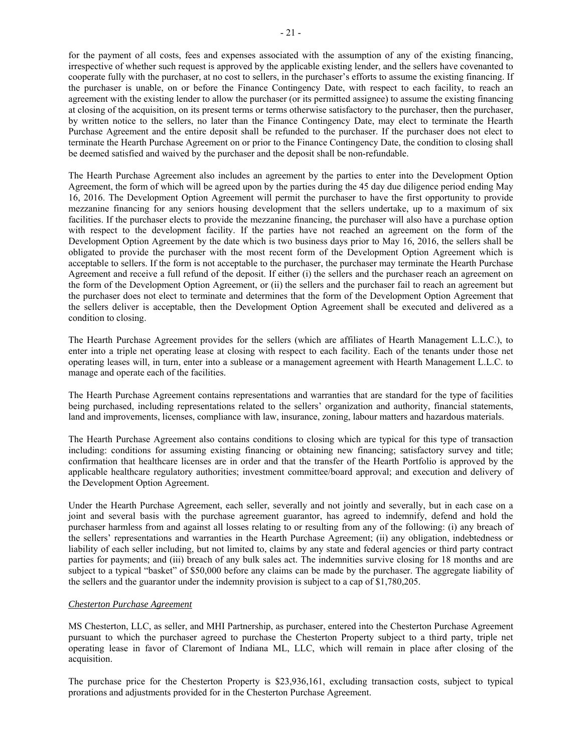for the payment of all costs, fees and expenses associated with the assumption of any of the existing financing, irrespective of whether such request is approved by the applicable existing lender, and the sellers have covenanted to cooperate fully with the purchaser, at no cost to sellers, in the purchaser's efforts to assume the existing financing. If the purchaser is unable, on or before the Finance Contingency Date, with respect to each facility, to reach an agreement with the existing lender to allow the purchaser (or its permitted assignee) to assume the existing financing at closing of the acquisition, on its present terms or terms otherwise satisfactory to the purchaser, then the purchaser, by written notice to the sellers, no later than the Finance Contingency Date, may elect to terminate the Hearth Purchase Agreement and the entire deposit shall be refunded to the purchaser. If the purchaser does not elect to terminate the Hearth Purchase Agreement on or prior to the Finance Contingency Date, the condition to closing shall be deemed satisfied and waived by the purchaser and the deposit shall be non-refundable.

The Hearth Purchase Agreement also includes an agreement by the parties to enter into the Development Option Agreement, the form of which will be agreed upon by the parties during the 45 day due diligence period ending May 16, 2016. The Development Option Agreement will permit the purchaser to have the first opportunity to provide mezzanine financing for any seniors housing development that the sellers undertake, up to a maximum of six facilities. If the purchaser elects to provide the mezzanine financing, the purchaser will also have a purchase option with respect to the development facility. If the parties have not reached an agreement on the form of the Development Option Agreement by the date which is two business days prior to May 16, 2016, the sellers shall be obligated to provide the purchaser with the most recent form of the Development Option Agreement which is acceptable to sellers. If the form is not acceptable to the purchaser, the purchaser may terminate the Hearth Purchase Agreement and receive a full refund of the deposit. If either (i) the sellers and the purchaser reach an agreement on the form of the Development Option Agreement, or (ii) the sellers and the purchaser fail to reach an agreement but the purchaser does not elect to terminate and determines that the form of the Development Option Agreement that the sellers deliver is acceptable, then the Development Option Agreement shall be executed and delivered as a condition to closing.

The Hearth Purchase Agreement provides for the sellers (which are affiliates of Hearth Management L.L.C.), to enter into a triple net operating lease at closing with respect to each facility. Each of the tenants under those net operating leases will, in turn, enter into a sublease or a management agreement with Hearth Management L.L.C. to manage and operate each of the facilities.

The Hearth Purchase Agreement contains representations and warranties that are standard for the type of facilities being purchased, including representations related to the sellers' organization and authority, financial statements, land and improvements, licenses, compliance with law, insurance, zoning, labour matters and hazardous materials.

The Hearth Purchase Agreement also contains conditions to closing which are typical for this type of transaction including: conditions for assuming existing financing or obtaining new financing; satisfactory survey and title; confirmation that healthcare licenses are in order and that the transfer of the Hearth Portfolio is approved by the applicable healthcare regulatory authorities; investment committee/board approval; and execution and delivery of the Development Option Agreement.

Under the Hearth Purchase Agreement, each seller, severally and not jointly and severally, but in each case on a joint and several basis with the purchase agreement guarantor, has agreed to indemnify, defend and hold the purchaser harmless from and against all losses relating to or resulting from any of the following: (i) any breach of the sellers' representations and warranties in the Hearth Purchase Agreement; (ii) any obligation, indebtedness or liability of each seller including, but not limited to, claims by any state and federal agencies or third party contract parties for payments; and (iii) breach of any bulk sales act. The indemnities survive closing for 18 months and are subject to a typical "basket" of \$50,000 before any claims can be made by the purchaser. The aggregate liability of the sellers and the guarantor under the indemnity provision is subject to a cap of \$1,780,205.

#### *Chesterton Purchase Agreement*

MS Chesterton, LLC, as seller, and MHI Partnership, as purchaser, entered into the Chesterton Purchase Agreement pursuant to which the purchaser agreed to purchase the Chesterton Property subject to a third party, triple net operating lease in favor of Claremont of Indiana ML, LLC, which will remain in place after closing of the acquisition.

The purchase price for the Chesterton Property is \$23,936,161, excluding transaction costs, subject to typical prorations and adjustments provided for in the Chesterton Purchase Agreement.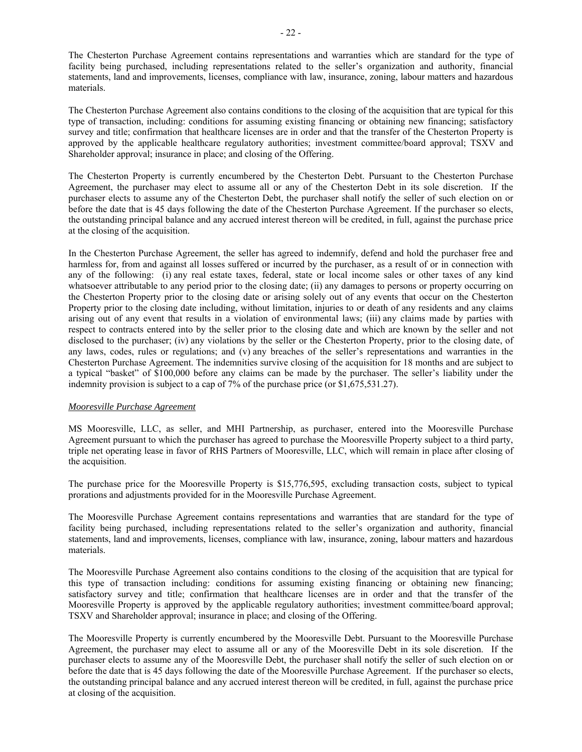The Chesterton Purchase Agreement contains representations and warranties which are standard for the type of facility being purchased, including representations related to the seller's organization and authority, financial statements, land and improvements, licenses, compliance with law, insurance, zoning, labour matters and hazardous materials.

The Chesterton Purchase Agreement also contains conditions to the closing of the acquisition that are typical for this type of transaction, including: conditions for assuming existing financing or obtaining new financing; satisfactory survey and title; confirmation that healthcare licenses are in order and that the transfer of the Chesterton Property is approved by the applicable healthcare regulatory authorities; investment committee/board approval; TSXV and Shareholder approval; insurance in place; and closing of the Offering.

The Chesterton Property is currently encumbered by the Chesterton Debt. Pursuant to the Chesterton Purchase Agreement, the purchaser may elect to assume all or any of the Chesterton Debt in its sole discretion. If the purchaser elects to assume any of the Chesterton Debt, the purchaser shall notify the seller of such election on or before the date that is 45 days following the date of the Chesterton Purchase Agreement. If the purchaser so elects, the outstanding principal balance and any accrued interest thereon will be credited, in full, against the purchase price at the closing of the acquisition.

In the Chesterton Purchase Agreement, the seller has agreed to indemnify, defend and hold the purchaser free and harmless for, from and against all losses suffered or incurred by the purchaser, as a result of or in connection with any of the following: (i) any real estate taxes, federal, state or local income sales or other taxes of any kind whatsoever attributable to any period prior to the closing date; (ii) any damages to persons or property occurring on the Chesterton Property prior to the closing date or arising solely out of any events that occur on the Chesterton Property prior to the closing date including, without limitation, injuries to or death of any residents and any claims arising out of any event that results in a violation of environmental laws; (iii) any claims made by parties with respect to contracts entered into by the seller prior to the closing date and which are known by the seller and not disclosed to the purchaser; (iv) any violations by the seller or the Chesterton Property, prior to the closing date, of any laws, codes, rules or regulations; and (v) any breaches of the seller's representations and warranties in the Chesterton Purchase Agreement. The indemnities survive closing of the acquisition for 18 months and are subject to a typical "basket" of \$100,000 before any claims can be made by the purchaser. The seller's liability under the indemnity provision is subject to a cap of 7% of the purchase price (or \$1,675,531.27).

# *Mooresville Purchase Agreement*

MS Mooresville, LLC, as seller, and MHI Partnership, as purchaser, entered into the Mooresville Purchase Agreement pursuant to which the purchaser has agreed to purchase the Mooresville Property subject to a third party, triple net operating lease in favor of RHS Partners of Mooresville, LLC, which will remain in place after closing of the acquisition.

The purchase price for the Mooresville Property is \$15,776,595, excluding transaction costs, subject to typical prorations and adjustments provided for in the Mooresville Purchase Agreement.

The Mooresville Purchase Agreement contains representations and warranties that are standard for the type of facility being purchased, including representations related to the seller's organization and authority, financial statements, land and improvements, licenses, compliance with law, insurance, zoning, labour matters and hazardous materials.

The Mooresville Purchase Agreement also contains conditions to the closing of the acquisition that are typical for this type of transaction including: conditions for assuming existing financing or obtaining new financing; satisfactory survey and title; confirmation that healthcare licenses are in order and that the transfer of the Mooresville Property is approved by the applicable regulatory authorities; investment committee/board approval; TSXV and Shareholder approval; insurance in place; and closing of the Offering.

The Mooresville Property is currently encumbered by the Mooresville Debt. Pursuant to the Mooresville Purchase Agreement, the purchaser may elect to assume all or any of the Mooresville Debt in its sole discretion. If the purchaser elects to assume any of the Mooresville Debt, the purchaser shall notify the seller of such election on or before the date that is 45 days following the date of the Mooresville Purchase Agreement. If the purchaser so elects, the outstanding principal balance and any accrued interest thereon will be credited, in full, against the purchase price at closing of the acquisition.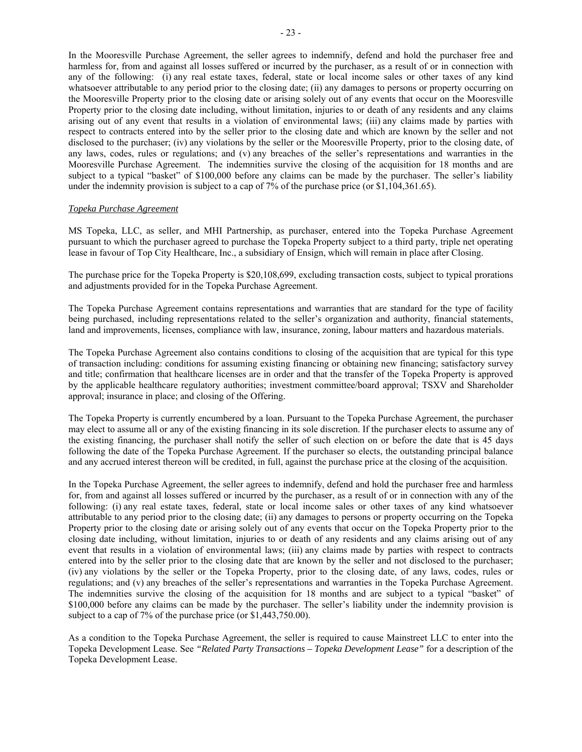In the Mooresville Purchase Agreement, the seller agrees to indemnify, defend and hold the purchaser free and harmless for, from and against all losses suffered or incurred by the purchaser, as a result of or in connection with any of the following: (i) any real estate taxes, federal, state or local income sales or other taxes of any kind whatsoever attributable to any period prior to the closing date; (ii) any damages to persons or property occurring on the Mooresville Property prior to the closing date or arising solely out of any events that occur on the Mooresville Property prior to the closing date including, without limitation, injuries to or death of any residents and any claims arising out of any event that results in a violation of environmental laws; (iii) any claims made by parties with respect to contracts entered into by the seller prior to the closing date and which are known by the seller and not disclosed to the purchaser; (iv) any violations by the seller or the Mooresville Property, prior to the closing date, of any laws, codes, rules or regulations; and (v) any breaches of the seller's representations and warranties in the Mooresville Purchase Agreement. The indemnities survive the closing of the acquisition for 18 months and are subject to a typical "basket" of \$100,000 before any claims can be made by the purchaser. The seller's liability under the indemnity provision is subject to a cap of 7% of the purchase price (or \$1,104,361.65).

#### *Topeka Purchase Agreement*

MS Topeka, LLC, as seller, and MHI Partnership, as purchaser, entered into the Topeka Purchase Agreement pursuant to which the purchaser agreed to purchase the Topeka Property subject to a third party, triple net operating lease in favour of Top City Healthcare, Inc., a subsidiary of Ensign, which will remain in place after Closing.

The purchase price for the Topeka Property is \$20,108,699, excluding transaction costs, subject to typical prorations and adjustments provided for in the Topeka Purchase Agreement.

The Topeka Purchase Agreement contains representations and warranties that are standard for the type of facility being purchased, including representations related to the seller's organization and authority, financial statements, land and improvements, licenses, compliance with law, insurance, zoning, labour matters and hazardous materials.

The Topeka Purchase Agreement also contains conditions to closing of the acquisition that are typical for this type of transaction including: conditions for assuming existing financing or obtaining new financing; satisfactory survey and title; confirmation that healthcare licenses are in order and that the transfer of the Topeka Property is approved by the applicable healthcare regulatory authorities; investment committee/board approval; TSXV and Shareholder approval; insurance in place; and closing of the Offering.

The Topeka Property is currently encumbered by a loan. Pursuant to the Topeka Purchase Agreement, the purchaser may elect to assume all or any of the existing financing in its sole discretion. If the purchaser elects to assume any of the existing financing, the purchaser shall notify the seller of such election on or before the date that is 45 days following the date of the Topeka Purchase Agreement. If the purchaser so elects, the outstanding principal balance and any accrued interest thereon will be credited, in full, against the purchase price at the closing of the acquisition.

In the Topeka Purchase Agreement, the seller agrees to indemnify, defend and hold the purchaser free and harmless for, from and against all losses suffered or incurred by the purchaser, as a result of or in connection with any of the following: (i) any real estate taxes, federal, state or local income sales or other taxes of any kind whatsoever attributable to any period prior to the closing date; (ii) any damages to persons or property occurring on the Topeka Property prior to the closing date or arising solely out of any events that occur on the Topeka Property prior to the closing date including, without limitation, injuries to or death of any residents and any claims arising out of any event that results in a violation of environmental laws; (iii) any claims made by parties with respect to contracts entered into by the seller prior to the closing date that are known by the seller and not disclosed to the purchaser; (iv) any violations by the seller or the Topeka Property, prior to the closing date, of any laws, codes, rules or regulations; and (v) any breaches of the seller's representations and warranties in the Topeka Purchase Agreement. The indemnities survive the closing of the acquisition for 18 months and are subject to a typical "basket" of \$100,000 before any claims can be made by the purchaser. The seller's liability under the indemnity provision is subject to a cap of 7% of the purchase price (or \$1,443,750.00).

As a condition to the Topeka Purchase Agreement, the seller is required to cause Mainstreet LLC to enter into the Topeka Development Lease. See *"Related Party Transactions – Topeka Development Lease"* for a description of the Topeka Development Lease.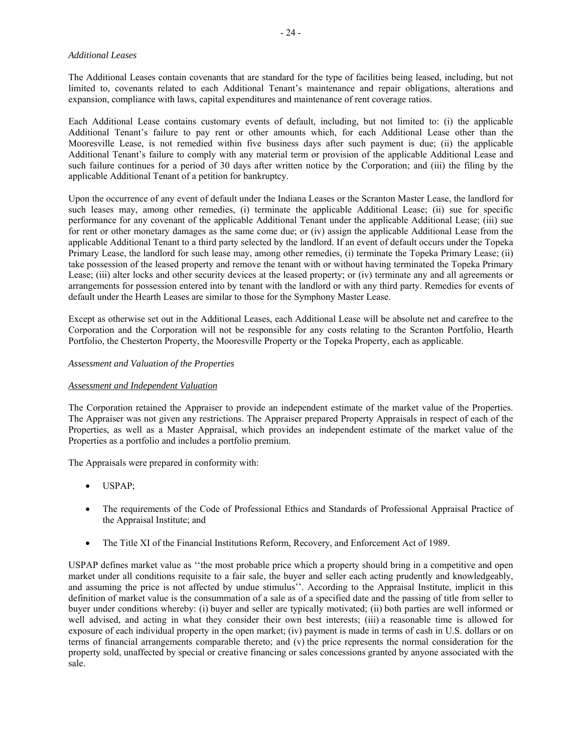#### *Additional Leases*

The Additional Leases contain covenants that are standard for the type of facilities being leased, including, but not limited to, covenants related to each Additional Tenant's maintenance and repair obligations, alterations and expansion, compliance with laws, capital expenditures and maintenance of rent coverage ratios.

Each Additional Lease contains customary events of default, including, but not limited to: (i) the applicable Additional Tenant's failure to pay rent or other amounts which, for each Additional Lease other than the Mooresville Lease, is not remedied within five business days after such payment is due; (ii) the applicable Additional Tenant's failure to comply with any material term or provision of the applicable Additional Lease and such failure continues for a period of 30 days after written notice by the Corporation; and (iii) the filing by the applicable Additional Tenant of a petition for bankruptcy.

Upon the occurrence of any event of default under the Indiana Leases or the Scranton Master Lease, the landlord for such leases may, among other remedies, (i) terminate the applicable Additional Lease; (ii) sue for specific performance for any covenant of the applicable Additional Tenant under the applicable Additional Lease; (iii) sue for rent or other monetary damages as the same come due; or (iv) assign the applicable Additional Lease from the applicable Additional Tenant to a third party selected by the landlord. If an event of default occurs under the Topeka Primary Lease, the landlord for such lease may, among other remedies, (i) terminate the Topeka Primary Lease; (ii) take possession of the leased property and remove the tenant with or without having terminated the Topeka Primary Lease; (iii) alter locks and other security devices at the leased property; or (iv) terminate any and all agreements or arrangements for possession entered into by tenant with the landlord or with any third party. Remedies for events of default under the Hearth Leases are similar to those for the Symphony Master Lease.

Except as otherwise set out in the Additional Leases, each Additional Lease will be absolute net and carefree to the Corporation and the Corporation will not be responsible for any costs relating to the Scranton Portfolio, Hearth Portfolio, the Chesterton Property, the Mooresville Property or the Topeka Property, each as applicable.

#### *Assessment and Valuation of the Properties*

#### *Assessment and Independent Valuation*

The Corporation retained the Appraiser to provide an independent estimate of the market value of the Properties. The Appraiser was not given any restrictions. The Appraiser prepared Property Appraisals in respect of each of the Properties, as well as a Master Appraisal, which provides an independent estimate of the market value of the Properties as a portfolio and includes a portfolio premium.

The Appraisals were prepared in conformity with:

- USPAP;
- The requirements of the Code of Professional Ethics and Standards of Professional Appraisal Practice of the Appraisal Institute; and
- The Title XI of the Financial Institutions Reform, Recovery, and Enforcement Act of 1989.

USPAP defines market value as ''the most probable price which a property should bring in a competitive and open market under all conditions requisite to a fair sale, the buyer and seller each acting prudently and knowledgeably, and assuming the price is not affected by undue stimulus''. According to the Appraisal Institute, implicit in this definition of market value is the consummation of a sale as of a specified date and the passing of title from seller to buyer under conditions whereby: (i) buyer and seller are typically motivated; (ii) both parties are well informed or well advised, and acting in what they consider their own best interests; (iii) a reasonable time is allowed for exposure of each individual property in the open market; (iv) payment is made in terms of cash in U.S. dollars or on terms of financial arrangements comparable thereto; and (v) the price represents the normal consideration for the property sold, unaffected by special or creative financing or sales concessions granted by anyone associated with the sale.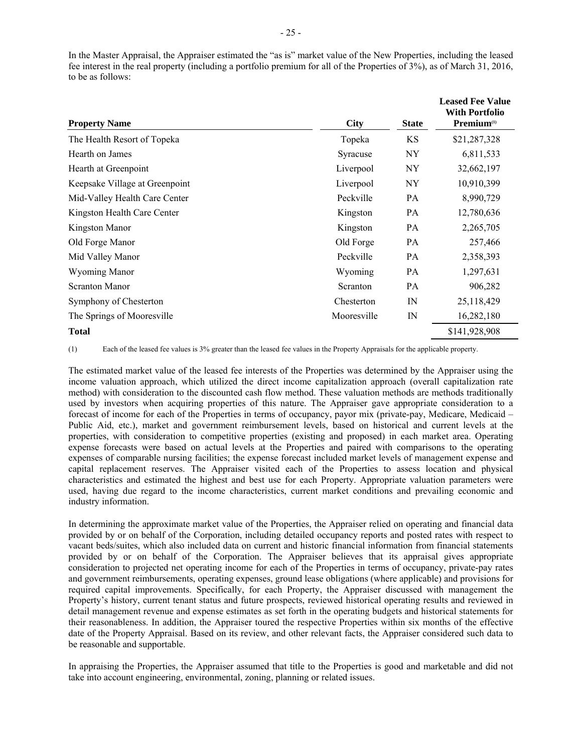In the Master Appraisal, the Appraiser estimated the "as is" market value of the New Properties, including the leased fee interest in the real property (including a portfolio premium for all of the Properties of 3%), as of March 31, 2016, to be as follows:

| <b>Property Name</b>           | <b>City</b> | <b>State</b> | <b>Leased Fee Value</b><br><b>With Portfolio</b><br>Premium <sup>(1)</sup> |
|--------------------------------|-------------|--------------|----------------------------------------------------------------------------|
| The Health Resort of Topeka    | Topeka      | KS           | \$21,287,328                                                               |
| Hearth on James                | Syracuse    | NY           | 6,811,533                                                                  |
| Hearth at Greenpoint           | Liverpool   | NY           | 32,662,197                                                                 |
| Keepsake Village at Greenpoint | Liverpool   | NY           | 10,910,399                                                                 |
| Mid-Valley Health Care Center  | Peckville   | PA           | 8,990,729                                                                  |
| Kingston Health Care Center    | Kingston    | PA           | 12,780,636                                                                 |
| Kingston Manor                 | Kingston    | PA           | 2,265,705                                                                  |
| Old Forge Manor                | Old Forge   | PA           | 257,466                                                                    |
| Mid Valley Manor               | Peckville   | PA           | 2,358,393                                                                  |
| Wyoming Manor                  | Wyoming     | PA           | 1,297,631                                                                  |
| <b>Scranton Manor</b>          | Scranton    | PA           | 906,282                                                                    |
| Symphony of Chesterton         | Chesterton  | IN           | 25,118,429                                                                 |
| The Springs of Mooresville     | Mooresville | IN           | 16,282,180                                                                 |
| <b>Total</b>                   |             |              | \$141,928,908                                                              |
|                                |             |              |                                                                            |

(1) Each of the leased fee values is 3% greater than the leased fee values in the Property Appraisals for the applicable property.

The estimated market value of the leased fee interests of the Properties was determined by the Appraiser using the income valuation approach, which utilized the direct income capitalization approach (overall capitalization rate method) with consideration to the discounted cash flow method. These valuation methods are methods traditionally used by investors when acquiring properties of this nature. The Appraiser gave appropriate consideration to a forecast of income for each of the Properties in terms of occupancy, payor mix (private-pay, Medicare, Medicaid – Public Aid, etc.), market and government reimbursement levels, based on historical and current levels at the properties, with consideration to competitive properties (existing and proposed) in each market area. Operating expense forecasts were based on actual levels at the Properties and paired with comparisons to the operating expenses of comparable nursing facilities; the expense forecast included market levels of management expense and capital replacement reserves. The Appraiser visited each of the Properties to assess location and physical characteristics and estimated the highest and best use for each Property. Appropriate valuation parameters were used, having due regard to the income characteristics, current market conditions and prevailing economic and industry information.

In determining the approximate market value of the Properties, the Appraiser relied on operating and financial data provided by or on behalf of the Corporation, including detailed occupancy reports and posted rates with respect to vacant beds/suites, which also included data on current and historic financial information from financial statements provided by or on behalf of the Corporation. The Appraiser believes that its appraisal gives appropriate consideration to projected net operating income for each of the Properties in terms of occupancy, private-pay rates and government reimbursements, operating expenses, ground lease obligations (where applicable) and provisions for required capital improvements. Specifically, for each Property, the Appraiser discussed with management the Property's history, current tenant status and future prospects, reviewed historical operating results and reviewed in detail management revenue and expense estimates as set forth in the operating budgets and historical statements for their reasonableness. In addition, the Appraiser toured the respective Properties within six months of the effective date of the Property Appraisal. Based on its review, and other relevant facts, the Appraiser considered such data to be reasonable and supportable.

In appraising the Properties, the Appraiser assumed that title to the Properties is good and marketable and did not take into account engineering, environmental, zoning, planning or related issues.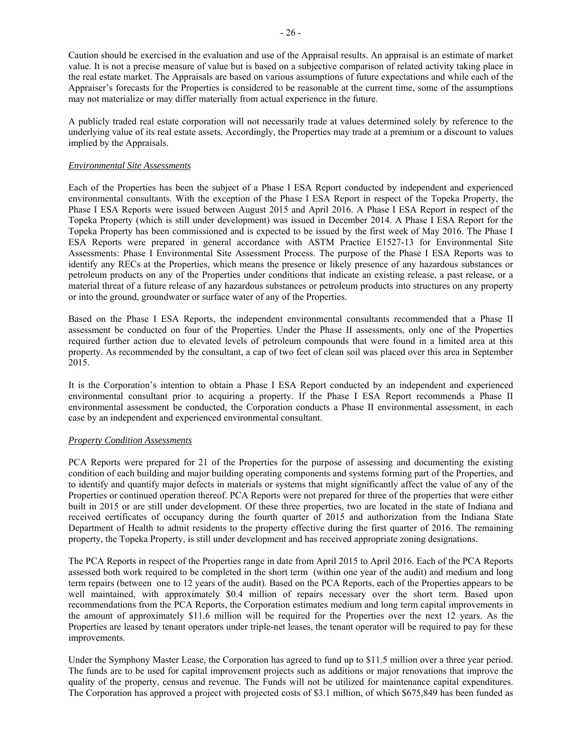Caution should be exercised in the evaluation and use of the Appraisal results. An appraisal is an estimate of market value. It is not a precise measure of value but is based on a subjective comparison of related activity taking place in the real estate market. The Appraisals are based on various assumptions of future expectations and while each of the Appraiser's forecasts for the Properties is considered to be reasonable at the current time, some of the assumptions may not materialize or may differ materially from actual experience in the future.

A publicly traded real estate corporation will not necessarily trade at values determined solely by reference to the underlying value of its real estate assets. Accordingly, the Properties may trade at a premium or a discount to values implied by the Appraisals.

### *Environmental Site Assessments*

Each of the Properties has been the subject of a Phase I ESA Report conducted by independent and experienced environmental consultants. With the exception of the Phase I ESA Report in respect of the Topeka Property, the Phase I ESA Reports were issued between August 2015 and April 2016. A Phase I ESA Report in respect of the Topeka Property (which is still under development) was issued in December 2014. A Phase I ESA Report for the Topeka Property has been commissioned and is expected to be issued by the first week of May 2016. The Phase I ESA Reports were prepared in general accordance with ASTM Practice E1527-13 for Environmental Site Assessments: Phase I Environmental Site Assessment Process. The purpose of the Phase I ESA Reports was to identify any RECs at the Properties, which means the presence or likely presence of any hazardous substances or petroleum products on any of the Properties under conditions that indicate an existing release, a past release, or a material threat of a future release of any hazardous substances or petroleum products into structures on any property or into the ground, groundwater or surface water of any of the Properties.

Based on the Phase I ESA Reports, the independent environmental consultants recommended that a Phase II assessment be conducted on four of the Properties. Under the Phase II assessments, only one of the Properties required further action due to elevated levels of petroleum compounds that were found in a limited area at this property. As recommended by the consultant, a cap of two feet of clean soil was placed over this area in September 2015.

It is the Corporation's intention to obtain a Phase I ESA Report conducted by an independent and experienced environmental consultant prior to acquiring a property. If the Phase I ESA Report recommends a Phase II environmental assessment be conducted, the Corporation conducts a Phase II environmental assessment, in each case by an independent and experienced environmental consultant.

#### *Property Condition Assessments*

PCA Reports were prepared for 21 of the Properties for the purpose of assessing and documenting the existing condition of each building and major building operating components and systems forming part of the Properties, and to identify and quantify major defects in materials or systems that might significantly affect the value of any of the Properties or continued operation thereof. PCA Reports were not prepared for three of the properties that were either built in 2015 or are still under development. Of these three properties, two are located in the state of Indiana and received certificates of occupancy during the fourth quarter of 2015 and authorization from the Indiana State Department of Health to admit residents to the property effective during the first quarter of 2016. The remaining property, the Topeka Property, is still under development and has received appropriate zoning designations.

The PCA Reports in respect of the Properties range in date from April 2015 to April 2016. Each of the PCA Reports assessed both work required to be completed in the short term (within one year of the audit) and medium and long term repairs (between one to 12 years of the audit). Based on the PCA Reports, each of the Properties appears to be well maintained, with approximately \$0.4 million of repairs necessary over the short term. Based upon recommendations from the PCA Reports, the Corporation estimates medium and long term capital improvements in the amount of approximately \$11.6 million will be required for the Properties over the next 12 years. As the Properties are leased by tenant operators under triple-net leases, the tenant operator will be required to pay for these improvements.

Under the Symphony Master Lease, the Corporation has agreed to fund up to \$11.5 million over a three year period. The funds are to be used for capital improvement projects such as additions or major renovations that improve the quality of the property, census and revenue. The Funds will not be utilized for maintenance capital expenditures. The Corporation has approved a project with projected costs of \$3.1 million, of which \$675,849 has been funded as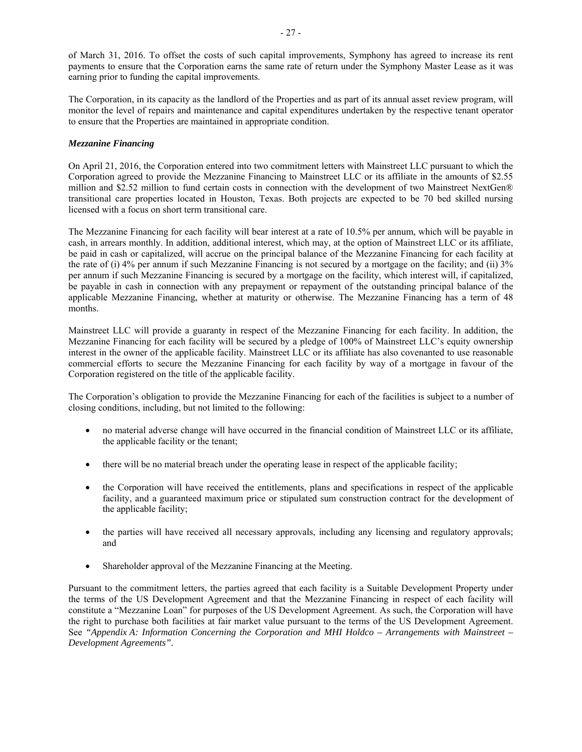of March 31, 2016. To offset the costs of such capital improvements, Symphony has agreed to increase its rent payments to ensure that the Corporation earns the same rate of return under the Symphony Master Lease as it was earning prior to funding the capital improvements.

The Corporation, in its capacity as the landlord of the Properties and as part of its annual asset review program, will monitor the level of repairs and maintenance and capital expenditures undertaken by the respective tenant operator to ensure that the Properties are maintained in appropriate condition.

# *Mezzanine Financing*

On April 21, 2016, the Corporation entered into two commitment letters with Mainstreet LLC pursuant to which the Corporation agreed to provide the Mezzanine Financing to Mainstreet LLC or its affiliate in the amounts of \$2.55 million and \$2.52 million to fund certain costs in connection with the development of two Mainstreet NextGen® transitional care properties located in Houston, Texas. Both projects are expected to be 70 bed skilled nursing licensed with a focus on short term transitional care.

The Mezzanine Financing for each facility will bear interest at a rate of 10.5% per annum, which will be payable in cash, in arrears monthly. In addition, additional interest, which may, at the option of Mainstreet LLC or its affiliate, be paid in cash or capitalized, will accrue on the principal balance of the Mezzanine Financing for each facility at the rate of (i) 4% per annum if such Mezzanine Financing is not secured by a mortgage on the facility; and (ii) 3% per annum if such Mezzanine Financing is secured by a mortgage on the facility, which interest will, if capitalized, be payable in cash in connection with any prepayment or repayment of the outstanding principal balance of the applicable Mezzanine Financing, whether at maturity or otherwise. The Mezzanine Financing has a term of 48 months.

Mainstreet LLC will provide a guaranty in respect of the Mezzanine Financing for each facility. In addition, the Mezzanine Financing for each facility will be secured by a pledge of 100% of Mainstreet LLC's equity ownership interest in the owner of the applicable facility. Mainstreet LLC or its affiliate has also covenanted to use reasonable commercial efforts to secure the Mezzanine Financing for each facility by way of a mortgage in favour of the Corporation registered on the title of the applicable facility.

The Corporation's obligation to provide the Mezzanine Financing for each of the facilities is subject to a number of closing conditions, including, but not limited to the following:

- no material adverse change will have occurred in the financial condition of Mainstreet LLC or its affiliate, the applicable facility or the tenant;
- there will be no material breach under the operating lease in respect of the applicable facility;
- the Corporation will have received the entitlements, plans and specifications in respect of the applicable facility, and a guaranteed maximum price or stipulated sum construction contract for the development of the applicable facility;
- the parties will have received all necessary approvals, including any licensing and regulatory approvals; and
- Shareholder approval of the Mezzanine Financing at the Meeting.

Pursuant to the commitment letters, the parties agreed that each facility is a Suitable Development Property under the terms of the US Development Agreement and that the Mezzanine Financing in respect of each facility will constitute a "Mezzanine Loan" for purposes of the US Development Agreement. As such, the Corporation will have the right to purchase both facilities at fair market value pursuant to the terms of the US Development Agreement. See *"Appendix A: Information Concerning the Corporation and MHI Holdco – Arrangements with Mainstreet – Development Agreements".*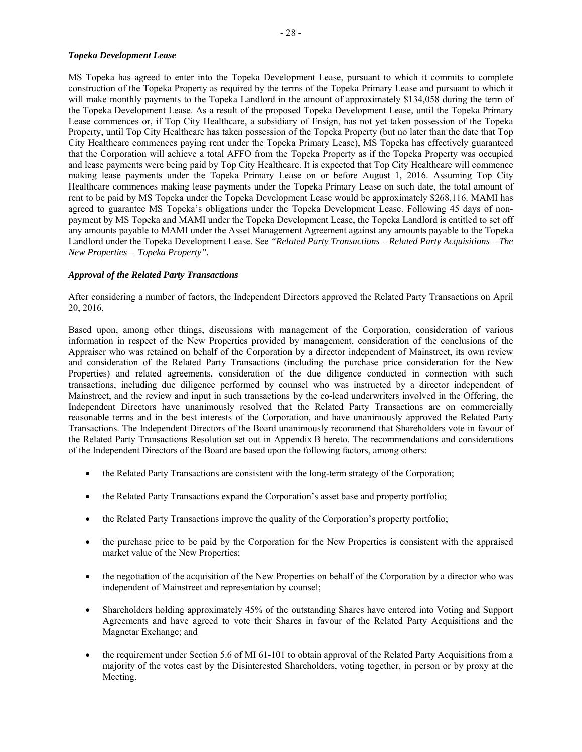# *Topeka Development Lease*

MS Topeka has agreed to enter into the Topeka Development Lease, pursuant to which it commits to complete construction of the Topeka Property as required by the terms of the Topeka Primary Lease and pursuant to which it will make monthly payments to the Topeka Landlord in the amount of approximately \$134,058 during the term of the Topeka Development Lease. As a result of the proposed Topeka Development Lease, until the Topeka Primary Lease commences or, if Top City Healthcare, a subsidiary of Ensign, has not yet taken possession of the Topeka Property, until Top City Healthcare has taken possession of the Topeka Property (but no later than the date that Top City Healthcare commences paying rent under the Topeka Primary Lease), MS Topeka has effectively guaranteed that the Corporation will achieve a total AFFO from the Topeka Property as if the Topeka Property was occupied and lease payments were being paid by Top City Healthcare. It is expected that Top City Healthcare will commence making lease payments under the Topeka Primary Lease on or before August 1, 2016. Assuming Top City Healthcare commences making lease payments under the Topeka Primary Lease on such date, the total amount of rent to be paid by MS Topeka under the Topeka Development Lease would be approximately \$268,116. MAMI has agreed to guarantee MS Topeka's obligations under the Topeka Development Lease. Following 45 days of nonpayment by MS Topeka and MAMI under the Topeka Development Lease, the Topeka Landlord is entitled to set off any amounts payable to MAMI under the Asset Management Agreement against any amounts payable to the Topeka Landlord under the Topeka Development Lease. See *"Related Party Transactions – Related Party Acquisitions – The New Properties— Topeka Property".*

# *Approval of the Related Party Transactions*

After considering a number of factors, the Independent Directors approved the Related Party Transactions on April 20, 2016.

Based upon, among other things, discussions with management of the Corporation, consideration of various information in respect of the New Properties provided by management, consideration of the conclusions of the Appraiser who was retained on behalf of the Corporation by a director independent of Mainstreet, its own review and consideration of the Related Party Transactions (including the purchase price consideration for the New Properties) and related agreements, consideration of the due diligence conducted in connection with such transactions, including due diligence performed by counsel who was instructed by a director independent of Mainstreet, and the review and input in such transactions by the co-lead underwriters involved in the Offering, the Independent Directors have unanimously resolved that the Related Party Transactions are on commercially reasonable terms and in the best interests of the Corporation, and have unanimously approved the Related Party Transactions. The Independent Directors of the Board unanimously recommend that Shareholders vote in favour of the Related Party Transactions Resolution set out in Appendix B hereto. The recommendations and considerations of the Independent Directors of the Board are based upon the following factors, among others:

- the Related Party Transactions are consistent with the long-term strategy of the Corporation;
- the Related Party Transactions expand the Corporation's asset base and property portfolio;
- the Related Party Transactions improve the quality of the Corporation's property portfolio;
- the purchase price to be paid by the Corporation for the New Properties is consistent with the appraised market value of the New Properties;
- the negotiation of the acquisition of the New Properties on behalf of the Corporation by a director who was independent of Mainstreet and representation by counsel;
- Shareholders holding approximately 45% of the outstanding Shares have entered into Voting and Support Agreements and have agreed to vote their Shares in favour of the Related Party Acquisitions and the Magnetar Exchange; and
- the requirement under Section 5.6 of MI 61-101 to obtain approval of the Related Party Acquisitions from a majority of the votes cast by the Disinterested Shareholders, voting together, in person or by proxy at the Meeting.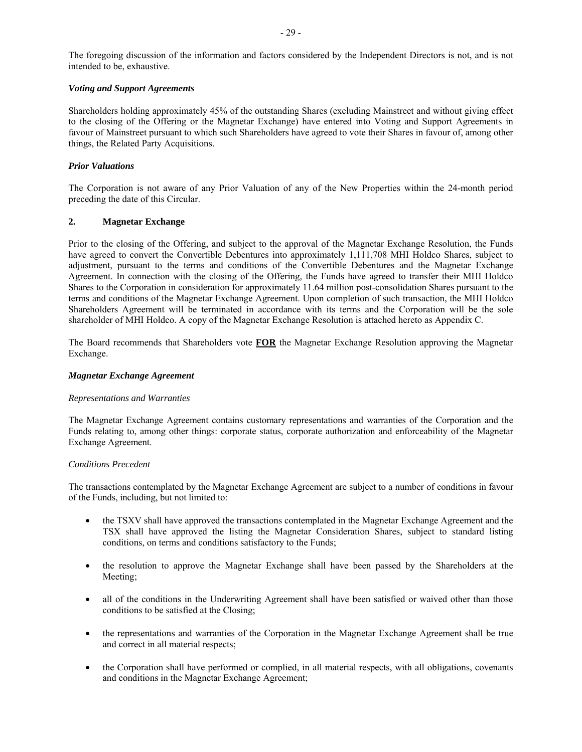The foregoing discussion of the information and factors considered by the Independent Directors is not, and is not intended to be, exhaustive.

# *Voting and Support Agreements*

Shareholders holding approximately 45% of the outstanding Shares (excluding Mainstreet and without giving effect to the closing of the Offering or the Magnetar Exchange) have entered into Voting and Support Agreements in favour of Mainstreet pursuant to which such Shareholders have agreed to vote their Shares in favour of, among other things, the Related Party Acquisitions.

# *Prior Valuations*

The Corporation is not aware of any Prior Valuation of any of the New Properties within the 24-month period preceding the date of this Circular.

# **2. Magnetar Exchange**

Prior to the closing of the Offering, and subject to the approval of the Magnetar Exchange Resolution, the Funds have agreed to convert the Convertible Debentures into approximately 1,111,708 MHI Holdco Shares, subject to adjustment, pursuant to the terms and conditions of the Convertible Debentures and the Magnetar Exchange Agreement. In connection with the closing of the Offering, the Funds have agreed to transfer their MHI Holdco Shares to the Corporation in consideration for approximately 11.64 million post-consolidation Shares pursuant to the terms and conditions of the Magnetar Exchange Agreement. Upon completion of such transaction, the MHI Holdco Shareholders Agreement will be terminated in accordance with its terms and the Corporation will be the sole shareholder of MHI Holdco. A copy of the Magnetar Exchange Resolution is attached hereto as Appendix C.

The Board recommends that Shareholders vote **FOR** the Magnetar Exchange Resolution approving the Magnetar Exchange.

#### *Magnetar Exchange Agreement*

#### *Representations and Warranties*

The Magnetar Exchange Agreement contains customary representations and warranties of the Corporation and the Funds relating to, among other things: corporate status, corporate authorization and enforceability of the Magnetar Exchange Agreement.

#### *Conditions Precedent*

The transactions contemplated by the Magnetar Exchange Agreement are subject to a number of conditions in favour of the Funds, including, but not limited to:

- the TSXV shall have approved the transactions contemplated in the Magnetar Exchange Agreement and the TSX shall have approved the listing the Magnetar Consideration Shares, subject to standard listing conditions, on terms and conditions satisfactory to the Funds;
- the resolution to approve the Magnetar Exchange shall have been passed by the Shareholders at the Meeting;
- all of the conditions in the Underwriting Agreement shall have been satisfied or waived other than those conditions to be satisfied at the Closing;
- the representations and warranties of the Corporation in the Magnetar Exchange Agreement shall be true and correct in all material respects;
- the Corporation shall have performed or complied, in all material respects, with all obligations, covenants and conditions in the Magnetar Exchange Agreement;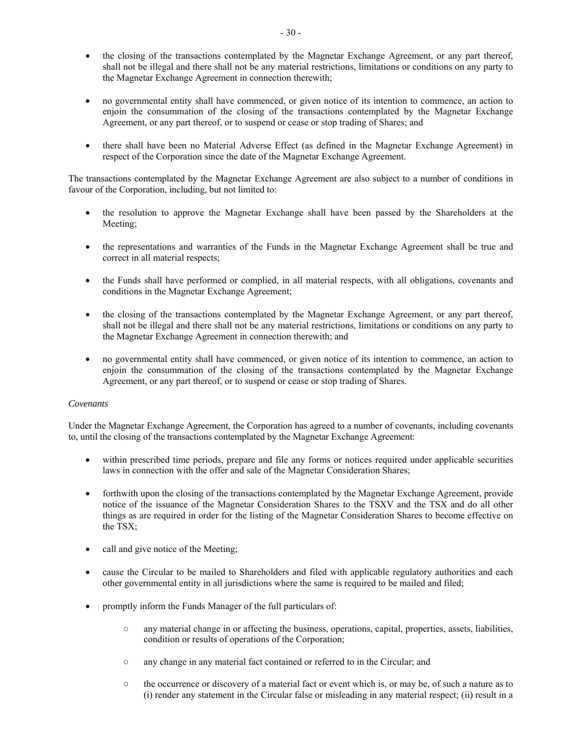- the closing of the transactions contemplated by the Magnetar Exchange Agreement, or any part thereof, shall not be illegal and there shall not be any material restrictions, limitations or conditions on any party to the Magnetar Exchange Agreement in connection therewith;
- no governmental entity shall have commenced, or given notice of its intention to commence, an action to enjoin the consummation of the closing of the transactions contemplated by the Magnetar Exchange Agreement, or any part thereof, or to suspend or cease or stop trading of Shares; and
- there shall have been no Material Adverse Effect (as defined in the Magnetar Exchange Agreement) in respect of the Corporation since the date of the Magnetar Exchange Agreement.

The transactions contemplated by the Magnetar Exchange Agreement are also subject to a number of conditions in favour of the Corporation, including, but not limited to:

- the resolution to approve the Magnetar Exchange shall have been passed by the Shareholders at the Meeting;
- the representations and warranties of the Funds in the Magnetar Exchange Agreement shall be true and correct in all material respects;
- the Funds shall have performed or complied, in all material respects, with all obligations, covenants and conditions in the Magnetar Exchange Agreement;
- the closing of the transactions contemplated by the Magnetar Exchange Agreement, or any part thereof, shall not be illegal and there shall not be any material restrictions, limitations or conditions on any party to the Magnetar Exchange Agreement in connection therewith; and
- no governmental entity shall have commenced, or given notice of its intention to commence, an action to enjoin the consummation of the closing of the transactions contemplated by the Magnetar Exchange Agreement, or any part thereof, or to suspend or cease or stop trading of Shares.

#### *Covenants*

Under the Magnetar Exchange Agreement, the Corporation has agreed to a number of covenants, including covenants to, until the closing of the transactions contemplated by the Magnetar Exchange Agreement:

- within prescribed time periods, prepare and file any forms or notices required under applicable securities laws in connection with the offer and sale of the Magnetar Consideration Shares;
- forthwith upon the closing of the transactions contemplated by the Magnetar Exchange Agreement, provide notice of the issuance of the Magnetar Consideration Shares to the TSXV and the TSX and do all other things as are required in order for the listing of the Magnetar Consideration Shares to become effective on the TSX;
- call and give notice of the Meeting;
- cause the Circular to be mailed to Shareholders and filed with applicable regulatory authorities and each other governmental entity in all jurisdictions where the same is required to be mailed and filed;
- promptly inform the Funds Manager of the full particulars of:
	- any material change in or affecting the business, operations, capital, properties, assets, liabilities, condition or results of operations of the Corporation;
	- any change in any material fact contained or referred to in the Circular; and
	- the occurrence or discovery of a material fact or event which is, or may be, of such a nature as to (i) render any statement in the Circular false or misleading in any material respect; (ii) result in a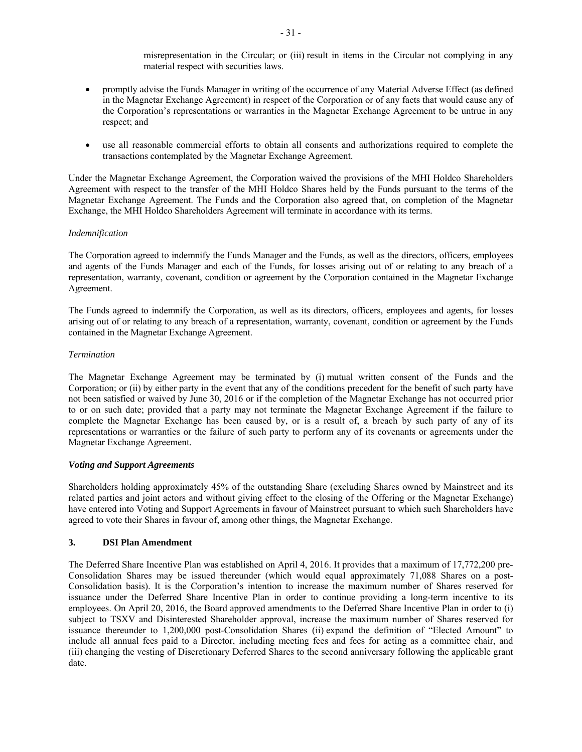misrepresentation in the Circular; or (iii) result in items in the Circular not complying in any material respect with securities laws.

- promptly advise the Funds Manager in writing of the occurrence of any Material Adverse Effect (as defined in the Magnetar Exchange Agreement) in respect of the Corporation or of any facts that would cause any of the Corporation's representations or warranties in the Magnetar Exchange Agreement to be untrue in any respect; and
- use all reasonable commercial efforts to obtain all consents and authorizations required to complete the transactions contemplated by the Magnetar Exchange Agreement.

Under the Magnetar Exchange Agreement, the Corporation waived the provisions of the MHI Holdco Shareholders Agreement with respect to the transfer of the MHI Holdco Shares held by the Funds pursuant to the terms of the Magnetar Exchange Agreement. The Funds and the Corporation also agreed that, on completion of the Magnetar Exchange, the MHI Holdco Shareholders Agreement will terminate in accordance with its terms.

# *Indemnification*

The Corporation agreed to indemnify the Funds Manager and the Funds, as well as the directors, officers, employees and agents of the Funds Manager and each of the Funds, for losses arising out of or relating to any breach of a representation, warranty, covenant, condition or agreement by the Corporation contained in the Magnetar Exchange Agreement.

The Funds agreed to indemnify the Corporation, as well as its directors, officers, employees and agents, for losses arising out of or relating to any breach of a representation, warranty, covenant, condition or agreement by the Funds contained in the Magnetar Exchange Agreement.

# *Termination*

The Magnetar Exchange Agreement may be terminated by (i) mutual written consent of the Funds and the Corporation; or (ii) by either party in the event that any of the conditions precedent for the benefit of such party have not been satisfied or waived by June 30, 2016 or if the completion of the Magnetar Exchange has not occurred prior to or on such date; provided that a party may not terminate the Magnetar Exchange Agreement if the failure to complete the Magnetar Exchange has been caused by, or is a result of, a breach by such party of any of its representations or warranties or the failure of such party to perform any of its covenants or agreements under the Magnetar Exchange Agreement.

#### *Voting and Support Agreements*

Shareholders holding approximately 45% of the outstanding Share (excluding Shares owned by Mainstreet and its related parties and joint actors and without giving effect to the closing of the Offering or the Magnetar Exchange) have entered into Voting and Support Agreements in favour of Mainstreet pursuant to which such Shareholders have agreed to vote their Shares in favour of, among other things, the Magnetar Exchange.

# **3. DSI Plan Amendment**

The Deferred Share Incentive Plan was established on April 4, 2016. It provides that a maximum of 17,772,200 pre-Consolidation Shares may be issued thereunder (which would equal approximately 71,088 Shares on a post-Consolidation basis). It is the Corporation's intention to increase the maximum number of Shares reserved for issuance under the Deferred Share Incentive Plan in order to continue providing a long-term incentive to its employees. On April 20, 2016, the Board approved amendments to the Deferred Share Incentive Plan in order to (i) subject to TSXV and Disinterested Shareholder approval, increase the maximum number of Shares reserved for issuance thereunder to 1,200,000 post-Consolidation Shares (ii) expand the definition of "Elected Amount" to include all annual fees paid to a Director, including meeting fees and fees for acting as a committee chair, and (iii) changing the vesting of Discretionary Deferred Shares to the second anniversary following the applicable grant date.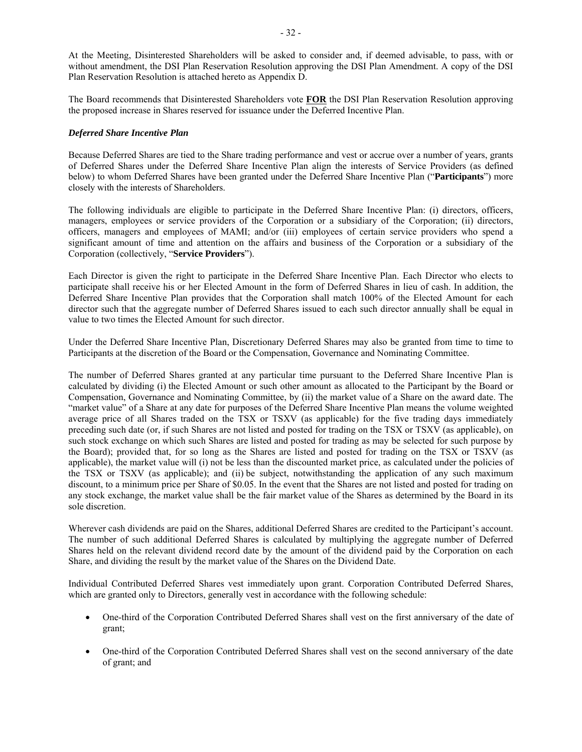The Board recommends that Disinterested Shareholders vote **FOR** the DSI Plan Reservation Resolution approving the proposed increase in Shares reserved for issuance under the Deferred Incentive Plan.

# *Deferred Share Incentive Plan*

Plan Reservation Resolution is attached hereto as Appendix D.

Because Deferred Shares are tied to the Share trading performance and vest or accrue over a number of years, grants of Deferred Shares under the Deferred Share Incentive Plan align the interests of Service Providers (as defined below) to whom Deferred Shares have been granted under the Deferred Share Incentive Plan ("**Participants**") more closely with the interests of Shareholders.

The following individuals are eligible to participate in the Deferred Share Incentive Plan: (i) directors, officers, managers, employees or service providers of the Corporation or a subsidiary of the Corporation; (ii) directors, officers, managers and employees of MAMI; and/or (iii) employees of certain service providers who spend a significant amount of time and attention on the affairs and business of the Corporation or a subsidiary of the Corporation (collectively, "**Service Providers**").

Each Director is given the right to participate in the Deferred Share Incentive Plan. Each Director who elects to participate shall receive his or her Elected Amount in the form of Deferred Shares in lieu of cash. In addition, the Deferred Share Incentive Plan provides that the Corporation shall match 100% of the Elected Amount for each director such that the aggregate number of Deferred Shares issued to each such director annually shall be equal in value to two times the Elected Amount for such director.

Under the Deferred Share Incentive Plan, Discretionary Deferred Shares may also be granted from time to time to Participants at the discretion of the Board or the Compensation, Governance and Nominating Committee.

The number of Deferred Shares granted at any particular time pursuant to the Deferred Share Incentive Plan is calculated by dividing (i) the Elected Amount or such other amount as allocated to the Participant by the Board or Compensation, Governance and Nominating Committee, by (ii) the market value of a Share on the award date. The "market value" of a Share at any date for purposes of the Deferred Share Incentive Plan means the volume weighted average price of all Shares traded on the TSX or TSXV (as applicable) for the five trading days immediately preceding such date (or, if such Shares are not listed and posted for trading on the TSX or TSXV (as applicable), on such stock exchange on which such Shares are listed and posted for trading as may be selected for such purpose by the Board); provided that, for so long as the Shares are listed and posted for trading on the TSX or TSXV (as applicable), the market value will (i) not be less than the discounted market price, as calculated under the policies of the TSX or TSXV (as applicable); and (ii) be subject, notwithstanding the application of any such maximum discount, to a minimum price per Share of \$0.05. In the event that the Shares are not listed and posted for trading on any stock exchange, the market value shall be the fair market value of the Shares as determined by the Board in its sole discretion.

Wherever cash dividends are paid on the Shares, additional Deferred Shares are credited to the Participant's account. The number of such additional Deferred Shares is calculated by multiplying the aggregate number of Deferred Shares held on the relevant dividend record date by the amount of the dividend paid by the Corporation on each Share, and dividing the result by the market value of the Shares on the Dividend Date.

Individual Contributed Deferred Shares vest immediately upon grant. Corporation Contributed Deferred Shares, which are granted only to Directors, generally vest in accordance with the following schedule:

- One-third of the Corporation Contributed Deferred Shares shall vest on the first anniversary of the date of grant;
- One-third of the Corporation Contributed Deferred Shares shall vest on the second anniversary of the date of grant; and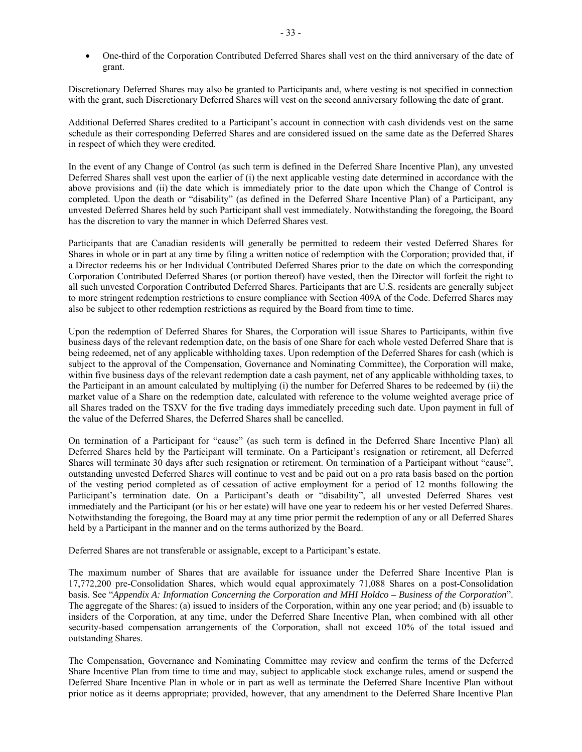One-third of the Corporation Contributed Deferred Shares shall vest on the third anniversary of the date of grant.

Discretionary Deferred Shares may also be granted to Participants and, where vesting is not specified in connection with the grant, such Discretionary Deferred Shares will vest on the second anniversary following the date of grant.

Additional Deferred Shares credited to a Participant's account in connection with cash dividends vest on the same schedule as their corresponding Deferred Shares and are considered issued on the same date as the Deferred Shares in respect of which they were credited.

In the event of any Change of Control (as such term is defined in the Deferred Share Incentive Plan), any unvested Deferred Shares shall vest upon the earlier of (i) the next applicable vesting date determined in accordance with the above provisions and (ii) the date which is immediately prior to the date upon which the Change of Control is completed. Upon the death or "disability" (as defined in the Deferred Share Incentive Plan) of a Participant, any unvested Deferred Shares held by such Participant shall vest immediately. Notwithstanding the foregoing, the Board has the discretion to vary the manner in which Deferred Shares vest.

Participants that are Canadian residents will generally be permitted to redeem their vested Deferred Shares for Shares in whole or in part at any time by filing a written notice of redemption with the Corporation; provided that, if a Director redeems his or her Individual Contributed Deferred Shares prior to the date on which the corresponding Corporation Contributed Deferred Shares (or portion thereof) have vested, then the Director will forfeit the right to all such unvested Corporation Contributed Deferred Shares. Participants that are U.S. residents are generally subject to more stringent redemption restrictions to ensure compliance with Section 409A of the Code. Deferred Shares may also be subject to other redemption restrictions as required by the Board from time to time.

Upon the redemption of Deferred Shares for Shares, the Corporation will issue Shares to Participants, within five business days of the relevant redemption date, on the basis of one Share for each whole vested Deferred Share that is being redeemed, net of any applicable withholding taxes. Upon redemption of the Deferred Shares for cash (which is subject to the approval of the Compensation, Governance and Nominating Committee), the Corporation will make, within five business days of the relevant redemption date a cash payment, net of any applicable withholding taxes, to the Participant in an amount calculated by multiplying (i) the number for Deferred Shares to be redeemed by (ii) the market value of a Share on the redemption date, calculated with reference to the volume weighted average price of all Shares traded on the TSXV for the five trading days immediately preceding such date. Upon payment in full of the value of the Deferred Shares, the Deferred Shares shall be cancelled.

On termination of a Participant for "cause" (as such term is defined in the Deferred Share Incentive Plan) all Deferred Shares held by the Participant will terminate. On a Participant's resignation or retirement, all Deferred Shares will terminate 30 days after such resignation or retirement. On termination of a Participant without "cause", outstanding unvested Deferred Shares will continue to vest and be paid out on a pro rata basis based on the portion of the vesting period completed as of cessation of active employment for a period of 12 months following the Participant's termination date. On a Participant's death or "disability", all unvested Deferred Shares vest immediately and the Participant (or his or her estate) will have one year to redeem his or her vested Deferred Shares. Notwithstanding the foregoing, the Board may at any time prior permit the redemption of any or all Deferred Shares held by a Participant in the manner and on the terms authorized by the Board.

Deferred Shares are not transferable or assignable, except to a Participant's estate.

The maximum number of Shares that are available for issuance under the Deferred Share Incentive Plan is 17,772,200 pre-Consolidation Shares, which would equal approximately 71,088 Shares on a post-Consolidation basis. See "*Appendix A: Information Concerning the Corporation and MHI Holdco – Business of the Corporation*". The aggregate of the Shares: (a) issued to insiders of the Corporation, within any one year period; and (b) issuable to insiders of the Corporation, at any time, under the Deferred Share Incentive Plan, when combined with all other security-based compensation arrangements of the Corporation, shall not exceed 10% of the total issued and outstanding Shares.

The Compensation, Governance and Nominating Committee may review and confirm the terms of the Deferred Share Incentive Plan from time to time and may, subject to applicable stock exchange rules, amend or suspend the Deferred Share Incentive Plan in whole or in part as well as terminate the Deferred Share Incentive Plan without prior notice as it deems appropriate; provided, however, that any amendment to the Deferred Share Incentive Plan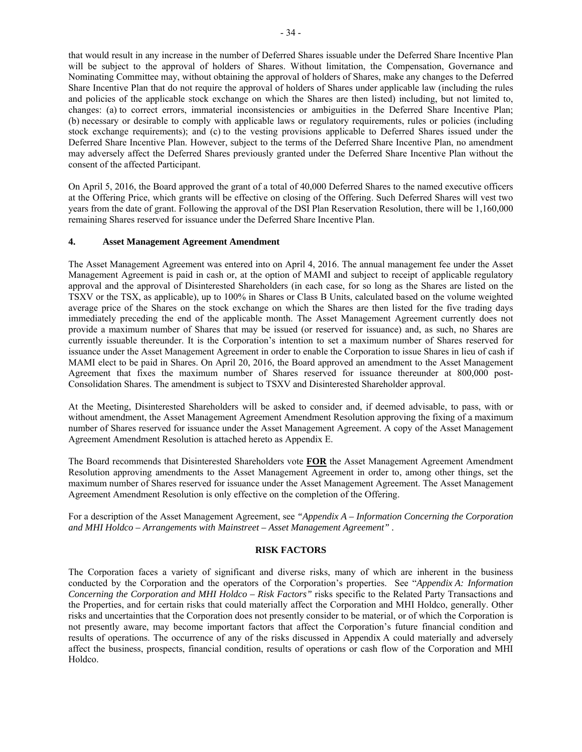that would result in any increase in the number of Deferred Shares issuable under the Deferred Share Incentive Plan will be subject to the approval of holders of Shares. Without limitation, the Compensation, Governance and Nominating Committee may, without obtaining the approval of holders of Shares, make any changes to the Deferred Share Incentive Plan that do not require the approval of holders of Shares under applicable law (including the rules and policies of the applicable stock exchange on which the Shares are then listed) including, but not limited to, changes: (a) to correct errors, immaterial inconsistencies or ambiguities in the Deferred Share Incentive Plan; (b) necessary or desirable to comply with applicable laws or regulatory requirements, rules or policies (including stock exchange requirements); and (c) to the vesting provisions applicable to Deferred Shares issued under the Deferred Share Incentive Plan. However, subject to the terms of the Deferred Share Incentive Plan, no amendment may adversely affect the Deferred Shares previously granted under the Deferred Share Incentive Plan without the consent of the affected Participant.

On April 5, 2016, the Board approved the grant of a total of 40,000 Deferred Shares to the named executive officers at the Offering Price, which grants will be effective on closing of the Offering. Such Deferred Shares will vest two years from the date of grant. Following the approval of the DSI Plan Reservation Resolution, there will be 1,160,000 remaining Shares reserved for issuance under the Deferred Share Incentive Plan.

## **4. Asset Management Agreement Amendment**

The Asset Management Agreement was entered into on April 4, 2016. The annual management fee under the Asset Management Agreement is paid in cash or, at the option of MAMI and subject to receipt of applicable regulatory approval and the approval of Disinterested Shareholders (in each case, for so long as the Shares are listed on the TSXV or the TSX, as applicable), up to 100% in Shares or Class B Units, calculated based on the volume weighted average price of the Shares on the stock exchange on which the Shares are then listed for the five trading days immediately preceding the end of the applicable month. The Asset Management Agreement currently does not provide a maximum number of Shares that may be issued (or reserved for issuance) and, as such, no Shares are currently issuable thereunder. It is the Corporation's intention to set a maximum number of Shares reserved for issuance under the Asset Management Agreement in order to enable the Corporation to issue Shares in lieu of cash if MAMI elect to be paid in Shares. On April 20, 2016, the Board approved an amendment to the Asset Management Agreement that fixes the maximum number of Shares reserved for issuance thereunder at 800,000 post-Consolidation Shares. The amendment is subject to TSXV and Disinterested Shareholder approval.

At the Meeting, Disinterested Shareholders will be asked to consider and, if deemed advisable, to pass, with or without amendment, the Asset Management Agreement Amendment Resolution approving the fixing of a maximum number of Shares reserved for issuance under the Asset Management Agreement. A copy of the Asset Management Agreement Amendment Resolution is attached hereto as Appendix E.

The Board recommends that Disinterested Shareholders vote **FOR** the Asset Management Agreement Amendment Resolution approving amendments to the Asset Management Agreement in order to, among other things, set the maximum number of Shares reserved for issuance under the Asset Management Agreement. The Asset Management Agreement Amendment Resolution is only effective on the completion of the Offering.

For a description of the Asset Management Agreement, see *"Appendix A – Information Concerning the Corporation and MHI Holdco – Arrangements with Mainstreet – Asset Management Agreement" .*

#### **RISK FACTORS**

The Corporation faces a variety of significant and diverse risks, many of which are inherent in the business conducted by the Corporation and the operators of the Corporation's properties. See "*Appendix A: Information Concerning the Corporation and MHI Holdco – Risk Factors"* risks specific to the Related Party Transactions and the Properties, and for certain risks that could materially affect the Corporation and MHI Holdco, generally. Other risks and uncertainties that the Corporation does not presently consider to be material, or of which the Corporation is not presently aware, may become important factors that affect the Corporation's future financial condition and results of operations. The occurrence of any of the risks discussed in Appendix A could materially and adversely affect the business, prospects, financial condition, results of operations or cash flow of the Corporation and MHI Holdco.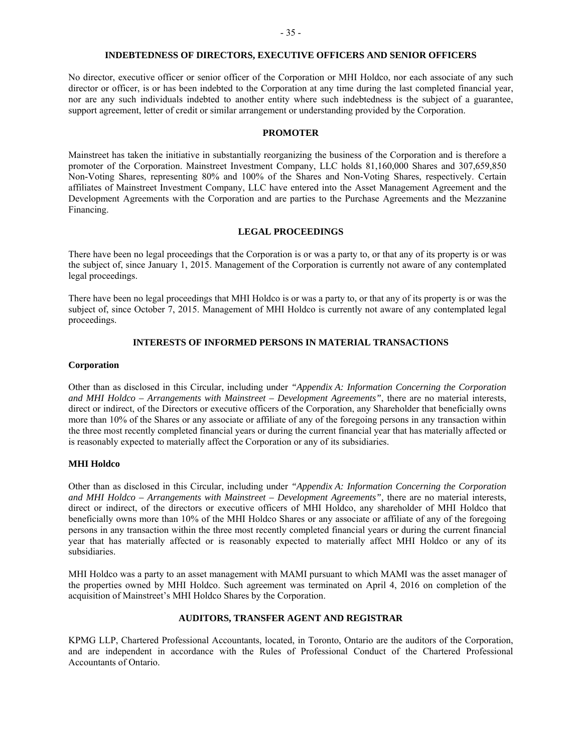#### **INDEBTEDNESS OF DIRECTORS, EXECUTIVE OFFICERS AND SENIOR OFFICERS**

No director, executive officer or senior officer of the Corporation or MHI Holdco, nor each associate of any such director or officer, is or has been indebted to the Corporation at any time during the last completed financial year, nor are any such individuals indebted to another entity where such indebtedness is the subject of a guarantee, support agreement, letter of credit or similar arrangement or understanding provided by the Corporation.

#### **PROMOTER**

Mainstreet has taken the initiative in substantially reorganizing the business of the Corporation and is therefore a promoter of the Corporation. Mainstreet Investment Company, LLC holds 81,160,000 Shares and 307,659,850 Non-Voting Shares, representing 80% and 100% of the Shares and Non-Voting Shares, respectively. Certain affiliates of Mainstreet Investment Company, LLC have entered into the Asset Management Agreement and the Development Agreements with the Corporation and are parties to the Purchase Agreements and the Mezzanine Financing.

#### **LEGAL PROCEEDINGS**

There have been no legal proceedings that the Corporation is or was a party to, or that any of its property is or was the subject of, since January 1, 2015. Management of the Corporation is currently not aware of any contemplated legal proceedings.

There have been no legal proceedings that MHI Holdco is or was a party to, or that any of its property is or was the subject of, since October 7, 2015. Management of MHI Holdco is currently not aware of any contemplated legal proceedings.

#### **INTERESTS OF INFORMED PERSONS IN MATERIAL TRANSACTIONS**

#### **Corporation**

Other than as disclosed in this Circular, including under *"Appendix A: Information Concerning the Corporation and MHI Holdco – Arrangements with Mainstreet – Development Agreements"*, there are no material interests, direct or indirect, of the Directors or executive officers of the Corporation, any Shareholder that beneficially owns more than 10% of the Shares or any associate or affiliate of any of the foregoing persons in any transaction within the three most recently completed financial years or during the current financial year that has materially affected or is reasonably expected to materially affect the Corporation or any of its subsidiaries.

#### **MHI Holdco**

Other than as disclosed in this Circular, including under *"Appendix A: Information Concerning the Corporation*  and MHI Holdco – Arrangements with Mainstreet – Development Agreements", there are no material interests, direct or indirect, of the directors or executive officers of MHI Holdco, any shareholder of MHI Holdco that beneficially owns more than 10% of the MHI Holdco Shares or any associate or affiliate of any of the foregoing persons in any transaction within the three most recently completed financial years or during the current financial year that has materially affected or is reasonably expected to materially affect MHI Holdco or any of its subsidiaries.

MHI Holdco was a party to an asset management with MAMI pursuant to which MAMI was the asset manager of the properties owned by MHI Holdco. Such agreement was terminated on April 4, 2016 on completion of the acquisition of Mainstreet's MHI Holdco Shares by the Corporation.

## **AUDITORS, TRANSFER AGENT AND REGISTRAR**

KPMG LLP, Chartered Professional Accountants, located, in Toronto, Ontario are the auditors of the Corporation, and are independent in accordance with the Rules of Professional Conduct of the Chartered Professional Accountants of Ontario.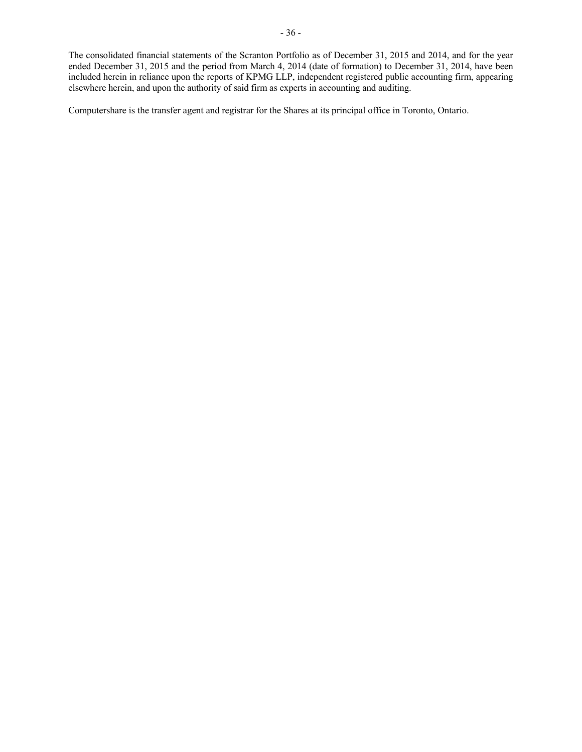The consolidated financial statements of the Scranton Portfolio as of December 31, 2015 and 2014, and for the year ended December 31, 2015 and the period from March 4, 2014 (date of formation) to December 31, 2014, have been included herein in reliance upon the reports of KPMG LLP, independent registered public accounting firm, appearing elsewhere herein, and upon the authority of said firm as experts in accounting and auditing.

Computershare is the transfer agent and registrar for the Shares at its principal office in Toronto, Ontario.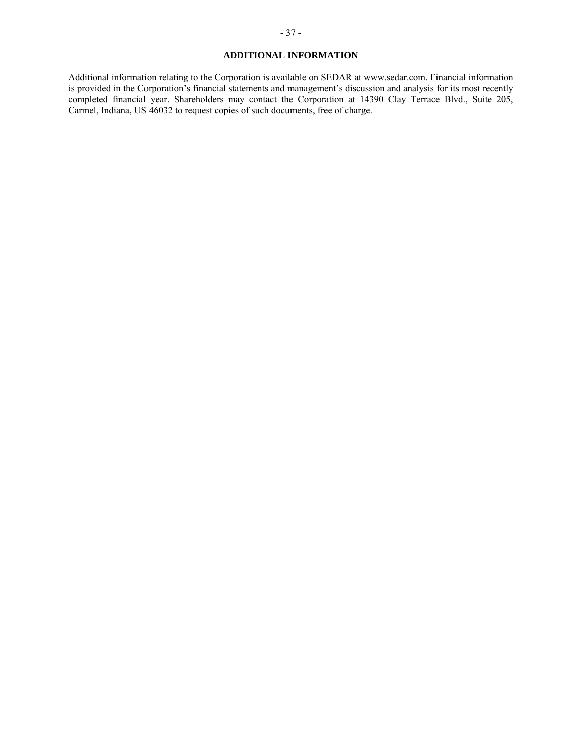#### **ADDITIONAL INFORMATION**

Additional information relating to the Corporation is available on SEDAR at www.sedar.com. Financial information is provided in the Corporation's financial statements and management's discussion and analysis for its most recently completed financial year. Shareholders may contact the Corporation at 14390 Clay Terrace Blvd., Suite 205, Carmel, Indiana, US 46032 to request copies of such documents, free of charge.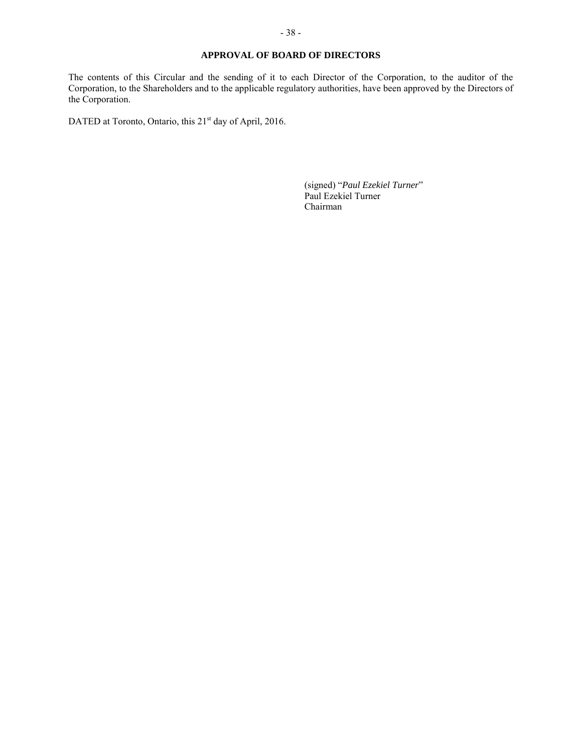## **APPROVAL OF BOARD OF DIRECTORS**

The contents of this Circular and the sending of it to each Director of the Corporation, to the auditor of the Corporation, to the Shareholders and to the applicable regulatory authorities, have been approved by the Directors of the Corporation.

DATED at Toronto, Ontario, this 21<sup>st</sup> day of April, 2016.

 (signed) "*Paul Ezekiel Turner*" Paul Ezekiel Turner Chairman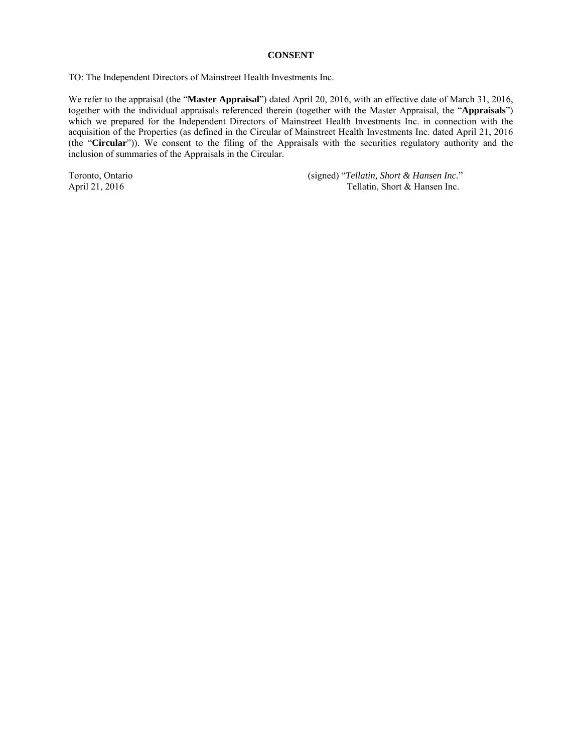#### **CONSENT**

TO: The Independent Directors of Mainstreet Health Investments Inc.

We refer to the appraisal (the "**Master Appraisal**") dated April 20, 2016, with an effective date of March 31, 2016, together with the individual appraisals referenced therein (together with the Master Appraisal, the "**Appraisals**") which we prepared for the Independent Directors of Mainstreet Health Investments Inc. in connection with the acquisition of the Properties (as defined in the Circular of Mainstreet Health Investments Inc. dated April 21, 2016 (the "**Circular**")). We consent to the filing of the Appraisals with the securities regulatory authority and the inclusion of summaries of the Appraisals in the Circular.

Toronto, Ontario (signed) "*Tellatin, Short & Hansen Inc.*" April 21, 2016 Tellatin, Short & Hansen Inc.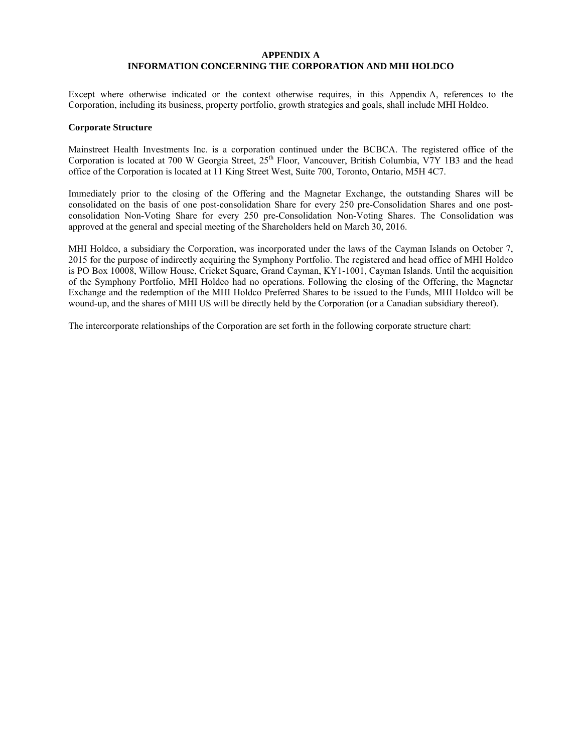## **APPENDIX A INFORMATION CONCERNING THE CORPORATION AND MHI HOLDCO**

Except where otherwise indicated or the context otherwise requires, in this Appendix A, references to the Corporation, including its business, property portfolio, growth strategies and goals, shall include MHI Holdco.

#### **Corporate Structure**

Mainstreet Health Investments Inc. is a corporation continued under the BCBCA. The registered office of the Corporation is located at 700 W Georgia Street, 25<sup>th</sup> Floor, Vancouver, British Columbia, V7Y 1B3 and the head office of the Corporation is located at 11 King Street West, Suite 700, Toronto, Ontario, M5H 4C7.

Immediately prior to the closing of the Offering and the Magnetar Exchange, the outstanding Shares will be consolidated on the basis of one post-consolidation Share for every 250 pre-Consolidation Shares and one postconsolidation Non-Voting Share for every 250 pre-Consolidation Non-Voting Shares. The Consolidation was approved at the general and special meeting of the Shareholders held on March 30, 2016.

MHI Holdco, a subsidiary the Corporation, was incorporated under the laws of the Cayman Islands on October 7, 2015 for the purpose of indirectly acquiring the Symphony Portfolio. The registered and head office of MHI Holdco is PO Box 10008, Willow House, Cricket Square, Grand Cayman, KY1-1001, Cayman Islands. Until the acquisition of the Symphony Portfolio, MHI Holdco had no operations. Following the closing of the Offering, the Magnetar Exchange and the redemption of the MHI Holdco Preferred Shares to be issued to the Funds, MHI Holdco will be wound-up, and the shares of MHI US will be directly held by the Corporation (or a Canadian subsidiary thereof).

The intercorporate relationships of the Corporation are set forth in the following corporate structure chart: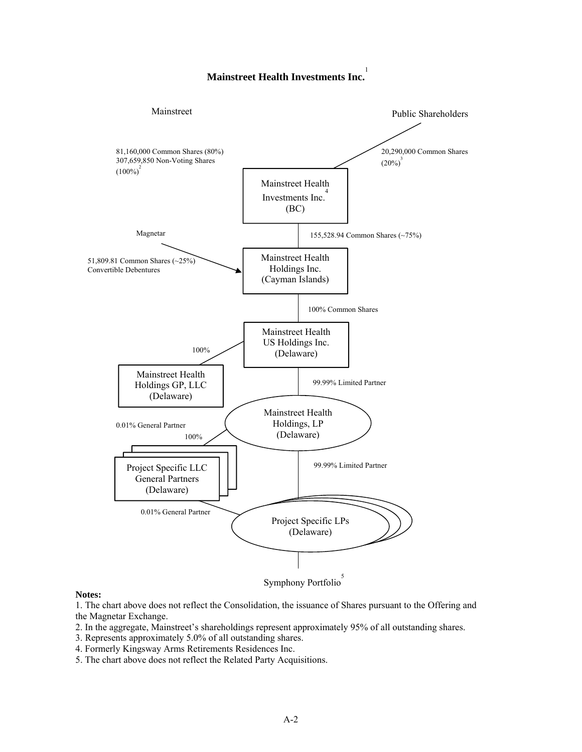# **Mainstreet Health Investments Inc.** 1



#### **Notes:**

1. The chart above does not reflect the Consolidation, the issuance of Shares pursuant to the Offering and the Magnetar Exchange.

- 2. In the aggregate, Mainstreet's shareholdings represent approximately 95% of all outstanding shares.
- 3. Represents approximately 5.0% of all outstanding shares.
- 4. Formerly Kingsway Arms Retirements Residences Inc.
- 5. The chart above does not reflect the Related Party Acquisitions.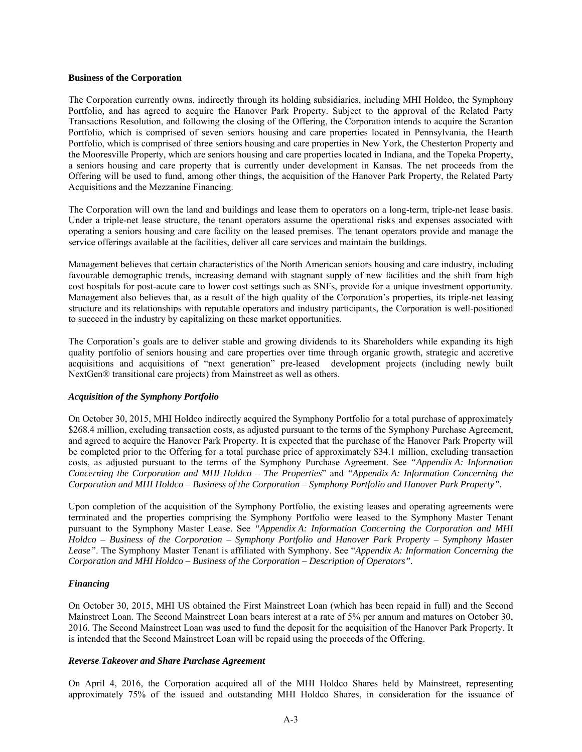#### **Business of the Corporation**

The Corporation currently owns, indirectly through its holding subsidiaries, including MHI Holdco, the Symphony Portfolio, and has agreed to acquire the Hanover Park Property. Subject to the approval of the Related Party Transactions Resolution, and following the closing of the Offering, the Corporation intends to acquire the Scranton Portfolio, which is comprised of seven seniors housing and care properties located in Pennsylvania, the Hearth Portfolio, which is comprised of three seniors housing and care properties in New York, the Chesterton Property and the Mooresville Property, which are seniors housing and care properties located in Indiana, and the Topeka Property, a seniors housing and care property that is currently under development in Kansas. The net proceeds from the Offering will be used to fund, among other things, the acquisition of the Hanover Park Property, the Related Party Acquisitions and the Mezzanine Financing.

The Corporation will own the land and buildings and lease them to operators on a long-term, triple-net lease basis. Under a triple-net lease structure, the tenant operators assume the operational risks and expenses associated with operating a seniors housing and care facility on the leased premises. The tenant operators provide and manage the service offerings available at the facilities, deliver all care services and maintain the buildings.

Management believes that certain characteristics of the North American seniors housing and care industry, including favourable demographic trends, increasing demand with stagnant supply of new facilities and the shift from high cost hospitals for post-acute care to lower cost settings such as SNFs, provide for a unique investment opportunity. Management also believes that, as a result of the high quality of the Corporation's properties, its triple-net leasing structure and its relationships with reputable operators and industry participants, the Corporation is well-positioned to succeed in the industry by capitalizing on these market opportunities.

The Corporation's goals are to deliver stable and growing dividends to its Shareholders while expanding its high quality portfolio of seniors housing and care properties over time through organic growth, strategic and accretive acquisitions and acquisitions of "next generation" pre-leased development projects (including newly built NextGen® transitional care projects) from Mainstreet as well as others.

#### *Acquisition of the Symphony Portfolio*

On October 30, 2015, MHI Holdco indirectly acquired the Symphony Portfolio for a total purchase of approximately \$268.4 million, excluding transaction costs, as adjusted pursuant to the terms of the Symphony Purchase Agreement, and agreed to acquire the Hanover Park Property. It is expected that the purchase of the Hanover Park Property will be completed prior to the Offering for a total purchase price of approximately \$34.1 million, excluding transaction costs, as adjusted pursuant to the terms of the Symphony Purchase Agreement. See *"Appendix A: Information Concerning the Corporation and MHI Holdco – The Properties*" and *"Appendix A: Information Concerning the Corporation and MHI Holdco – Business of the Corporation – Symphony Portfolio and Hanover Park Property".*

Upon completion of the acquisition of the Symphony Portfolio, the existing leases and operating agreements were terminated and the properties comprising the Symphony Portfolio were leased to the Symphony Master Tenant pursuant to the Symphony Master Lease. See *"Appendix A: Information Concerning the Corporation and MHI Holdco – Business of the Corporation – Symphony Portfolio and Hanover Park Property – Symphony Master Lease"*. The Symphony Master Tenant is affiliated with Symphony. See "*Appendix A: Information Concerning the Corporation and MHI Holdco – Business of the Corporation – Description of Operators".*

#### *Financing*

On October 30, 2015, MHI US obtained the First Mainstreet Loan (which has been repaid in full) and the Second Mainstreet Loan. The Second Mainstreet Loan bears interest at a rate of 5% per annum and matures on October 30, 2016. The Second Mainstreet Loan was used to fund the deposit for the acquisition of the Hanover Park Property. It is intended that the Second Mainstreet Loan will be repaid using the proceeds of the Offering.

#### *Reverse Takeover and Share Purchase Agreement*

On April 4, 2016, the Corporation acquired all of the MHI Holdco Shares held by Mainstreet, representing approximately 75% of the issued and outstanding MHI Holdco Shares, in consideration for the issuance of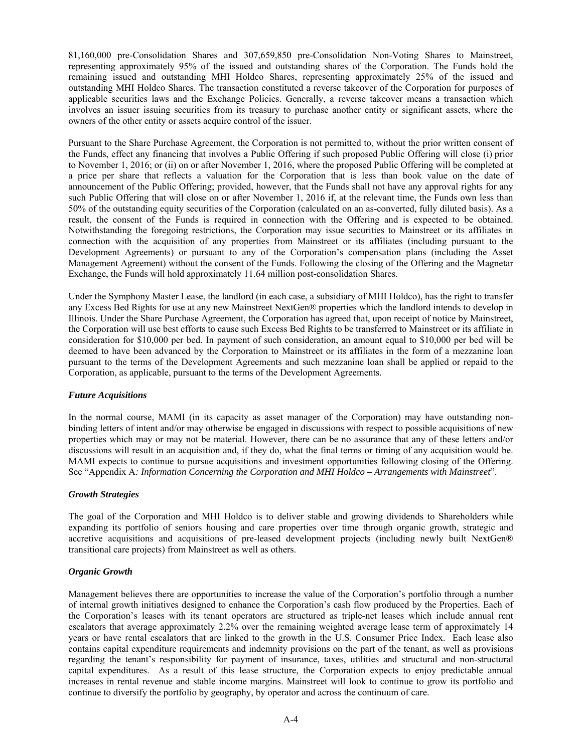81,160,000 pre-Consolidation Shares and 307,659,850 pre-Consolidation Non-Voting Shares to Mainstreet, representing approximately 95% of the issued and outstanding shares of the Corporation. The Funds hold the remaining issued and outstanding MHI Holdco Shares, representing approximately 25% of the issued and outstanding MHI Holdco Shares. The transaction constituted a reverse takeover of the Corporation for purposes of applicable securities laws and the Exchange Policies. Generally, a reverse takeover means a transaction which involves an issuer issuing securities from its treasury to purchase another entity or significant assets, where the owners of the other entity or assets acquire control of the issuer.

Pursuant to the Share Purchase Agreement, the Corporation is not permitted to, without the prior written consent of the Funds, effect any financing that involves a Public Offering if such proposed Public Offering will close (i) prior to November 1, 2016; or (ii) on or after November 1, 2016, where the proposed Public Offering will be completed at a price per share that reflects a valuation for the Corporation that is less than book value on the date of announcement of the Public Offering; provided, however, that the Funds shall not have any approval rights for any such Public Offering that will close on or after November 1, 2016 if, at the relevant time, the Funds own less than 50% of the outstanding equity securities of the Corporation (calculated on an as-converted, fully diluted basis). As a result, the consent of the Funds is required in connection with the Offering and is expected to be obtained. Notwithstanding the foregoing restrictions, the Corporation may issue securities to Mainstreet or its affiliates in connection with the acquisition of any properties from Mainstreet or its affiliates (including pursuant to the Development Agreements) or pursuant to any of the Corporation's compensation plans (including the Asset Management Agreement) without the consent of the Funds. Following the closing of the Offering and the Magnetar Exchange, the Funds will hold approximately 11.64 million post-consolidation Shares.

Under the Symphony Master Lease, the landlord (in each case, a subsidiary of MHI Holdco), has the right to transfer any Excess Bed Rights for use at any new Mainstreet NextGen® properties which the landlord intends to develop in Illinois. Under the Share Purchase Agreement, the Corporation has agreed that, upon receipt of notice by Mainstreet, the Corporation will use best efforts to cause such Excess Bed Rights to be transferred to Mainstreet or its affiliate in consideration for \$10,000 per bed. In payment of such consideration, an amount equal to \$10,000 per bed will be deemed to have been advanced by the Corporation to Mainstreet or its affiliates in the form of a mezzanine loan pursuant to the terms of the Development Agreements and such mezzanine loan shall be applied or repaid to the Corporation, as applicable, pursuant to the terms of the Development Agreements.

## *Future Acquisitions*

In the normal course, MAMI (in its capacity as asset manager of the Corporation) may have outstanding nonbinding letters of intent and/or may otherwise be engaged in discussions with respect to possible acquisitions of new properties which may or may not be material. However, there can be no assurance that any of these letters and/or discussions will result in an acquisition and, if they do, what the final terms or timing of any acquisition would be. MAMI expects to continue to pursue acquisitions and investment opportunities following closing of the Offering. See "Appendix A*: Information Concerning the Corporation and MHI Holdco – Arrangements with Mainstreet*".

## *Growth Strategies*

The goal of the Corporation and MHI Holdco is to deliver stable and growing dividends to Shareholders while expanding its portfolio of seniors housing and care properties over time through organic growth, strategic and accretive acquisitions and acquisitions of pre-leased development projects (including newly built NextGen® transitional care projects) from Mainstreet as well as others.

## *Organic Growth*

Management believes there are opportunities to increase the value of the Corporation's portfolio through a number of internal growth initiatives designed to enhance the Corporation's cash flow produced by the Properties. Each of the Corporation's leases with its tenant operators are structured as triple-net leases which include annual rent escalators that average approximately 2.2% over the remaining weighted average lease term of approximately 14 years or have rental escalators that are linked to the growth in the U.S. Consumer Price Index. Each lease also contains capital expenditure requirements and indemnity provisions on the part of the tenant, as well as provisions regarding the tenant's responsibility for payment of insurance, taxes, utilities and structural and non-structural capital expenditures. As a result of this lease structure, the Corporation expects to enjoy predictable annual increases in rental revenue and stable income margins. Mainstreet will look to continue to grow its portfolio and continue to diversify the portfolio by geography, by operator and across the continuum of care.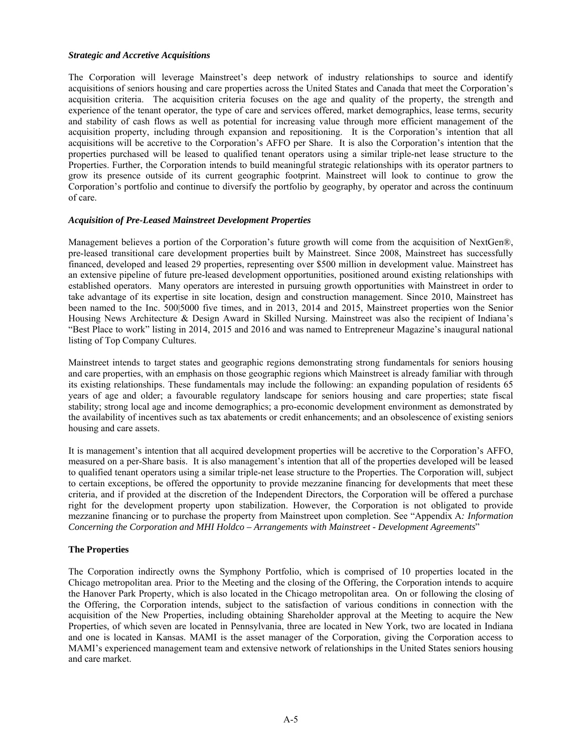#### *Strategic and Accretive Acquisitions*

The Corporation will leverage Mainstreet's deep network of industry relationships to source and identify acquisitions of seniors housing and care properties across the United States and Canada that meet the Corporation's acquisition criteria. The acquisition criteria focuses on the age and quality of the property, the strength and experience of the tenant operator, the type of care and services offered, market demographics, lease terms, security and stability of cash flows as well as potential for increasing value through more efficient management of the acquisition property, including through expansion and repositioning. It is the Corporation's intention that all acquisitions will be accretive to the Corporation's AFFO per Share. It is also the Corporation's intention that the properties purchased will be leased to qualified tenant operators using a similar triple-net lease structure to the Properties. Further, the Corporation intends to build meaningful strategic relationships with its operator partners to grow its presence outside of its current geographic footprint. Mainstreet will look to continue to grow the Corporation's portfolio and continue to diversify the portfolio by geography, by operator and across the continuum of care.

## *Acquisition of Pre-Leased Mainstreet Development Properties*

Management believes a portion of the Corporation's future growth will come from the acquisition of NextGen®, pre-leased transitional care development properties built by Mainstreet. Since 2008, Mainstreet has successfully financed, developed and leased 29 properties, representing over \$500 million in development value. Mainstreet has an extensive pipeline of future pre-leased development opportunities, positioned around existing relationships with established operators. Many operators are interested in pursuing growth opportunities with Mainstreet in order to take advantage of its expertise in site location, design and construction management. Since 2010, Mainstreet has been named to the Inc. 500|5000 five times, and in 2013, 2014 and 2015, Mainstreet properties won the Senior Housing News Architecture & Design Award in Skilled Nursing. Mainstreet was also the recipient of Indiana's "Best Place to work" listing in 2014, 2015 and 2016 and was named to Entrepreneur Magazine's inaugural national listing of Top Company Cultures.

Mainstreet intends to target states and geographic regions demonstrating strong fundamentals for seniors housing and care properties, with an emphasis on those geographic regions which Mainstreet is already familiar with through its existing relationships. These fundamentals may include the following: an expanding population of residents 65 years of age and older; a favourable regulatory landscape for seniors housing and care properties; state fiscal stability; strong local age and income demographics; a pro-economic development environment as demonstrated by the availability of incentives such as tax abatements or credit enhancements; and an obsolescence of existing seniors housing and care assets.

It is management's intention that all acquired development properties will be accretive to the Corporation's AFFO, measured on a per-Share basis. It is also management's intention that all of the properties developed will be leased to qualified tenant operators using a similar triple-net lease structure to the Properties. The Corporation will, subject to certain exceptions, be offered the opportunity to provide mezzanine financing for developments that meet these criteria, and if provided at the discretion of the Independent Directors, the Corporation will be offered a purchase right for the development property upon stabilization. However, the Corporation is not obligated to provide mezzanine financing or to purchase the property from Mainstreet upon completion. See "Appendix A*: Information Concerning the Corporation and MHI Holdco – Arrangements with Mainstreet - Development Agreements*"

## **The Properties**

The Corporation indirectly owns the Symphony Portfolio, which is comprised of 10 properties located in the Chicago metropolitan area. Prior to the Meeting and the closing of the Offering, the Corporation intends to acquire the Hanover Park Property, which is also located in the Chicago metropolitan area. On or following the closing of the Offering, the Corporation intends, subject to the satisfaction of various conditions in connection with the acquisition of the New Properties, including obtaining Shareholder approval at the Meeting to acquire the New Properties, of which seven are located in Pennsylvania, three are located in New York, two are located in Indiana and one is located in Kansas. MAMI is the asset manager of the Corporation, giving the Corporation access to MAMI's experienced management team and extensive network of relationships in the United States seniors housing and care market.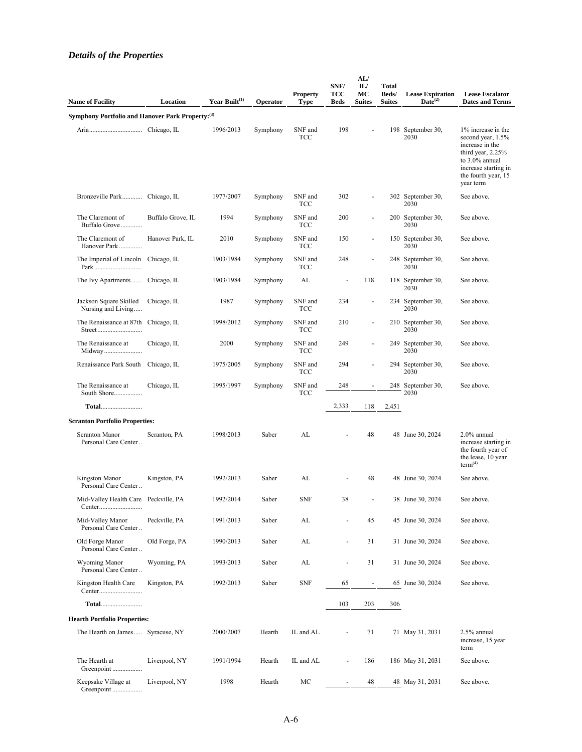## *Details of the Properties*

| <b>Name of Facility</b>                                      | Location          | <b>Year Built</b> <sup>(1)</sup> | Operator | <b>Property</b><br><b>Type</b> | SNF/<br><b>TCC</b><br><b>Beds</b> | AL/<br>IL/<br>MC<br><b>Suites</b> | <b>Total</b><br>Beds/<br><b>Suites</b> | <b>Lease Expiration</b><br>$\mathbf{Date}^{(2)}$ | <b>Lease Escalator</b><br><b>Dates and Terms</b>                                                                                                              |
|--------------------------------------------------------------|-------------------|----------------------------------|----------|--------------------------------|-----------------------------------|-----------------------------------|----------------------------------------|--------------------------------------------------|---------------------------------------------------------------------------------------------------------------------------------------------------------------|
| Symphony Portfolio and Hanover Park Property: <sup>(3)</sup> |                   |                                  |          |                                |                                   |                                   |                                        |                                                  |                                                                                                                                                               |
|                                                              |                   | 1996/2013                        | Symphony | SNF and<br><b>TCC</b>          | 198                               |                                   |                                        | 198 September 30,<br>2030                        | 1% increase in the<br>second year, 1.5%<br>increase in the<br>third year, 2.25%<br>to 3.0% annual<br>increase starting in<br>the fourth year, 15<br>vear term |
| Bronzeville Park Chicago, IL                                 |                   | 1977/2007                        | Symphony | SNF and<br><b>TCC</b>          | 302                               |                                   |                                        | 302 September 30,<br>2030                        | See above.                                                                                                                                                    |
| The Claremont of<br>Buffalo Grove                            | Buffalo Grove, IL | 1994                             | Symphony | SNF and<br><b>TCC</b>          | 200                               |                                   |                                        | 200 September 30,<br>2030                        | See above.                                                                                                                                                    |
| The Claremont of<br>Hanover Park                             | Hanover Park, IL  | 2010                             | Symphony | SNF and<br><b>TCC</b>          | 150                               | $\overline{\phantom{a}}$          |                                        | 150 September 30,<br>2030                        | See above.                                                                                                                                                    |
| The Imperial of Lincoln Chicago, IL<br>Park                  |                   | 1903/1984                        | Symphony | SNF and<br><b>TCC</b>          | 248                               | ä,                                |                                        | 248 September 30,<br>2030                        | See above.                                                                                                                                                    |
| The Ivy Apartments Chicago, IL                               |                   | 1903/1984                        | Symphony | AL                             |                                   | 118                               |                                        | 118 September 30,<br>2030                        | See above.                                                                                                                                                    |
| Jackson Square Skilled<br>Nursing and Living                 | Chicago, IL       | 1987                             | Symphony | SNF and<br><b>TCC</b>          | 234                               | ٠                                 |                                        | 234 September 30,<br>2030                        | See above.                                                                                                                                                    |
| The Renaissance at 87th Chicago, IL                          |                   | 1998/2012                        | Symphony | SNF and<br><b>TCC</b>          | 210                               | $\overline{\phantom{a}}$          |                                        | 210 September 30,<br>2030                        | See above.                                                                                                                                                    |
| The Renaissance at<br>Midway                                 | Chicago, IL       | 2000                             | Symphony | SNF and<br><b>TCC</b>          | 249                               | ۰                                 |                                        | 249 September 30,<br>2030                        | See above.                                                                                                                                                    |
| Renaissance Park South Chicago, IL                           |                   | 1975/2005                        | Symphony | SNF and<br><b>TCC</b>          | 294                               | ä,                                |                                        | 294 September 30,<br>2030                        | See above.                                                                                                                                                    |
| The Renaissance at<br>South Shore                            | Chicago, IL       | 1995/1997                        | Symphony | SNF and<br>TCC                 | 248                               |                                   | 248                                    | September 30,<br>2030                            | See above.                                                                                                                                                    |
| <b>Total</b>                                                 |                   |                                  |          |                                | 2,333                             | 118                               | 2,451                                  |                                                  |                                                                                                                                                               |
| <b>Scranton Portfolio Properties:</b>                        |                   |                                  |          |                                |                                   |                                   |                                        |                                                  |                                                                                                                                                               |
| <b>Scranton Manor</b><br>Personal Care Center                | Scranton, PA      | 1998/2013                        | Saber    | AL                             |                                   | 48                                |                                        | 48 June 30, 2024                                 | 2.0% annual<br>increase starting in<br>the fourth year of<br>the lease, 10 year<br>term <sup>(4)</sup>                                                        |
| Kingston Manor<br>Personal Care Center                       | Kingston, PA      | 1992/2013                        | Saber    | AL                             |                                   | 48                                |                                        | 48 June 30, 2024                                 | See above.                                                                                                                                                    |
| Mid-Valley Health Care Peckville, PA                         |                   | 1992/2014                        | Saber    | <b>SNF</b>                     | 38                                |                                   |                                        | 38 June 30, 2024                                 | See above.                                                                                                                                                    |
| Mid-Valley Manor<br>Personal Care Center                     | Peckville, PA     | 1991/2013                        | Saber    | AL                             |                                   | 45                                |                                        | 45 June 30, 2024                                 | See above.                                                                                                                                                    |
| Old Forge Manor<br>Personal Care Center                      | Old Forge, PA     | 1990/2013                        | Saber    | AL                             | ä,                                | 31                                |                                        | 31 June 30, 2024                                 | See above.                                                                                                                                                    |
| Wyoming Manor<br>Personal Care Center                        | Wyoming, PA       | 1993/2013                        | Saber    | AL                             |                                   | 31                                |                                        | 31 June 30, 2024                                 | See above.                                                                                                                                                    |
| Kingston Health Care                                         | Kingston, PA      | 1992/2013                        | Saber    | <b>SNF</b>                     | 65                                | $\sim$                            |                                        | 65 June 30, 2024                                 | See above.                                                                                                                                                    |
| Total                                                        |                   |                                  |          |                                | 103                               | 203                               | 306                                    |                                                  |                                                                                                                                                               |
| <b>Hearth Portfolio Properties:</b>                          |                   |                                  |          |                                |                                   |                                   |                                        |                                                  |                                                                                                                                                               |
| The Hearth on James Syracuse, NY                             |                   | 2000/2007                        | Hearth   | IL and AL                      |                                   | 71                                |                                        | 71 May 31, 2031                                  | 2.5% annual<br>increase, 15 year<br>term                                                                                                                      |
| The Hearth at                                                | Liverpool, NY     | 1991/1994                        | Hearth   | IL and AL                      |                                   | 186                               |                                        | 186 May 31, 2031                                 | See above.                                                                                                                                                    |
| Keepsake Village at<br>Greenpoint                            | Liverpool, NY     | 1998                             | Hearth   | MC                             | $\overline{\phantom{a}}$          | 48                                |                                        | 48 May 31, 2031                                  | See above.                                                                                                                                                    |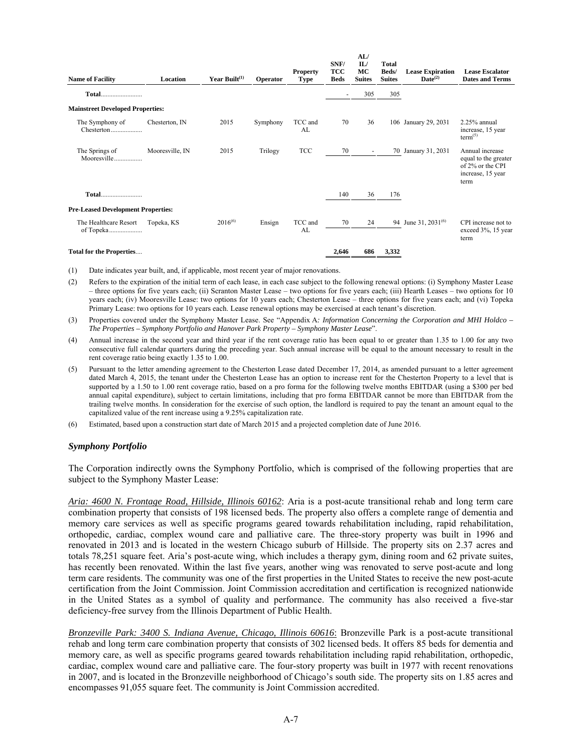| <b>Name of Facility</b>                   | <b>Location</b> | Year Built $^{(1)}$ | <b>Operator</b> | <b>Property</b><br>Type | SNF/<br><b>TCC</b><br><b>Beds</b> | AL/<br>IL/<br>MC<br><b>Suites</b> | <b>Total</b><br>Beds/<br><b>Suites</b> | <b>Lease Expiration</b><br>$\mathbf{Date}^{(2)}$ | <b>Lease Escalator</b><br><b>Dates and Terms</b>                                         |
|-------------------------------------------|-----------------|---------------------|-----------------|-------------------------|-----------------------------------|-----------------------------------|----------------------------------------|--------------------------------------------------|------------------------------------------------------------------------------------------|
| <b>Total</b>                              |                 |                     |                 |                         |                                   | 305                               | 305                                    |                                                  |                                                                                          |
| <b>Mainstreet Developed Properties:</b>   |                 |                     |                 |                         |                                   |                                   |                                        |                                                  |                                                                                          |
| The Symphony of                           | Chesterton, IN  | 2015                | Symphony        | TCC and<br>AL           | 70                                | 36                                | 106                                    | January 29, 2031                                 | $2.25%$ annual<br>increase, 15 year<br>term <sup>(5)</sup>                               |
| The Springs of<br>Mooresville             | Mooresville, IN | 2015                | Trilogy         | <b>TCC</b>              | 70                                |                                   | 70                                     | January 31, 2031                                 | Annual increase<br>equal to the greater<br>of 2% or the CPI<br>increase, 15 year<br>term |
| Total                                     |                 |                     |                 |                         | 140                               | 36                                | 176                                    |                                                  |                                                                                          |
| <b>Pre-Leased Development Properties:</b> |                 |                     |                 |                         |                                   |                                   |                                        |                                                  |                                                                                          |
| The Healthcare Resort<br>of Topeka        | Topeka, KS      | $2016^{(6)}$        | Ensign          | TCC and<br>AL           | 70                                | 24                                |                                        | 94 June 31, 2031 <sup>(6)</sup>                  | CPI increase not to<br>exceed 3%, 15 year<br>term                                        |
| <b>Total for the Properties</b>           |                 |                     |                 |                         | 2,646                             | 686                               | 3,332                                  |                                                  |                                                                                          |

(1) Date indicates year built, and, if applicable, most recent year of major renovations.

- (2) Refers to the expiration of the initial term of each lease, in each case subject to the following renewal options: (i) Symphony Master Lease – three options for five years each; (ii) Scranton Master Lease – two options for five years each; (iii) Hearth Leases – two options for 10 years each; (iv) Mooresville Lease: two options for 10 years each; Chesterton Lease – three options for five years each; and (vi) Topeka Primary Lease: two options for 10 years each. Lease renewal options may be exercised at each tenant's discretion.
- (3) Properties covered under the Symphony Master Lease. See "Appendix A*: Information Concerning the Corporation and MHI Holdco The Properties – Symphony Portfolio and Hanover Park Property – Symphony Master Lease*".
- (4) Annual increase in the second year and third year if the rent coverage ratio has been equal to or greater than 1.35 to 1.00 for any two consecutive full calendar quarters during the preceding year. Such annual increase will be equal to the amount necessary to result in the rent coverage ratio being exactly 1.35 to 1.00.
- (5) Pursuant to the letter amending agreement to the Chesterton Lease dated December 17, 2014, as amended pursuant to a letter agreement dated March 4, 2015, the tenant under the Chesterton Lease has an option to increase rent for the Chesterton Property to a level that is supported by a 1.50 to 1.00 rent coverage ratio, based on a pro forma for the following twelve months EBITDAR (using a \$300 per bed annual capital expenditure), subject to certain limitations, including that pro forma EBITDAR cannot be more than EBITDAR from the trailing twelve months. In consideration for the exercise of such option, the landlord is required to pay the tenant an amount equal to the capitalized value of the rent increase using a 9.25% capitalization rate.
- (6) Estimated, based upon a construction start date of March 2015 and a projected completion date of June 2016.

#### *Symphony Portfolio*

The Corporation indirectly owns the Symphony Portfolio, which is comprised of the following properties that are subject to the Symphony Master Lease:

*Aria: 4600 N. Frontage Road, Hillside, Illinois 60162*: Aria is a post-acute transitional rehab and long term care combination property that consists of 198 licensed beds. The property also offers a complete range of dementia and memory care services as well as specific programs geared towards rehabilitation including, rapid rehabilitation, orthopedic, cardiac, complex wound care and palliative care. The three-story property was built in 1996 and renovated in 2013 and is located in the western Chicago suburb of Hillside. The property sits on 2.37 acres and totals 78,251 square feet. Aria's post-acute wing, which includes a therapy gym, dining room and 62 private suites, has recently been renovated. Within the last five years, another wing was renovated to serve post-acute and long term care residents. The community was one of the first properties in the United States to receive the new post-acute certification from the Joint Commission. Joint Commission accreditation and certification is recognized nationwide in the United States as a symbol of quality and performance. The community has also received a five-star deficiency-free survey from the Illinois Department of Public Health.

*Bronzeville Park: 3400 S. Indiana Avenue, Chicago, Illinois 60616*: Bronzeville Park is a post-acute transitional rehab and long term care combination property that consists of 302 licensed beds. It offers 85 beds for dementia and memory care, as well as specific programs geared towards rehabilitation including rapid rehabilitation, orthopedic, cardiac, complex wound care and palliative care. The four-story property was built in 1977 with recent renovations in 2007, and is located in the Bronzeville neighborhood of Chicago's south side. The property sits on 1.85 acres and encompasses 91,055 square feet. The community is Joint Commission accredited.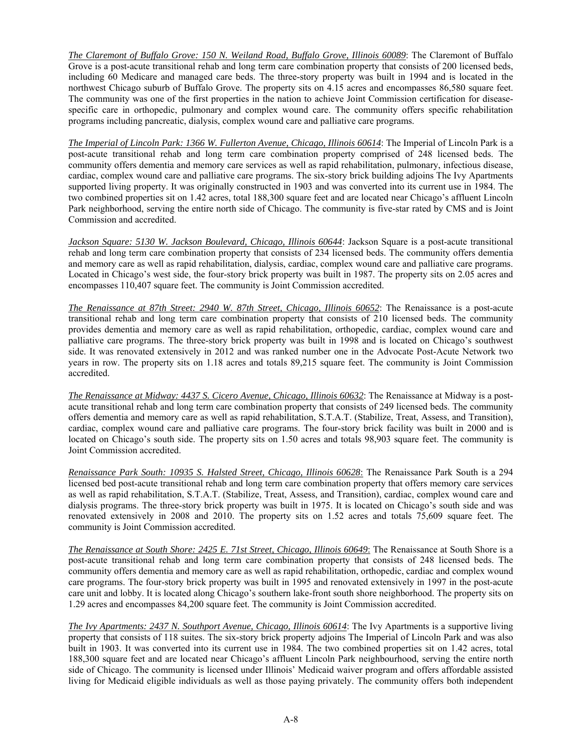*The Claremont of Buffalo Grove: 150 N. Weiland Road, Buffalo Grove, Illinois 60089*: The Claremont of Buffalo Grove is a post-acute transitional rehab and long term care combination property that consists of 200 licensed beds, including 60 Medicare and managed care beds. The three-story property was built in 1994 and is located in the northwest Chicago suburb of Buffalo Grove. The property sits on 4.15 acres and encompasses 86,580 square feet. The community was one of the first properties in the nation to achieve Joint Commission certification for diseasespecific care in orthopedic, pulmonary and complex wound care. The community offers specific rehabilitation programs including pancreatic, dialysis, complex wound care and palliative care programs.

*The Imperial of Lincoln Park: 1366 W. Fullerton Avenue, Chicago, Illinois 60614*: The Imperial of Lincoln Park is a post-acute transitional rehab and long term care combination property comprised of 248 licensed beds. The community offers dementia and memory care services as well as rapid rehabilitation, pulmonary, infectious disease, cardiac, complex wound care and palliative care programs. The six-story brick building adjoins The Ivy Apartments supported living property. It was originally constructed in 1903 and was converted into its current use in 1984. The two combined properties sit on 1.42 acres, total 188,300 square feet and are located near Chicago's affluent Lincoln Park neighborhood, serving the entire north side of Chicago. The community is five-star rated by CMS and is Joint Commission and accredited.

*Jackson Square: 5130 W. Jackson Boulevard, Chicago, Illinois 60644*: Jackson Square is a post-acute transitional rehab and long term care combination property that consists of 234 licensed beds. The community offers dementia and memory care as well as rapid rehabilitation, dialysis, cardiac, complex wound care and palliative care programs. Located in Chicago's west side, the four-story brick property was built in 1987. The property sits on 2.05 acres and encompasses 110,407 square feet. The community is Joint Commission accredited.

*The Renaissance at 87th Street: 2940 W. 87th Street, Chicago, Illinois 60652*: The Renaissance is a post-acute transitional rehab and long term care combination property that consists of 210 licensed beds. The community provides dementia and memory care as well as rapid rehabilitation, orthopedic, cardiac, complex wound care and palliative care programs. The three-story brick property was built in 1998 and is located on Chicago's southwest side. It was renovated extensively in 2012 and was ranked number one in the Advocate Post-Acute Network two years in row. The property sits on 1.18 acres and totals 89,215 square feet. The community is Joint Commission accredited.

*The Renaissance at Midway: 4437 S. Cicero Avenue, Chicago, Illinois 60632*: The Renaissance at Midway is a postacute transitional rehab and long term care combination property that consists of 249 licensed beds. The community offers dementia and memory care as well as rapid rehabilitation, S.T.A.T. (Stabilize, Treat, Assess, and Transition), cardiac, complex wound care and palliative care programs. The four-story brick facility was built in 2000 and is located on Chicago's south side. The property sits on 1.50 acres and totals 98,903 square feet. The community is Joint Commission accredited.

*Renaissance Park South: 10935 S. Halsted Street, Chicago, Illinois 60628*: The Renaissance Park South is a 294 licensed bed post-acute transitional rehab and long term care combination property that offers memory care services as well as rapid rehabilitation, S.T.A.T. (Stabilize, Treat, Assess, and Transition), cardiac, complex wound care and dialysis programs. The three-story brick property was built in 1975. It is located on Chicago's south side and was renovated extensively in 2008 and 2010. The property sits on 1.52 acres and totals 75,609 square feet. The community is Joint Commission accredited.

*The Renaissance at South Shore: 2425 E. 71st Street, Chicago, Illinois 60649*: The Renaissance at South Shore is a post-acute transitional rehab and long term care combination property that consists of 248 licensed beds. The community offers dementia and memory care as well as rapid rehabilitation, orthopedic, cardiac and complex wound care programs. The four-story brick property was built in 1995 and renovated extensively in 1997 in the post-acute care unit and lobby. It is located along Chicago's southern lake-front south shore neighborhood. The property sits on 1.29 acres and encompasses 84,200 square feet. The community is Joint Commission accredited.

*The Ivy Apartments: 2437 N. Southport Avenue, Chicago, Illinois 60614*: The Ivy Apartments is a supportive living property that consists of 118 suites. The six-story brick property adjoins The Imperial of Lincoln Park and was also built in 1903. It was converted into its current use in 1984. The two combined properties sit on 1.42 acres, total 188,300 square feet and are located near Chicago's affluent Lincoln Park neighbourhood, serving the entire north side of Chicago. The community is licensed under Illinois' Medicaid waiver program and offers affordable assisted living for Medicaid eligible individuals as well as those paying privately. The community offers both independent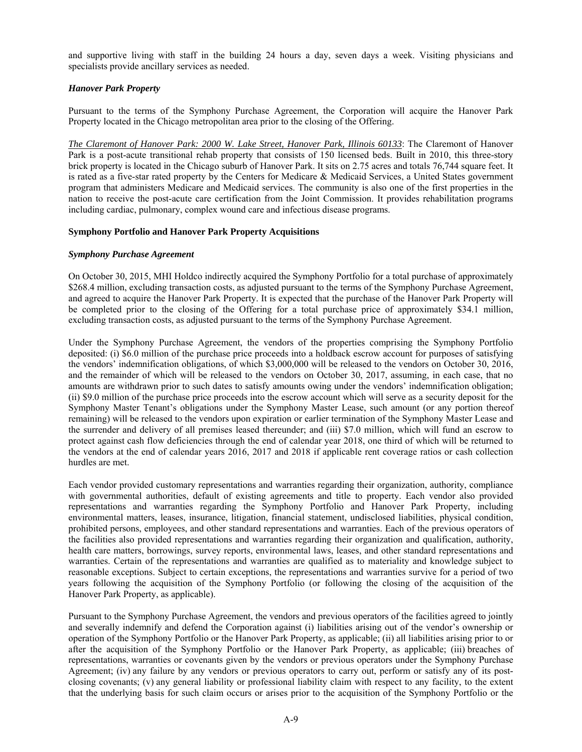and supportive living with staff in the building 24 hours a day, seven days a week. Visiting physicians and specialists provide ancillary services as needed.

## *Hanover Park Property*

Pursuant to the terms of the Symphony Purchase Agreement, the Corporation will acquire the Hanover Park Property located in the Chicago metropolitan area prior to the closing of the Offering.

*The Claremont of Hanover Park: 2000 W. Lake Street, Hanover Park, Illinois 60133*: The Claremont of Hanover Park is a post-acute transitional rehab property that consists of 150 licensed beds. Built in 2010, this three-story brick property is located in the Chicago suburb of Hanover Park. It sits on 2.75 acres and totals 76,744 square feet. It is rated as a five-star rated property by the Centers for Medicare & Medicaid Services, a United States government program that administers Medicare and Medicaid services. The community is also one of the first properties in the nation to receive the post-acute care certification from the Joint Commission. It provides rehabilitation programs including cardiac, pulmonary, complex wound care and infectious disease programs.

## **Symphony Portfolio and Hanover Park Property Acquisitions**

## *Symphony Purchase Agreement*

On October 30, 2015, MHI Holdco indirectly acquired the Symphony Portfolio for a total purchase of approximately \$268.4 million, excluding transaction costs, as adjusted pursuant to the terms of the Symphony Purchase Agreement, and agreed to acquire the Hanover Park Property. It is expected that the purchase of the Hanover Park Property will be completed prior to the closing of the Offering for a total purchase price of approximately \$34.1 million, excluding transaction costs, as adjusted pursuant to the terms of the Symphony Purchase Agreement.

Under the Symphony Purchase Agreement, the vendors of the properties comprising the Symphony Portfolio deposited: (i) \$6.0 million of the purchase price proceeds into a holdback escrow account for purposes of satisfying the vendors' indemnification obligations, of which \$3,000,000 will be released to the vendors on October 30, 2016, and the remainder of which will be released to the vendors on October 30, 2017, assuming, in each case, that no amounts are withdrawn prior to such dates to satisfy amounts owing under the vendors' indemnification obligation; (ii) \$9.0 million of the purchase price proceeds into the escrow account which will serve as a security deposit for the Symphony Master Tenant's obligations under the Symphony Master Lease, such amount (or any portion thereof remaining) will be released to the vendors upon expiration or earlier termination of the Symphony Master Lease and the surrender and delivery of all premises leased thereunder; and (iii) \$7.0 million, which will fund an escrow to protect against cash flow deficiencies through the end of calendar year 2018, one third of which will be returned to the vendors at the end of calendar years 2016, 2017 and 2018 if applicable rent coverage ratios or cash collection hurdles are met.

Each vendor provided customary representations and warranties regarding their organization, authority, compliance with governmental authorities, default of existing agreements and title to property. Each vendor also provided representations and warranties regarding the Symphony Portfolio and Hanover Park Property, including environmental matters, leases, insurance, litigation, financial statement, undisclosed liabilities, physical condition, prohibited persons, employees, and other standard representations and warranties. Each of the previous operators of the facilities also provided representations and warranties regarding their organization and qualification, authority, health care matters, borrowings, survey reports, environmental laws, leases, and other standard representations and warranties. Certain of the representations and warranties are qualified as to materiality and knowledge subject to reasonable exceptions. Subject to certain exceptions, the representations and warranties survive for a period of two years following the acquisition of the Symphony Portfolio (or following the closing of the acquisition of the Hanover Park Property, as applicable).

Pursuant to the Symphony Purchase Agreement, the vendors and previous operators of the facilities agreed to jointly and severally indemnify and defend the Corporation against (i) liabilities arising out of the vendor's ownership or operation of the Symphony Portfolio or the Hanover Park Property, as applicable; (ii) all liabilities arising prior to or after the acquisition of the Symphony Portfolio or the Hanover Park Property, as applicable; (iii) breaches of representations, warranties or covenants given by the vendors or previous operators under the Symphony Purchase Agreement; (iv) any failure by any vendors or previous operators to carry out, perform or satisfy any of its postclosing covenants; (v) any general liability or professional liability claim with respect to any facility, to the extent that the underlying basis for such claim occurs or arises prior to the acquisition of the Symphony Portfolio or the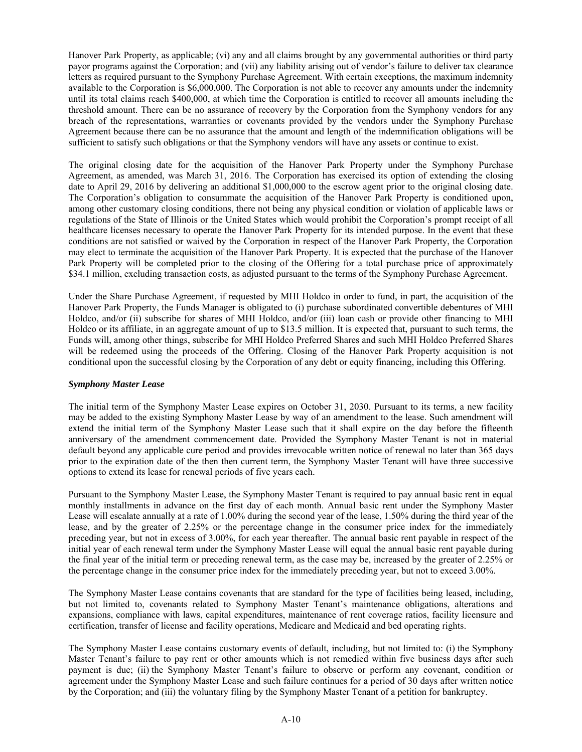Hanover Park Property, as applicable; (vi) any and all claims brought by any governmental authorities or third party payor programs against the Corporation; and (vii) any liability arising out of vendor's failure to deliver tax clearance letters as required pursuant to the Symphony Purchase Agreement. With certain exceptions, the maximum indemnity available to the Corporation is \$6,000,000. The Corporation is not able to recover any amounts under the indemnity until its total claims reach \$400,000, at which time the Corporation is entitled to recover all amounts including the threshold amount. There can be no assurance of recovery by the Corporation from the Symphony vendors for any breach of the representations, warranties or covenants provided by the vendors under the Symphony Purchase Agreement because there can be no assurance that the amount and length of the indemnification obligations will be sufficient to satisfy such obligations or that the Symphony vendors will have any assets or continue to exist.

The original closing date for the acquisition of the Hanover Park Property under the Symphony Purchase Agreement, as amended, was March 31, 2016. The Corporation has exercised its option of extending the closing date to April 29, 2016 by delivering an additional \$1,000,000 to the escrow agent prior to the original closing date. The Corporation's obligation to consummate the acquisition of the Hanover Park Property is conditioned upon, among other customary closing conditions, there not being any physical condition or violation of applicable laws or regulations of the State of Illinois or the United States which would prohibit the Corporation's prompt receipt of all healthcare licenses necessary to operate the Hanover Park Property for its intended purpose. In the event that these conditions are not satisfied or waived by the Corporation in respect of the Hanover Park Property, the Corporation may elect to terminate the acquisition of the Hanover Park Property. It is expected that the purchase of the Hanover Park Property will be completed prior to the closing of the Offering for a total purchase price of approximately \$34.1 million, excluding transaction costs, as adjusted pursuant to the terms of the Symphony Purchase Agreement.

Under the Share Purchase Agreement, if requested by MHI Holdco in order to fund, in part, the acquisition of the Hanover Park Property, the Funds Manager is obligated to (i) purchase subordinated convertible debentures of MHI Holdco, and/or (ii) subscribe for shares of MHI Holdco, and/or (iii) loan cash or provide other financing to MHI Holdco or its affiliate, in an aggregate amount of up to \$13.5 million. It is expected that, pursuant to such terms, the Funds will, among other things, subscribe for MHI Holdco Preferred Shares and such MHI Holdco Preferred Shares will be redeemed using the proceeds of the Offering. Closing of the Hanover Park Property acquisition is not conditional upon the successful closing by the Corporation of any debt or equity financing, including this Offering.

## *Symphony Master Lease*

The initial term of the Symphony Master Lease expires on October 31, 2030. Pursuant to its terms, a new facility may be added to the existing Symphony Master Lease by way of an amendment to the lease. Such amendment will extend the initial term of the Symphony Master Lease such that it shall expire on the day before the fifteenth anniversary of the amendment commencement date. Provided the Symphony Master Tenant is not in material default beyond any applicable cure period and provides irrevocable written notice of renewal no later than 365 days prior to the expiration date of the then then current term, the Symphony Master Tenant will have three successive options to extend its lease for renewal periods of five years each.

Pursuant to the Symphony Master Lease, the Symphony Master Tenant is required to pay annual basic rent in equal monthly installments in advance on the first day of each month. Annual basic rent under the Symphony Master Lease will escalate annually at a rate of 1.00% during the second year of the lease, 1.50% during the third year of the lease, and by the greater of 2.25% or the percentage change in the consumer price index for the immediately preceding year, but not in excess of 3.00%, for each year thereafter. The annual basic rent payable in respect of the initial year of each renewal term under the Symphony Master Lease will equal the annual basic rent payable during the final year of the initial term or preceding renewal term, as the case may be, increased by the greater of 2.25% or the percentage change in the consumer price index for the immediately preceding year, but not to exceed 3.00%.

The Symphony Master Lease contains covenants that are standard for the type of facilities being leased, including, but not limited to, covenants related to Symphony Master Tenant's maintenance obligations, alterations and expansions, compliance with laws, capital expenditures, maintenance of rent coverage ratios, facility licensure and certification, transfer of license and facility operations, Medicare and Medicaid and bed operating rights.

The Symphony Master Lease contains customary events of default, including, but not limited to: (i) the Symphony Master Tenant's failure to pay rent or other amounts which is not remedied within five business days after such payment is due; (ii) the Symphony Master Tenant's failure to observe or perform any covenant, condition or agreement under the Symphony Master Lease and such failure continues for a period of 30 days after written notice by the Corporation; and (iii) the voluntary filing by the Symphony Master Tenant of a petition for bankruptcy.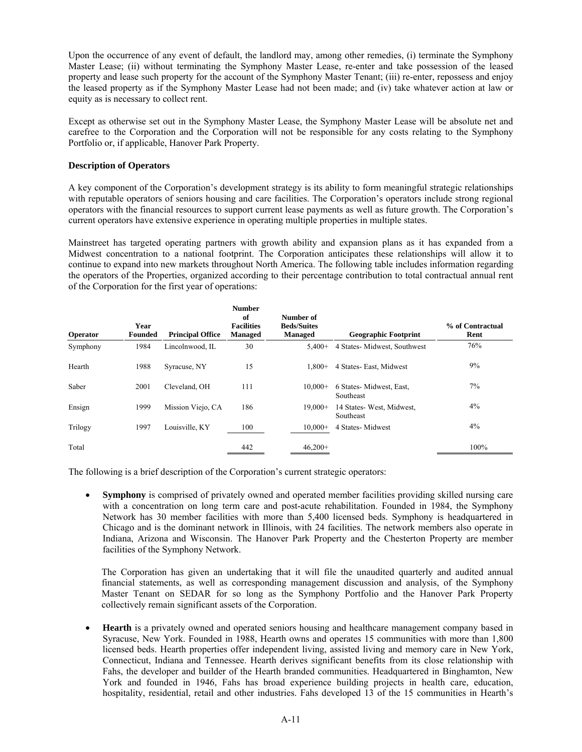Upon the occurrence of any event of default, the landlord may, among other remedies, (i) terminate the Symphony Master Lease; (ii) without terminating the Symphony Master Lease, re-enter and take possession of the leased property and lease such property for the account of the Symphony Master Tenant; (iii) re-enter, repossess and enjoy the leased property as if the Symphony Master Lease had not been made; and (iv) take whatever action at law or equity as is necessary to collect rent.

Except as otherwise set out in the Symphony Master Lease, the Symphony Master Lease will be absolute net and carefree to the Corporation and the Corporation will not be responsible for any costs relating to the Symphony Portfolio or, if applicable, Hanover Park Property.

## **Description of Operators**

A key component of the Corporation's development strategy is its ability to form meaningful strategic relationships with reputable operators of seniors housing and care facilities. The Corporation's operators include strong regional operators with the financial resources to support current lease payments as well as future growth. The Corporation's current operators have extensive experience in operating multiple properties in multiple states.

Mainstreet has targeted operating partners with growth ability and expansion plans as it has expanded from a Midwest concentration to a national footprint. The Corporation anticipates these relationships will allow it to continue to expand into new markets throughout North America. The following table includes information regarding the operators of the Properties, organized according to their percentage contribution to total contractual annual rent of the Corporation for the first year of operations:

| Operator | Year<br><b>Founded</b> | <b>Principal Office</b> | <b>Number</b><br>of<br><b>Facilities</b><br><b>Managed</b> | Number of<br><b>Beds/Suites</b><br>Managed | <b>Geographic Footprint</b>           | % of Contractual<br>Rent |
|----------|------------------------|-------------------------|------------------------------------------------------------|--------------------------------------------|---------------------------------------|--------------------------|
| Symphony | 1984                   | Lincolnwood, IL         | 30                                                         | $5,400+$                                   | 4 States-Midwest, Southwest           | 76%                      |
| Hearth   | 1988                   | Syracuse, NY            | 15                                                         | $1.800+$                                   | 4 States- East, Midwest               | 9%                       |
| Saber    | 2001                   | Cleveland, OH           | 111                                                        | $10.000+$                                  | 6 States-Midwest, East,<br>Southeast  | 7%                       |
| Ensign   | 1999                   | Mission Viejo, CA       | 186                                                        | $19.000+$                                  | 14 States-West, Midwest,<br>Southeast | 4%                       |
| Trilogy  | 1997                   | Louisville, KY          | 100                                                        | $10.000+$                                  | 4 States-Midwest                      | 4%                       |
| Total    |                        |                         | 442                                                        | $46,200+$                                  |                                       | 100%                     |

The following is a brief description of the Corporation's current strategic operators:

 **Symphony** is comprised of privately owned and operated member facilities providing skilled nursing care with a concentration on long term care and post-acute rehabilitation. Founded in 1984, the Symphony Network has 30 member facilities with more than 5,400 licensed beds. Symphony is headquartered in Chicago and is the dominant network in Illinois, with 24 facilities. The network members also operate in Indiana, Arizona and Wisconsin. The Hanover Park Property and the Chesterton Property are member facilities of the Symphony Network.

The Corporation has given an undertaking that it will file the unaudited quarterly and audited annual financial statements, as well as corresponding management discussion and analysis, of the Symphony Master Tenant on SEDAR for so long as the Symphony Portfolio and the Hanover Park Property collectively remain significant assets of the Corporation.

 **Hearth** is a privately owned and operated seniors housing and healthcare management company based in Syracuse, New York. Founded in 1988, Hearth owns and operates 15 communities with more than 1,800 licensed beds. Hearth properties offer independent living, assisted living and memory care in New York, Connecticut, Indiana and Tennessee. Hearth derives significant benefits from its close relationship with Fahs, the developer and builder of the Hearth branded communities. Headquartered in Binghamton, New York and founded in 1946, Fahs has broad experience building projects in health care, education, hospitality, residential, retail and other industries. Fahs developed 13 of the 15 communities in Hearth's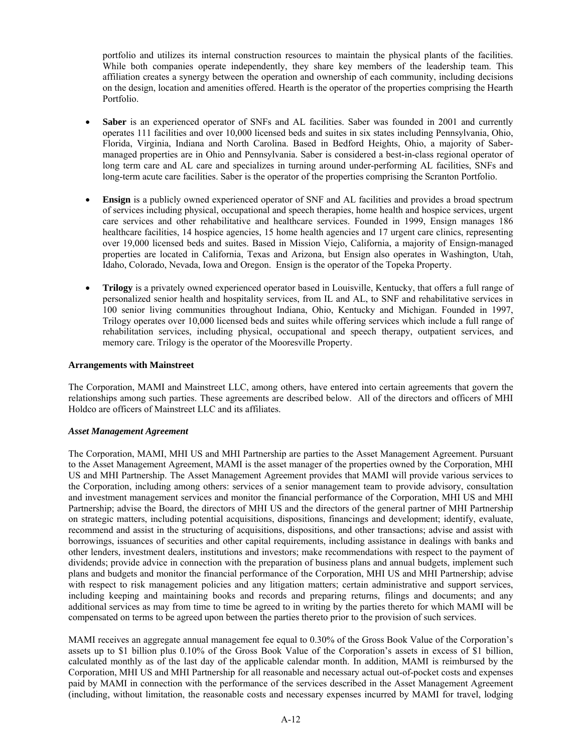portfolio and utilizes its internal construction resources to maintain the physical plants of the facilities. While both companies operate independently, they share key members of the leadership team. This affiliation creates a synergy between the operation and ownership of each community, including decisions on the design, location and amenities offered. Hearth is the operator of the properties comprising the Hearth Portfolio.

- **Saber** is an experienced operator of SNFs and AL facilities. Saber was founded in 2001 and currently operates 111 facilities and over 10,000 licensed beds and suites in six states including Pennsylvania, Ohio, Florida, Virginia, Indiana and North Carolina. Based in Bedford Heights, Ohio, a majority of Sabermanaged properties are in Ohio and Pennsylvania. Saber is considered a best-in-class regional operator of long term care and AL care and specializes in turning around under-performing AL facilities, SNFs and long-term acute care facilities. Saber is the operator of the properties comprising the Scranton Portfolio.
- **Ensign** is a publicly owned experienced operator of SNF and AL facilities and provides a broad spectrum of services including physical, occupational and speech therapies, home health and hospice services, urgent care services and other rehabilitative and healthcare services. Founded in 1999, Ensign manages 186 healthcare facilities, 14 hospice agencies, 15 home health agencies and 17 urgent care clinics, representing over 19,000 licensed beds and suites. Based in Mission Viejo, California, a majority of Ensign-managed properties are located in California, Texas and Arizona, but Ensign also operates in Washington, Utah, Idaho, Colorado, Nevada, Iowa and Oregon. Ensign is the operator of the Topeka Property.
- **Trilogy** is a privately owned experienced operator based in Louisville, Kentucky, that offers a full range of personalized senior health and hospitality services, from IL and AL, to SNF and rehabilitative services in 100 senior living communities throughout Indiana, Ohio, Kentucky and Michigan. Founded in 1997, Trilogy operates over 10,000 licensed beds and suites while offering services which include a full range of rehabilitation services, including physical, occupational and speech therapy, outpatient services, and memory care. Trilogy is the operator of the Mooresville Property.

#### **Arrangements with Mainstreet**

The Corporation, MAMI and Mainstreet LLC, among others, have entered into certain agreements that govern the relationships among such parties. These agreements are described below. All of the directors and officers of MHI Holdco are officers of Mainstreet LLC and its affiliates.

#### *Asset Management Agreement*

The Corporation, MAMI, MHI US and MHI Partnership are parties to the Asset Management Agreement. Pursuant to the Asset Management Agreement, MAMI is the asset manager of the properties owned by the Corporation, MHI US and MHI Partnership. The Asset Management Agreement provides that MAMI will provide various services to the Corporation, including among others: services of a senior management team to provide advisory, consultation and investment management services and monitor the financial performance of the Corporation, MHI US and MHI Partnership; advise the Board, the directors of MHI US and the directors of the general partner of MHI Partnership on strategic matters, including potential acquisitions, dispositions, financings and development; identify, evaluate, recommend and assist in the structuring of acquisitions, dispositions, and other transactions; advise and assist with borrowings, issuances of securities and other capital requirements, including assistance in dealings with banks and other lenders, investment dealers, institutions and investors; make recommendations with respect to the payment of dividends; provide advice in connection with the preparation of business plans and annual budgets, implement such plans and budgets and monitor the financial performance of the Corporation, MHI US and MHI Partnership; advise with respect to risk management policies and any litigation matters; certain administrative and support services, including keeping and maintaining books and records and preparing returns, filings and documents; and any additional services as may from time to time be agreed to in writing by the parties thereto for which MAMI will be compensated on terms to be agreed upon between the parties thereto prior to the provision of such services.

MAMI receives an aggregate annual management fee equal to 0.30% of the Gross Book Value of the Corporation's assets up to \$1 billion plus 0.10% of the Gross Book Value of the Corporation's assets in excess of \$1 billion, calculated monthly as of the last day of the applicable calendar month. In addition, MAMI is reimbursed by the Corporation, MHI US and MHI Partnership for all reasonable and necessary actual out-of-pocket costs and expenses paid by MAMI in connection with the performance of the services described in the Asset Management Agreement (including, without limitation, the reasonable costs and necessary expenses incurred by MAMI for travel, lodging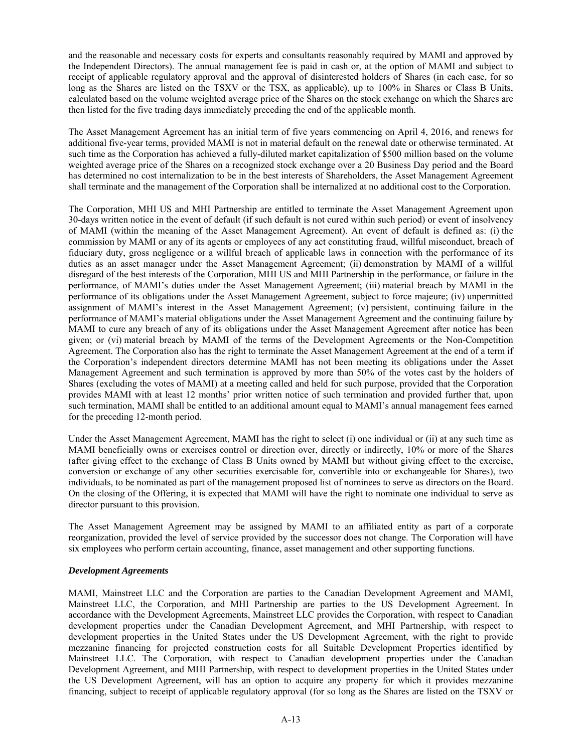and the reasonable and necessary costs for experts and consultants reasonably required by MAMI and approved by the Independent Directors). The annual management fee is paid in cash or, at the option of MAMI and subject to receipt of applicable regulatory approval and the approval of disinterested holders of Shares (in each case, for so long as the Shares are listed on the TSXV or the TSX, as applicable), up to 100% in Shares or Class B Units, calculated based on the volume weighted average price of the Shares on the stock exchange on which the Shares are then listed for the five trading days immediately preceding the end of the applicable month.

The Asset Management Agreement has an initial term of five years commencing on April 4, 2016, and renews for additional five-year terms, provided MAMI is not in material default on the renewal date or otherwise terminated. At such time as the Corporation has achieved a fully-diluted market capitalization of \$500 million based on the volume weighted average price of the Shares on a recognized stock exchange over a 20 Business Day period and the Board has determined no cost internalization to be in the best interests of Shareholders, the Asset Management Agreement shall terminate and the management of the Corporation shall be internalized at no additional cost to the Corporation.

The Corporation, MHI US and MHI Partnership are entitled to terminate the Asset Management Agreement upon 30-days written notice in the event of default (if such default is not cured within such period) or event of insolvency of MAMI (within the meaning of the Asset Management Agreement). An event of default is defined as: (i) the commission by MAMI or any of its agents or employees of any act constituting fraud, willful misconduct, breach of fiduciary duty, gross negligence or a willful breach of applicable laws in connection with the performance of its duties as an asset manager under the Asset Management Agreement; (ii) demonstration by MAMI of a willful disregard of the best interests of the Corporation, MHI US and MHI Partnership in the performance, or failure in the performance, of MAMI's duties under the Asset Management Agreement; (iii) material breach by MAMI in the performance of its obligations under the Asset Management Agreement, subject to force majeure; (iv) unpermitted assignment of MAMI's interest in the Asset Management Agreement; (v) persistent, continuing failure in the performance of MAMI's material obligations under the Asset Management Agreement and the continuing failure by MAMI to cure any breach of any of its obligations under the Asset Management Agreement after notice has been given; or (vi) material breach by MAMI of the terms of the Development Agreements or the Non-Competition Agreement. The Corporation also has the right to terminate the Asset Management Agreement at the end of a term if the Corporation's independent directors determine MAMI has not been meeting its obligations under the Asset Management Agreement and such termination is approved by more than 50% of the votes cast by the holders of Shares (excluding the votes of MAMI) at a meeting called and held for such purpose, provided that the Corporation provides MAMI with at least 12 months' prior written notice of such termination and provided further that, upon such termination, MAMI shall be entitled to an additional amount equal to MAMI's annual management fees earned for the preceding 12-month period.

Under the Asset Management Agreement, MAMI has the right to select (i) one individual or (ii) at any such time as MAMI beneficially owns or exercises control or direction over, directly or indirectly, 10% or more of the Shares (after giving effect to the exchange of Class B Units owned by MAMI but without giving effect to the exercise, conversion or exchange of any other securities exercisable for, convertible into or exchangeable for Shares), two individuals, to be nominated as part of the management proposed list of nominees to serve as directors on the Board. On the closing of the Offering, it is expected that MAMI will have the right to nominate one individual to serve as director pursuant to this provision.

The Asset Management Agreement may be assigned by MAMI to an affiliated entity as part of a corporate reorganization, provided the level of service provided by the successor does not change. The Corporation will have six employees who perform certain accounting, finance, asset management and other supporting functions.

## *Development Agreements*

MAMI, Mainstreet LLC and the Corporation are parties to the Canadian Development Agreement and MAMI, Mainstreet LLC, the Corporation, and MHI Partnership are parties to the US Development Agreement. In accordance with the Development Agreements, Mainstreet LLC provides the Corporation, with respect to Canadian development properties under the Canadian Development Agreement, and MHI Partnership, with respect to development properties in the United States under the US Development Agreement, with the right to provide mezzanine financing for projected construction costs for all Suitable Development Properties identified by Mainstreet LLC. The Corporation, with respect to Canadian development properties under the Canadian Development Agreement, and MHI Partnership, with respect to development properties in the United States under the US Development Agreement, will has an option to acquire any property for which it provides mezzanine financing, subject to receipt of applicable regulatory approval (for so long as the Shares are listed on the TSXV or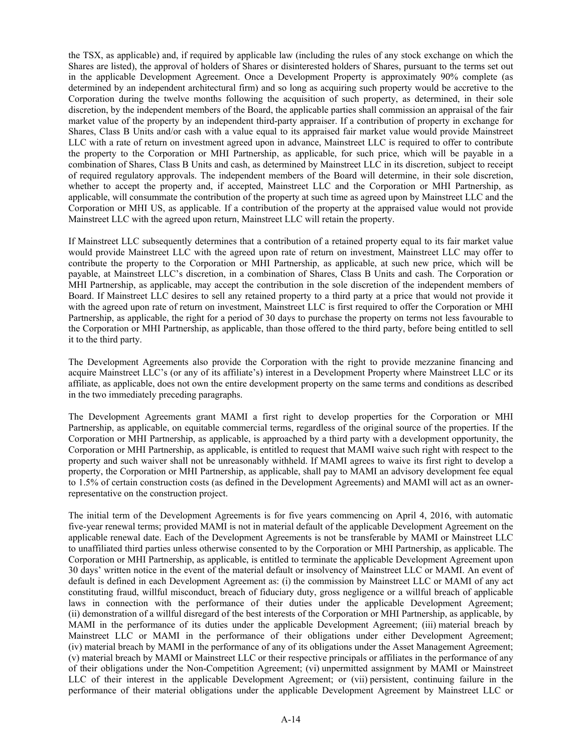the TSX, as applicable) and, if required by applicable law (including the rules of any stock exchange on which the Shares are listed), the approval of holders of Shares or disinterested holders of Shares, pursuant to the terms set out in the applicable Development Agreement. Once a Development Property is approximately 90% complete (as determined by an independent architectural firm) and so long as acquiring such property would be accretive to the Corporation during the twelve months following the acquisition of such property, as determined, in their sole discretion, by the independent members of the Board, the applicable parties shall commission an appraisal of the fair market value of the property by an independent third-party appraiser. If a contribution of property in exchange for Shares, Class B Units and/or cash with a value equal to its appraised fair market value would provide Mainstreet LLC with a rate of return on investment agreed upon in advance, Mainstreet LLC is required to offer to contribute the property to the Corporation or MHI Partnership, as applicable, for such price, which will be payable in a combination of Shares, Class B Units and cash, as determined by Mainstreet LLC in its discretion, subject to receipt of required regulatory approvals. The independent members of the Board will determine, in their sole discretion, whether to accept the property and, if accepted, Mainstreet LLC and the Corporation or MHI Partnership, as applicable, will consummate the contribution of the property at such time as agreed upon by Mainstreet LLC and the Corporation or MHI US, as applicable. If a contribution of the property at the appraised value would not provide Mainstreet LLC with the agreed upon return, Mainstreet LLC will retain the property.

If Mainstreet LLC subsequently determines that a contribution of a retained property equal to its fair market value would provide Mainstreet LLC with the agreed upon rate of return on investment, Mainstreet LLC may offer to contribute the property to the Corporation or MHI Partnership, as applicable, at such new price, which will be payable, at Mainstreet LLC's discretion, in a combination of Shares, Class B Units and cash. The Corporation or MHI Partnership, as applicable, may accept the contribution in the sole discretion of the independent members of Board. If Mainstreet LLC desires to sell any retained property to a third party at a price that would not provide it with the agreed upon rate of return on investment, Mainstreet LLC is first required to offer the Corporation or MHI Partnership, as applicable, the right for a period of 30 days to purchase the property on terms not less favourable to the Corporation or MHI Partnership, as applicable, than those offered to the third party, before being entitled to sell it to the third party.

The Development Agreements also provide the Corporation with the right to provide mezzanine financing and acquire Mainstreet LLC's (or any of its affiliate's) interest in a Development Property where Mainstreet LLC or its affiliate, as applicable, does not own the entire development property on the same terms and conditions as described in the two immediately preceding paragraphs.

The Development Agreements grant MAMI a first right to develop properties for the Corporation or MHI Partnership, as applicable, on equitable commercial terms, regardless of the original source of the properties. If the Corporation or MHI Partnership, as applicable, is approached by a third party with a development opportunity, the Corporation or MHI Partnership, as applicable, is entitled to request that MAMI waive such right with respect to the property and such waiver shall not be unreasonably withheld. If MAMI agrees to waive its first right to develop a property, the Corporation or MHI Partnership, as applicable, shall pay to MAMI an advisory development fee equal to 1.5% of certain construction costs (as defined in the Development Agreements) and MAMI will act as an ownerrepresentative on the construction project.

The initial term of the Development Agreements is for five years commencing on April 4, 2016, with automatic five-year renewal terms; provided MAMI is not in material default of the applicable Development Agreement on the applicable renewal date. Each of the Development Agreements is not be transferable by MAMI or Mainstreet LLC to unaffiliated third parties unless otherwise consented to by the Corporation or MHI Partnership, as applicable. The Corporation or MHI Partnership, as applicable, is entitled to terminate the applicable Development Agreement upon 30 days' written notice in the event of the material default or insolvency of Mainstreet LLC or MAMI. An event of default is defined in each Development Agreement as: (i) the commission by Mainstreet LLC or MAMI of any act constituting fraud, willful misconduct, breach of fiduciary duty, gross negligence or a willful breach of applicable laws in connection with the performance of their duties under the applicable Development Agreement; (ii) demonstration of a willful disregard of the best interests of the Corporation or MHI Partnership, as applicable, by MAMI in the performance of its duties under the applicable Development Agreement; (iii) material breach by Mainstreet LLC or MAMI in the performance of their obligations under either Development Agreement; (iv) material breach by MAMI in the performance of any of its obligations under the Asset Management Agreement; (v) material breach by MAMI or Mainstreet LLC or their respective principals or affiliates in the performance of any of their obligations under the Non-Competition Agreement; (vi) unpermitted assignment by MAMI or Mainstreet LLC of their interest in the applicable Development Agreement; or (vii) persistent, continuing failure in the performance of their material obligations under the applicable Development Agreement by Mainstreet LLC or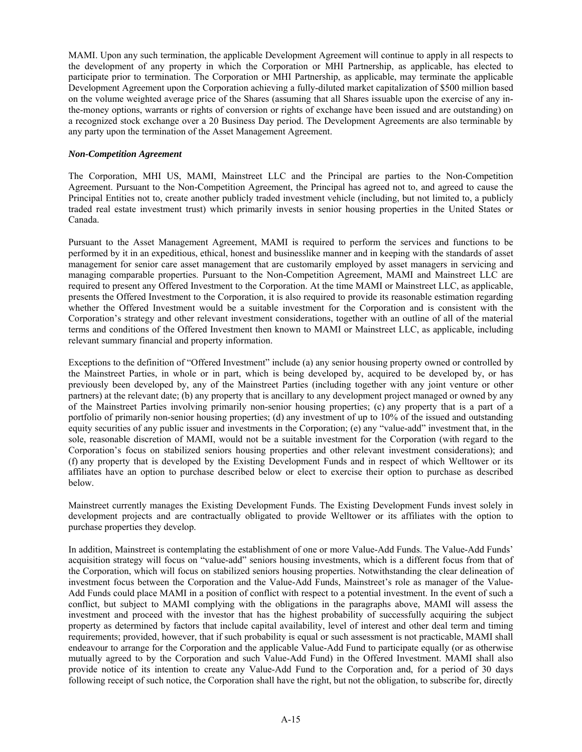MAMI. Upon any such termination, the applicable Development Agreement will continue to apply in all respects to the development of any property in which the Corporation or MHI Partnership, as applicable, has elected to participate prior to termination. The Corporation or MHI Partnership, as applicable, may terminate the applicable Development Agreement upon the Corporation achieving a fully-diluted market capitalization of \$500 million based on the volume weighted average price of the Shares (assuming that all Shares issuable upon the exercise of any inthe-money options, warrants or rights of conversion or rights of exchange have been issued and are outstanding) on a recognized stock exchange over a 20 Business Day period. The Development Agreements are also terminable by any party upon the termination of the Asset Management Agreement.

## *Non-Competition Agreement*

The Corporation, MHI US, MAMI, Mainstreet LLC and the Principal are parties to the Non-Competition Agreement. Pursuant to the Non-Competition Agreement, the Principal has agreed not to, and agreed to cause the Principal Entities not to, create another publicly traded investment vehicle (including, but not limited to, a publicly traded real estate investment trust) which primarily invests in senior housing properties in the United States or Canada.

Pursuant to the Asset Management Agreement, MAMI is required to perform the services and functions to be performed by it in an expeditious, ethical, honest and businesslike manner and in keeping with the standards of asset management for senior care asset management that are customarily employed by asset managers in servicing and managing comparable properties. Pursuant to the Non-Competition Agreement, MAMI and Mainstreet LLC are required to present any Offered Investment to the Corporation. At the time MAMI or Mainstreet LLC, as applicable, presents the Offered Investment to the Corporation, it is also required to provide its reasonable estimation regarding whether the Offered Investment would be a suitable investment for the Corporation and is consistent with the Corporation's strategy and other relevant investment considerations, together with an outline of all of the material terms and conditions of the Offered Investment then known to MAMI or Mainstreet LLC, as applicable, including relevant summary financial and property information.

Exceptions to the definition of "Offered Investment" include (a) any senior housing property owned or controlled by the Mainstreet Parties, in whole or in part, which is being developed by, acquired to be developed by, or has previously been developed by, any of the Mainstreet Parties (including together with any joint venture or other partners) at the relevant date; (b) any property that is ancillary to any development project managed or owned by any of the Mainstreet Parties involving primarily non-senior housing properties; (c) any property that is a part of a portfolio of primarily non-senior housing properties; (d) any investment of up to 10% of the issued and outstanding equity securities of any public issuer and investments in the Corporation; (e) any "value-add" investment that, in the sole, reasonable discretion of MAMI, would not be a suitable investment for the Corporation (with regard to the Corporation's focus on stabilized seniors housing properties and other relevant investment considerations); and (f) any property that is developed by the Existing Development Funds and in respect of which Welltower or its affiliates have an option to purchase described below or elect to exercise their option to purchase as described below.

Mainstreet currently manages the Existing Development Funds. The Existing Development Funds invest solely in development projects and are contractually obligated to provide Welltower or its affiliates with the option to purchase properties they develop.

In addition, Mainstreet is contemplating the establishment of one or more Value-Add Funds. The Value-Add Funds' acquisition strategy will focus on "value-add" seniors housing investments, which is a different focus from that of the Corporation, which will focus on stabilized seniors housing properties. Notwithstanding the clear delineation of investment focus between the Corporation and the Value-Add Funds, Mainstreet's role as manager of the Value-Add Funds could place MAMI in a position of conflict with respect to a potential investment. In the event of such a conflict, but subject to MAMI complying with the obligations in the paragraphs above, MAMI will assess the investment and proceed with the investor that has the highest probability of successfully acquiring the subject property as determined by factors that include capital availability, level of interest and other deal term and timing requirements; provided, however, that if such probability is equal or such assessment is not practicable, MAMI shall endeavour to arrange for the Corporation and the applicable Value-Add Fund to participate equally (or as otherwise mutually agreed to by the Corporation and such Value-Add Fund) in the Offered Investment. MAMI shall also provide notice of its intention to create any Value-Add Fund to the Corporation and, for a period of 30 days following receipt of such notice, the Corporation shall have the right, but not the obligation, to subscribe for, directly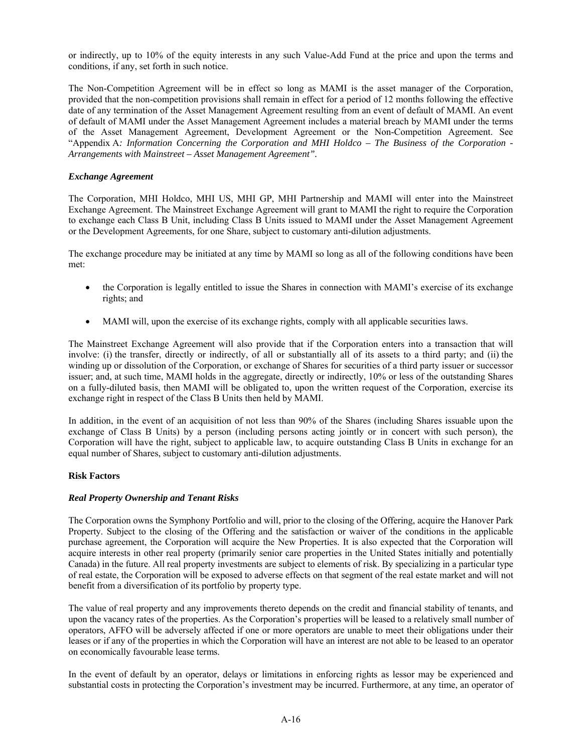or indirectly, up to 10% of the equity interests in any such Value-Add Fund at the price and upon the terms and conditions, if any, set forth in such notice.

The Non-Competition Agreement will be in effect so long as MAMI is the asset manager of the Corporation, provided that the non-competition provisions shall remain in effect for a period of 12 months following the effective date of any termination of the Asset Management Agreement resulting from an event of default of MAMI. An event of default of MAMI under the Asset Management Agreement includes a material breach by MAMI under the terms of the Asset Management Agreement, Development Agreement or the Non-Competition Agreement. See "Appendix A*: Information Concerning the Corporation and MHI Holdco – The Business of the Corporation - Arrangements with Mainstreet – Asset Management Agreement".*

## *Exchange Agreement*

The Corporation, MHI Holdco, MHI US, MHI GP, MHI Partnership and MAMI will enter into the Mainstreet Exchange Agreement. The Mainstreet Exchange Agreement will grant to MAMI the right to require the Corporation to exchange each Class B Unit, including Class B Units issued to MAMI under the Asset Management Agreement or the Development Agreements, for one Share, subject to customary anti-dilution adjustments.

The exchange procedure may be initiated at any time by MAMI so long as all of the following conditions have been met:

- the Corporation is legally entitled to issue the Shares in connection with MAMI's exercise of its exchange rights; and
- MAMI will, upon the exercise of its exchange rights, comply with all applicable securities laws.

The Mainstreet Exchange Agreement will also provide that if the Corporation enters into a transaction that will involve: (i) the transfer, directly or indirectly, of all or substantially all of its assets to a third party; and (ii) the winding up or dissolution of the Corporation, or exchange of Shares for securities of a third party issuer or successor issuer; and, at such time, MAMI holds in the aggregate, directly or indirectly, 10% or less of the outstanding Shares on a fully-diluted basis, then MAMI will be obligated to, upon the written request of the Corporation, exercise its exchange right in respect of the Class B Units then held by MAMI.

In addition, in the event of an acquisition of not less than 90% of the Shares (including Shares issuable upon the exchange of Class B Units) by a person (including persons acting jointly or in concert with such person), the Corporation will have the right, subject to applicable law, to acquire outstanding Class B Units in exchange for an equal number of Shares, subject to customary anti-dilution adjustments.

## **Risk Factors**

## *Real Property Ownership and Tenant Risks*

The Corporation owns the Symphony Portfolio and will, prior to the closing of the Offering, acquire the Hanover Park Property. Subject to the closing of the Offering and the satisfaction or waiver of the conditions in the applicable purchase agreement, the Corporation will acquire the New Properties. It is also expected that the Corporation will acquire interests in other real property (primarily senior care properties in the United States initially and potentially Canada) in the future. All real property investments are subject to elements of risk. By specializing in a particular type of real estate, the Corporation will be exposed to adverse effects on that segment of the real estate market and will not benefit from a diversification of its portfolio by property type.

The value of real property and any improvements thereto depends on the credit and financial stability of tenants, and upon the vacancy rates of the properties. As the Corporation's properties will be leased to a relatively small number of operators, AFFO will be adversely affected if one or more operators are unable to meet their obligations under their leases or if any of the properties in which the Corporation will have an interest are not able to be leased to an operator on economically favourable lease terms.

In the event of default by an operator, delays or limitations in enforcing rights as lessor may be experienced and substantial costs in protecting the Corporation's investment may be incurred. Furthermore, at any time, an operator of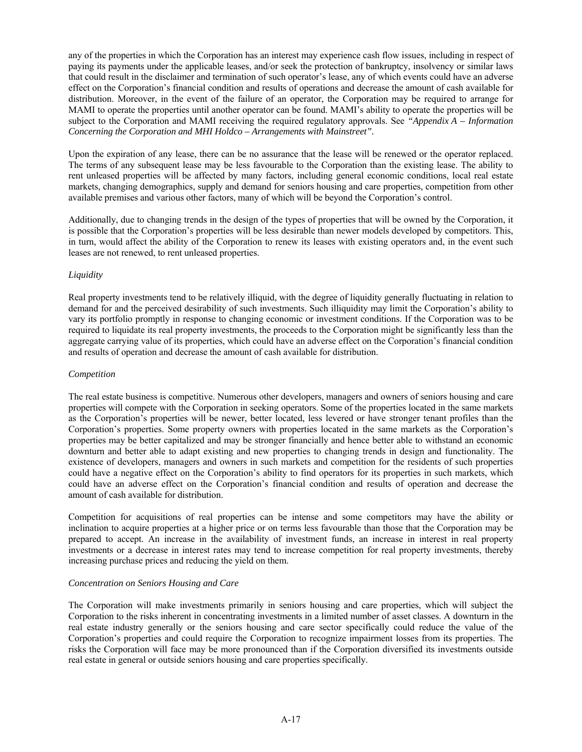any of the properties in which the Corporation has an interest may experience cash flow issues, including in respect of paying its payments under the applicable leases, and/or seek the protection of bankruptcy, insolvency or similar laws that could result in the disclaimer and termination of such operator's lease, any of which events could have an adverse effect on the Corporation's financial condition and results of operations and decrease the amount of cash available for distribution. Moreover, in the event of the failure of an operator, the Corporation may be required to arrange for MAMI to operate the properties until another operator can be found. MAMI's ability to operate the properties will be subject to the Corporation and MAMI receiving the required regulatory approvals. See *"Appendix A – Information Concerning the Corporation and MHI Holdco – Arrangements with Mainstreet".*

Upon the expiration of any lease, there can be no assurance that the lease will be renewed or the operator replaced. The terms of any subsequent lease may be less favourable to the Corporation than the existing lease. The ability to rent unleased properties will be affected by many factors, including general economic conditions, local real estate markets, changing demographics, supply and demand for seniors housing and care properties, competition from other available premises and various other factors, many of which will be beyond the Corporation's control.

Additionally, due to changing trends in the design of the types of properties that will be owned by the Corporation, it is possible that the Corporation's properties will be less desirable than newer models developed by competitors. This, in turn, would affect the ability of the Corporation to renew its leases with existing operators and, in the event such leases are not renewed, to rent unleased properties.

## *Liquidity*

Real property investments tend to be relatively illiquid, with the degree of liquidity generally fluctuating in relation to demand for and the perceived desirability of such investments. Such illiquidity may limit the Corporation's ability to vary its portfolio promptly in response to changing economic or investment conditions. If the Corporation was to be required to liquidate its real property investments, the proceeds to the Corporation might be significantly less than the aggregate carrying value of its properties, which could have an adverse effect on the Corporation's financial condition and results of operation and decrease the amount of cash available for distribution.

## *Competition*

The real estate business is competitive. Numerous other developers, managers and owners of seniors housing and care properties will compete with the Corporation in seeking operators. Some of the properties located in the same markets as the Corporation's properties will be newer, better located, less levered or have stronger tenant profiles than the Corporation's properties. Some property owners with properties located in the same markets as the Corporation's properties may be better capitalized and may be stronger financially and hence better able to withstand an economic downturn and better able to adapt existing and new properties to changing trends in design and functionality. The existence of developers, managers and owners in such markets and competition for the residents of such properties could have a negative effect on the Corporation's ability to find operators for its properties in such markets, which could have an adverse effect on the Corporation's financial condition and results of operation and decrease the amount of cash available for distribution.

Competition for acquisitions of real properties can be intense and some competitors may have the ability or inclination to acquire properties at a higher price or on terms less favourable than those that the Corporation may be prepared to accept. An increase in the availability of investment funds, an increase in interest in real property investments or a decrease in interest rates may tend to increase competition for real property investments, thereby increasing purchase prices and reducing the yield on them.

## *Concentration on Seniors Housing and Care*

The Corporation will make investments primarily in seniors housing and care properties, which will subject the Corporation to the risks inherent in concentrating investments in a limited number of asset classes. A downturn in the real estate industry generally or the seniors housing and care sector specifically could reduce the value of the Corporation's properties and could require the Corporation to recognize impairment losses from its properties. The risks the Corporation will face may be more pronounced than if the Corporation diversified its investments outside real estate in general or outside seniors housing and care properties specifically.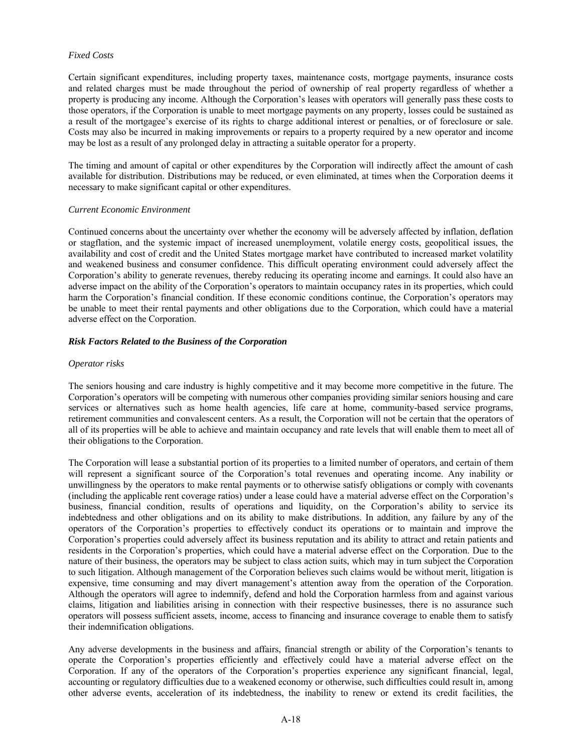## *Fixed Costs*

Certain significant expenditures, including property taxes, maintenance costs, mortgage payments, insurance costs and related charges must be made throughout the period of ownership of real property regardless of whether a property is producing any income. Although the Corporation's leases with operators will generally pass these costs to those operators, if the Corporation is unable to meet mortgage payments on any property, losses could be sustained as a result of the mortgagee's exercise of its rights to charge additional interest or penalties, or of foreclosure or sale. Costs may also be incurred in making improvements or repairs to a property required by a new operator and income may be lost as a result of any prolonged delay in attracting a suitable operator for a property.

The timing and amount of capital or other expenditures by the Corporation will indirectly affect the amount of cash available for distribution. Distributions may be reduced, or even eliminated, at times when the Corporation deems it necessary to make significant capital or other expenditures.

#### *Current Economic Environment*

Continued concerns about the uncertainty over whether the economy will be adversely affected by inflation, deflation or stagflation, and the systemic impact of increased unemployment, volatile energy costs, geopolitical issues, the availability and cost of credit and the United States mortgage market have contributed to increased market volatility and weakened business and consumer confidence. This difficult operating environment could adversely affect the Corporation's ability to generate revenues, thereby reducing its operating income and earnings. It could also have an adverse impact on the ability of the Corporation's operators to maintain occupancy rates in its properties, which could harm the Corporation's financial condition. If these economic conditions continue, the Corporation's operators may be unable to meet their rental payments and other obligations due to the Corporation, which could have a material adverse effect on the Corporation.

## *Risk Factors Related to the Business of the Corporation*

## *Operator risks*

The seniors housing and care industry is highly competitive and it may become more competitive in the future. The Corporation's operators will be competing with numerous other companies providing similar seniors housing and care services or alternatives such as home health agencies, life care at home, community-based service programs, retirement communities and convalescent centers. As a result, the Corporation will not be certain that the operators of all of its properties will be able to achieve and maintain occupancy and rate levels that will enable them to meet all of their obligations to the Corporation.

The Corporation will lease a substantial portion of its properties to a limited number of operators, and certain of them will represent a significant source of the Corporation's total revenues and operating income. Any inability or unwillingness by the operators to make rental payments or to otherwise satisfy obligations or comply with covenants (including the applicable rent coverage ratios) under a lease could have a material adverse effect on the Corporation's business, financial condition, results of operations and liquidity, on the Corporation's ability to service its indebtedness and other obligations and on its ability to make distributions. In addition, any failure by any of the operators of the Corporation's properties to effectively conduct its operations or to maintain and improve the Corporation's properties could adversely affect its business reputation and its ability to attract and retain patients and residents in the Corporation's properties, which could have a material adverse effect on the Corporation. Due to the nature of their business, the operators may be subject to class action suits, which may in turn subject the Corporation to such litigation. Although management of the Corporation believes such claims would be without merit, litigation is expensive, time consuming and may divert management's attention away from the operation of the Corporation. Although the operators will agree to indemnify, defend and hold the Corporation harmless from and against various claims, litigation and liabilities arising in connection with their respective businesses, there is no assurance such operators will possess sufficient assets, income, access to financing and insurance coverage to enable them to satisfy their indemnification obligations.

Any adverse developments in the business and affairs, financial strength or ability of the Corporation's tenants to operate the Corporation's properties efficiently and effectively could have a material adverse effect on the Corporation. If any of the operators of the Corporation's properties experience any significant financial, legal, accounting or regulatory difficulties due to a weakened economy or otherwise, such difficulties could result in, among other adverse events, acceleration of its indebtedness, the inability to renew or extend its credit facilities, the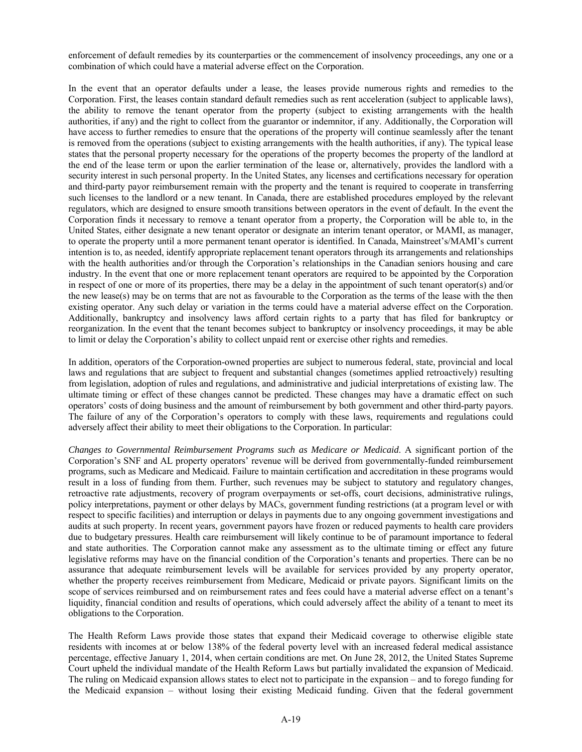enforcement of default remedies by its counterparties or the commencement of insolvency proceedings, any one or a combination of which could have a material adverse effect on the Corporation.

In the event that an operator defaults under a lease, the leases provide numerous rights and remedies to the Corporation. First, the leases contain standard default remedies such as rent acceleration (subject to applicable laws), the ability to remove the tenant operator from the property (subject to existing arrangements with the health authorities, if any) and the right to collect from the guarantor or indemnitor, if any. Additionally, the Corporation will have access to further remedies to ensure that the operations of the property will continue seamlessly after the tenant is removed from the operations (subject to existing arrangements with the health authorities, if any). The typical lease states that the personal property necessary for the operations of the property becomes the property of the landlord at the end of the lease term or upon the earlier termination of the lease or, alternatively, provides the landlord with a security interest in such personal property. In the United States, any licenses and certifications necessary for operation and third-party payor reimbursement remain with the property and the tenant is required to cooperate in transferring such licenses to the landlord or a new tenant. In Canada, there are established procedures employed by the relevant regulators, which are designed to ensure smooth transitions between operators in the event of default. In the event the Corporation finds it necessary to remove a tenant operator from a property, the Corporation will be able to, in the United States, either designate a new tenant operator or designate an interim tenant operator, or MAMI, as manager, to operate the property until a more permanent tenant operator is identified. In Canada, Mainstreet's/MAMI's current intention is to, as needed, identify appropriate replacement tenant operators through its arrangements and relationships with the health authorities and/or through the Corporation's relationships in the Canadian seniors housing and care industry. In the event that one or more replacement tenant operators are required to be appointed by the Corporation in respect of one or more of its properties, there may be a delay in the appointment of such tenant operator(s) and/or the new lease(s) may be on terms that are not as favourable to the Corporation as the terms of the lease with the then existing operator. Any such delay or variation in the terms could have a material adverse effect on the Corporation. Additionally, bankruptcy and insolvency laws afford certain rights to a party that has filed for bankruptcy or reorganization. In the event that the tenant becomes subject to bankruptcy or insolvency proceedings, it may be able to limit or delay the Corporation's ability to collect unpaid rent or exercise other rights and remedies.

In addition, operators of the Corporation-owned properties are subject to numerous federal, state, provincial and local laws and regulations that are subject to frequent and substantial changes (sometimes applied retroactively) resulting from legislation, adoption of rules and regulations, and administrative and judicial interpretations of existing law. The ultimate timing or effect of these changes cannot be predicted. These changes may have a dramatic effect on such operators' costs of doing business and the amount of reimbursement by both government and other third-party payors. The failure of any of the Corporation's operators to comply with these laws, requirements and regulations could adversely affect their ability to meet their obligations to the Corporation. In particular:

*Changes to Governmental Reimbursement Programs such as Medicare or Medicaid*. A significant portion of the Corporation's SNF and AL property operators' revenue will be derived from governmentally-funded reimbursement programs, such as Medicare and Medicaid. Failure to maintain certification and accreditation in these programs would result in a loss of funding from them. Further, such revenues may be subject to statutory and regulatory changes, retroactive rate adjustments, recovery of program overpayments or set-offs, court decisions, administrative rulings, policy interpretations, payment or other delays by MACs, government funding restrictions (at a program level or with respect to specific facilities) and interruption or delays in payments due to any ongoing government investigations and audits at such property. In recent years, government payors have frozen or reduced payments to health care providers due to budgetary pressures. Health care reimbursement will likely continue to be of paramount importance to federal and state authorities. The Corporation cannot make any assessment as to the ultimate timing or effect any future legislative reforms may have on the financial condition of the Corporation's tenants and properties. There can be no assurance that adequate reimbursement levels will be available for services provided by any property operator, whether the property receives reimbursement from Medicare, Medicaid or private payors. Significant limits on the scope of services reimbursed and on reimbursement rates and fees could have a material adverse effect on a tenant's liquidity, financial condition and results of operations, which could adversely affect the ability of a tenant to meet its obligations to the Corporation.

The Health Reform Laws provide those states that expand their Medicaid coverage to otherwise eligible state residents with incomes at or below 138% of the federal poverty level with an increased federal medical assistance percentage, effective January 1, 2014, when certain conditions are met. On June 28, 2012, the United States Supreme Court upheld the individual mandate of the Health Reform Laws but partially invalidated the expansion of Medicaid. The ruling on Medicaid expansion allows states to elect not to participate in the expansion – and to forego funding for the Medicaid expansion – without losing their existing Medicaid funding. Given that the federal government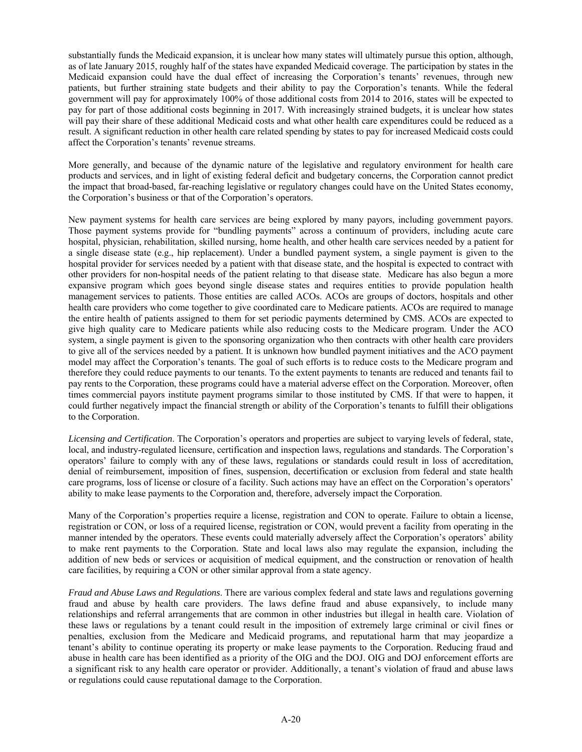substantially funds the Medicaid expansion, it is unclear how many states will ultimately pursue this option, although, as of late January 2015, roughly half of the states have expanded Medicaid coverage. The participation by states in the Medicaid expansion could have the dual effect of increasing the Corporation's tenants' revenues, through new patients, but further straining state budgets and their ability to pay the Corporation's tenants. While the federal government will pay for approximately 100% of those additional costs from 2014 to 2016, states will be expected to pay for part of those additional costs beginning in 2017. With increasingly strained budgets, it is unclear how states will pay their share of these additional Medicaid costs and what other health care expenditures could be reduced as a result. A significant reduction in other health care related spending by states to pay for increased Medicaid costs could affect the Corporation's tenants' revenue streams.

More generally, and because of the dynamic nature of the legislative and regulatory environment for health care products and services, and in light of existing federal deficit and budgetary concerns, the Corporation cannot predict the impact that broad-based, far-reaching legislative or regulatory changes could have on the United States economy, the Corporation's business or that of the Corporation's operators.

New payment systems for health care services are being explored by many payors, including government payors. Those payment systems provide for "bundling payments" across a continuum of providers, including acute care hospital, physician, rehabilitation, skilled nursing, home health, and other health care services needed by a patient for a single disease state (e.g., hip replacement). Under a bundled payment system, a single payment is given to the hospital provider for services needed by a patient with that disease state, and the hospital is expected to contract with other providers for non-hospital needs of the patient relating to that disease state. Medicare has also begun a more expansive program which goes beyond single disease states and requires entities to provide population health management services to patients. Those entities are called ACOs. ACOs are groups of doctors, hospitals and other health care providers who come together to give coordinated care to Medicare patients. ACOs are required to manage the entire health of patients assigned to them for set periodic payments determined by CMS. ACOs are expected to give high quality care to Medicare patients while also reducing costs to the Medicare program. Under the ACO system, a single payment is given to the sponsoring organization who then contracts with other health care providers to give all of the services needed by a patient. It is unknown how bundled payment initiatives and the ACO payment model may affect the Corporation's tenants. The goal of such efforts is to reduce costs to the Medicare program and therefore they could reduce payments to our tenants. To the extent payments to tenants are reduced and tenants fail to pay rents to the Corporation, these programs could have a material adverse effect on the Corporation. Moreover, often times commercial payors institute payment programs similar to those instituted by CMS. If that were to happen, it could further negatively impact the financial strength or ability of the Corporation's tenants to fulfill their obligations to the Corporation.

*Licensing and Certification*. The Corporation's operators and properties are subject to varying levels of federal, state, local, and industry-regulated licensure, certification and inspection laws, regulations and standards. The Corporation's operators' failure to comply with any of these laws, regulations or standards could result in loss of accreditation, denial of reimbursement, imposition of fines, suspension, decertification or exclusion from federal and state health care programs, loss of license or closure of a facility. Such actions may have an effect on the Corporation's operators' ability to make lease payments to the Corporation and, therefore, adversely impact the Corporation.

Many of the Corporation's properties require a license, registration and CON to operate. Failure to obtain a license, registration or CON, or loss of a required license, registration or CON, would prevent a facility from operating in the manner intended by the operators. These events could materially adversely affect the Corporation's operators' ability to make rent payments to the Corporation. State and local laws also may regulate the expansion, including the addition of new beds or services or acquisition of medical equipment, and the construction or renovation of health care facilities, by requiring a CON or other similar approval from a state agency.

*Fraud and Abuse Laws and Regulations*. There are various complex federal and state laws and regulations governing fraud and abuse by health care providers. The laws define fraud and abuse expansively, to include many relationships and referral arrangements that are common in other industries but illegal in health care. Violation of these laws or regulations by a tenant could result in the imposition of extremely large criminal or civil fines or penalties, exclusion from the Medicare and Medicaid programs, and reputational harm that may jeopardize a tenant's ability to continue operating its property or make lease payments to the Corporation. Reducing fraud and abuse in health care has been identified as a priority of the OIG and the DOJ. OIG and DOJ enforcement efforts are a significant risk to any health care operator or provider. Additionally, a tenant's violation of fraud and abuse laws or regulations could cause reputational damage to the Corporation.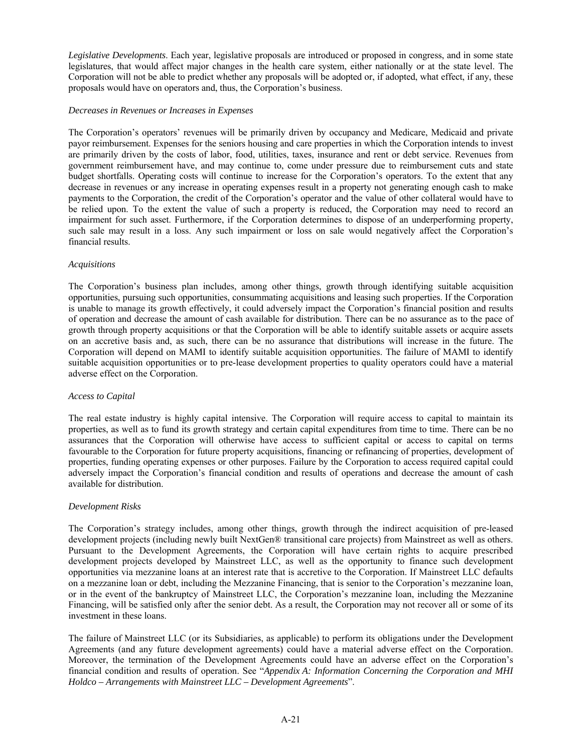*Legislative Developments*. Each year, legislative proposals are introduced or proposed in congress, and in some state legislatures, that would affect major changes in the health care system, either nationally or at the state level. The Corporation will not be able to predict whether any proposals will be adopted or, if adopted, what effect, if any, these proposals would have on operators and, thus, the Corporation's business.

## *Decreases in Revenues or Increases in Expenses*

The Corporation's operators' revenues will be primarily driven by occupancy and Medicare, Medicaid and private payor reimbursement. Expenses for the seniors housing and care properties in which the Corporation intends to invest are primarily driven by the costs of labor, food, utilities, taxes, insurance and rent or debt service. Revenues from government reimbursement have, and may continue to, come under pressure due to reimbursement cuts and state budget shortfalls. Operating costs will continue to increase for the Corporation's operators. To the extent that any decrease in revenues or any increase in operating expenses result in a property not generating enough cash to make payments to the Corporation, the credit of the Corporation's operator and the value of other collateral would have to be relied upon. To the extent the value of such a property is reduced, the Corporation may need to record an impairment for such asset. Furthermore, if the Corporation determines to dispose of an underperforming property, such sale may result in a loss. Any such impairment or loss on sale would negatively affect the Corporation's financial results.

## *Acquisitions*

The Corporation's business plan includes, among other things, growth through identifying suitable acquisition opportunities, pursuing such opportunities, consummating acquisitions and leasing such properties. If the Corporation is unable to manage its growth effectively, it could adversely impact the Corporation's financial position and results of operation and decrease the amount of cash available for distribution. There can be no assurance as to the pace of growth through property acquisitions or that the Corporation will be able to identify suitable assets or acquire assets on an accretive basis and, as such, there can be no assurance that distributions will increase in the future. The Corporation will depend on MAMI to identify suitable acquisition opportunities. The failure of MAMI to identify suitable acquisition opportunities or to pre-lease development properties to quality operators could have a material adverse effect on the Corporation.

#### *Access to Capital*

The real estate industry is highly capital intensive. The Corporation will require access to capital to maintain its properties, as well as to fund its growth strategy and certain capital expenditures from time to time. There can be no assurances that the Corporation will otherwise have access to sufficient capital or access to capital on terms favourable to the Corporation for future property acquisitions, financing or refinancing of properties, development of properties, funding operating expenses or other purposes. Failure by the Corporation to access required capital could adversely impact the Corporation's financial condition and results of operations and decrease the amount of cash available for distribution.

#### *Development Risks*

The Corporation's strategy includes, among other things, growth through the indirect acquisition of pre-leased development projects (including newly built NextGen® transitional care projects) from Mainstreet as well as others. Pursuant to the Development Agreements, the Corporation will have certain rights to acquire prescribed development projects developed by Mainstreet LLC, as well as the opportunity to finance such development opportunities via mezzanine loans at an interest rate that is accretive to the Corporation. If Mainstreet LLC defaults on a mezzanine loan or debt, including the Mezzanine Financing, that is senior to the Corporation's mezzanine loan, or in the event of the bankruptcy of Mainstreet LLC, the Corporation's mezzanine loan, including the Mezzanine Financing, will be satisfied only after the senior debt. As a result, the Corporation may not recover all or some of its investment in these loans.

The failure of Mainstreet LLC (or its Subsidiaries, as applicable) to perform its obligations under the Development Agreements (and any future development agreements) could have a material adverse effect on the Corporation. Moreover, the termination of the Development Agreements could have an adverse effect on the Corporation's financial condition and results of operation. See "*Appendix A: Information Concerning the Corporation and MHI Holdco – Arrangements with Mainstreet LLC – Development Agreements*".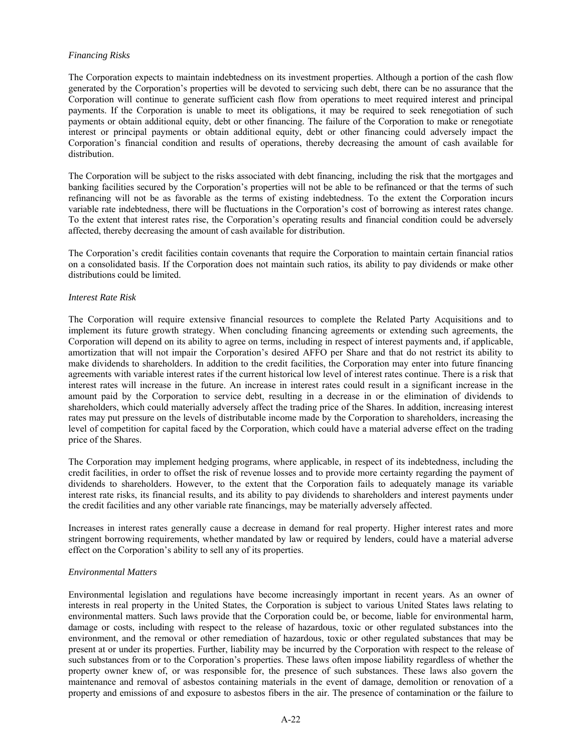## *Financing Risks*

The Corporation expects to maintain indebtedness on its investment properties. Although a portion of the cash flow generated by the Corporation's properties will be devoted to servicing such debt, there can be no assurance that the Corporation will continue to generate sufficient cash flow from operations to meet required interest and principal payments. If the Corporation is unable to meet its obligations, it may be required to seek renegotiation of such payments or obtain additional equity, debt or other financing. The failure of the Corporation to make or renegotiate interest or principal payments or obtain additional equity, debt or other financing could adversely impact the Corporation's financial condition and results of operations, thereby decreasing the amount of cash available for distribution.

The Corporation will be subject to the risks associated with debt financing, including the risk that the mortgages and banking facilities secured by the Corporation's properties will not be able to be refinanced or that the terms of such refinancing will not be as favorable as the terms of existing indebtedness. To the extent the Corporation incurs variable rate indebtedness, there will be fluctuations in the Corporation's cost of borrowing as interest rates change. To the extent that interest rates rise, the Corporation's operating results and financial condition could be adversely affected, thereby decreasing the amount of cash available for distribution.

The Corporation's credit facilities contain covenants that require the Corporation to maintain certain financial ratios on a consolidated basis. If the Corporation does not maintain such ratios, its ability to pay dividends or make other distributions could be limited.

## *Interest Rate Risk*

The Corporation will require extensive financial resources to complete the Related Party Acquisitions and to implement its future growth strategy. When concluding financing agreements or extending such agreements, the Corporation will depend on its ability to agree on terms, including in respect of interest payments and, if applicable, amortization that will not impair the Corporation's desired AFFO per Share and that do not restrict its ability to make dividends to shareholders. In addition to the credit facilities, the Corporation may enter into future financing agreements with variable interest rates if the current historical low level of interest rates continue. There is a risk that interest rates will increase in the future. An increase in interest rates could result in a significant increase in the amount paid by the Corporation to service debt, resulting in a decrease in or the elimination of dividends to shareholders, which could materially adversely affect the trading price of the Shares. In addition, increasing interest rates may put pressure on the levels of distributable income made by the Corporation to shareholders, increasing the level of competition for capital faced by the Corporation, which could have a material adverse effect on the trading price of the Shares.

The Corporation may implement hedging programs, where applicable, in respect of its indebtedness, including the credit facilities, in order to offset the risk of revenue losses and to provide more certainty regarding the payment of dividends to shareholders. However, to the extent that the Corporation fails to adequately manage its variable interest rate risks, its financial results, and its ability to pay dividends to shareholders and interest payments under the credit facilities and any other variable rate financings, may be materially adversely affected.

Increases in interest rates generally cause a decrease in demand for real property. Higher interest rates and more stringent borrowing requirements, whether mandated by law or required by lenders, could have a material adverse effect on the Corporation's ability to sell any of its properties.

#### *Environmental Matters*

Environmental legislation and regulations have become increasingly important in recent years. As an owner of interests in real property in the United States, the Corporation is subject to various United States laws relating to environmental matters. Such laws provide that the Corporation could be, or become, liable for environmental harm, damage or costs, including with respect to the release of hazardous, toxic or other regulated substances into the environment, and the removal or other remediation of hazardous, toxic or other regulated substances that may be present at or under its properties. Further, liability may be incurred by the Corporation with respect to the release of such substances from or to the Corporation's properties. These laws often impose liability regardless of whether the property owner knew of, or was responsible for, the presence of such substances. These laws also govern the maintenance and removal of asbestos containing materials in the event of damage, demolition or renovation of a property and emissions of and exposure to asbestos fibers in the air. The presence of contamination or the failure to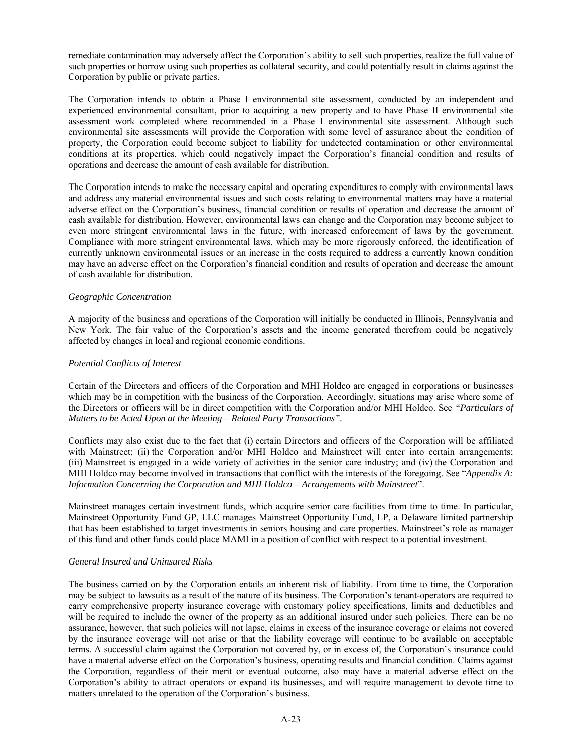remediate contamination may adversely affect the Corporation's ability to sell such properties, realize the full value of such properties or borrow using such properties as collateral security, and could potentially result in claims against the Corporation by public or private parties.

The Corporation intends to obtain a Phase I environmental site assessment, conducted by an independent and experienced environmental consultant, prior to acquiring a new property and to have Phase II environmental site assessment work completed where recommended in a Phase I environmental site assessment. Although such environmental site assessments will provide the Corporation with some level of assurance about the condition of property, the Corporation could become subject to liability for undetected contamination or other environmental conditions at its properties, which could negatively impact the Corporation's financial condition and results of operations and decrease the amount of cash available for distribution.

The Corporation intends to make the necessary capital and operating expenditures to comply with environmental laws and address any material environmental issues and such costs relating to environmental matters may have a material adverse effect on the Corporation's business, financial condition or results of operation and decrease the amount of cash available for distribution. However, environmental laws can change and the Corporation may become subject to even more stringent environmental laws in the future, with increased enforcement of laws by the government. Compliance with more stringent environmental laws, which may be more rigorously enforced, the identification of currently unknown environmental issues or an increase in the costs required to address a currently known condition may have an adverse effect on the Corporation's financial condition and results of operation and decrease the amount of cash available for distribution.

## *Geographic Concentration*

A majority of the business and operations of the Corporation will initially be conducted in Illinois, Pennsylvania and New York. The fair value of the Corporation's assets and the income generated therefrom could be negatively affected by changes in local and regional economic conditions.

## *Potential Conflicts of Interest*

Certain of the Directors and officers of the Corporation and MHI Holdco are engaged in corporations or businesses which may be in competition with the business of the Corporation. Accordingly, situations may arise where some of the Directors or officers will be in direct competition with the Corporation and/or MHI Holdco. See *"Particulars of Matters to be Acted Upon at the Meeting – Related Party Transactions".*

Conflicts may also exist due to the fact that (i) certain Directors and officers of the Corporation will be affiliated with Mainstreet; (ii) the Corporation and/or MHI Holdco and Mainstreet will enter into certain arrangements; (iii) Mainstreet is engaged in a wide variety of activities in the senior care industry; and (iv) the Corporation and MHI Holdco may become involved in transactions that conflict with the interests of the foregoing. See "*Appendix A: Information Concerning the Corporation and MHI Holdco – Arrangements with Mainstreet*".

Mainstreet manages certain investment funds, which acquire senior care facilities from time to time. In particular, Mainstreet Opportunity Fund GP, LLC manages Mainstreet Opportunity Fund, LP, a Delaware limited partnership that has been established to target investments in seniors housing and care properties. Mainstreet's role as manager of this fund and other funds could place MAMI in a position of conflict with respect to a potential investment.

## *General Insured and Uninsured Risks*

The business carried on by the Corporation entails an inherent risk of liability. From time to time, the Corporation may be subject to lawsuits as a result of the nature of its business. The Corporation's tenant-operators are required to carry comprehensive property insurance coverage with customary policy specifications, limits and deductibles and will be required to include the owner of the property as an additional insured under such policies. There can be no assurance, however, that such policies will not lapse, claims in excess of the insurance coverage or claims not covered by the insurance coverage will not arise or that the liability coverage will continue to be available on acceptable terms. A successful claim against the Corporation not covered by, or in excess of, the Corporation's insurance could have a material adverse effect on the Corporation's business, operating results and financial condition. Claims against the Corporation, regardless of their merit or eventual outcome, also may have a material adverse effect on the Corporation's ability to attract operators or expand its businesses, and will require management to devote time to matters unrelated to the operation of the Corporation's business.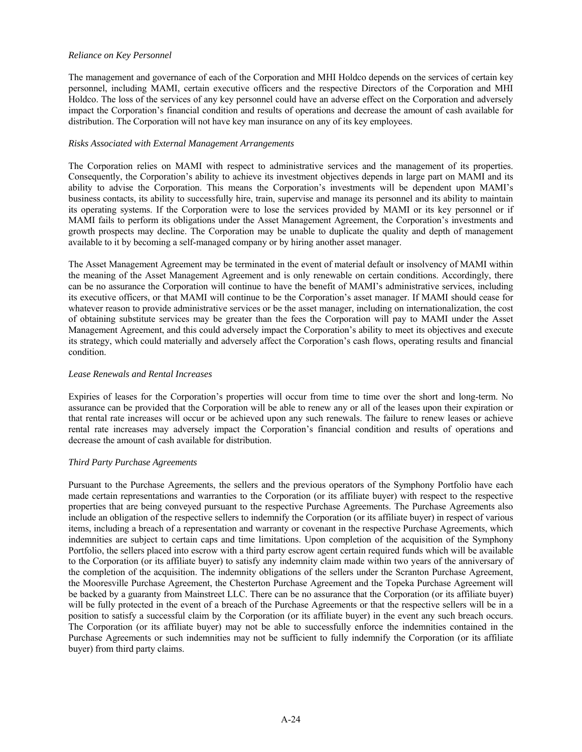## *Reliance on Key Personnel*

The management and governance of each of the Corporation and MHI Holdco depends on the services of certain key personnel, including MAMI, certain executive officers and the respective Directors of the Corporation and MHI Holdco. The loss of the services of any key personnel could have an adverse effect on the Corporation and adversely impact the Corporation's financial condition and results of operations and decrease the amount of cash available for distribution. The Corporation will not have key man insurance on any of its key employees.

#### *Risks Associated with External Management Arrangements*

The Corporation relies on MAMI with respect to administrative services and the management of its properties. Consequently, the Corporation's ability to achieve its investment objectives depends in large part on MAMI and its ability to advise the Corporation. This means the Corporation's investments will be dependent upon MAMI's business contacts, its ability to successfully hire, train, supervise and manage its personnel and its ability to maintain its operating systems. If the Corporation were to lose the services provided by MAMI or its key personnel or if MAMI fails to perform its obligations under the Asset Management Agreement, the Corporation's investments and growth prospects may decline. The Corporation may be unable to duplicate the quality and depth of management available to it by becoming a self-managed company or by hiring another asset manager.

The Asset Management Agreement may be terminated in the event of material default or insolvency of MAMI within the meaning of the Asset Management Agreement and is only renewable on certain conditions. Accordingly, there can be no assurance the Corporation will continue to have the benefit of MAMI's administrative services, including its executive officers, or that MAMI will continue to be the Corporation's asset manager. If MAMI should cease for whatever reason to provide administrative services or be the asset manager, including on internationalization, the cost of obtaining substitute services may be greater than the fees the Corporation will pay to MAMI under the Asset Management Agreement, and this could adversely impact the Corporation's ability to meet its objectives and execute its strategy, which could materially and adversely affect the Corporation's cash flows, operating results and financial condition.

#### *Lease Renewals and Rental Increases*

Expiries of leases for the Corporation's properties will occur from time to time over the short and long-term. No assurance can be provided that the Corporation will be able to renew any or all of the leases upon their expiration or that rental rate increases will occur or be achieved upon any such renewals. The failure to renew leases or achieve rental rate increases may adversely impact the Corporation's financial condition and results of operations and decrease the amount of cash available for distribution.

## *Third Party Purchase Agreements*

Pursuant to the Purchase Agreements, the sellers and the previous operators of the Symphony Portfolio have each made certain representations and warranties to the Corporation (or its affiliate buyer) with respect to the respective properties that are being conveyed pursuant to the respective Purchase Agreements. The Purchase Agreements also include an obligation of the respective sellers to indemnify the Corporation (or its affiliate buyer) in respect of various items, including a breach of a representation and warranty or covenant in the respective Purchase Agreements, which indemnities are subject to certain caps and time limitations. Upon completion of the acquisition of the Symphony Portfolio, the sellers placed into escrow with a third party escrow agent certain required funds which will be available to the Corporation (or its affiliate buyer) to satisfy any indemnity claim made within two years of the anniversary of the completion of the acquisition. The indemnity obligations of the sellers under the Scranton Purchase Agreement, the Mooresville Purchase Agreement, the Chesterton Purchase Agreement and the Topeka Purchase Agreement will be backed by a guaranty from Mainstreet LLC. There can be no assurance that the Corporation (or its affiliate buyer) will be fully protected in the event of a breach of the Purchase Agreements or that the respective sellers will be in a position to satisfy a successful claim by the Corporation (or its affiliate buyer) in the event any such breach occurs. The Corporation (or its affiliate buyer) may not be able to successfully enforce the indemnities contained in the Purchase Agreements or such indemnities may not be sufficient to fully indemnify the Corporation (or its affiliate buyer) from third party claims.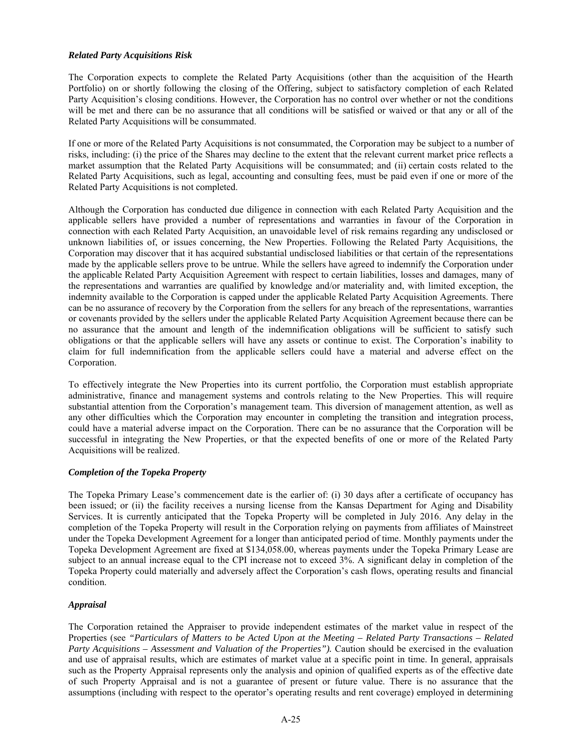## *Related Party Acquisitions Risk*

The Corporation expects to complete the Related Party Acquisitions (other than the acquisition of the Hearth Portfolio) on or shortly following the closing of the Offering, subject to satisfactory completion of each Related Party Acquisition's closing conditions. However, the Corporation has no control over whether or not the conditions will be met and there can be no assurance that all conditions will be satisfied or waived or that any or all of the Related Party Acquisitions will be consummated.

If one or more of the Related Party Acquisitions is not consummated, the Corporation may be subject to a number of risks, including: (i) the price of the Shares may decline to the extent that the relevant current market price reflects a market assumption that the Related Party Acquisitions will be consummated; and (ii) certain costs related to the Related Party Acquisitions, such as legal, accounting and consulting fees, must be paid even if one or more of the Related Party Acquisitions is not completed.

Although the Corporation has conducted due diligence in connection with each Related Party Acquisition and the applicable sellers have provided a number of representations and warranties in favour of the Corporation in connection with each Related Party Acquisition, an unavoidable level of risk remains regarding any undisclosed or unknown liabilities of, or issues concerning, the New Properties. Following the Related Party Acquisitions, the Corporation may discover that it has acquired substantial undisclosed liabilities or that certain of the representations made by the applicable sellers prove to be untrue. While the sellers have agreed to indemnify the Corporation under the applicable Related Party Acquisition Agreement with respect to certain liabilities, losses and damages, many of the representations and warranties are qualified by knowledge and/or materiality and, with limited exception, the indemnity available to the Corporation is capped under the applicable Related Party Acquisition Agreements. There can be no assurance of recovery by the Corporation from the sellers for any breach of the representations, warranties or covenants provided by the sellers under the applicable Related Party Acquisition Agreement because there can be no assurance that the amount and length of the indemnification obligations will be sufficient to satisfy such obligations or that the applicable sellers will have any assets or continue to exist. The Corporation's inability to claim for full indemnification from the applicable sellers could have a material and adverse effect on the Corporation.

To effectively integrate the New Properties into its current portfolio, the Corporation must establish appropriate administrative, finance and management systems and controls relating to the New Properties. This will require substantial attention from the Corporation's management team. This diversion of management attention, as well as any other difficulties which the Corporation may encounter in completing the transition and integration process, could have a material adverse impact on the Corporation. There can be no assurance that the Corporation will be successful in integrating the New Properties, or that the expected benefits of one or more of the Related Party Acquisitions will be realized.

#### *Completion of the Topeka Property*

The Topeka Primary Lease's commencement date is the earlier of: (i) 30 days after a certificate of occupancy has been issued; or (ii) the facility receives a nursing license from the Kansas Department for Aging and Disability Services. It is currently anticipated that the Topeka Property will be completed in July 2016. Any delay in the completion of the Topeka Property will result in the Corporation relying on payments from affiliates of Mainstreet under the Topeka Development Agreement for a longer than anticipated period of time. Monthly payments under the Topeka Development Agreement are fixed at \$134,058.00, whereas payments under the Topeka Primary Lease are subject to an annual increase equal to the CPI increase not to exceed 3%. A significant delay in completion of the Topeka Property could materially and adversely affect the Corporation's cash flows, operating results and financial condition.

## *Appraisal*

The Corporation retained the Appraiser to provide independent estimates of the market value in respect of the Properties (see *"Particulars of Matters to be Acted Upon at the Meeting – Related Party Transactions – Related Party Acquisitions – Assessment and Valuation of the Properties").* Caution should be exercised in the evaluation and use of appraisal results, which are estimates of market value at a specific point in time. In general, appraisals such as the Property Appraisal represents only the analysis and opinion of qualified experts as of the effective date of such Property Appraisal and is not a guarantee of present or future value. There is no assurance that the assumptions (including with respect to the operator's operating results and rent coverage) employed in determining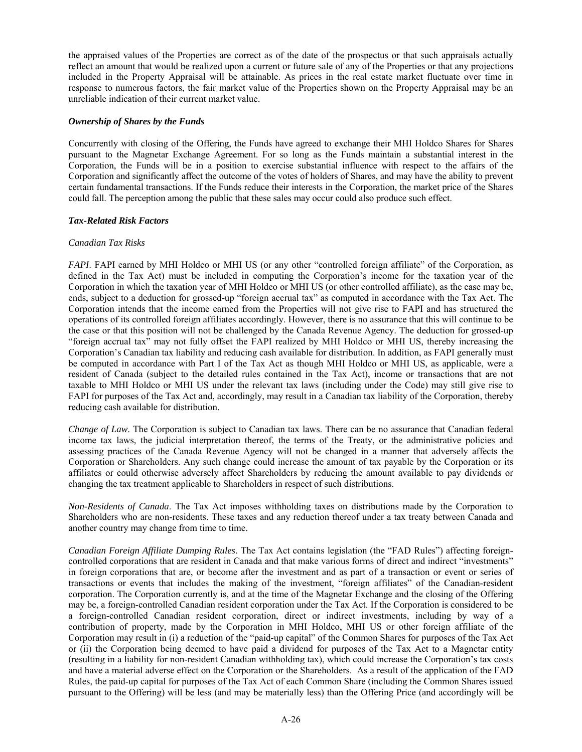the appraised values of the Properties are correct as of the date of the prospectus or that such appraisals actually reflect an amount that would be realized upon a current or future sale of any of the Properties or that any projections included in the Property Appraisal will be attainable. As prices in the real estate market fluctuate over time in response to numerous factors, the fair market value of the Properties shown on the Property Appraisal may be an unreliable indication of their current market value.

## *Ownership of Shares by the Funds*

Concurrently with closing of the Offering, the Funds have agreed to exchange their MHI Holdco Shares for Shares pursuant to the Magnetar Exchange Agreement. For so long as the Funds maintain a substantial interest in the Corporation, the Funds will be in a position to exercise substantial influence with respect to the affairs of the Corporation and significantly affect the outcome of the votes of holders of Shares, and may have the ability to prevent certain fundamental transactions. If the Funds reduce their interests in the Corporation, the market price of the Shares could fall. The perception among the public that these sales may occur could also produce such effect.

## *Tax-Related Risk Factors*

## *Canadian Tax Risks*

*FAPI*. FAPI earned by MHI Holdco or MHI US (or any other "controlled foreign affiliate" of the Corporation, as defined in the Tax Act) must be included in computing the Corporation's income for the taxation year of the Corporation in which the taxation year of MHI Holdco or MHI US (or other controlled affiliate), as the case may be, ends, subject to a deduction for grossed-up "foreign accrual tax" as computed in accordance with the Tax Act. The Corporation intends that the income earned from the Properties will not give rise to FAPI and has structured the operations of its controlled foreign affiliates accordingly. However, there is no assurance that this will continue to be the case or that this position will not be challenged by the Canada Revenue Agency. The deduction for grossed-up "foreign accrual tax" may not fully offset the FAPI realized by MHI Holdco or MHI US, thereby increasing the Corporation's Canadian tax liability and reducing cash available for distribution. In addition, as FAPI generally must be computed in accordance with Part I of the Tax Act as though MHI Holdco or MHI US, as applicable, were a resident of Canada (subject to the detailed rules contained in the Tax Act), income or transactions that are not taxable to MHI Holdco or MHI US under the relevant tax laws (including under the Code) may still give rise to FAPI for purposes of the Tax Act and, accordingly, may result in a Canadian tax liability of the Corporation, thereby reducing cash available for distribution.

*Change of Law*. The Corporation is subject to Canadian tax laws. There can be no assurance that Canadian federal income tax laws, the judicial interpretation thereof, the terms of the Treaty, or the administrative policies and assessing practices of the Canada Revenue Agency will not be changed in a manner that adversely affects the Corporation or Shareholders. Any such change could increase the amount of tax payable by the Corporation or its affiliates or could otherwise adversely affect Shareholders by reducing the amount available to pay dividends or changing the tax treatment applicable to Shareholders in respect of such distributions.

*Non-Residents of Canada*. The Tax Act imposes withholding taxes on distributions made by the Corporation to Shareholders who are non-residents. These taxes and any reduction thereof under a tax treaty between Canada and another country may change from time to time.

*Canadian Foreign Affiliate Dumping Rules*. The Tax Act contains legislation (the "FAD Rules") affecting foreigncontrolled corporations that are resident in Canada and that make various forms of direct and indirect "investments" in foreign corporations that are, or become after the investment and as part of a transaction or event or series of transactions or events that includes the making of the investment, "foreign affiliates" of the Canadian-resident corporation. The Corporation currently is, and at the time of the Magnetar Exchange and the closing of the Offering may be, a foreign-controlled Canadian resident corporation under the Tax Act. If the Corporation is considered to be a foreign-controlled Canadian resident corporation, direct or indirect investments, including by way of a contribution of property, made by the Corporation in MHI Holdco, MHI US or other foreign affiliate of the Corporation may result in (i) a reduction of the "paid-up capital" of the Common Shares for purposes of the Tax Act or (ii) the Corporation being deemed to have paid a dividend for purposes of the Tax Act to a Magnetar entity (resulting in a liability for non-resident Canadian withholding tax), which could increase the Corporation's tax costs and have a material adverse effect on the Corporation or the Shareholders. As a result of the application of the FAD Rules, the paid-up capital for purposes of the Tax Act of each Common Share (including the Common Shares issued pursuant to the Offering) will be less (and may be materially less) than the Offering Price (and accordingly will be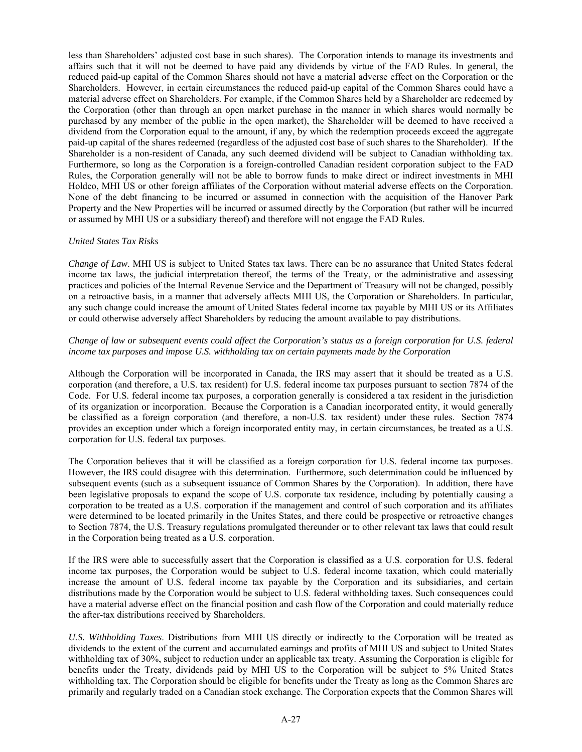less than Shareholders' adjusted cost base in such shares). The Corporation intends to manage its investments and affairs such that it will not be deemed to have paid any dividends by virtue of the FAD Rules. In general, the reduced paid-up capital of the Common Shares should not have a material adverse effect on the Corporation or the Shareholders. However, in certain circumstances the reduced paid-up capital of the Common Shares could have a material adverse effect on Shareholders. For example, if the Common Shares held by a Shareholder are redeemed by the Corporation (other than through an open market purchase in the manner in which shares would normally be purchased by any member of the public in the open market), the Shareholder will be deemed to have received a dividend from the Corporation equal to the amount, if any, by which the redemption proceeds exceed the aggregate paid-up capital of the shares redeemed (regardless of the adjusted cost base of such shares to the Shareholder). If the Shareholder is a non-resident of Canada, any such deemed dividend will be subject to Canadian withholding tax. Furthermore, so long as the Corporation is a foreign-controlled Canadian resident corporation subject to the FAD Rules, the Corporation generally will not be able to borrow funds to make direct or indirect investments in MHI Holdco, MHI US or other foreign affiliates of the Corporation without material adverse effects on the Corporation. None of the debt financing to be incurred or assumed in connection with the acquisition of the Hanover Park Property and the New Properties will be incurred or assumed directly by the Corporation (but rather will be incurred or assumed by MHI US or a subsidiary thereof) and therefore will not engage the FAD Rules.

## *United States Tax Risks*

*Change of Law*. MHI US is subject to United States tax laws. There can be no assurance that United States federal income tax laws, the judicial interpretation thereof, the terms of the Treaty, or the administrative and assessing practices and policies of the Internal Revenue Service and the Department of Treasury will not be changed, possibly on a retroactive basis, in a manner that adversely affects MHI US, the Corporation or Shareholders. In particular, any such change could increase the amount of United States federal income tax payable by MHI US or its Affiliates or could otherwise adversely affect Shareholders by reducing the amount available to pay distributions.

## *Change of law or subsequent events could affect the Corporation's status as a foreign corporation for U.S. federal income tax purposes and impose U.S. withholding tax on certain payments made by the Corporation*

Although the Corporation will be incorporated in Canada, the IRS may assert that it should be treated as a U.S. corporation (and therefore, a U.S. tax resident) for U.S. federal income tax purposes pursuant to section 7874 of the Code. For U.S. federal income tax purposes, a corporation generally is considered a tax resident in the jurisdiction of its organization or incorporation. Because the Corporation is a Canadian incorporated entity, it would generally be classified as a foreign corporation (and therefore, a non-U.S. tax resident) under these rules. Section 7874 provides an exception under which a foreign incorporated entity may, in certain circumstances, be treated as a U.S. corporation for U.S. federal tax purposes.

The Corporation believes that it will be classified as a foreign corporation for U.S. federal income tax purposes. However, the IRS could disagree with this determination. Furthermore, such determination could be influenced by subsequent events (such as a subsequent issuance of Common Shares by the Corporation). In addition, there have been legislative proposals to expand the scope of U.S. corporate tax residence, including by potentially causing a corporation to be treated as a U.S. corporation if the management and control of such corporation and its affiliates were determined to be located primarily in the Unites States, and there could be prospective or retroactive changes to Section 7874, the U.S. Treasury regulations promulgated thereunder or to other relevant tax laws that could result in the Corporation being treated as a U.S. corporation.

If the IRS were able to successfully assert that the Corporation is classified as a U.S. corporation for U.S. federal income tax purposes, the Corporation would be subject to U.S. federal income taxation, which could materially increase the amount of U.S. federal income tax payable by the Corporation and its subsidiaries, and certain distributions made by the Corporation would be subject to U.S. federal withholding taxes. Such consequences could have a material adverse effect on the financial position and cash flow of the Corporation and could materially reduce the after-tax distributions received by Shareholders.

*U.S. Withholding Taxes*. Distributions from MHI US directly or indirectly to the Corporation will be treated as dividends to the extent of the current and accumulated earnings and profits of MHI US and subject to United States withholding tax of 30%, subject to reduction under an applicable tax treaty. Assuming the Corporation is eligible for benefits under the Treaty, dividends paid by MHI US to the Corporation will be subject to 5% United States withholding tax. The Corporation should be eligible for benefits under the Treaty as long as the Common Shares are primarily and regularly traded on a Canadian stock exchange. The Corporation expects that the Common Shares will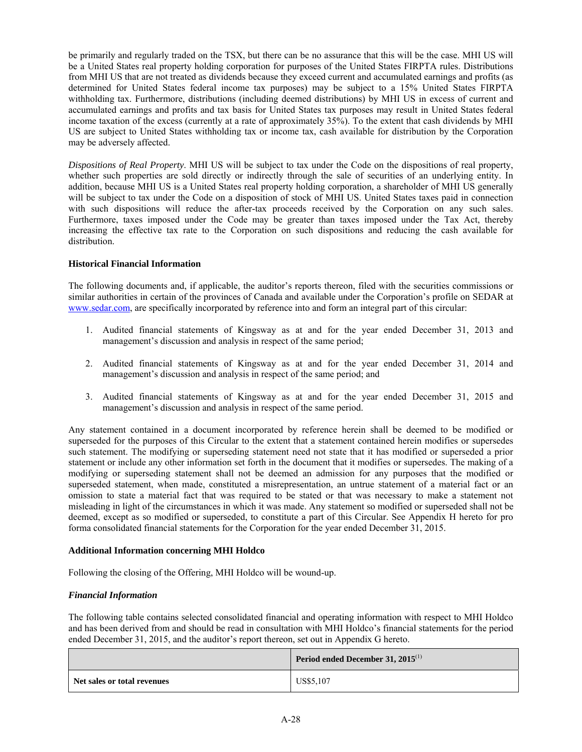be primarily and regularly traded on the TSX, but there can be no assurance that this will be the case. MHI US will be a United States real property holding corporation for purposes of the United States FIRPTA rules. Distributions from MHI US that are not treated as dividends because they exceed current and accumulated earnings and profits (as determined for United States federal income tax purposes) may be subject to a 15% United States FIRPTA withholding tax. Furthermore, distributions (including deemed distributions) by MHI US in excess of current and accumulated earnings and profits and tax basis for United States tax purposes may result in United States federal income taxation of the excess (currently at a rate of approximately 35%). To the extent that cash dividends by MHI US are subject to United States withholding tax or income tax, cash available for distribution by the Corporation may be adversely affected.

*Dispositions of Real Property*. MHI US will be subject to tax under the Code on the dispositions of real property, whether such properties are sold directly or indirectly through the sale of securities of an underlying entity. In addition, because MHI US is a United States real property holding corporation, a shareholder of MHI US generally will be subject to tax under the Code on a disposition of stock of MHI US. United States taxes paid in connection with such dispositions will reduce the after-tax proceeds received by the Corporation on any such sales. Furthermore, taxes imposed under the Code may be greater than taxes imposed under the Tax Act, thereby increasing the effective tax rate to the Corporation on such dispositions and reducing the cash available for distribution.

## **Historical Financial Information**

The following documents and, if applicable, the auditor's reports thereon, filed with the securities commissions or similar authorities in certain of the provinces of Canada and available under the Corporation's profile on SEDAR at www.sedar.com, are specifically incorporated by reference into and form an integral part of this circular:

- 1. Audited financial statements of Kingsway as at and for the year ended December 31, 2013 and management's discussion and analysis in respect of the same period;
- 2. Audited financial statements of Kingsway as at and for the year ended December 31, 2014 and management's discussion and analysis in respect of the same period; and
- 3. Audited financial statements of Kingsway as at and for the year ended December 31, 2015 and management's discussion and analysis in respect of the same period.

Any statement contained in a document incorporated by reference herein shall be deemed to be modified or superseded for the purposes of this Circular to the extent that a statement contained herein modifies or supersedes such statement. The modifying or superseding statement need not state that it has modified or superseded a prior statement or include any other information set forth in the document that it modifies or supersedes. The making of a modifying or superseding statement shall not be deemed an admission for any purposes that the modified or superseded statement, when made, constituted a misrepresentation, an untrue statement of a material fact or an omission to state a material fact that was required to be stated or that was necessary to make a statement not misleading in light of the circumstances in which it was made. Any statement so modified or superseded shall not be deemed, except as so modified or superseded, to constitute a part of this Circular. See Appendix H hereto for pro forma consolidated financial statements for the Corporation for the year ended December 31, 2015.

## **Additional Information concerning MHI Holdco**

Following the closing of the Offering, MHI Holdco will be wound-up.

## *Financial Information*

The following table contains selected consolidated financial and operating information with respect to MHI Holdco and has been derived from and should be read in consultation with MHI Holdco's financial statements for the period ended December 31, 2015, and the auditor's report thereon, set out in Appendix G hereto.

|                             | Period ended December 31, $2015$ <sup>(1)</sup> |
|-----------------------------|-------------------------------------------------|
| Net sales or total revenues | US\$5,107                                       |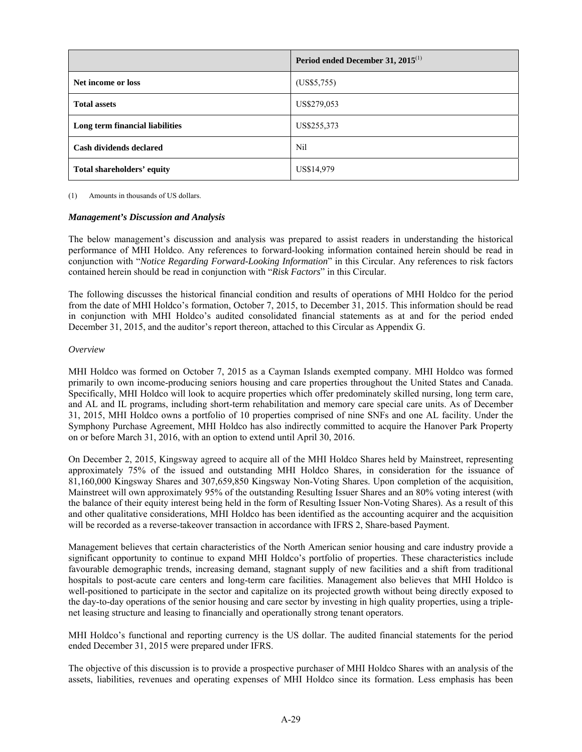|                                 | Period ended December 31, 2015 <sup>(1)</sup> |
|---------------------------------|-----------------------------------------------|
| Net income or loss              | (US\$5,755)                                   |
| <b>Total assets</b>             | US\$279,053                                   |
| Long term financial liabilities | US\$255,373                                   |
| <b>Cash dividends declared</b>  | Nil                                           |
| Total shareholders' equity      | US\$14,979                                    |

(1) Amounts in thousands of US dollars.

#### *Management's Discussion and Analysis*

The below management's discussion and analysis was prepared to assist readers in understanding the historical performance of MHI Holdco. Any references to forward-looking information contained herein should be read in conjunction with "*Notice Regarding Forward-Looking Information*" in this Circular. Any references to risk factors contained herein should be read in conjunction with "*Risk Factors*" in this Circular.

The following discusses the historical financial condition and results of operations of MHI Holdco for the period from the date of MHI Holdco's formation, October 7, 2015, to December 31, 2015. This information should be read in conjunction with MHI Holdco's audited consolidated financial statements as at and for the period ended December 31, 2015, and the auditor's report thereon, attached to this Circular as Appendix G.

## *Overview*

MHI Holdco was formed on October 7, 2015 as a Cayman Islands exempted company. MHI Holdco was formed primarily to own income-producing seniors housing and care properties throughout the United States and Canada. Specifically, MHI Holdco will look to acquire properties which offer predominately skilled nursing, long term care, and AL and IL programs, including short-term rehabilitation and memory care special care units. As of December 31, 2015, MHI Holdco owns a portfolio of 10 properties comprised of nine SNFs and one AL facility. Under the Symphony Purchase Agreement, MHI Holdco has also indirectly committed to acquire the Hanover Park Property on or before March 31, 2016, with an option to extend until April 30, 2016.

On December 2, 2015, Kingsway agreed to acquire all of the MHI Holdco Shares held by Mainstreet, representing approximately 75% of the issued and outstanding MHI Holdco Shares, in consideration for the issuance of 81,160,000 Kingsway Shares and 307,659,850 Kingsway Non-Voting Shares. Upon completion of the acquisition, Mainstreet will own approximately 95% of the outstanding Resulting Issuer Shares and an 80% voting interest (with the balance of their equity interest being held in the form of Resulting Issuer Non-Voting Shares). As a result of this and other qualitative considerations, MHI Holdco has been identified as the accounting acquirer and the acquisition will be recorded as a reverse-takeover transaction in accordance with IFRS 2, Share-based Payment.

Management believes that certain characteristics of the North American senior housing and care industry provide a significant opportunity to continue to expand MHI Holdco's portfolio of properties. These characteristics include favourable demographic trends, increasing demand, stagnant supply of new facilities and a shift from traditional hospitals to post-acute care centers and long-term care facilities. Management also believes that MHI Holdco is well-positioned to participate in the sector and capitalize on its projected growth without being directly exposed to the day-to-day operations of the senior housing and care sector by investing in high quality properties, using a triplenet leasing structure and leasing to financially and operationally strong tenant operators.

MHI Holdco's functional and reporting currency is the US dollar. The audited financial statements for the period ended December 31, 2015 were prepared under IFRS.

The objective of this discussion is to provide a prospective purchaser of MHI Holdco Shares with an analysis of the assets, liabilities, revenues and operating expenses of MHI Holdco since its formation. Less emphasis has been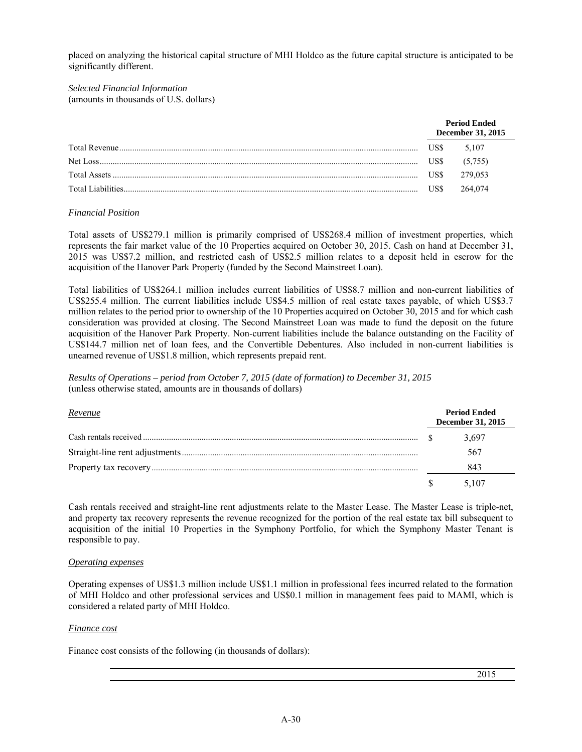placed on analyzing the historical capital structure of MHI Holdco as the future capital structure is anticipated to be significantly different.

## *Selected Financial Information*  (amounts in thousands of U.S. dollars)

|                   |      | Period Ended<br>December 31, 2015 |
|-------------------|------|-----------------------------------|
|                   | USS. | 5.107                             |
|                   |      | (5.755)                           |
|                   |      | 279.053                           |
| Total Liabilities |      | 264 074                           |

# *Financial Position*

Total assets of US\$279.1 million is primarily comprised of US\$268.4 million of investment properties, which represents the fair market value of the 10 Properties acquired on October 30, 2015. Cash on hand at December 31, 2015 was US\$7.2 million, and restricted cash of US\$2.5 million relates to a deposit held in escrow for the acquisition of the Hanover Park Property (funded by the Second Mainstreet Loan).

Total liabilities of US\$264.1 million includes current liabilities of US\$8.7 million and non-current liabilities of US\$255.4 million. The current liabilities include US\$4.5 million of real estate taxes payable, of which US\$3.7 million relates to the period prior to ownership of the 10 Properties acquired on October 30, 2015 and for which cash consideration was provided at closing. The Second Mainstreet Loan was made to fund the deposit on the future acquisition of the Hanover Park Property. Non-current liabilities include the balance outstanding on the Facility of US\$144.7 million net of loan fees, and the Convertible Debentures. Also included in non-current liabilities is unearned revenue of US\$1.8 million, which represents prepaid rent.

*Results of Operations – period from October 7, 2015 (date of formation) to December 31, 2015*  (unless otherwise stated, amounts are in thousands of dollars)

| Revenue | <b>Period Ended</b><br>December 31, 2015 |
|---------|------------------------------------------|
|         | 3.697                                    |
|         | 567                                      |
|         | 843                                      |
|         | 5 107                                    |

Cash rentals received and straight-line rent adjustments relate to the Master Lease. The Master Lease is triple-net, and property tax recovery represents the revenue recognized for the portion of the real estate tax bill subsequent to acquisition of the initial 10 Properties in the Symphony Portfolio, for which the Symphony Master Tenant is responsible to pay.

### *Operating expenses*

Operating expenses of US\$1.3 million include US\$1.1 million in professional fees incurred related to the formation of MHI Holdco and other professional services and US\$0.1 million in management fees paid to MAMI, which is considered a related party of MHI Holdco.

# *Finance cost*

Finance cost consists of the following (in thousands of dollars):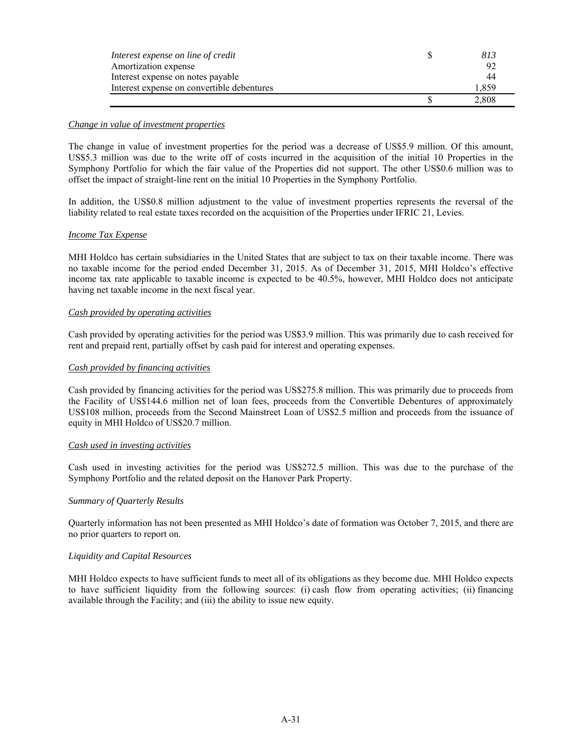| Interest expense on line of credit         | 813   |
|--------------------------------------------|-------|
| Amortization expense                       | 97    |
| Interest expense on notes payable          | 44    |
| Interest expense on convertible debentures | . 859 |
|                                            | 2.808 |

### *Change in value of investment properties*

The change in value of investment properties for the period was a decrease of US\$5.9 million. Of this amount, US\$5.3 million was due to the write off of costs incurred in the acquisition of the initial 10 Properties in the Symphony Portfolio for which the fair value of the Properties did not support. The other US\$0.6 million was to offset the impact of straight-line rent on the initial 10 Properties in the Symphony Portfolio.

In addition, the US\$0.8 million adjustment to the value of investment properties represents the reversal of the liability related to real estate taxes recorded on the acquisition of the Properties under IFRIC 21, Levies.

### *Income Tax Expense*

MHI Holdco has certain subsidiaries in the United States that are subject to tax on their taxable income. There was no taxable income for the period ended December 31, 2015. As of December 31, 2015, MHI Holdco's effective income tax rate applicable to taxable income is expected to be 40.5%, however, MHI Holdco does not anticipate having net taxable income in the next fiscal year.

### *Cash provided by operating activities*

Cash provided by operating activities for the period was US\$3.9 million. This was primarily due to cash received for rent and prepaid rent, partially offset by cash paid for interest and operating expenses.

### *Cash provided by financing activities*

Cash provided by financing activities for the period was US\$275.8 million. This was primarily due to proceeds from the Facility of US\$144.6 million net of loan fees, proceeds from the Convertible Debentures of approximately US\$108 million, proceeds from the Second Mainstreet Loan of US\$2.5 million and proceeds from the issuance of equity in MHI Holdco of US\$20.7 million.

### *Cash used in investing activities*

Cash used in investing activities for the period was US\$272.5 million. This was due to the purchase of the Symphony Portfolio and the related deposit on the Hanover Park Property.

### *Summary of Quarterly Results*

Quarterly information has not been presented as MHI Holdco's date of formation was October 7, 2015, and there are no prior quarters to report on.

### *Liquidity and Capital Resources*

MHI Holdco expects to have sufficient funds to meet all of its obligations as they become due. MHI Holdco expects to have sufficient liquidity from the following sources: (i) cash flow from operating activities; (ii) financing available through the Facility; and (iii) the ability to issue new equity.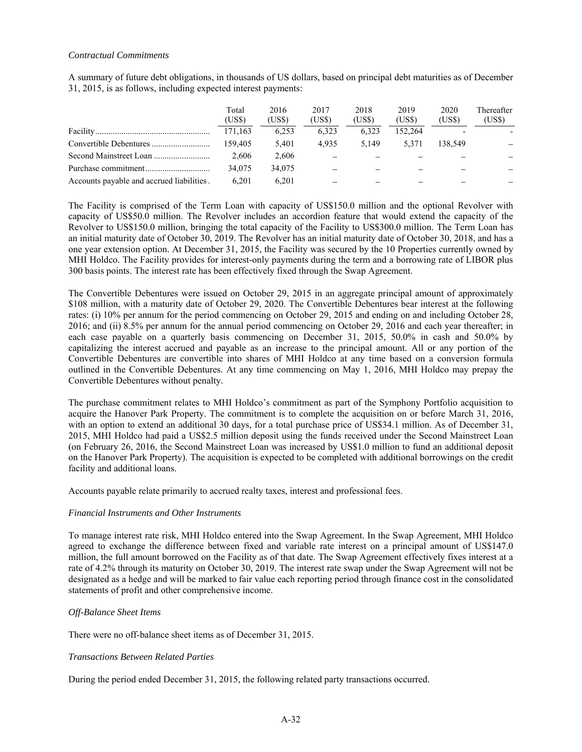### *Contractual Commitments*

A summary of future debt obligations, in thousands of US dollars, based on principal debt maturities as of December 31, 2015, is as follows, including expected interest payments:

|                                           | Total<br>(US\$) | 2016<br>(US\$) | 2017<br>(US\$) | 2018<br>(US\$) | 2019<br>(USS) | 2020<br>(US\$) | Thereafter<br>(US\$) |
|-------------------------------------------|-----------------|----------------|----------------|----------------|---------------|----------------|----------------------|
|                                           | 171,163         | 6.253          | 6.323          | 6.323          | 152.264       |                |                      |
|                                           | 159.405         | 5.401          | 4.935          | 5.149          | 5.371         | 138.549        |                      |
|                                           | 2,606           | 2,606          |                |                |               |                |                      |
|                                           | 34,075          | 34,075         |                |                |               |                |                      |
| Accounts payable and accrued liabilities. | 6.201           | 6.201          |                |                |               |                |                      |

The Facility is comprised of the Term Loan with capacity of US\$150.0 million and the optional Revolver with capacity of US\$50.0 million. The Revolver includes an accordion feature that would extend the capacity of the Revolver to US\$150.0 million, bringing the total capacity of the Facility to US\$300.0 million. The Term Loan has an initial maturity date of October 30, 2019. The Revolver has an initial maturity date of October 30, 2018, and has a one year extension option. At December 31, 2015, the Facility was secured by the 10 Properties currently owned by MHI Holdco. The Facility provides for interest-only payments during the term and a borrowing rate of LIBOR plus 300 basis points. The interest rate has been effectively fixed through the Swap Agreement.

The Convertible Debentures were issued on October 29, 2015 in an aggregate principal amount of approximately \$108 million, with a maturity date of October 29, 2020. The Convertible Debentures bear interest at the following rates: (i) 10% per annum for the period commencing on October 29, 2015 and ending on and including October 28, 2016; and (ii) 8.5% per annum for the annual period commencing on October 29, 2016 and each year thereafter; in each case payable on a quarterly basis commencing on December 31, 2015, 50.0% in cash and 50.0% by capitalizing the interest accrued and payable as an increase to the principal amount. All or any portion of the Convertible Debentures are convertible into shares of MHI Holdco at any time based on a conversion formula outlined in the Convertible Debentures. At any time commencing on May 1, 2016, MHI Holdco may prepay the Convertible Debentures without penalty.

The purchase commitment relates to MHI Holdco's commitment as part of the Symphony Portfolio acquisition to acquire the Hanover Park Property. The commitment is to complete the acquisition on or before March 31, 2016, with an option to extend an additional 30 days, for a total purchase price of US\$34.1 million. As of December 31, 2015, MHI Holdco had paid a US\$2.5 million deposit using the funds received under the Second Mainstreet Loan (on February 26, 2016, the Second Mainstreet Loan was increased by US\$1.0 million to fund an additional deposit on the Hanover Park Property). The acquisition is expected to be completed with additional borrowings on the credit facility and additional loans.

Accounts payable relate primarily to accrued realty taxes, interest and professional fees.

# *Financial Instruments and Other Instruments*

To manage interest rate risk, MHI Holdco entered into the Swap Agreement. In the Swap Agreement, MHI Holdco agreed to exchange the difference between fixed and variable rate interest on a principal amount of US\$147.0 million, the full amount borrowed on the Facility as of that date. The Swap Agreement effectively fixes interest at a rate of 4.2% through its maturity on October 30, 2019. The interest rate swap under the Swap Agreement will not be designated as a hedge and will be marked to fair value each reporting period through finance cost in the consolidated statements of profit and other comprehensive income.

# *Off-Balance Sheet Items*

There were no off-balance sheet items as of December 31, 2015.

### *Transactions Between Related Parties*

During the period ended December 31, 2015, the following related party transactions occurred.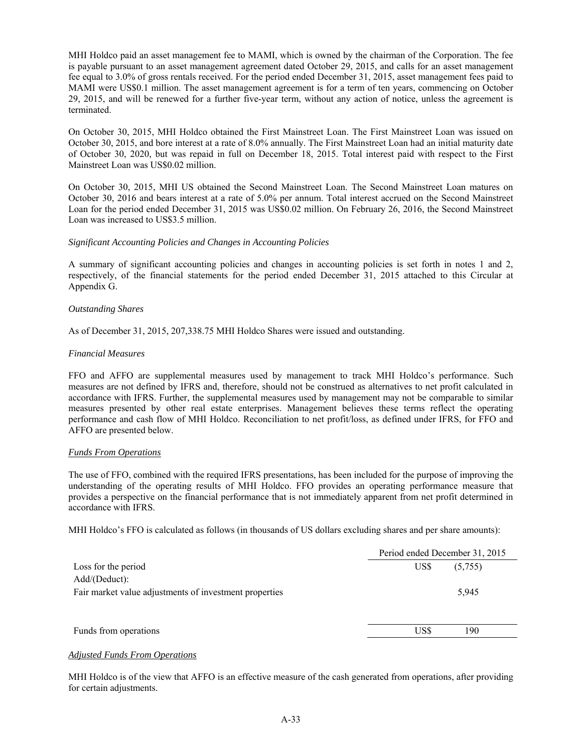MHI Holdco paid an asset management fee to MAMI, which is owned by the chairman of the Corporation. The fee is payable pursuant to an asset management agreement dated October 29, 2015, and calls for an asset management fee equal to 3.0% of gross rentals received. For the period ended December 31, 2015, asset management fees paid to MAMI were US\$0.1 million. The asset management agreement is for a term of ten years, commencing on October 29, 2015, and will be renewed for a further five-year term, without any action of notice, unless the agreement is terminated.

On October 30, 2015, MHI Holdco obtained the First Mainstreet Loan. The First Mainstreet Loan was issued on October 30, 2015, and bore interest at a rate of 8.0% annually. The First Mainstreet Loan had an initial maturity date of October 30, 2020, but was repaid in full on December 18, 2015. Total interest paid with respect to the First Mainstreet Loan was US\$0.02 million.

On October 30, 2015, MHI US obtained the Second Mainstreet Loan. The Second Mainstreet Loan matures on October 30, 2016 and bears interest at a rate of 5.0% per annum. Total interest accrued on the Second Mainstreet Loan for the period ended December 31, 2015 was US\$0.02 million. On February 26, 2016, the Second Mainstreet Loan was increased to US\$3.5 million.

# *Significant Accounting Policies and Changes in Accounting Policies*

A summary of significant accounting policies and changes in accounting policies is set forth in notes 1 and 2, respectively, of the financial statements for the period ended December 31, 2015 attached to this Circular at Appendix G.

### *Outstanding Shares*

As of December 31, 2015, 207,338.75 MHI Holdco Shares were issued and outstanding.

### *Financial Measures*

FFO and AFFO are supplemental measures used by management to track MHI Holdco's performance. Such measures are not defined by IFRS and, therefore, should not be construed as alternatives to net profit calculated in accordance with IFRS. Further, the supplemental measures used by management may not be comparable to similar measures presented by other real estate enterprises. Management believes these terms reflect the operating performance and cash flow of MHI Holdco. Reconciliation to net profit/loss, as defined under IFRS, for FFO and AFFO are presented below.

### *Funds From Operations*

The use of FFO, combined with the required IFRS presentations, has been included for the purpose of improving the understanding of the operating results of MHI Holdco. FFO provides an operating performance measure that provides a perspective on the financial performance that is not immediately apparent from net profit determined in accordance with IFRS.

MHI Holdco's FFO is calculated as follows (in thousands of US dollars excluding shares and per share amounts):

|                                                        | Period ended December 31, 2015 |         |  |
|--------------------------------------------------------|--------------------------------|---------|--|
| Loss for the period                                    | US\$                           | (5,755) |  |
| Add/(Deduct):                                          |                                |         |  |
| Fair market value adjustments of investment properties |                                | 5,945   |  |
|                                                        |                                |         |  |
|                                                        |                                |         |  |
| Funds from operations                                  | US\$                           | 190     |  |

### *Adjusted Funds From Operations*

MHI Holdco is of the view that AFFO is an effective measure of the cash generated from operations, after providing for certain adjustments.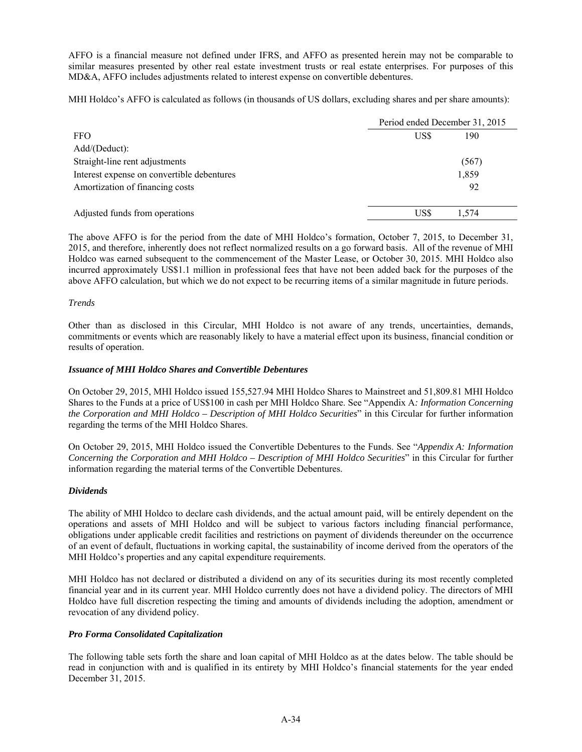AFFO is a financial measure not defined under IFRS, and AFFO as presented herein may not be comparable to similar measures presented by other real estate investment trusts or real estate enterprises. For purposes of this MD&A, AFFO includes adjustments related to interest expense on convertible debentures.

MHI Holdco's AFFO is calculated as follows (in thousands of US dollars, excluding shares and per share amounts):

| Period ended December 31, 2015             |               |  |
|--------------------------------------------|---------------|--|
| <b>FFO</b>                                 | US\$<br>190   |  |
| $Add/(\text{Deduct})$ :                    |               |  |
| Straight-line rent adjustments             | (567)         |  |
| Interest expense on convertible debentures | 1,859         |  |
| Amortization of financing costs            | 92            |  |
|                                            |               |  |
| Adjusted funds from operations             | US\$<br>1.574 |  |

The above AFFO is for the period from the date of MHI Holdco's formation, October 7, 2015, to December 31, 2015, and therefore, inherently does not reflect normalized results on a go forward basis. All of the revenue of MHI Holdco was earned subsequent to the commencement of the Master Lease, or October 30, 2015. MHI Holdco also incurred approximately US\$1.1 million in professional fees that have not been added back for the purposes of the above AFFO calculation, but which we do not expect to be recurring items of a similar magnitude in future periods.

*Trends* 

Other than as disclosed in this Circular, MHI Holdco is not aware of any trends, uncertainties, demands, commitments or events which are reasonably likely to have a material effect upon its business, financial condition or results of operation.

### *Issuance of MHI Holdco Shares and Convertible Debentures*

On October 29, 2015, MHI Holdco issued 155,527.94 MHI Holdco Shares to Mainstreet and 51,809.81 MHI Holdco Shares to the Funds at a price of US\$100 in cash per MHI Holdco Share. See "Appendix A*: Information Concerning the Corporation and MHI Holdco – Description of MHI Holdco Securities*" in this Circular for further information regarding the terms of the MHI Holdco Shares.

On October 29, 2015, MHI Holdco issued the Convertible Debentures to the Funds. See "*Appendix A: Information Concerning the Corporation and MHI Holdco – Description of MHI Holdco Securities*" in this Circular for further information regarding the material terms of the Convertible Debentures.

# *Dividends*

The ability of MHI Holdco to declare cash dividends, and the actual amount paid, will be entirely dependent on the operations and assets of MHI Holdco and will be subject to various factors including financial performance, obligations under applicable credit facilities and restrictions on payment of dividends thereunder on the occurrence of an event of default, fluctuations in working capital, the sustainability of income derived from the operators of the MHI Holdco's properties and any capital expenditure requirements.

MHI Holdco has not declared or distributed a dividend on any of its securities during its most recently completed financial year and in its current year. MHI Holdco currently does not have a dividend policy. The directors of MHI Holdco have full discretion respecting the timing and amounts of dividends including the adoption, amendment or revocation of any dividend policy.

# *Pro Forma Consolidated Capitalization*

The following table sets forth the share and loan capital of MHI Holdco as at the dates below. The table should be read in conjunction with and is qualified in its entirety by MHI Holdco's financial statements for the year ended December 31, 2015.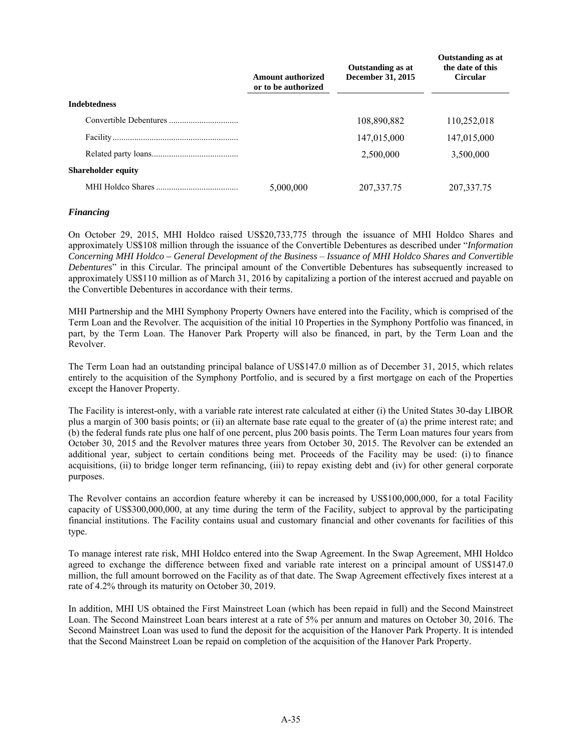|                           | <b>Amount authorized</b><br>or to be authorized | <b>Outstanding as at</b><br>December 31, 2015 | <b>Outstanding as at</b><br>the date of this<br><b>Circular</b> |
|---------------------------|-------------------------------------------------|-----------------------------------------------|-----------------------------------------------------------------|
| <b>Indebtedness</b>       |                                                 |                                               |                                                                 |
|                           |                                                 | 108,890,882                                   | 110,252,018                                                     |
|                           |                                                 | 147,015,000                                   | 147,015,000                                                     |
|                           |                                                 | 2,500,000                                     | 3,500,000                                                       |
| <b>Shareholder equity</b> |                                                 |                                               |                                                                 |
|                           | 5,000,000                                       | 207, 337. 75                                  | 207, 337. 75                                                    |

### *Financing*

On October 29, 2015, MHI Holdco raised US\$20,733,775 through the issuance of MHI Holdco Shares and approximately US\$108 million through the issuance of the Convertible Debentures as described under "*Information Concerning MHI Holdco – General Development of the Business* – *Issuance of MHI Holdco Shares and Convertible Debentures*" in this Circular. The principal amount of the Convertible Debentures has subsequently increased to approximately US\$110 million as of March 31, 2016 by capitalizing a portion of the interest accrued and payable on the Convertible Debentures in accordance with their terms.

MHI Partnership and the MHI Symphony Property Owners have entered into the Facility, which is comprised of the Term Loan and the Revolver. The acquisition of the initial 10 Properties in the Symphony Portfolio was financed, in part, by the Term Loan. The Hanover Park Property will also be financed, in part, by the Term Loan and the Revolver.

The Term Loan had an outstanding principal balance of US\$147.0 million as of December 31, 2015, which relates entirely to the acquisition of the Symphony Portfolio, and is secured by a first mortgage on each of the Properties except the Hanover Property.

The Facility is interest-only, with a variable rate interest rate calculated at either (i) the United States 30-day LIBOR plus a margin of 300 basis points; or (ii) an alternate base rate equal to the greater of (a) the prime interest rate; and (b) the federal funds rate plus one half of one percent, plus 200 basis points. The Term Loan matures four years from October 30, 2015 and the Revolver matures three years from October 30, 2015. The Revolver can be extended an additional year, subject to certain conditions being met. Proceeds of the Facility may be used: (i) to finance acquisitions, (ii) to bridge longer term refinancing, (iii) to repay existing debt and (iv) for other general corporate purposes.

The Revolver contains an accordion feature whereby it can be increased by US\$100,000,000, for a total Facility capacity of US\$300,000,000, at any time during the term of the Facility, subject to approval by the participating financial institutions. The Facility contains usual and customary financial and other covenants for facilities of this type.

To manage interest rate risk, MHI Holdco entered into the Swap Agreement. In the Swap Agreement, MHI Holdco agreed to exchange the difference between fixed and variable rate interest on a principal amount of US\$147.0 million, the full amount borrowed on the Facility as of that date. The Swap Agreement effectively fixes interest at a rate of 4.2% through its maturity on October 30, 2019.

In addition, MHI US obtained the First Mainstreet Loan (which has been repaid in full) and the Second Mainstreet Loan. The Second Mainstreet Loan bears interest at a rate of 5% per annum and matures on October 30, 2016. The Second Mainstreet Loan was used to fund the deposit for the acquisition of the Hanover Park Property. It is intended that the Second Mainstreet Loan be repaid on completion of the acquisition of the Hanover Park Property.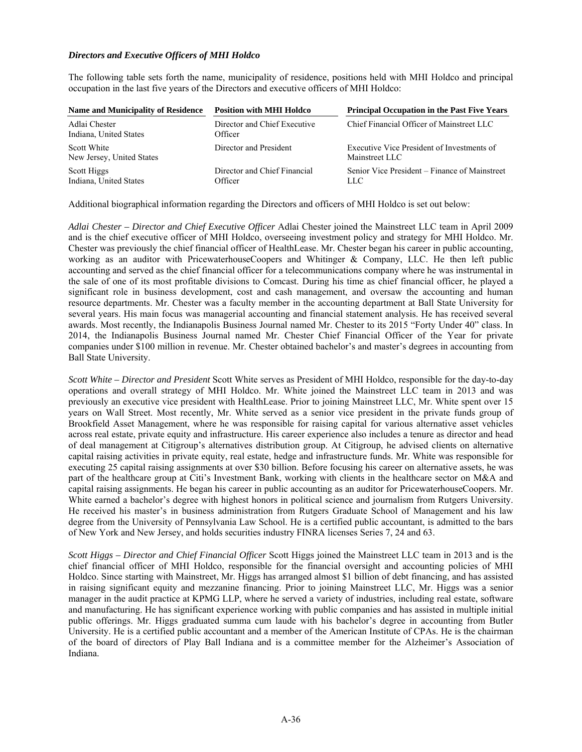## *Directors and Executive Officers of MHI Holdco*

The following table sets forth the name, municipality of residence, positions held with MHI Holdco and principal occupation in the last five years of the Directors and executive officers of MHI Holdco:

| <b>Name and Municipality of Residence</b> | <b>Position with MHI Holdco</b>         | <b>Principal Occupation in the Past Five Years</b>           |
|-------------------------------------------|-----------------------------------------|--------------------------------------------------------------|
| Adlai Chester<br>Indiana, United States   | Director and Chief Executive<br>Officer | Chief Financial Officer of Mainstreet LLC                    |
| Scott White<br>New Jersey, United States  | Director and President                  | Executive Vice President of Investments of<br>Mainstreet LLC |
| Scott Higgs<br>Indiana, United States     | Director and Chief Financial<br>Officer | Senior Vice President – Finance of Mainstreet<br>LLC         |

Additional biographical information regarding the Directors and officers of MHI Holdco is set out below:

*Adlai Chester – Director and Chief Executive Officer* Adlai Chester joined the Mainstreet LLC team in April 2009 and is the chief executive officer of MHI Holdco, overseeing investment policy and strategy for MHI Holdco. Mr. Chester was previously the chief financial officer of HealthLease. Mr. Chester began his career in public accounting, working as an auditor with PricewaterhouseCoopers and Whitinger & Company, LLC. He then left public accounting and served as the chief financial officer for a telecommunications company where he was instrumental in the sale of one of its most profitable divisions to Comcast. During his time as chief financial officer, he played a significant role in business development, cost and cash management, and oversaw the accounting and human resource departments. Mr. Chester was a faculty member in the accounting department at Ball State University for several years. His main focus was managerial accounting and financial statement analysis. He has received several awards. Most recently, the Indianapolis Business Journal named Mr. Chester to its 2015 "Forty Under 40" class. In 2014, the Indianapolis Business Journal named Mr. Chester Chief Financial Officer of the Year for private companies under \$100 million in revenue. Mr. Chester obtained bachelor's and master's degrees in accounting from Ball State University.

*Scott White – Director and President* Scott White serves as President of MHI Holdco, responsible for the day-to-day operations and overall strategy of MHI Holdco. Mr. White joined the Mainstreet LLC team in 2013 and was previously an executive vice president with HealthLease. Prior to joining Mainstreet LLC, Mr. White spent over 15 years on Wall Street. Most recently, Mr. White served as a senior vice president in the private funds group of Brookfield Asset Management, where he was responsible for raising capital for various alternative asset vehicles across real estate, private equity and infrastructure. His career experience also includes a tenure as director and head of deal management at Citigroup's alternatives distribution group. At Citigroup, he advised clients on alternative capital raising activities in private equity, real estate, hedge and infrastructure funds. Mr. White was responsible for executing 25 capital raising assignments at over \$30 billion. Before focusing his career on alternative assets, he was part of the healthcare group at Citi's Investment Bank, working with clients in the healthcare sector on M&A and capital raising assignments. He began his career in public accounting as an auditor for PricewaterhouseCoopers. Mr. White earned a bachelor's degree with highest honors in political science and journalism from Rutgers University. He received his master's in business administration from Rutgers Graduate School of Management and his law degree from the University of Pennsylvania Law School. He is a certified public accountant, is admitted to the bars of New York and New Jersey, and holds securities industry FINRA licenses Series 7, 24 and 63.

*Scott Higgs – Director and Chief Financial Officer* Scott Higgs joined the Mainstreet LLC team in 2013 and is the chief financial officer of MHI Holdco, responsible for the financial oversight and accounting policies of MHI Holdco. Since starting with Mainstreet, Mr. Higgs has arranged almost \$1 billion of debt financing, and has assisted in raising significant equity and mezzanine financing. Prior to joining Mainstreet LLC, Mr. Higgs was a senior manager in the audit practice at KPMG LLP, where he served a variety of industries, including real estate, software and manufacturing. He has significant experience working with public companies and has assisted in multiple initial public offerings. Mr. Higgs graduated summa cum laude with his bachelor's degree in accounting from Butler University. He is a certified public accountant and a member of the American Institute of CPAs. He is the chairman of the board of directors of Play Ball Indiana and is a committee member for the Alzheimer's Association of Indiana.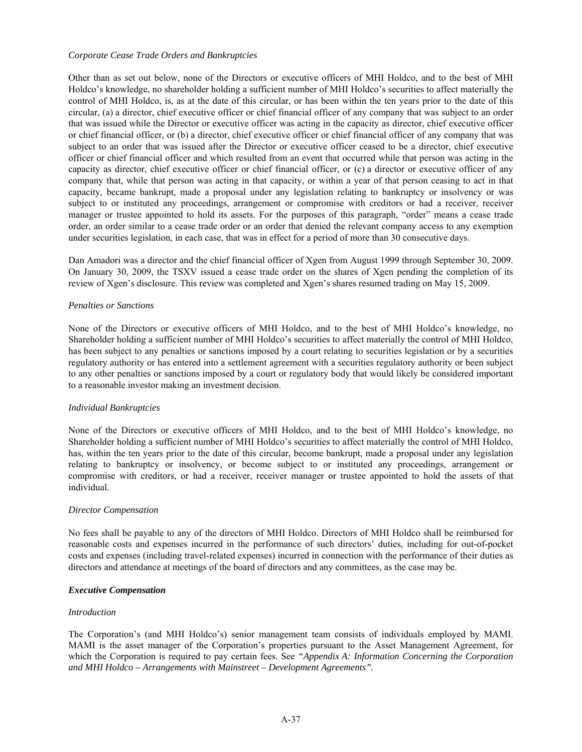## *Corporate Cease Trade Orders and Bankruptcies*

Other than as set out below, none of the Directors or executive officers of MHI Holdco, and to the best of MHI Holdco's knowledge, no shareholder holding a sufficient number of MHI Holdco's securities to affect materially the control of MHI Holdco, is, as at the date of this circular, or has been within the ten years prior to the date of this circular, (a) a director, chief executive officer or chief financial officer of any company that was subject to an order that was issued while the Director or executive officer was acting in the capacity as director, chief executive officer or chief financial officer, or (b) a director, chief executive officer or chief financial officer of any company that was subject to an order that was issued after the Director or executive officer ceased to be a director, chief executive officer or chief financial officer and which resulted from an event that occurred while that person was acting in the capacity as director, chief executive officer or chief financial officer, or (c) a director or executive officer of any company that, while that person was acting in that capacity, or within a year of that person ceasing to act in that capacity, became bankrupt, made a proposal under any legislation relating to bankruptcy or insolvency or was subject to or instituted any proceedings, arrangement or compromise with creditors or had a receiver, receiver manager or trustee appointed to hold its assets. For the purposes of this paragraph, "order" means a cease trade order, an order similar to a cease trade order or an order that denied the relevant company access to any exemption under securities legislation, in each case, that was in effect for a period of more than 30 consecutive days.

Dan Amadori was a director and the chief financial officer of Xgen from August 1999 through September 30, 2009. On January 30, 2009, the TSXV issued a cease trade order on the shares of Xgen pending the completion of its review of Xgen's disclosure. This review was completed and Xgen's shares resumed trading on May 15, 2009.

### *Penalties or Sanctions*

None of the Directors or executive officers of MHI Holdco, and to the best of MHI Holdco's knowledge, no Shareholder holding a sufficient number of MHI Holdco's securities to affect materially the control of MHI Holdco, has been subject to any penalties or sanctions imposed by a court relating to securities legislation or by a securities regulatory authority or has entered into a settlement agreement with a securities regulatory authority or been subject to any other penalties or sanctions imposed by a court or regulatory body that would likely be considered important to a reasonable investor making an investment decision.

### *Individual Bankruptcies*

None of the Directors or executive officers of MHI Holdco, and to the best of MHI Holdco's knowledge, no Shareholder holding a sufficient number of MHI Holdco's securities to affect materially the control of MHI Holdco, has, within the ten years prior to the date of this circular, become bankrupt, made a proposal under any legislation relating to bankruptcy or insolvency, or become subject to or instituted any proceedings, arrangement or compromise with creditors, or had a receiver, receiver manager or trustee appointed to hold the assets of that individual.

### *Director Compensation*

No fees shall be payable to any of the directors of MHI Holdco. Directors of MHI Holdco shall be reimbursed for reasonable costs and expenses incurred in the performance of such directors' duties, including for out-of-pocket costs and expenses (including travel-related expenses) incurred in connection with the performance of their duties as directors and attendance at meetings of the board of directors and any committees, as the case may be.

# *Executive Compensation*

### *Introduction*

The Corporation's (and MHI Holdco's) senior management team consists of individuals employed by MAMI. MAMI is the asset manager of the Corporation's properties pursuant to the Asset Management Agreement, for which the Corporation is required to pay certain fees. See *"Appendix A: Information Concerning the Corporation and MHI Holdco – Arrangements with Mainstreet – Development Agreements".*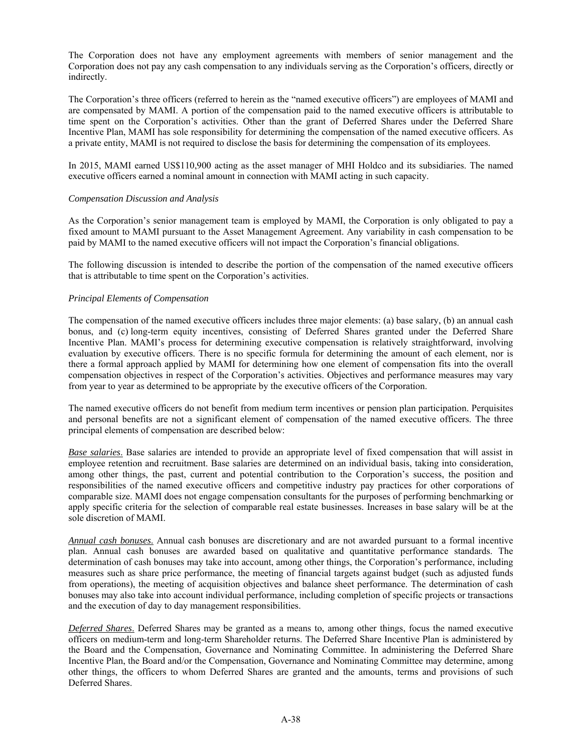The Corporation does not have any employment agreements with members of senior management and the Corporation does not pay any cash compensation to any individuals serving as the Corporation's officers, directly or indirectly.

The Corporation's three officers (referred to herein as the "named executive officers") are employees of MAMI and are compensated by MAMI. A portion of the compensation paid to the named executive officers is attributable to time spent on the Corporation's activities. Other than the grant of Deferred Shares under the Deferred Share Incentive Plan, MAMI has sole responsibility for determining the compensation of the named executive officers. As a private entity, MAMI is not required to disclose the basis for determining the compensation of its employees.

In 2015, MAMI earned US\$110,900 acting as the asset manager of MHI Holdco and its subsidiaries. The named executive officers earned a nominal amount in connection with MAMI acting in such capacity.

### *Compensation Discussion and Analysis*

As the Corporation's senior management team is employed by MAMI, the Corporation is only obligated to pay a fixed amount to MAMI pursuant to the Asset Management Agreement. Any variability in cash compensation to be paid by MAMI to the named executive officers will not impact the Corporation's financial obligations.

The following discussion is intended to describe the portion of the compensation of the named executive officers that is attributable to time spent on the Corporation's activities.

### *Principal Elements of Compensation*

The compensation of the named executive officers includes three major elements: (a) base salary, (b) an annual cash bonus, and (c) long-term equity incentives, consisting of Deferred Shares granted under the Deferred Share Incentive Plan. MAMI's process for determining executive compensation is relatively straightforward, involving evaluation by executive officers. There is no specific formula for determining the amount of each element, nor is there a formal approach applied by MAMI for determining how one element of compensation fits into the overall compensation objectives in respect of the Corporation's activities. Objectives and performance measures may vary from year to year as determined to be appropriate by the executive officers of the Corporation.

The named executive officers do not benefit from medium term incentives or pension plan participation. Perquisites and personal benefits are not a significant element of compensation of the named executive officers. The three principal elements of compensation are described below:

*Base salaries*. Base salaries are intended to provide an appropriate level of fixed compensation that will assist in employee retention and recruitment. Base salaries are determined on an individual basis, taking into consideration, among other things, the past, current and potential contribution to the Corporation's success, the position and responsibilities of the named executive officers and competitive industry pay practices for other corporations of comparable size. MAMI does not engage compensation consultants for the purposes of performing benchmarking or apply specific criteria for the selection of comparable real estate businesses. Increases in base salary will be at the sole discretion of MAMI.

*Annual cash bonuses*. Annual cash bonuses are discretionary and are not awarded pursuant to a formal incentive plan. Annual cash bonuses are awarded based on qualitative and quantitative performance standards. The determination of cash bonuses may take into account, among other things, the Corporation's performance, including measures such as share price performance, the meeting of financial targets against budget (such as adjusted funds from operations), the meeting of acquisition objectives and balance sheet performance. The determination of cash bonuses may also take into account individual performance, including completion of specific projects or transactions and the execution of day to day management responsibilities.

*Deferred Shares*. Deferred Shares may be granted as a means to, among other things, focus the named executive officers on medium-term and long-term Shareholder returns. The Deferred Share Incentive Plan is administered by the Board and the Compensation, Governance and Nominating Committee. In administering the Deferred Share Incentive Plan, the Board and/or the Compensation, Governance and Nominating Committee may determine, among other things, the officers to whom Deferred Shares are granted and the amounts, terms and provisions of such Deferred Shares.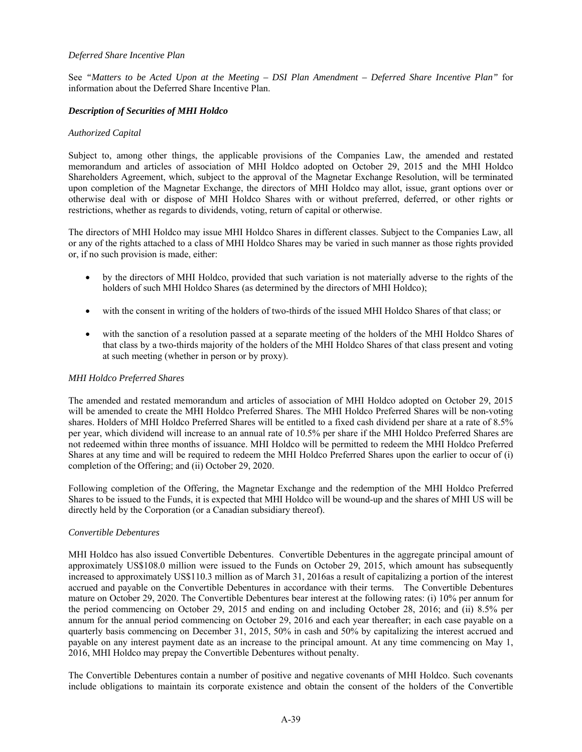## *Deferred Share Incentive Plan*

See *"Matters to be Acted Upon at the Meeting – DSI Plan Amendment – Deferred Share Incentive Plan"* for information about the Deferred Share Incentive Plan.

### *Description of Securities of MHI Holdco*

### *Authorized Capital*

Subject to, among other things, the applicable provisions of the Companies Law, the amended and restated memorandum and articles of association of MHI Holdco adopted on October 29, 2015 and the MHI Holdco Shareholders Agreement, which, subject to the approval of the Magnetar Exchange Resolution, will be terminated upon completion of the Magnetar Exchange, the directors of MHI Holdco may allot, issue, grant options over or otherwise deal with or dispose of MHI Holdco Shares with or without preferred, deferred, or other rights or restrictions, whether as regards to dividends, voting, return of capital or otherwise.

The directors of MHI Holdco may issue MHI Holdco Shares in different classes. Subject to the Companies Law, all or any of the rights attached to a class of MHI Holdco Shares may be varied in such manner as those rights provided or, if no such provision is made, either:

- by the directors of MHI Holdco, provided that such variation is not materially adverse to the rights of the holders of such MHI Holdco Shares (as determined by the directors of MHI Holdco);
- with the consent in writing of the holders of two-thirds of the issued MHI Holdco Shares of that class; or
- with the sanction of a resolution passed at a separate meeting of the holders of the MHI Holdco Shares of that class by a two-thirds majority of the holders of the MHI Holdco Shares of that class present and voting at such meeting (whether in person or by proxy).

### *MHI Holdco Preferred Shares*

The amended and restated memorandum and articles of association of MHI Holdco adopted on October 29, 2015 will be amended to create the MHI Holdco Preferred Shares. The MHI Holdco Preferred Shares will be non-voting shares. Holders of MHI Holdco Preferred Shares will be entitled to a fixed cash dividend per share at a rate of 8.5% per year, which dividend will increase to an annual rate of 10.5% per share if the MHI Holdco Preferred Shares are not redeemed within three months of issuance. MHI Holdco will be permitted to redeem the MHI Holdco Preferred Shares at any time and will be required to redeem the MHI Holdco Preferred Shares upon the earlier to occur of (i) completion of the Offering; and (ii) October 29, 2020.

Following completion of the Offering, the Magnetar Exchange and the redemption of the MHI Holdco Preferred Shares to be issued to the Funds, it is expected that MHI Holdco will be wound-up and the shares of MHI US will be directly held by the Corporation (or a Canadian subsidiary thereof).

### *Convertible Debentures*

MHI Holdco has also issued Convertible Debentures. Convertible Debentures in the aggregate principal amount of approximately US\$108.0 million were issued to the Funds on October 29, 2015, which amount has subsequently increased to approximately US\$110.3 million as of March 31, 2016as a result of capitalizing a portion of the interest accrued and payable on the Convertible Debentures in accordance with their terms. The Convertible Debentures mature on October 29, 2020. The Convertible Debentures bear interest at the following rates: (i) 10% per annum for the period commencing on October 29, 2015 and ending on and including October 28, 2016; and (ii) 8.5% per annum for the annual period commencing on October 29, 2016 and each year thereafter; in each case payable on a quarterly basis commencing on December 31, 2015, 50% in cash and 50% by capitalizing the interest accrued and payable on any interest payment date as an increase to the principal amount. At any time commencing on May 1, 2016, MHI Holdco may prepay the Convertible Debentures without penalty.

The Convertible Debentures contain a number of positive and negative covenants of MHI Holdco. Such covenants include obligations to maintain its corporate existence and obtain the consent of the holders of the Convertible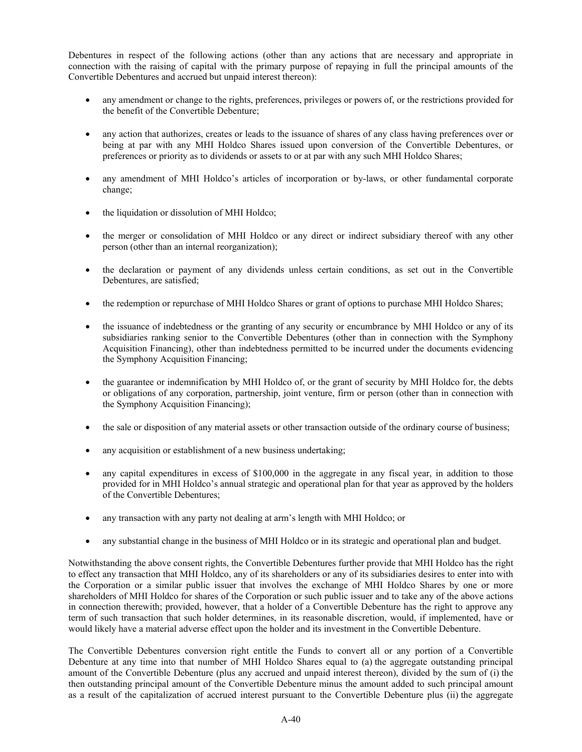Debentures in respect of the following actions (other than any actions that are necessary and appropriate in connection with the raising of capital with the primary purpose of repaying in full the principal amounts of the Convertible Debentures and accrued but unpaid interest thereon):

- any amendment or change to the rights, preferences, privileges or powers of, or the restrictions provided for the benefit of the Convertible Debenture;
- any action that authorizes, creates or leads to the issuance of shares of any class having preferences over or being at par with any MHI Holdco Shares issued upon conversion of the Convertible Debentures, or preferences or priority as to dividends or assets to or at par with any such MHI Holdco Shares;
- any amendment of MHI Holdco's articles of incorporation or by-laws, or other fundamental corporate change;
- the liquidation or dissolution of MHI Holdco;
- the merger or consolidation of MHI Holdco or any direct or indirect subsidiary thereof with any other person (other than an internal reorganization);
- the declaration or payment of any dividends unless certain conditions, as set out in the Convertible Debentures, are satisfied;
- the redemption or repurchase of MHI Holdco Shares or grant of options to purchase MHI Holdco Shares;
- the issuance of indebtedness or the granting of any security or encumbrance by MHI Holdco or any of its subsidiaries ranking senior to the Convertible Debentures (other than in connection with the Symphony Acquisition Financing), other than indebtedness permitted to be incurred under the documents evidencing the Symphony Acquisition Financing;
- the guarantee or indemnification by MHI Holdco of, or the grant of security by MHI Holdco for, the debts or obligations of any corporation, partnership, joint venture, firm or person (other than in connection with the Symphony Acquisition Financing);
- the sale or disposition of any material assets or other transaction outside of the ordinary course of business;
- any acquisition or establishment of a new business undertaking;
- any capital expenditures in excess of \$100,000 in the aggregate in any fiscal year, in addition to those provided for in MHI Holdco's annual strategic and operational plan for that year as approved by the holders of the Convertible Debentures;
- any transaction with any party not dealing at arm's length with MHI Holdco; or
- any substantial change in the business of MHI Holdco or in its strategic and operational plan and budget.

Notwithstanding the above consent rights, the Convertible Debentures further provide that MHI Holdco has the right to effect any transaction that MHI Holdco, any of its shareholders or any of its subsidiaries desires to enter into with the Corporation or a similar public issuer that involves the exchange of MHI Holdco Shares by one or more shareholders of MHI Holdco for shares of the Corporation or such public issuer and to take any of the above actions in connection therewith; provided, however, that a holder of a Convertible Debenture has the right to approve any term of such transaction that such holder determines, in its reasonable discretion, would, if implemented, have or would likely have a material adverse effect upon the holder and its investment in the Convertible Debenture.

The Convertible Debentures conversion right entitle the Funds to convert all or any portion of a Convertible Debenture at any time into that number of MHI Holdco Shares equal to (a) the aggregate outstanding principal amount of the Convertible Debenture (plus any accrued and unpaid interest thereon), divided by the sum of (i) the then outstanding principal amount of the Convertible Debenture minus the amount added to such principal amount as a result of the capitalization of accrued interest pursuant to the Convertible Debenture plus (ii) the aggregate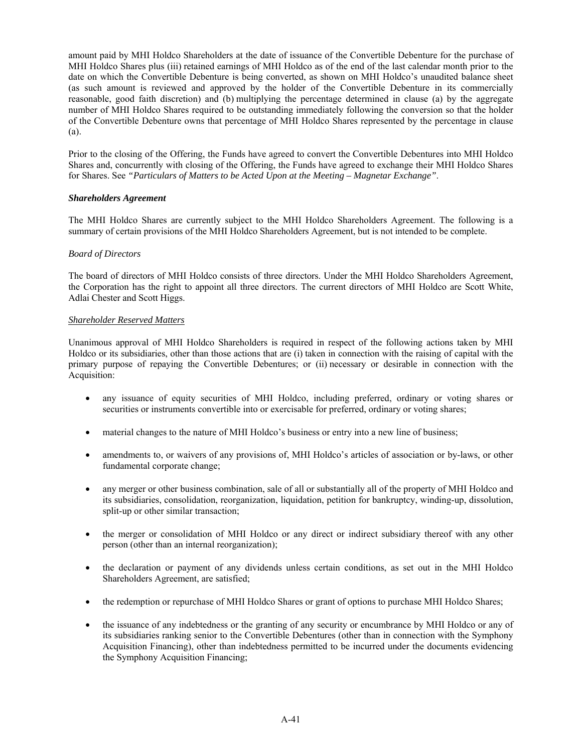amount paid by MHI Holdco Shareholders at the date of issuance of the Convertible Debenture for the purchase of MHI Holdco Shares plus (iii) retained earnings of MHI Holdco as of the end of the last calendar month prior to the date on which the Convertible Debenture is being converted, as shown on MHI Holdco's unaudited balance sheet (as such amount is reviewed and approved by the holder of the Convertible Debenture in its commercially reasonable, good faith discretion) and (b) multiplying the percentage determined in clause (a) by the aggregate number of MHI Holdco Shares required to be outstanding immediately following the conversion so that the holder of the Convertible Debenture owns that percentage of MHI Holdco Shares represented by the percentage in clause (a).

Prior to the closing of the Offering, the Funds have agreed to convert the Convertible Debentures into MHI Holdco Shares and, concurrently with closing of the Offering, the Funds have agreed to exchange their MHI Holdco Shares for Shares. See *"Particulars of Matters to be Acted Upon at the Meeting – Magnetar Exchange"*.

### *Shareholders Agreement*

The MHI Holdco Shares are currently subject to the MHI Holdco Shareholders Agreement. The following is a summary of certain provisions of the MHI Holdco Shareholders Agreement, but is not intended to be complete.

### *Board of Directors*

The board of directors of MHI Holdco consists of three directors. Under the MHI Holdco Shareholders Agreement, the Corporation has the right to appoint all three directors. The current directors of MHI Holdco are Scott White, Adlai Chester and Scott Higgs.

### *Shareholder Reserved Matters*

Unanimous approval of MHI Holdco Shareholders is required in respect of the following actions taken by MHI Holdco or its subsidiaries, other than those actions that are (i) taken in connection with the raising of capital with the primary purpose of repaying the Convertible Debentures; or (ii) necessary or desirable in connection with the Acquisition:

- any issuance of equity securities of MHI Holdco, including preferred, ordinary or voting shares or securities or instruments convertible into or exercisable for preferred, ordinary or voting shares;
- material changes to the nature of MHI Holdco's business or entry into a new line of business;
- amendments to, or waivers of any provisions of, MHI Holdco's articles of association or by-laws, or other fundamental corporate change;
- any merger or other business combination, sale of all or substantially all of the property of MHI Holdco and its subsidiaries, consolidation, reorganization, liquidation, petition for bankruptcy, winding-up, dissolution, split-up or other similar transaction;
- the merger or consolidation of MHI Holdco or any direct or indirect subsidiary thereof with any other person (other than an internal reorganization);
- the declaration or payment of any dividends unless certain conditions, as set out in the MHI Holdco Shareholders Agreement, are satisfied;
- the redemption or repurchase of MHI Holdco Shares or grant of options to purchase MHI Holdco Shares;
- the issuance of any indebtedness or the granting of any security or encumbrance by MHI Holdco or any of its subsidiaries ranking senior to the Convertible Debentures (other than in connection with the Symphony Acquisition Financing), other than indebtedness permitted to be incurred under the documents evidencing the Symphony Acquisition Financing;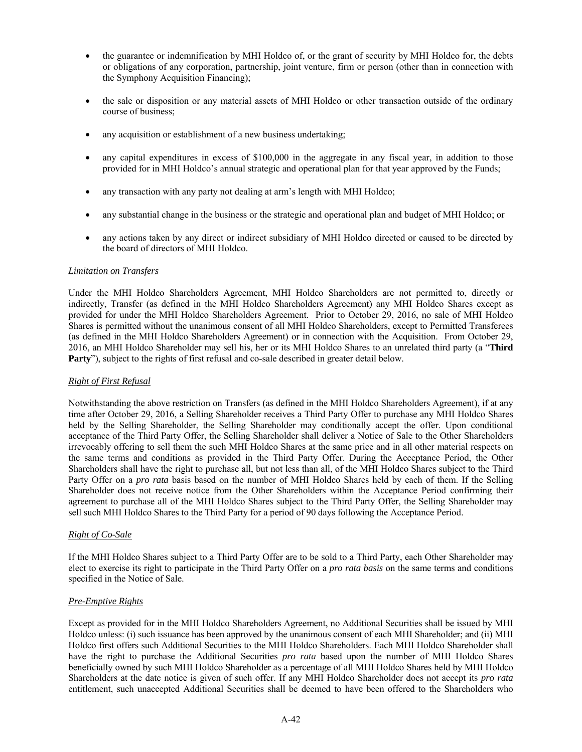- the guarantee or indemnification by MHI Holdco of, or the grant of security by MHI Holdco for, the debts or obligations of any corporation, partnership, joint venture, firm or person (other than in connection with the Symphony Acquisition Financing);
- the sale or disposition or any material assets of MHI Holdco or other transaction outside of the ordinary course of business;
- any acquisition or establishment of a new business undertaking;
- any capital expenditures in excess of \$100,000 in the aggregate in any fiscal year, in addition to those provided for in MHI Holdco's annual strategic and operational plan for that year approved by the Funds;
- any transaction with any party not dealing at arm's length with MHI Holdco;
- any substantial change in the business or the strategic and operational plan and budget of MHI Holdco; or
- any actions taken by any direct or indirect subsidiary of MHI Holdco directed or caused to be directed by the board of directors of MHI Holdco.

# *Limitation on Transfers*

Under the MHI Holdco Shareholders Agreement, MHI Holdco Shareholders are not permitted to, directly or indirectly, Transfer (as defined in the MHI Holdco Shareholders Agreement) any MHI Holdco Shares except as provided for under the MHI Holdco Shareholders Agreement. Prior to October 29, 2016, no sale of MHI Holdco Shares is permitted without the unanimous consent of all MHI Holdco Shareholders, except to Permitted Transferees (as defined in the MHI Holdco Shareholders Agreement) or in connection with the Acquisition. From October 29, 2016, an MHI Holdco Shareholder may sell his, her or its MHI Holdco Shares to an unrelated third party (a "**Third Party**"), subject to the rights of first refusal and co-sale described in greater detail below.

## *Right of First Refusal*

Notwithstanding the above restriction on Transfers (as defined in the MHI Holdco Shareholders Agreement), if at any time after October 29, 2016, a Selling Shareholder receives a Third Party Offer to purchase any MHI Holdco Shares held by the Selling Shareholder, the Selling Shareholder may conditionally accept the offer. Upon conditional acceptance of the Third Party Offer, the Selling Shareholder shall deliver a Notice of Sale to the Other Shareholders irrevocably offering to sell them the such MHI Holdco Shares at the same price and in all other material respects on the same terms and conditions as provided in the Third Party Offer. During the Acceptance Period, the Other Shareholders shall have the right to purchase all, but not less than all, of the MHI Holdco Shares subject to the Third Party Offer on a *pro rata* basis based on the number of MHI Holdco Shares held by each of them. If the Selling Shareholder does not receive notice from the Other Shareholders within the Acceptance Period confirming their agreement to purchase all of the MHI Holdco Shares subject to the Third Party Offer, the Selling Shareholder may sell such MHI Holdco Shares to the Third Party for a period of 90 days following the Acceptance Period.

### *Right of Co-Sale*

If the MHI Holdco Shares subject to a Third Party Offer are to be sold to a Third Party, each Other Shareholder may elect to exercise its right to participate in the Third Party Offer on a *pro rata basis* on the same terms and conditions specified in the Notice of Sale.

# *Pre-Emptive Rights*

Except as provided for in the MHI Holdco Shareholders Agreement, no Additional Securities shall be issued by MHI Holdco unless: (i) such issuance has been approved by the unanimous consent of each MHI Shareholder; and (ii) MHI Holdco first offers such Additional Securities to the MHI Holdco Shareholders. Each MHI Holdco Shareholder shall have the right to purchase the Additional Securities *pro rata* based upon the number of MHI Holdco Shares beneficially owned by such MHI Holdco Shareholder as a percentage of all MHI Holdco Shares held by MHI Holdco Shareholders at the date notice is given of such offer. If any MHI Holdco Shareholder does not accept its *pro rata* entitlement, such unaccepted Additional Securities shall be deemed to have been offered to the Shareholders who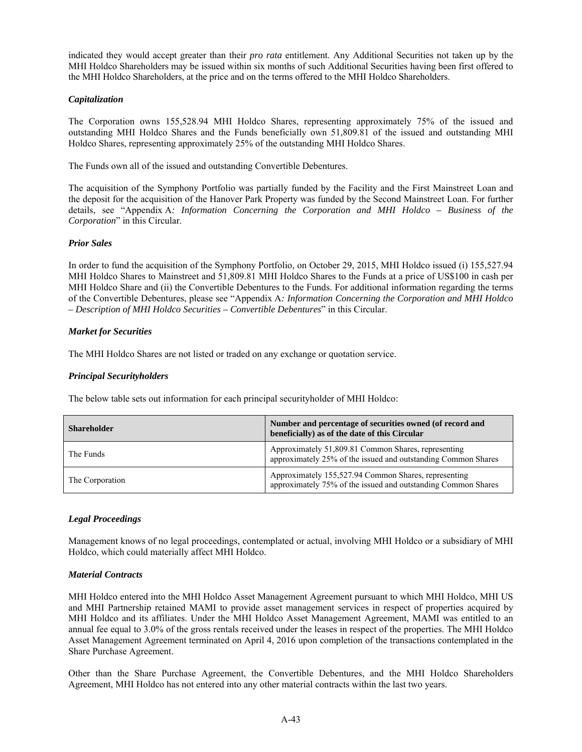indicated they would accept greater than their *pro rata* entitlement. Any Additional Securities not taken up by the MHI Holdco Shareholders may be issued within six months of such Additional Securities having been first offered to the MHI Holdco Shareholders, at the price and on the terms offered to the MHI Holdco Shareholders.

# *Capitalization*

The Corporation owns 155,528.94 MHI Holdco Shares, representing approximately 75% of the issued and outstanding MHI Holdco Shares and the Funds beneficially own 51,809.81 of the issued and outstanding MHI Holdco Shares, representing approximately 25% of the outstanding MHI Holdco Shares.

The Funds own all of the issued and outstanding Convertible Debentures.

The acquisition of the Symphony Portfolio was partially funded by the Facility and the First Mainstreet Loan and the deposit for the acquisition of the Hanover Park Property was funded by the Second Mainstreet Loan. For further details, see "Appendix A*: Information Concerning the Corporation and MHI Holdco – Business of the Corporation*" in this Circular.

### *Prior Sales*

In order to fund the acquisition of the Symphony Portfolio, on October 29, 2015, MHI Holdco issued (i) 155,527.94 MHI Holdco Shares to Mainstreet and 51,809.81 MHI Holdco Shares to the Funds at a price of US\$100 in cash per MHI Holdco Share and (ii) the Convertible Debentures to the Funds. For additional information regarding the terms of the Convertible Debentures, please see "Appendix A*: Information Concerning the Corporation and MHI Holdco – Description of MHI Holdco Securities – Convertible Debentures*" in this Circular.

### *Market for Securities*

The MHI Holdco Shares are not listed or traded on any exchange or quotation service.

### *Principal Securityholders*

The below table sets out information for each principal securityholder of MHI Holdco:

| <b>Shareholder</b> | Number and percentage of securities owned (of record and<br>beneficially) as of the date of this Circular             |
|--------------------|-----------------------------------------------------------------------------------------------------------------------|
| The Funds          | Approximately 51,809.81 Common Shares, representing<br>approximately 25% of the issued and outstanding Common Shares  |
| The Corporation    | Approximately 155,527.94 Common Shares, representing<br>approximately 75% of the issued and outstanding Common Shares |

# *Legal Proceedings*

Management knows of no legal proceedings, contemplated or actual, involving MHI Holdco or a subsidiary of MHI Holdco, which could materially affect MHI Holdco.

### *Material Contracts*

MHI Holdco entered into the MHI Holdco Asset Management Agreement pursuant to which MHI Holdco, MHI US and MHI Partnership retained MAMI to provide asset management services in respect of properties acquired by MHI Holdco and its affiliates. Under the MHI Holdco Asset Management Agreement, MAMI was entitled to an annual fee equal to 3.0% of the gross rentals received under the leases in respect of the properties. The MHI Holdco Asset Management Agreement terminated on April 4, 2016 upon completion of the transactions contemplated in the Share Purchase Agreement.

Other than the Share Purchase Agreement, the Convertible Debentures, and the MHI Holdco Shareholders Agreement, MHI Holdco has not entered into any other material contracts within the last two years.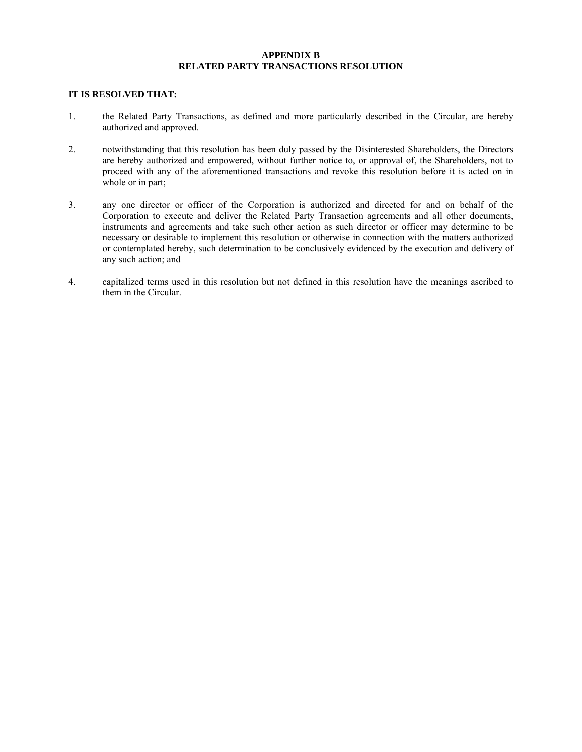## **APPENDIX B RELATED PARTY TRANSACTIONS RESOLUTION**

- 1. the Related Party Transactions, as defined and more particularly described in the Circular, are hereby authorized and approved.
- 2. notwithstanding that this resolution has been duly passed by the Disinterested Shareholders, the Directors are hereby authorized and empowered, without further notice to, or approval of, the Shareholders, not to proceed with any of the aforementioned transactions and revoke this resolution before it is acted on in whole or in part;
- 3. any one director or officer of the Corporation is authorized and directed for and on behalf of the Corporation to execute and deliver the Related Party Transaction agreements and all other documents, instruments and agreements and take such other action as such director or officer may determine to be necessary or desirable to implement this resolution or otherwise in connection with the matters authorized or contemplated hereby, such determination to be conclusively evidenced by the execution and delivery of any such action; and
- 4. capitalized terms used in this resolution but not defined in this resolution have the meanings ascribed to them in the Circular.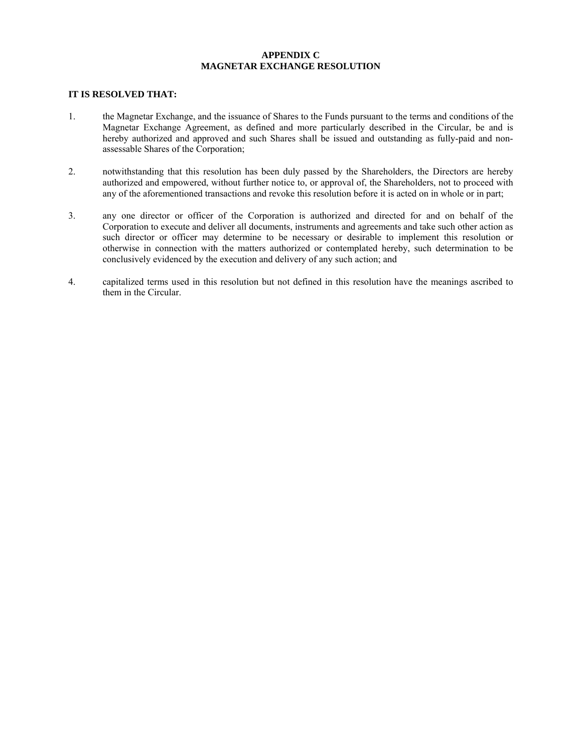## **APPENDIX C MAGNETAR EXCHANGE RESOLUTION**

- 1. the Magnetar Exchange, and the issuance of Shares to the Funds pursuant to the terms and conditions of the Magnetar Exchange Agreement, as defined and more particularly described in the Circular, be and is hereby authorized and approved and such Shares shall be issued and outstanding as fully-paid and nonassessable Shares of the Corporation;
- 2. notwithstanding that this resolution has been duly passed by the Shareholders, the Directors are hereby authorized and empowered, without further notice to, or approval of, the Shareholders, not to proceed with any of the aforementioned transactions and revoke this resolution before it is acted on in whole or in part;
- 3. any one director or officer of the Corporation is authorized and directed for and on behalf of the Corporation to execute and deliver all documents, instruments and agreements and take such other action as such director or officer may determine to be necessary or desirable to implement this resolution or otherwise in connection with the matters authorized or contemplated hereby, such determination to be conclusively evidenced by the execution and delivery of any such action; and
- 4. capitalized terms used in this resolution but not defined in this resolution have the meanings ascribed to them in the Circular.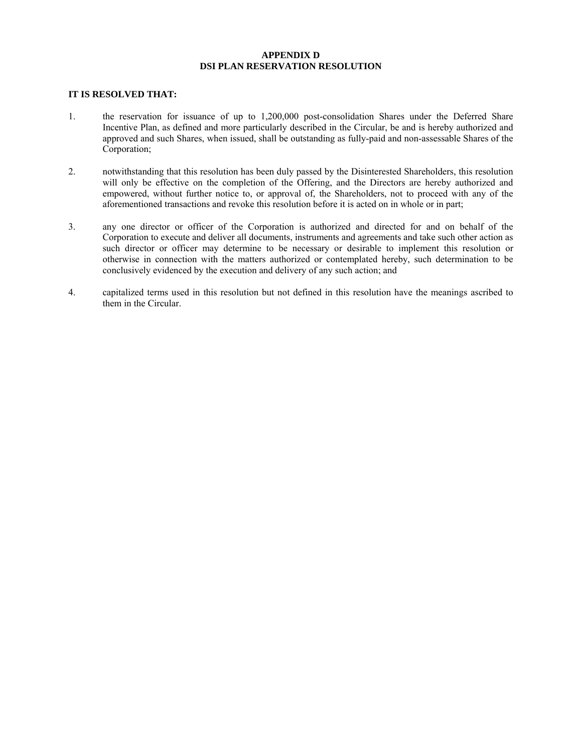### **APPENDIX D DSI PLAN RESERVATION RESOLUTION**

- 1. the reservation for issuance of up to 1,200,000 post-consolidation Shares under the Deferred Share Incentive Plan, as defined and more particularly described in the Circular, be and is hereby authorized and approved and such Shares, when issued, shall be outstanding as fully-paid and non-assessable Shares of the Corporation;
- 2. notwithstanding that this resolution has been duly passed by the Disinterested Shareholders, this resolution will only be effective on the completion of the Offering, and the Directors are hereby authorized and empowered, without further notice to, or approval of, the Shareholders, not to proceed with any of the aforementioned transactions and revoke this resolution before it is acted on in whole or in part;
- 3. any one director or officer of the Corporation is authorized and directed for and on behalf of the Corporation to execute and deliver all documents, instruments and agreements and take such other action as such director or officer may determine to be necessary or desirable to implement this resolution or otherwise in connection with the matters authorized or contemplated hereby, such determination to be conclusively evidenced by the execution and delivery of any such action; and
- 4. capitalized terms used in this resolution but not defined in this resolution have the meanings ascribed to them in the Circular.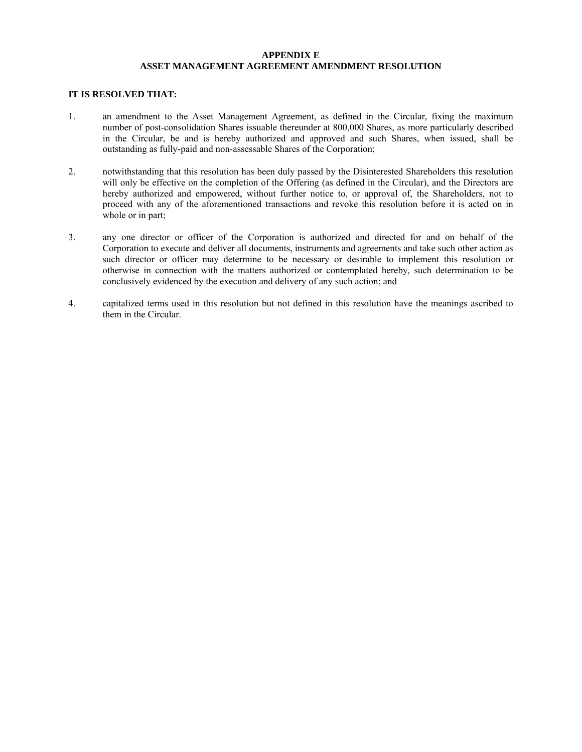## **APPENDIX E ASSET MANAGEMENT AGREEMENT AMENDMENT RESOLUTION**

- 1. an amendment to the Asset Management Agreement, as defined in the Circular, fixing the maximum number of post-consolidation Shares issuable thereunder at 800,000 Shares, as more particularly described in the Circular, be and is hereby authorized and approved and such Shares, when issued, shall be outstanding as fully-paid and non-assessable Shares of the Corporation;
- 2. notwithstanding that this resolution has been duly passed by the Disinterested Shareholders this resolution will only be effective on the completion of the Offering (as defined in the Circular), and the Directors are hereby authorized and empowered, without further notice to, or approval of, the Shareholders, not to proceed with any of the aforementioned transactions and revoke this resolution before it is acted on in whole or in part;
- 3. any one director or officer of the Corporation is authorized and directed for and on behalf of the Corporation to execute and deliver all documents, instruments and agreements and take such other action as such director or officer may determine to be necessary or desirable to implement this resolution or otherwise in connection with the matters authorized or contemplated hereby, such determination to be conclusively evidenced by the execution and delivery of any such action; and
- 4. capitalized terms used in this resolution but not defined in this resolution have the meanings ascribed to them in the Circular.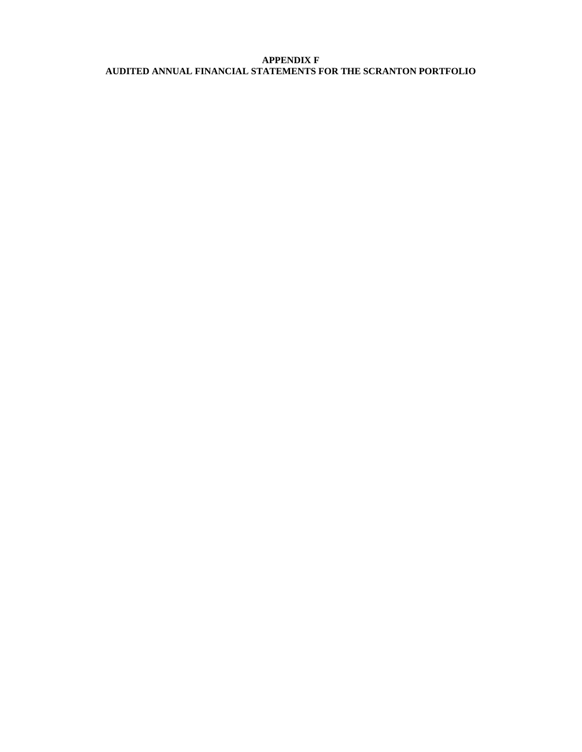# **APPENDIX F AUDITED ANNUAL FINANCIAL STATEMENTS FOR THE SCRANTON PORTFOLIO**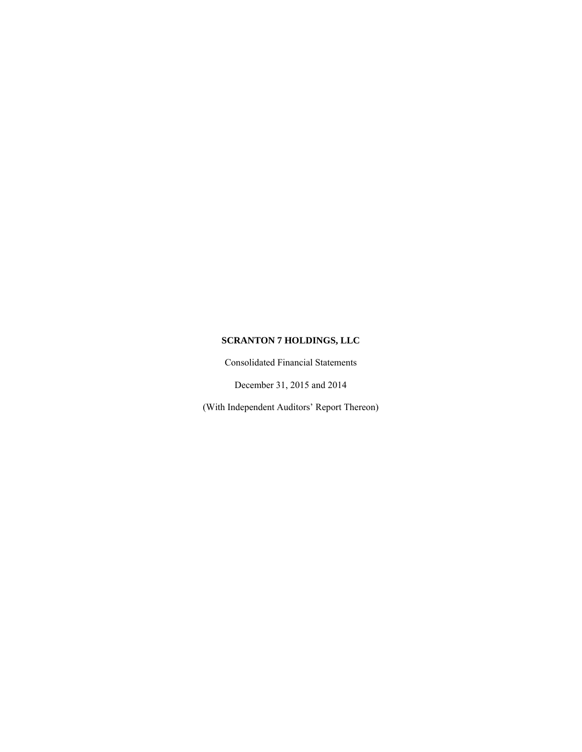Consolidated Financial Statements

December 31, 2015 and 2014

(With Independent Auditors' Report Thereon)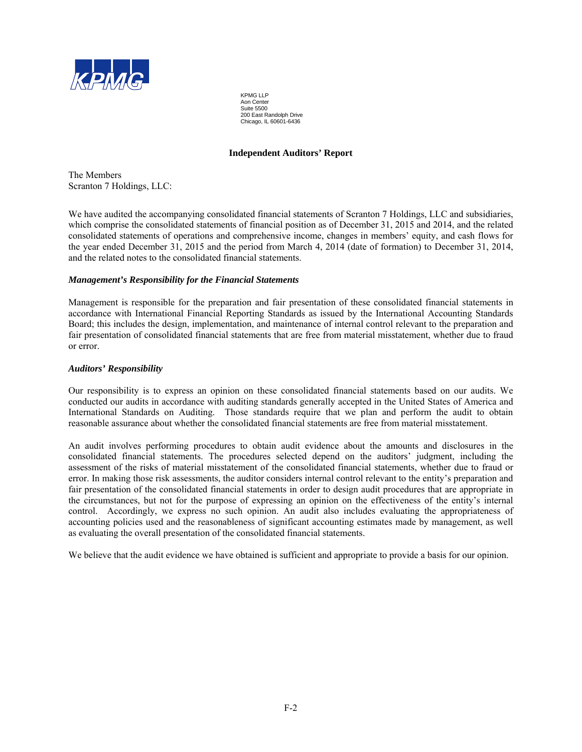

 KPMG LLP Aon Center Suite 5500 200 East Randolph Drive Chicago, IL 60601-6436

### **Independent Auditors' Report**

The Members Scranton 7 Holdings, LLC:

We have audited the accompanying consolidated financial statements of Scranton 7 Holdings, LLC and subsidiaries, which comprise the consolidated statements of financial position as of December 31, 2015 and 2014, and the related consolidated statements of operations and comprehensive income, changes in members' equity, and cash flows for the year ended December 31, 2015 and the period from March 4, 2014 (date of formation) to December 31, 2014, and the related notes to the consolidated financial statements.

### *Management's Responsibility for the Financial Statements*

Management is responsible for the preparation and fair presentation of these consolidated financial statements in accordance with International Financial Reporting Standards as issued by the International Accounting Standards Board; this includes the design, implementation, and maintenance of internal control relevant to the preparation and fair presentation of consolidated financial statements that are free from material misstatement, whether due to fraud or error.

# *Auditors' Responsibility*

Our responsibility is to express an opinion on these consolidated financial statements based on our audits. We conducted our audits in accordance with auditing standards generally accepted in the United States of America and International Standards on Auditing. Those standards require that we plan and perform the audit to obtain reasonable assurance about whether the consolidated financial statements are free from material misstatement.

An audit involves performing procedures to obtain audit evidence about the amounts and disclosures in the consolidated financial statements. The procedures selected depend on the auditors' judgment, including the assessment of the risks of material misstatement of the consolidated financial statements, whether due to fraud or error. In making those risk assessments, the auditor considers internal control relevant to the entity's preparation and fair presentation of the consolidated financial statements in order to design audit procedures that are appropriate in the circumstances, but not for the purpose of expressing an opinion on the effectiveness of the entity's internal control. Accordingly, we express no such opinion. An audit also includes evaluating the appropriateness of accounting policies used and the reasonableness of significant accounting estimates made by management, as well as evaluating the overall presentation of the consolidated financial statements.

We believe that the audit evidence we have obtained is sufficient and appropriate to provide a basis for our opinion.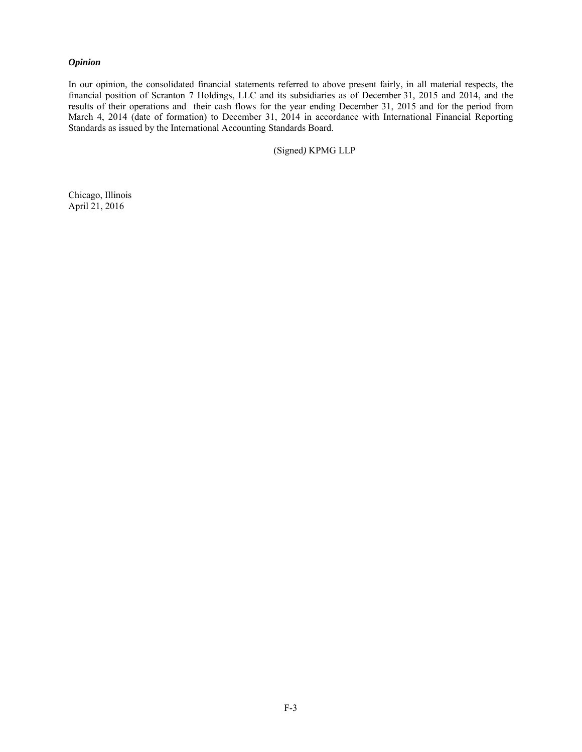# *Opinion*

In our opinion, the consolidated financial statements referred to above present fairly, in all material respects, the financial position of Scranton 7 Holdings, LLC and its subsidiaries as of December 31, 2015 and 2014, and the results of their operations and their cash flows for the year ending December 31, 2015 and for the period from March 4, 2014 (date of formation) to December 31, 2014 in accordance with International Financial Reporting Standards as issued by the International Accounting Standards Board.

(Signed*)* KPMG LLP

Chicago, Illinois April 21, 2016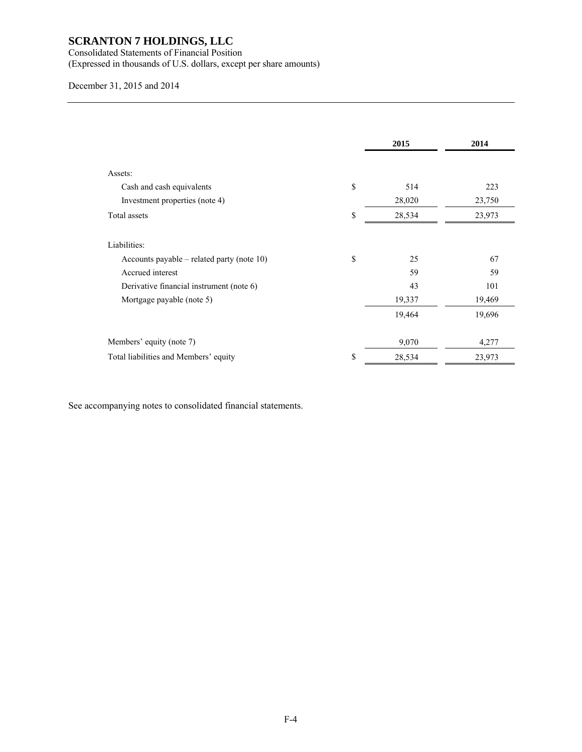Consolidated Statements of Financial Position (Expressed in thousands of U.S. dollars, except per share amounts)

December 31, 2015 and 2014

|                                               | 2015         | 2014   |
|-----------------------------------------------|--------------|--------|
| Assets:                                       |              |        |
| Cash and cash equivalents                     | \$<br>514    | 223    |
| Investment properties (note 4)                | 28,020       | 23,750 |
| Total assets                                  | \$<br>28,534 | 23,973 |
| Liabilities:                                  |              |        |
| Accounts payable – related party (note $10$ ) | \$<br>25     | 67     |
| Accrued interest                              | 59           | 59     |
| Derivative financial instrument (note 6)      | 43           | 101    |
| Mortgage payable (note 5)                     | 19,337       | 19,469 |
|                                               | 19,464       | 19,696 |
| Members' equity (note 7)                      | 9,070        | 4,277  |
| Total liabilities and Members' equity         | \$<br>28,534 | 23,973 |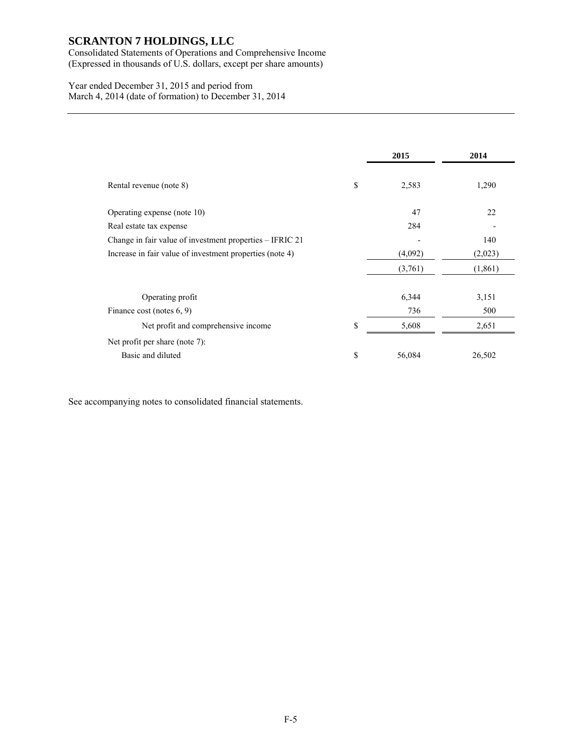Consolidated Statements of Operations and Comprehensive Income (Expressed in thousands of U.S. dollars, except per share amounts)

Year ended December 31, 2015 and period from March 4, 2014 (date of formation) to December 31, 2014

|                                                          | 2015         | 2014    |
|----------------------------------------------------------|--------------|---------|
| Rental revenue (note 8)                                  | \$<br>2,583  | 1,290   |
| Operating expense (note 10)                              | 47           | 22      |
| Real estate tax expense                                  | 284          |         |
| Change in fair value of investment properties – IFRIC 21 |              | 140     |
| Increase in fair value of investment properties (note 4) | (4,092)      | (2,023) |
|                                                          | (3,761)      | (1,861) |
| Operating profit                                         | 6,344        | 3,151   |
| Finance cost (notes $6, 9$ )                             | 736          | 500     |
| Net profit and comprehensive income                      | \$<br>5,608  | 2,651   |
| Net profit per share (note 7):                           |              |         |
| Basic and diluted                                        | \$<br>56,084 | 26,502  |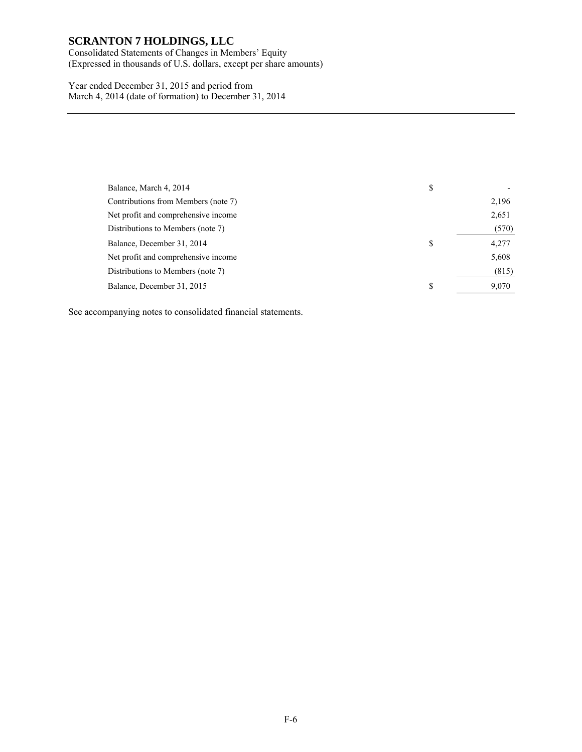Consolidated Statements of Changes in Members' Equity (Expressed in thousands of U.S. dollars, except per share amounts)

Year ended December 31, 2015 and period from March 4, 2014 (date of formation) to December 31, 2014

| Balance, March 4, 2014              | \$          |
|-------------------------------------|-------------|
| Contributions from Members (note 7) | 2,196       |
| Net profit and comprehensive income | 2,651       |
| Distributions to Members (note 7)   | (570)       |
| Balance, December 31, 2014          | \$<br>4,277 |
| Net profit and comprehensive income | 5,608       |
| Distributions to Members (note 7)   | (815)       |
| Balance, December 31, 2015          | \$<br>9,070 |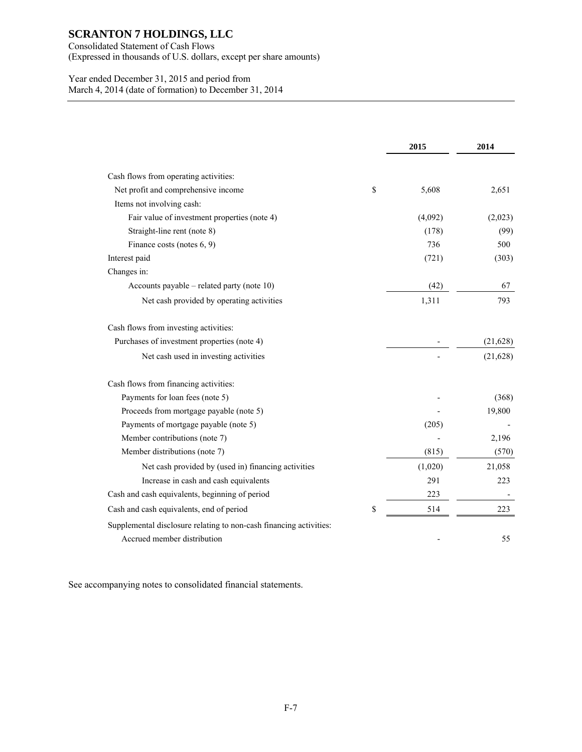Consolidated Statement of Cash Flows (Expressed in thousands of U.S. dollars, except per share amounts)

Year ended December 31, 2015 and period from March 4, 2014 (date of formation) to December 31, 2014

|                                                                    | 2015        | 2014      |
|--------------------------------------------------------------------|-------------|-----------|
| Cash flows from operating activities:                              |             |           |
| Net profit and comprehensive income                                | \$<br>5,608 | 2,651     |
| Items not involving cash:                                          |             |           |
| Fair value of investment properties (note 4)                       | (4,092)     | (2,023)   |
| Straight-line rent (note 8)                                        | (178)       | (99)      |
| Finance costs (notes $6, 9$ )                                      | 736         | 500       |
| Interest paid                                                      | (721)       | (303)     |
| Changes in:                                                        |             |           |
| Accounts payable – related party (note 10)                         | (42)        | 67        |
| Net cash provided by operating activities                          | 1,311       | 793       |
| Cash flows from investing activities:                              |             |           |
| Purchases of investment properties (note 4)                        |             | (21, 628) |
| Net cash used in investing activities                              |             | (21, 628) |
| Cash flows from financing activities:                              |             |           |
| Payments for loan fees (note 5)                                    |             | (368)     |
| Proceeds from mortgage payable (note 5)                            |             | 19,800    |
| Payments of mortgage payable (note 5)                              | (205)       |           |
| Member contributions (note 7)                                      |             | 2,196     |
| Member distributions (note 7)                                      | (815)       | (570)     |
| Net cash provided by (used in) financing activities                | (1,020)     | 21,058    |
| Increase in cash and cash equivalents                              | 291         | 223       |
| Cash and cash equivalents, beginning of period                     | 223         |           |
| Cash and cash equivalents, end of period                           | \$<br>514   | 223       |
| Supplemental disclosure relating to non-cash financing activities: |             |           |
| Accrued member distribution                                        |             | 55        |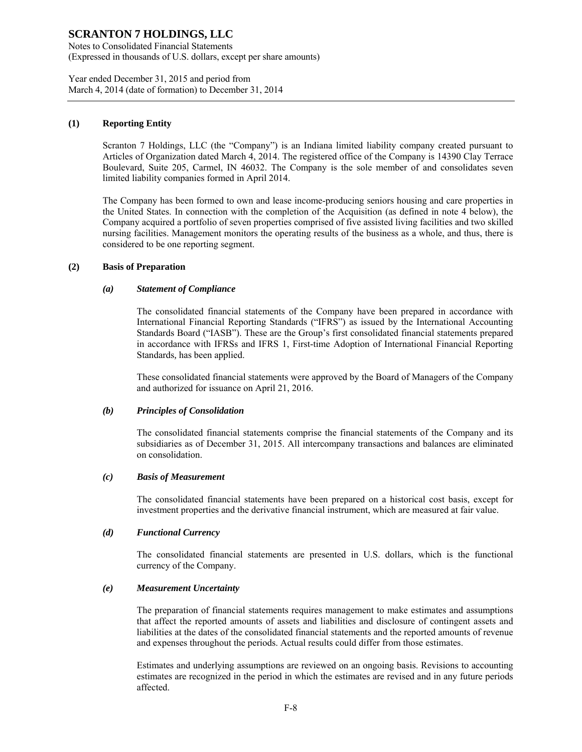Notes to Consolidated Financial Statements (Expressed in thousands of U.S. dollars, except per share amounts)

Year ended December 31, 2015 and period from March 4, 2014 (date of formation) to December 31, 2014

## **(1) Reporting Entity**

Scranton 7 Holdings, LLC (the "Company") is an Indiana limited liability company created pursuant to Articles of Organization dated March 4, 2014. The registered office of the Company is 14390 Clay Terrace Boulevard, Suite 205, Carmel, IN 46032. The Company is the sole member of and consolidates seven limited liability companies formed in April 2014.

The Company has been formed to own and lease income-producing seniors housing and care properties in the United States. In connection with the completion of the Acquisition (as defined in note 4 below), the Company acquired a portfolio of seven properties comprised of five assisted living facilities and two skilled nursing facilities. Management monitors the operating results of the business as a whole, and thus, there is considered to be one reporting segment.

## **(2) Basis of Preparation**

### *(a) Statement of Compliance*

The consolidated financial statements of the Company have been prepared in accordance with International Financial Reporting Standards ("IFRS") as issued by the International Accounting Standards Board ("IASB"). These are the Group's first consolidated financial statements prepared in accordance with IFRSs and IFRS 1, First-time Adoption of International Financial Reporting Standards*,* has been applied.

These consolidated financial statements were approved by the Board of Managers of the Company and authorized for issuance on April 21, 2016.

### *(b) Principles of Consolidation*

The consolidated financial statements comprise the financial statements of the Company and its subsidiaries as of December 31, 2015. All intercompany transactions and balances are eliminated on consolidation.

### *(c) Basis of Measurement*

The consolidated financial statements have been prepared on a historical cost basis, except for investment properties and the derivative financial instrument, which are measured at fair value.

### *(d) Functional Currency*

The consolidated financial statements are presented in U.S. dollars, which is the functional currency of the Company.

### *(e) Measurement Uncertainty*

The preparation of financial statements requires management to make estimates and assumptions that affect the reported amounts of assets and liabilities and disclosure of contingent assets and liabilities at the dates of the consolidated financial statements and the reported amounts of revenue and expenses throughout the periods. Actual results could differ from those estimates.

Estimates and underlying assumptions are reviewed on an ongoing basis. Revisions to accounting estimates are recognized in the period in which the estimates are revised and in any future periods affected.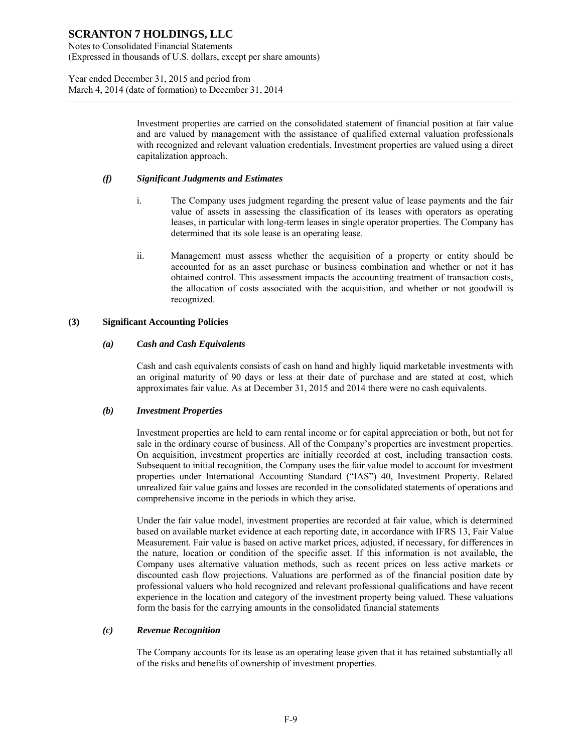Notes to Consolidated Financial Statements (Expressed in thousands of U.S. dollars, except per share amounts)

Year ended December 31, 2015 and period from March 4, 2014 (date of formation) to December 31, 2014

> Investment properties are carried on the consolidated statement of financial position at fair value and are valued by management with the assistance of qualified external valuation professionals with recognized and relevant valuation credentials. Investment properties are valued using a direct capitalization approach.

### *(f) Significant Judgments and Estimates*

- i. The Company uses judgment regarding the present value of lease payments and the fair value of assets in assessing the classification of its leases with operators as operating leases, in particular with long-term leases in single operator properties. The Company has determined that its sole lease is an operating lease.
- ii. Management must assess whether the acquisition of a property or entity should be accounted for as an asset purchase or business combination and whether or not it has obtained control. This assessment impacts the accounting treatment of transaction costs, the allocation of costs associated with the acquisition, and whether or not goodwill is recognized.

# **(3) Significant Accounting Policies**

# *(a) Cash and Cash Equivalents*

Cash and cash equivalents consists of cash on hand and highly liquid marketable investments with an original maturity of 90 days or less at their date of purchase and are stated at cost, which approximates fair value. As at December 31, 2015 and 2014 there were no cash equivalents.

# *(b) Investment Properties*

Investment properties are held to earn rental income or for capital appreciation or both, but not for sale in the ordinary course of business. All of the Company's properties are investment properties. On acquisition, investment properties are initially recorded at cost, including transaction costs. Subsequent to initial recognition, the Company uses the fair value model to account for investment properties under International Accounting Standard ("IAS") 40, Investment Property. Related unrealized fair value gains and losses are recorded in the consolidated statements of operations and comprehensive income in the periods in which they arise.

Under the fair value model, investment properties are recorded at fair value, which is determined based on available market evidence at each reporting date, in accordance with IFRS 13, Fair Value Measurement. Fair value is based on active market prices, adjusted, if necessary, for differences in the nature, location or condition of the specific asset. If this information is not available, the Company uses alternative valuation methods, such as recent prices on less active markets or discounted cash flow projections. Valuations are performed as of the financial position date by professional valuers who hold recognized and relevant professional qualifications and have recent experience in the location and category of the investment property being valued. These valuations form the basis for the carrying amounts in the consolidated financial statements

# *(c) Revenue Recognition*

The Company accounts for its lease as an operating lease given that it has retained substantially all of the risks and benefits of ownership of investment properties.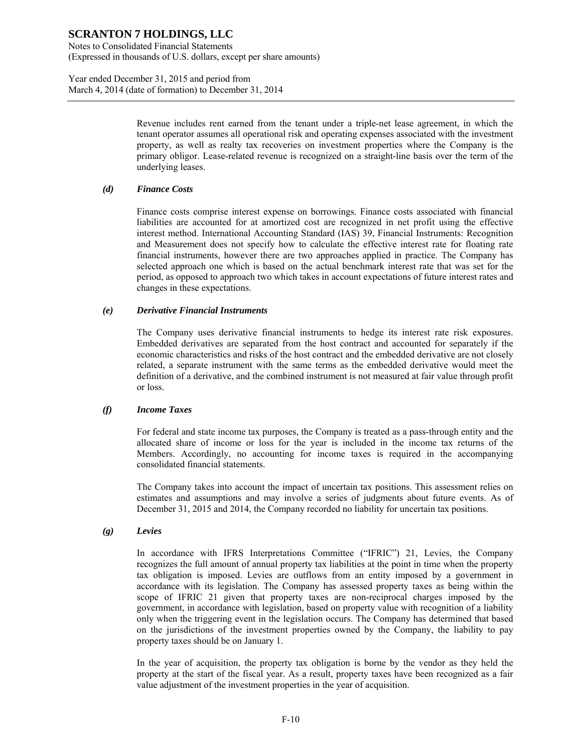Notes to Consolidated Financial Statements (Expressed in thousands of U.S. dollars, except per share amounts)

Year ended December 31, 2015 and period from March 4, 2014 (date of formation) to December 31, 2014

> Revenue includes rent earned from the tenant under a triple-net lease agreement, in which the tenant operator assumes all operational risk and operating expenses associated with the investment property, as well as realty tax recoveries on investment properties where the Company is the primary obligor. Lease-related revenue is recognized on a straight-line basis over the term of the underlying leases.

### *(d) Finance Costs*

Finance costs comprise interest expense on borrowings. Finance costs associated with financial liabilities are accounted for at amortized cost are recognized in net profit using the effective interest method. International Accounting Standard (IAS) 39, Financial Instruments: Recognition and Measurement does not specify how to calculate the effective interest rate for floating rate financial instruments, however there are two approaches applied in practice. The Company has selected approach one which is based on the actual benchmark interest rate that was set for the period, as opposed to approach two which takes in account expectations of future interest rates and changes in these expectations.

### *(e) Derivative Financial Instruments*

The Company uses derivative financial instruments to hedge its interest rate risk exposures. Embedded derivatives are separated from the host contract and accounted for separately if the economic characteristics and risks of the host contract and the embedded derivative are not closely related, a separate instrument with the same terms as the embedded derivative would meet the definition of a derivative, and the combined instrument is not measured at fair value through profit or loss.

# *(f) Income Taxes*

For federal and state income tax purposes, the Company is treated as a pass-through entity and the allocated share of income or loss for the year is included in the income tax returns of the Members. Accordingly, no accounting for income taxes is required in the accompanying consolidated financial statements.

The Company takes into account the impact of uncertain tax positions. This assessment relies on estimates and assumptions and may involve a series of judgments about future events. As of December 31, 2015 and 2014, the Company recorded no liability for uncertain tax positions.

### *(g) Levies*

In accordance with IFRS Interpretations Committee ("IFRIC") 21, Levies, the Company recognizes the full amount of annual property tax liabilities at the point in time when the property tax obligation is imposed. Levies are outflows from an entity imposed by a government in accordance with its legislation. The Company has assessed property taxes as being within the scope of IFRIC 21 given that property taxes are non-reciprocal charges imposed by the government, in accordance with legislation, based on property value with recognition of a liability only when the triggering event in the legislation occurs. The Company has determined that based on the jurisdictions of the investment properties owned by the Company, the liability to pay property taxes should be on January 1.

In the year of acquisition, the property tax obligation is borne by the vendor as they held the property at the start of the fiscal year. As a result, property taxes have been recognized as a fair value adjustment of the investment properties in the year of acquisition.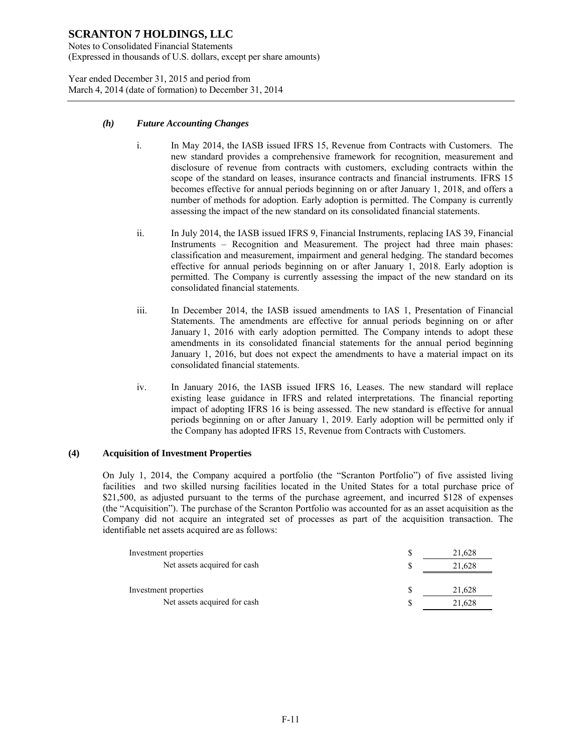Notes to Consolidated Financial Statements (Expressed in thousands of U.S. dollars, except per share amounts)

Year ended December 31, 2015 and period from March 4, 2014 (date of formation) to December 31, 2014

### *(h) Future Accounting Changes*

- i. In May 2014, the IASB issued IFRS 15, Revenue from Contracts with Customers. The new standard provides a comprehensive framework for recognition, measurement and disclosure of revenue from contracts with customers, excluding contracts within the scope of the standard on leases, insurance contracts and financial instruments. IFRS 15 becomes effective for annual periods beginning on or after January 1, 2018, and offers a number of methods for adoption. Early adoption is permitted. The Company is currently assessing the impact of the new standard on its consolidated financial statements.
- ii. In July 2014, the IASB issued IFRS 9, Financial Instruments, replacing IAS 39, Financial Instruments – Recognition and Measurement. The project had three main phases: classification and measurement, impairment and general hedging. The standard becomes effective for annual periods beginning on or after January 1, 2018. Early adoption is permitted. The Company is currently assessing the impact of the new standard on its consolidated financial statements.
- iii. In December 2014, the IASB issued amendments to IAS 1, Presentation of Financial Statements. The amendments are effective for annual periods beginning on or after January 1, 2016 with early adoption permitted. The Company intends to adopt these amendments in its consolidated financial statements for the annual period beginning January 1, 2016, but does not expect the amendments to have a material impact on its consolidated financial statements.
- iv. In January 2016, the IASB issued IFRS 16, Leases. The new standard will replace existing lease guidance in IFRS and related interpretations. The financial reporting impact of adopting IFRS 16 is being assessed. The new standard is effective for annual periods beginning on or after January 1, 2019. Early adoption will be permitted only if the Company has adopted IFRS 15, Revenue from Contracts with Customers.

# **(4) Acquisition of Investment Properties**

On July 1, 2014, the Company acquired a portfolio (the "Scranton Portfolio") of five assisted living facilities and two skilled nursing facilities located in the United States for a total purchase price of \$21,500, as adjusted pursuant to the terms of the purchase agreement, and incurred \$128 of expenses (the "Acquisition"). The purchase of the Scranton Portfolio was accounted for as an asset acquisition as the Company did not acquire an integrated set of processes as part of the acquisition transaction. The identifiable net assets acquired are as follows:

| Investment properties        | 21,628 |
|------------------------------|--------|
| Net assets acquired for cash | 21,628 |
|                              |        |
| Investment properties        | 21.628 |
| Net assets acquired for cash | 21,628 |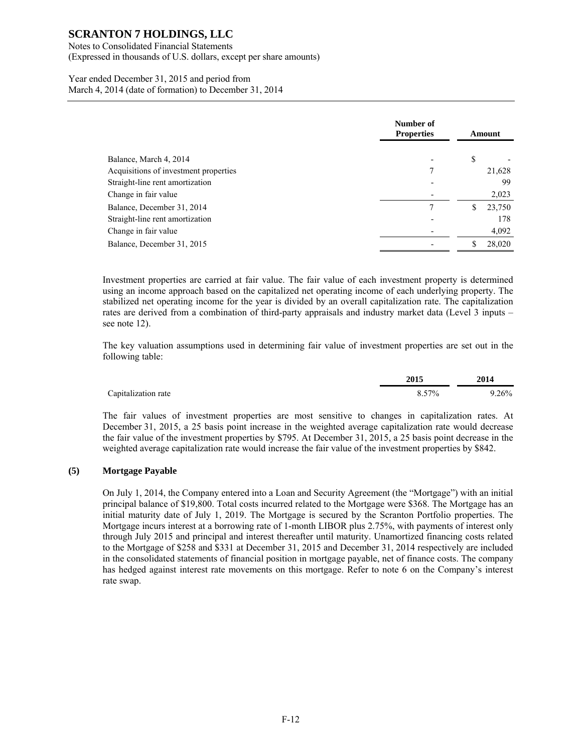Notes to Consolidated Financial Statements (Expressed in thousands of U.S. dollars, except per share amounts)

Year ended December 31, 2015 and period from March 4, 2014 (date of formation) to December 31, 2014

|                                       | Number of<br><b>Properties</b> |    | Amount |  |
|---------------------------------------|--------------------------------|----|--------|--|
| Balance, March 4, 2014                |                                | \$ |        |  |
| Acquisitions of investment properties |                                |    | 21,628 |  |
| Straight-line rent amortization       |                                |    | 99     |  |
| Change in fair value                  |                                |    | 2,023  |  |
| Balance, December 31, 2014            |                                | S  | 23,750 |  |
| Straight-line rent amortization       |                                |    | 178    |  |
| Change in fair value                  |                                |    | 4,092  |  |
| Balance, December 31, 2015            |                                |    | 28,020 |  |

Investment properties are carried at fair value. The fair value of each investment property is determined using an income approach based on the capitalized net operating income of each underlying property. The stabilized net operating income for the year is divided by an overall capitalization rate. The capitalization rates are derived from a combination of third-party appraisals and industry market data (Level 3 inputs – see note 12).

The key valuation assumptions used in determining fair value of investment properties are set out in the following table:

|                     | 2015 | 2014     |
|---------------------|------|----------|
| Capitalization rate | 57%  | $9.26\%$ |

The fair values of investment properties are most sensitive to changes in capitalization rates. At December 31, 2015, a 25 basis point increase in the weighted average capitalization rate would decrease the fair value of the investment properties by \$795. At December 31, 2015, a 25 basis point decrease in the weighted average capitalization rate would increase the fair value of the investment properties by \$842.

## **(5) Mortgage Payable**

On July 1, 2014, the Company entered into a Loan and Security Agreement (the "Mortgage") with an initial principal balance of \$19,800. Total costs incurred related to the Mortgage were \$368. The Mortgage has an initial maturity date of July 1, 2019. The Mortgage is secured by the Scranton Portfolio properties. The Mortgage incurs interest at a borrowing rate of 1-month LIBOR plus 2.75%, with payments of interest only through July 2015 and principal and interest thereafter until maturity. Unamortized financing costs related to the Mortgage of \$258 and \$331 at December 31, 2015 and December 31, 2014 respectively are included in the consolidated statements of financial position in mortgage payable, net of finance costs. The company has hedged against interest rate movements on this mortgage. Refer to note 6 on the Company's interest rate swap.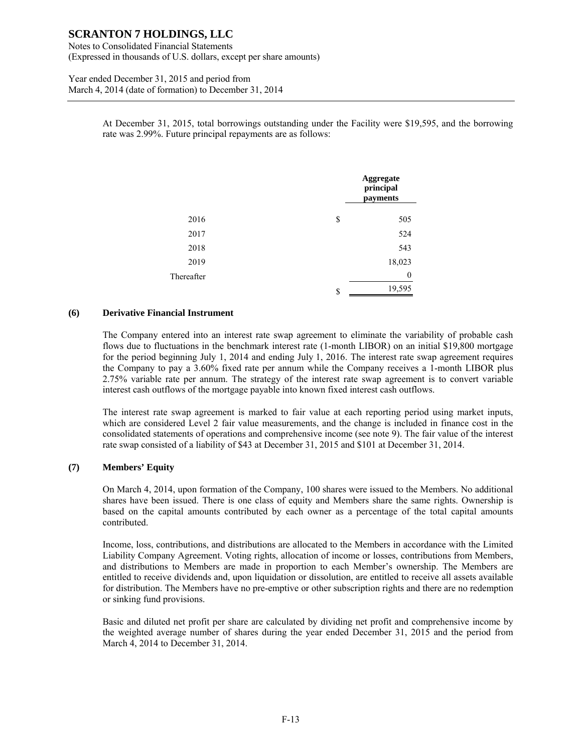Notes to Consolidated Financial Statements (Expressed in thousands of U.S. dollars, except per share amounts)

Year ended December 31, 2015 and period from March 4, 2014 (date of formation) to December 31, 2014

> At December 31, 2015, total borrowings outstanding under the Facility were \$19,595, and the borrowing rate was 2.99%. Future principal repayments are as follows:

|            | Aggregate<br>principal<br>payments |
|------------|------------------------------------|
| 2016       | \$<br>505                          |
| 2017       | 524                                |
| 2018       | 543                                |
| 2019       | 18,023                             |
| Thereafter | 0                                  |
|            | \$<br>19,595                       |

### **(6) Derivative Financial Instrument**

The Company entered into an interest rate swap agreement to eliminate the variability of probable cash flows due to fluctuations in the benchmark interest rate (1-month LIBOR) on an initial \$19,800 mortgage for the period beginning July 1, 2014 and ending July 1, 2016. The interest rate swap agreement requires the Company to pay a 3.60% fixed rate per annum while the Company receives a 1-month LIBOR plus 2.75% variable rate per annum. The strategy of the interest rate swap agreement is to convert variable interest cash outflows of the mortgage payable into known fixed interest cash outflows.

The interest rate swap agreement is marked to fair value at each reporting period using market inputs, which are considered Level 2 fair value measurements, and the change is included in finance cost in the consolidated statements of operations and comprehensive income (see note 9). The fair value of the interest rate swap consisted of a liability of \$43 at December 31, 2015 and \$101 at December 31, 2014.

# **(7) Members' Equity**

On March 4, 2014, upon formation of the Company, 100 shares were issued to the Members. No additional shares have been issued. There is one class of equity and Members share the same rights. Ownership is based on the capital amounts contributed by each owner as a percentage of the total capital amounts contributed.

Income, loss, contributions, and distributions are allocated to the Members in accordance with the Limited Liability Company Agreement. Voting rights, allocation of income or losses, contributions from Members, and distributions to Members are made in proportion to each Member's ownership. The Members are entitled to receive dividends and, upon liquidation or dissolution, are entitled to receive all assets available for distribution. The Members have no pre-emptive or other subscription rights and there are no redemption or sinking fund provisions.

Basic and diluted net profit per share are calculated by dividing net profit and comprehensive income by the weighted average number of shares during the year ended December 31, 2015 and the period from March 4, 2014 to December 31, 2014.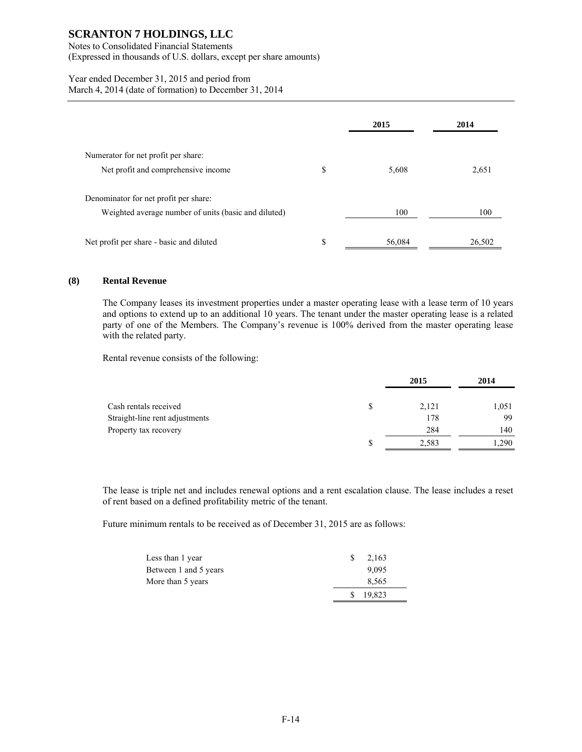Notes to Consolidated Financial Statements

(Expressed in thousands of U.S. dollars, except per share amounts)

### Year ended December 31, 2015 and period from March 4, 2014 (date of formation) to December 31, 2014

|                                                      | 2015         | 2014   |
|------------------------------------------------------|--------------|--------|
| Numerator for net profit per share:                  |              |        |
| Net profit and comprehensive income                  | \$<br>5,608  | 2,651  |
| Denominator for net profit per share:                |              |        |
| Weighted average number of units (basic and diluted) | 100          | 100    |
| Net profit per share - basic and diluted             | \$<br>56,084 | 26,502 |

### **(8) Rental Revenue**

The Company leases its investment properties under a master operating lease with a lease term of 10 years and options to extend up to an additional 10 years. The tenant under the master operating lease is a related party of one of the Members. The Company's revenue is 100% derived from the master operating lease with the related party.

Rental revenue consists of the following:

|                                |    | 2015  | 2014  |
|--------------------------------|----|-------|-------|
| Cash rentals received          | S  | 2,121 | 1,051 |
| Straight-line rent adjustments |    | 178   | 99    |
| Property tax recovery          |    | 284   | 140   |
|                                | S. | 2,583 | 1,290 |

The lease is triple net and includes renewal options and a rent escalation clause. The lease includes a reset of rent based on a defined profitability metric of the tenant.

Future minimum rentals to be received as of December 31, 2015 are as follows:

| Less than 1 year      | 2.163<br>-SS |  |
|-----------------------|--------------|--|
| Between 1 and 5 years | 9.095        |  |
| More than 5 years     | 8.565        |  |
|                       | 19.823<br>S. |  |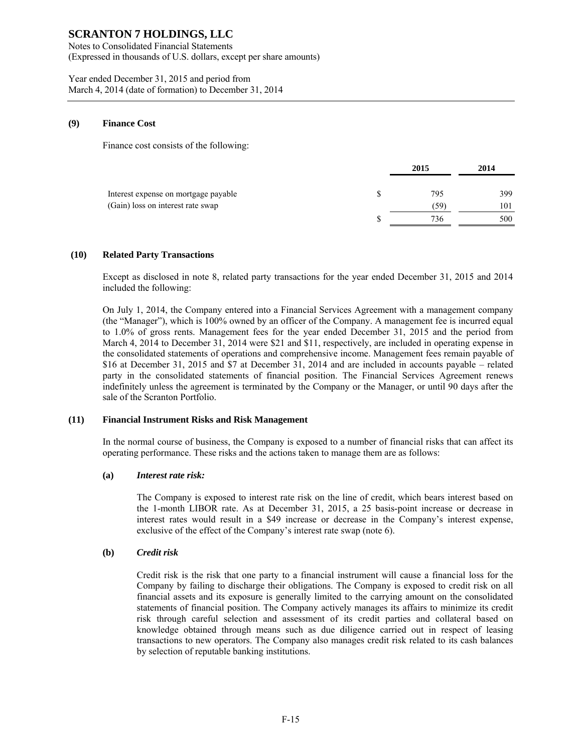Notes to Consolidated Financial Statements (Expressed in thousands of U.S. dollars, except per share amounts)

Year ended December 31, 2015 and period from March 4, 2014 (date of formation) to December 31, 2014

### **(9) Finance Cost**

Finance cost consists of the following:

|                                      | 2015 | 2014 |
|--------------------------------------|------|------|
| Interest expense on mortgage payable | 795  | 399  |
| (Gain) loss on interest rate swap    | (59) | 101  |
|                                      | 736  | 500  |

### **(10) Related Party Transactions**

Except as disclosed in note 8, related party transactions for the year ended December 31, 2015 and 2014 included the following:

On July 1, 2014, the Company entered into a Financial Services Agreement with a management company (the "Manager"), which is 100% owned by an officer of the Company. A management fee is incurred equal to 1.0% of gross rents. Management fees for the year ended December 31, 2015 and the period from March 4, 2014 to December 31, 2014 were \$21 and \$11, respectively, are included in operating expense in the consolidated statements of operations and comprehensive income. Management fees remain payable of \$16 at December 31, 2015 and \$7 at December 31, 2014 and are included in accounts payable – related party in the consolidated statements of financial position. The Financial Services Agreement renews indefinitely unless the agreement is terminated by the Company or the Manager, or until 90 days after the sale of the Scranton Portfolio.

# **(11) Financial Instrument Risks and Risk Management**

In the normal course of business, the Company is exposed to a number of financial risks that can affect its operating performance. These risks and the actions taken to manage them are as follows:

# **(a)** *Interest rate risk:*

The Company is exposed to interest rate risk on the line of credit, which bears interest based on the 1-month LIBOR rate. As at December 31, 2015, a 25 basis-point increase or decrease in interest rates would result in a \$49 increase or decrease in the Company's interest expense, exclusive of the effect of the Company's interest rate swap (note 6).

# **(b)** *Credit risk*

Credit risk is the risk that one party to a financial instrument will cause a financial loss for the Company by failing to discharge their obligations. The Company is exposed to credit risk on all financial assets and its exposure is generally limited to the carrying amount on the consolidated statements of financial position. The Company actively manages its affairs to minimize its credit risk through careful selection and assessment of its credit parties and collateral based on knowledge obtained through means such as due diligence carried out in respect of leasing transactions to new operators. The Company also manages credit risk related to its cash balances by selection of reputable banking institutions.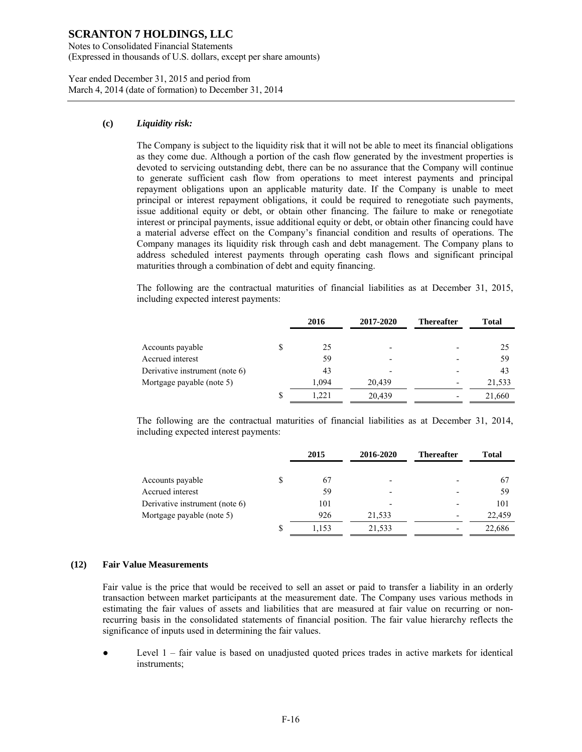Notes to Consolidated Financial Statements (Expressed in thousands of U.S. dollars, except per share amounts)

Year ended December 31, 2015 and period from March 4, 2014 (date of formation) to December 31, 2014

### **(c)** *Liquidity risk:*

The Company is subject to the liquidity risk that it will not be able to meet its financial obligations as they come due. Although a portion of the cash flow generated by the investment properties is devoted to servicing outstanding debt, there can be no assurance that the Company will continue to generate sufficient cash flow from operations to meet interest payments and principal repayment obligations upon an applicable maturity date. If the Company is unable to meet principal or interest repayment obligations, it could be required to renegotiate such payments, issue additional equity or debt, or obtain other financing. The failure to make or renegotiate interest or principal payments, issue additional equity or debt, or obtain other financing could have a material adverse effect on the Company's financial condition and results of operations. The Company manages its liquidity risk through cash and debt management. The Company plans to address scheduled interest payments through operating cash flows and significant principal maturities through a combination of debt and equity financing.

The following are the contractual maturities of financial liabilities as at December 31, 2015, including expected interest payments:

|                                |   | 2016  | 2017-2020 | <b>Thereafter</b> | Total  |
|--------------------------------|---|-------|-----------|-------------------|--------|
|                                |   |       |           |                   |        |
| Accounts payable               | S | 25    |           |                   | 25     |
| Accrued interest               |   | 59    |           |                   | 59     |
| Derivative instrument (note 6) |   | 43    |           |                   | 43     |
| Mortgage payable (note 5)      |   | 1.094 | 20,439    |                   | 21,533 |
|                                | S | 1.221 | 20,439    |                   | 21,660 |

The following are the contractual maturities of financial liabilities as at December 31, 2014, including expected interest payments:

|                                | 2015  | 2016-2020 | <b>Thereafter</b> | Total  |
|--------------------------------|-------|-----------|-------------------|--------|
| Accounts payable               | 67    |           |                   | 67     |
| Accrued interest               | 59    |           |                   | 59     |
| Derivative instrument (note 6) | 101   | -         | -                 | 101    |
| Mortgage payable (note 5)      | 926   | 21,533    |                   | 22,459 |
|                                | 1,153 | 21,533    |                   | 22,686 |

### **(12) Fair Value Measurements**

Fair value is the price that would be received to sell an asset or paid to transfer a liability in an orderly transaction between market participants at the measurement date. The Company uses various methods in estimating the fair values of assets and liabilities that are measured at fair value on recurring or nonrecurring basis in the consolidated statements of financial position. The fair value hierarchy reflects the significance of inputs used in determining the fair values.

Level  $1 -$  fair value is based on unadjusted quoted prices trades in active markets for identical instruments;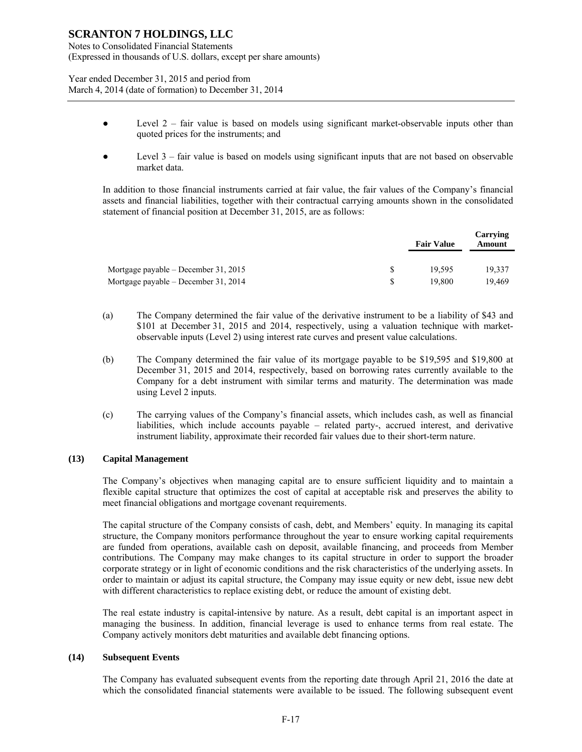Notes to Consolidated Financial Statements (Expressed in thousands of U.S. dollars, except per share amounts)

Year ended December 31, 2015 and period from March 4, 2014 (date of formation) to December 31, 2014

- Level 2 fair value is based on models using significant market-observable inputs other than quoted prices for the instruments; and
- Level 3 fair value is based on models using significant inputs that are not based on observable market data.

In addition to those financial instruments carried at fair value, the fair values of the Company's financial assets and financial liabilities, together with their contractual carrying amounts shown in the consolidated statement of financial position at December 31, 2015, are as follows:

|                                      |   | <b>Fair Value</b> | Carrying<br>Amount |
|--------------------------------------|---|-------------------|--------------------|
| Mortgage payable – December 31, 2015 | S | 19.595            | 19.337             |
| Mortgage payable - December 31, 2014 | S | 19.800            | 19.469             |

- (a) The Company determined the fair value of the derivative instrument to be a liability of \$43 and \$101 at December 31, 2015 and 2014, respectively, using a valuation technique with marketobservable inputs (Level 2) using interest rate curves and present value calculations.
- (b) The Company determined the fair value of its mortgage payable to be \$19,595 and \$19,800 at December 31, 2015 and 2014, respectively, based on borrowing rates currently available to the Company for a debt instrument with similar terms and maturity. The determination was made using Level 2 inputs.
- (c) The carrying values of the Company's financial assets, which includes cash, as well as financial liabilities, which include accounts payable – related party-, accrued interest, and derivative instrument liability, approximate their recorded fair values due to their short-term nature.

# **(13) Capital Management**

The Company's objectives when managing capital are to ensure sufficient liquidity and to maintain a flexible capital structure that optimizes the cost of capital at acceptable risk and preserves the ability to meet financial obligations and mortgage covenant requirements.

The capital structure of the Company consists of cash, debt, and Members' equity. In managing its capital structure, the Company monitors performance throughout the year to ensure working capital requirements are funded from operations, available cash on deposit, available financing, and proceeds from Member contributions. The Company may make changes to its capital structure in order to support the broader corporate strategy or in light of economic conditions and the risk characteristics of the underlying assets. In order to maintain or adjust its capital structure, the Company may issue equity or new debt, issue new debt with different characteristics to replace existing debt, or reduce the amount of existing debt.

The real estate industry is capital-intensive by nature. As a result, debt capital is an important aspect in managing the business. In addition, financial leverage is used to enhance terms from real estate. The Company actively monitors debt maturities and available debt financing options.

# **(14) Subsequent Events**

The Company has evaluated subsequent events from the reporting date through April 21, 2016 the date at which the consolidated financial statements were available to be issued. The following subsequent event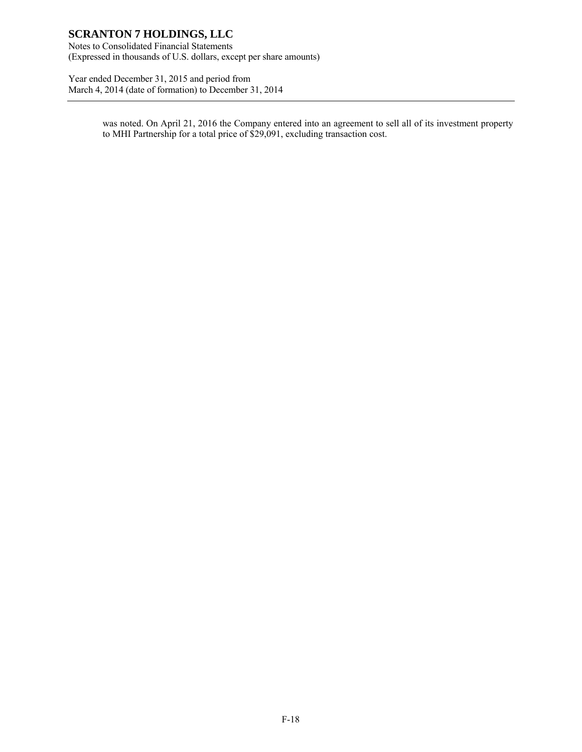# **SCRANTON 7 HOLDINGS, LLC**

Notes to Consolidated Financial Statements (Expressed in thousands of U.S. dollars, except per share amounts)

Year ended December 31, 2015 and period from March 4, 2014 (date of formation) to December 31, 2014

> was noted. On April 21, 2016 the Company entered into an agreement to sell all of its investment property to MHI Partnership for a total price of \$29,091, excluding transaction cost.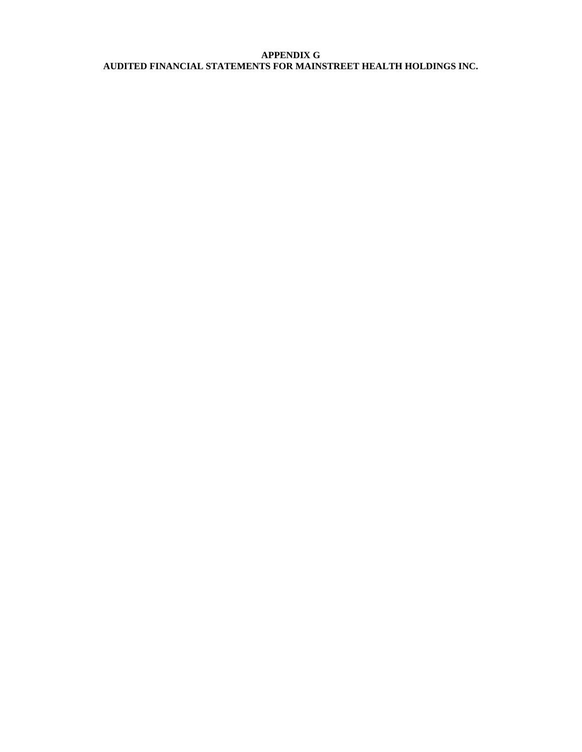### **APPENDIX G AUDITED FINANCIAL STATEMENTS FOR MAINSTREET HEALTH HOLDINGS INC.**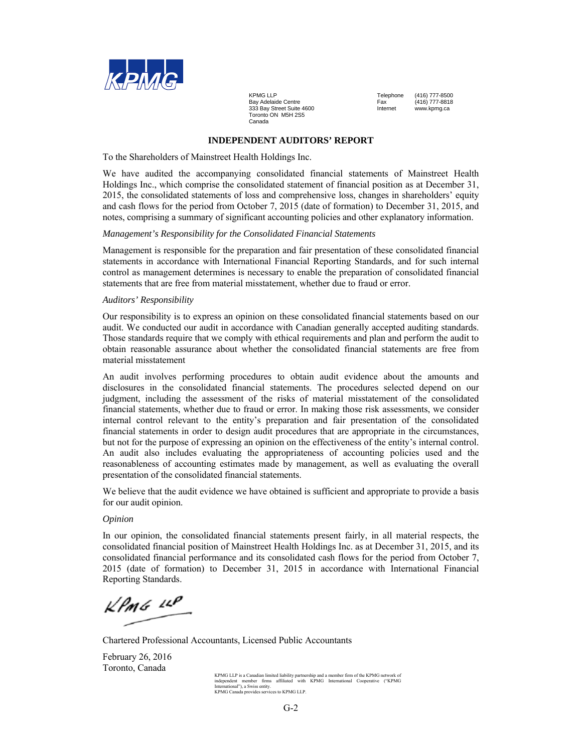

 KPMG LLP Bay Adelaide Centre 333 Bay Street Suite 4600 Toronto ON M5H 2S5 Canada

Telephone (416) 777-8500<br>Fax (416) 777-8818 Fax (416) 777-8818<br>Internet www.kpma.ca www.kpmg.ca

#### **INDEPENDENT AUDITORS' REPORT**

To the Shareholders of Mainstreet Health Holdings Inc.

We have audited the accompanying consolidated financial statements of Mainstreet Health Holdings Inc., which comprise the consolidated statement of financial position as at December 31, 2015, the consolidated statements of loss and comprehensive loss, changes in shareholders' equity and cash flows for the period from October 7, 2015 (date of formation) to December 31, 2015, and notes, comprising a summary of significant accounting policies and other explanatory information.

#### *Management's Responsibility for the Consolidated Financial Statements*

Management is responsible for the preparation and fair presentation of these consolidated financial statements in accordance with International Financial Reporting Standards, and for such internal control as management determines is necessary to enable the preparation of consolidated financial statements that are free from material misstatement, whether due to fraud or error.

#### *Auditors' Responsibility*

Our responsibility is to express an opinion on these consolidated financial statements based on our audit. We conducted our audit in accordance with Canadian generally accepted auditing standards. Those standards require that we comply with ethical requirements and plan and perform the audit to obtain reasonable assurance about whether the consolidated financial statements are free from material misstatement

An audit involves performing procedures to obtain audit evidence about the amounts and disclosures in the consolidated financial statements. The procedures selected depend on our judgment, including the assessment of the risks of material misstatement of the consolidated financial statements, whether due to fraud or error. In making those risk assessments, we consider internal control relevant to the entity's preparation and fair presentation of the consolidated financial statements in order to design audit procedures that are appropriate in the circumstances, but not for the purpose of expressing an opinion on the effectiveness of the entity's internal control. An audit also includes evaluating the appropriateness of accounting policies used and the reasonableness of accounting estimates made by management, as well as evaluating the overall presentation of the consolidated financial statements.

We believe that the audit evidence we have obtained is sufficient and appropriate to provide a basis for our audit opinion.

#### *Opinion*

In our opinion, the consolidated financial statements present fairly, in all material respects, the consolidated financial position of Mainstreet Health Holdings Inc. as at December 31, 2015, and its consolidated financial performance and its consolidated cash flows for the period from October 7, 2015 (date of formation) to December 31, 2015 in accordance with International Financial Reporting Standards.

 $KPMG$  12P

Chartered Professional Accountants, Licensed Public Accountants

February 26, 2016 Toronto, Canada

KPMG LLP is a Canadian limited liability partnership and a member firm of the KPMG network of independent member firms affiliated with KPMG International Cooperative ("KPMG International"), a Swiss entity.<br>Independent member firms affiliated<br>International"), a Swiss entity. KPMG Canada provides services to KPMG LLP.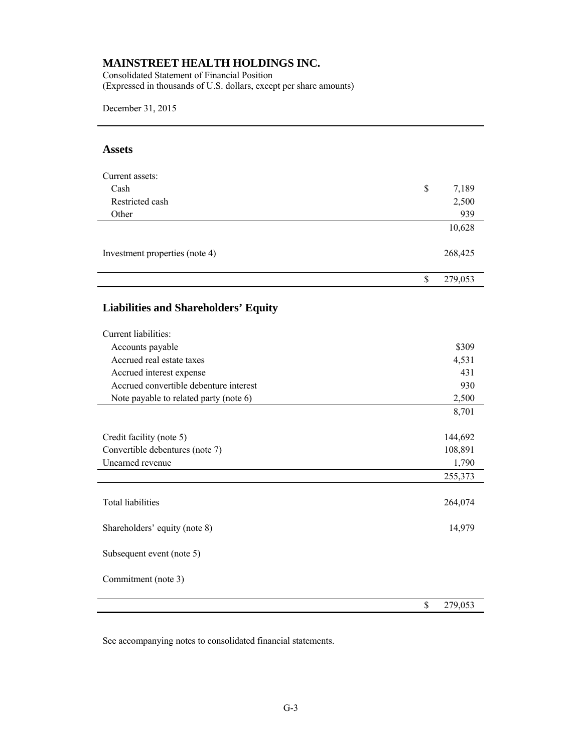Consolidated Statement of Financial Position (Expressed in thousands of U.S. dollars, except per share amounts)

December 31, 2015

## **Assets**

| Current assets:                             |               |
|---------------------------------------------|---------------|
| Cash                                        | \$<br>7,189   |
| Restricted cash                             | 2,500         |
| Other                                       | 939           |
|                                             | 10,628        |
| Investment properties (note 4)              | 268,425       |
|                                             | \$<br>279,053 |
| <b>Liabilities and Shareholders' Equity</b> |               |
| Current liabilities:                        |               |
| Accounts payable                            | \$309         |
| Accrued real estate taxes                   | 4,531         |
| Accrued interest expense                    | 431           |
| Accrued convertible debenture interest      | 930           |
| Note payable to related party (note 6)      | 2,500         |
|                                             | 8,701         |
| Credit facility (note 5)                    | 144,692       |
| Convertible debentures (note 7)             | 108,891       |
| Unearned revenue                            | 1,790         |
|                                             | 255,373       |
| <b>Total liabilities</b>                    | 264,074       |
| Shareholders' equity (note 8)               | 14,979        |
| Subsequent event (note 5)                   |               |
| Commitment (note 3)                         |               |
|                                             | \$<br>279,053 |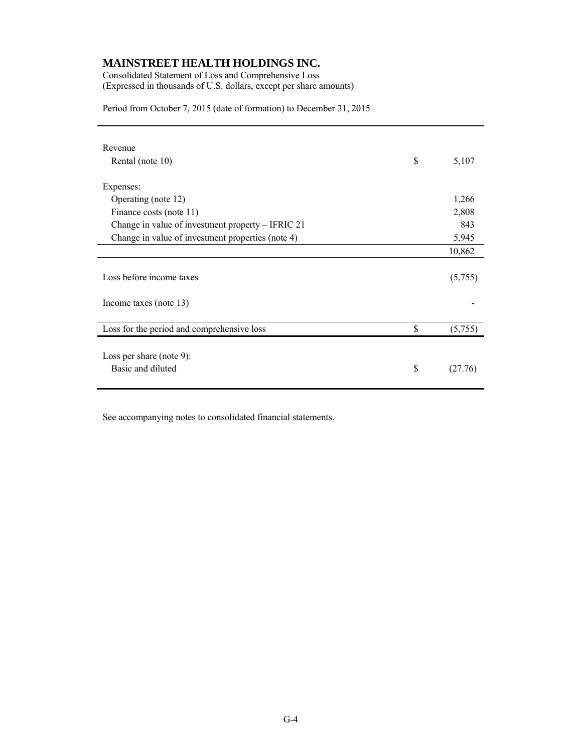Consolidated Statement of Loss and Comprehensive Loss (Expressed in thousands of U.S. dollars, except per share amounts)

| Period from October 7, 2015 (date of formation) to December 31, 2015 |  |  |
|----------------------------------------------------------------------|--|--|
|----------------------------------------------------------------------|--|--|

| Revenue                                           |    |         |
|---------------------------------------------------|----|---------|
| Rental (note 10)                                  | S  | 5,107   |
| Expenses:                                         |    |         |
| Operating (note 12)                               |    | 1,266   |
| Finance costs (note 11)                           |    | 2,808   |
| Change in value of investment property – IFRIC 21 |    | 843     |
| Change in value of investment properties (note 4) |    | 5,945   |
|                                                   |    | 10,862  |
| Loss before income taxes                          |    | (5,755) |
| Income taxes (note 13)                            |    |         |
| Loss for the period and comprehensive loss        | \$ | (5,755) |
| Loss per share (note 9):                          |    |         |
| Basic and diluted                                 | S  | (27.76) |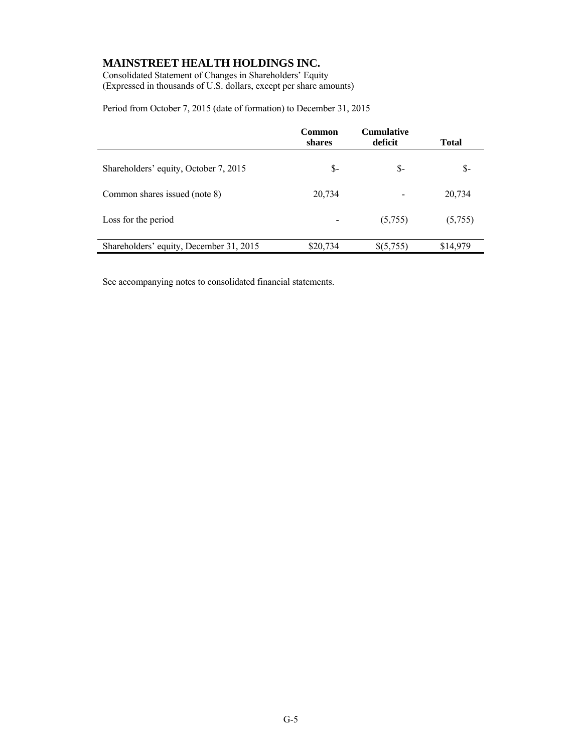Consolidated Statement of Changes in Shareholders' Equity (Expressed in thousands of U.S. dollars, except per share amounts)

### Period from October 7, 2015 (date of formation) to December 31, 2015

|                                         | Common<br>shares | <b>Cumulative</b><br>deficit | <b>Total</b> |
|-----------------------------------------|------------------|------------------------------|--------------|
| Shareholders' equity, October 7, 2015   | \$-              | $S-$                         | \$-          |
| Common shares issued (note 8)           | 20,734           |                              | 20,734       |
| Loss for the period                     |                  | (5,755)                      | (5,755)      |
| Shareholders' equity, December 31, 2015 | \$20,734         | \$(5,755)                    | \$14,979     |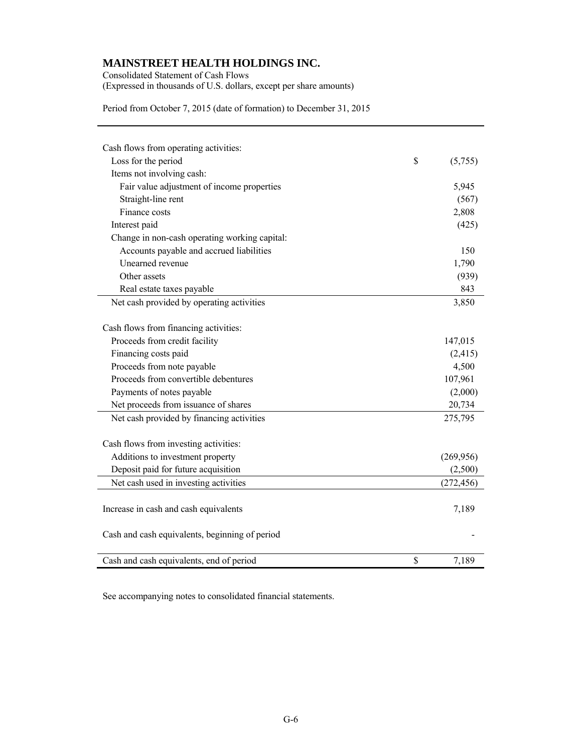Consolidated Statement of Cash Flows (Expressed in thousands of U.S. dollars, except per share amounts)

Period from October 7, 2015 (date of formation) to December 31, 2015

| Cash flows from operating activities:          |               |
|------------------------------------------------|---------------|
| Loss for the period                            | \$<br>(5,755) |
| Items not involving cash:                      |               |
| Fair value adjustment of income properties     | 5,945         |
| Straight-line rent                             | (567)         |
| Finance costs                                  | 2,808         |
| Interest paid                                  | (425)         |
| Change in non-cash operating working capital:  |               |
| Accounts payable and accrued liabilities       | 150           |
| Unearned revenue                               | 1,790         |
| Other assets                                   | (939)         |
| Real estate taxes payable                      | 843           |
| Net cash provided by operating activities      | 3,850         |
| Cash flows from financing activities:          |               |
| Proceeds from credit facility                  | 147,015       |
| Financing costs paid                           | (2, 415)      |
| Proceeds from note payable                     | 4,500         |
| Proceeds from convertible debentures           | 107,961       |
| Payments of notes payable                      | (2,000)       |
| Net proceeds from issuance of shares           | 20,734        |
| Net cash provided by financing activities      | 275,795       |
|                                                |               |
| Cash flows from investing activities:          |               |
| Additions to investment property               | (269, 956)    |
| Deposit paid for future acquisition            | (2,500)       |
| Net cash used in investing activities          | (272, 456)    |
| Increase in cash and cash equivalents          | 7,189         |
| Cash and cash equivalents, beginning of period |               |
| Cash and cash equivalents, end of period       | \$<br>7,189   |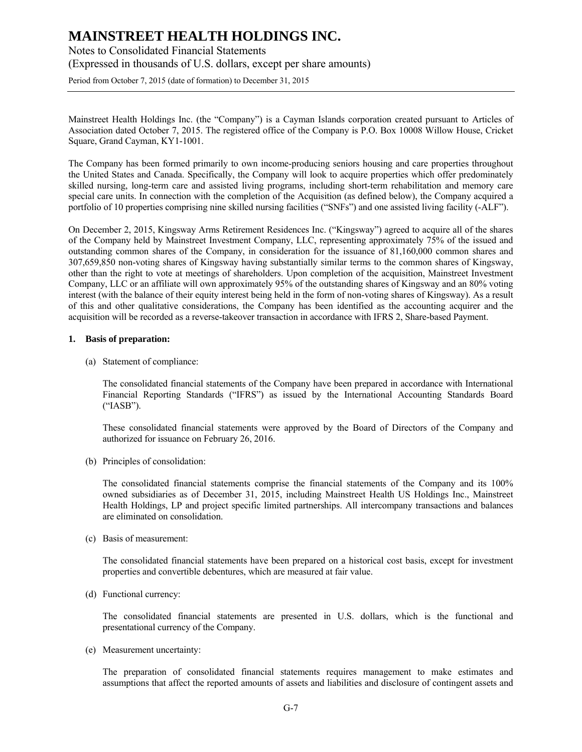Notes to Consolidated Financial Statements (Expressed in thousands of U.S. dollars, except per share amounts)

Period from October 7, 2015 (date of formation) to December 31, 2015

Mainstreet Health Holdings Inc. (the "Company") is a Cayman Islands corporation created pursuant to Articles of Association dated October 7, 2015. The registered office of the Company is P.O. Box 10008 Willow House, Cricket Square, Grand Cayman, KY1-1001.

The Company has been formed primarily to own income-producing seniors housing and care properties throughout the United States and Canada. Specifically, the Company will look to acquire properties which offer predominately skilled nursing, long-term care and assisted living programs, including short-term rehabilitation and memory care special care units. In connection with the completion of the Acquisition (as defined below), the Company acquired a portfolio of 10 properties comprising nine skilled nursing facilities ("SNFs") and one assisted living facility (-ALF").

On December 2, 2015, Kingsway Arms Retirement Residences Inc. ("Kingsway") agreed to acquire all of the shares of the Company held by Mainstreet Investment Company, LLC, representing approximately 75% of the issued and outstanding common shares of the Company, in consideration for the issuance of 81,160,000 common shares and 307,659,850 non-voting shares of Kingsway having substantially similar terms to the common shares of Kingsway, other than the right to vote at meetings of shareholders. Upon completion of the acquisition, Mainstreet Investment Company, LLC or an affiliate will own approximately 95% of the outstanding shares of Kingsway and an 80% voting interest (with the balance of their equity interest being held in the form of non-voting shares of Kingsway). As a result of this and other qualitative considerations, the Company has been identified as the accounting acquirer and the acquisition will be recorded as a reverse-takeover transaction in accordance with IFRS 2, Share-based Payment.

#### **1. Basis of preparation:**

(a) Statement of compliance:

The consolidated financial statements of the Company have been prepared in accordance with International Financial Reporting Standards ("IFRS") as issued by the International Accounting Standards Board ("IASB").

These consolidated financial statements were approved by the Board of Directors of the Company and authorized for issuance on February 26, 2016.

(b) Principles of consolidation:

The consolidated financial statements comprise the financial statements of the Company and its 100% owned subsidiaries as of December 31, 2015, including Mainstreet Health US Holdings Inc., Mainstreet Health Holdings, LP and project specific limited partnerships. All intercompany transactions and balances are eliminated on consolidation.

(c) Basis of measurement:

The consolidated financial statements have been prepared on a historical cost basis, except for investment properties and convertible debentures, which are measured at fair value.

(d) Functional currency:

The consolidated financial statements are presented in U.S. dollars, which is the functional and presentational currency of the Company.

(e) Measurement uncertainty:

The preparation of consolidated financial statements requires management to make estimates and assumptions that affect the reported amounts of assets and liabilities and disclosure of contingent assets and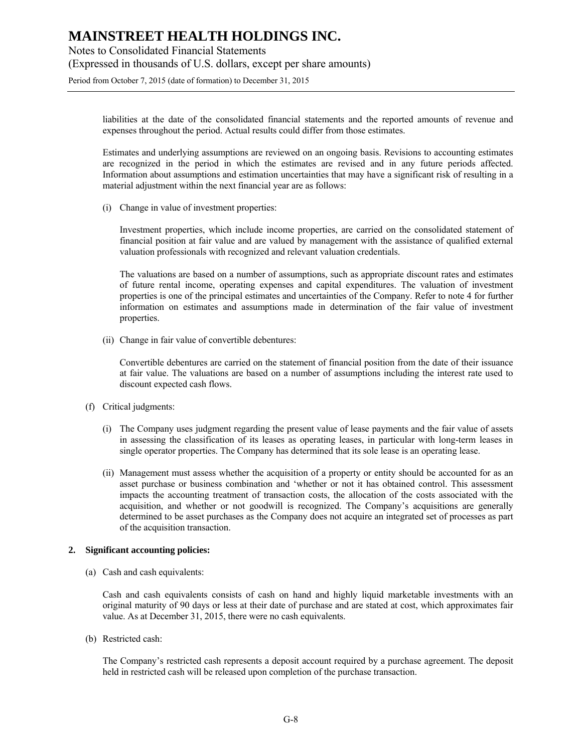Notes to Consolidated Financial Statements (Expressed in thousands of U.S. dollars, except per share amounts)

Period from October 7, 2015 (date of formation) to December 31, 2015

liabilities at the date of the consolidated financial statements and the reported amounts of revenue and expenses throughout the period. Actual results could differ from those estimates.

Estimates and underlying assumptions are reviewed on an ongoing basis. Revisions to accounting estimates are recognized in the period in which the estimates are revised and in any future periods affected. Information about assumptions and estimation uncertainties that may have a significant risk of resulting in a material adjustment within the next financial year are as follows:

(i) Change in value of investment properties:

Investment properties, which include income properties, are carried on the consolidated statement of financial position at fair value and are valued by management with the assistance of qualified external valuation professionals with recognized and relevant valuation credentials.

The valuations are based on a number of assumptions, such as appropriate discount rates and estimates of future rental income, operating expenses and capital expenditures. The valuation of investment properties is one of the principal estimates and uncertainties of the Company. Refer to note 4 for further information on estimates and assumptions made in determination of the fair value of investment properties.

(ii) Change in fair value of convertible debentures:

Convertible debentures are carried on the statement of financial position from the date of their issuance at fair value. The valuations are based on a number of assumptions including the interest rate used to discount expected cash flows.

- (f) Critical judgments:
	- (i) The Company uses judgment regarding the present value of lease payments and the fair value of assets in assessing the classification of its leases as operating leases, in particular with long-term leases in single operator properties. The Company has determined that its sole lease is an operating lease.
	- (ii) Management must assess whether the acquisition of a property or entity should be accounted for as an asset purchase or business combination and 'whether or not it has obtained control. This assessment impacts the accounting treatment of transaction costs, the allocation of the costs associated with the acquisition, and whether or not goodwill is recognized. The Company's acquisitions are generally determined to be asset purchases as the Company does not acquire an integrated set of processes as part of the acquisition transaction.

### **2. Significant accounting policies:**

(a) Cash and cash equivalents:

Cash and cash equivalents consists of cash on hand and highly liquid marketable investments with an original maturity of 90 days or less at their date of purchase and are stated at cost, which approximates fair value. As at December 31, 2015, there were no cash equivalents.

(b) Restricted cash:

The Company's restricted cash represents a deposit account required by a purchase agreement. The deposit held in restricted cash will be released upon completion of the purchase transaction.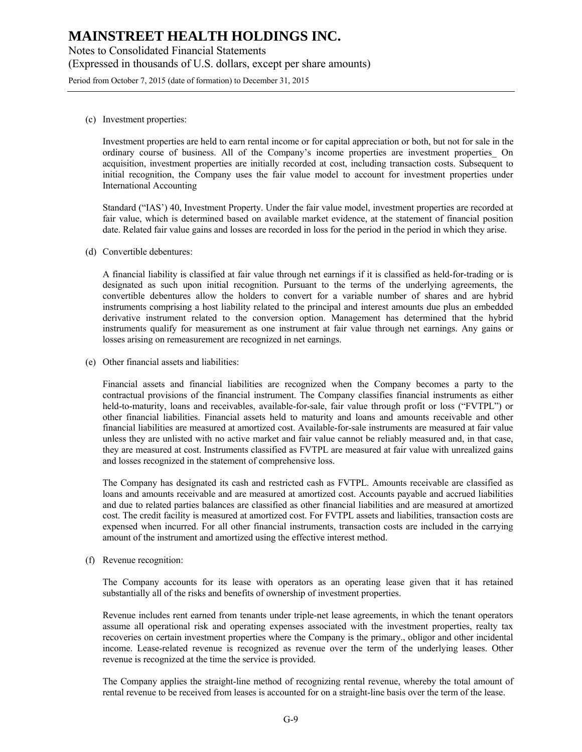Notes to Consolidated Financial Statements

(Expressed in thousands of U.S. dollars, except per share amounts)

Period from October 7, 2015 (date of formation) to December 31, 2015

(c) Investment properties:

Investment properties are held to earn rental income or for capital appreciation or both, but not for sale in the ordinary course of business. All of the Company's income properties are investment properties\_ On acquisition, investment properties are initially recorded at cost, including transaction costs. Subsequent to initial recognition, the Company uses the fair value model to account for investment properties under International Accounting

Standard ("IAS') 40, Investment Property. Under the fair value model, investment properties are recorded at fair value, which is determined based on available market evidence, at the statement of financial position date. Related fair value gains and losses are recorded in loss for the period in the period in which they arise.

(d) Convertible debentures:

A financial liability is classified at fair value through net earnings if it is classified as held-for-trading or is designated as such upon initial recognition. Pursuant to the terms of the underlying agreements, the convertible debentures allow the holders to convert for a variable number of shares and are hybrid instruments comprising a host liability related to the principal and interest amounts due plus an embedded derivative instrument related to the conversion option. Management has determined that the hybrid instruments qualify for measurement as one instrument at fair value through net earnings. Any gains or losses arising on remeasurement are recognized in net earnings.

(e) Other financial assets and liabilities:

Financial assets and financial liabilities are recognized when the Company becomes a party to the contractual provisions of the financial instrument. The Company classifies financial instruments as either held-to-maturity, loans and receivables, available-for-sale, fair value through profit or loss ("FVTPL") or other financial liabilities. Financial assets held to maturity and loans and amounts receivable and other financial liabilities are measured at amortized cost. Available-for-sale instruments are measured at fair value unless they are unlisted with no active market and fair value cannot be reliably measured and, in that case, they are measured at cost. Instruments classified as FVTPL are measured at fair value with unrealized gains and losses recognized in the statement of comprehensive loss.

The Company has designated its cash and restricted cash as FVTPL. Amounts receivable are classified as loans and amounts receivable and are measured at amortized cost. Accounts payable and accrued liabilities and due to related parties balances are classified as other financial liabilities and are measured at amortized cost. The credit facility is measured at amortized cost. For FVTPL assets and liabilities, transaction costs are expensed when incurred. For all other financial instruments, transaction costs are included in the carrying amount of the instrument and amortized using the effective interest method.

(f) Revenue recognition:

The Company accounts for its lease with operators as an operating lease given that it has retained substantially all of the risks and benefits of ownership of investment properties.

Revenue includes rent earned from tenants under triple-net lease agreements, in which the tenant operators assume all operational risk and operating expenses associated with the investment properties, realty tax recoveries on certain investment properties where the Company is the primary., obligor and other incidental income. Lease-related revenue is recognized as revenue over the term of the underlying leases. Other revenue is recognized at the time the service is provided.

The Company applies the straight-line method of recognizing rental revenue, whereby the total amount of rental revenue to be received from leases is accounted for on a straight-line basis over the term of the lease.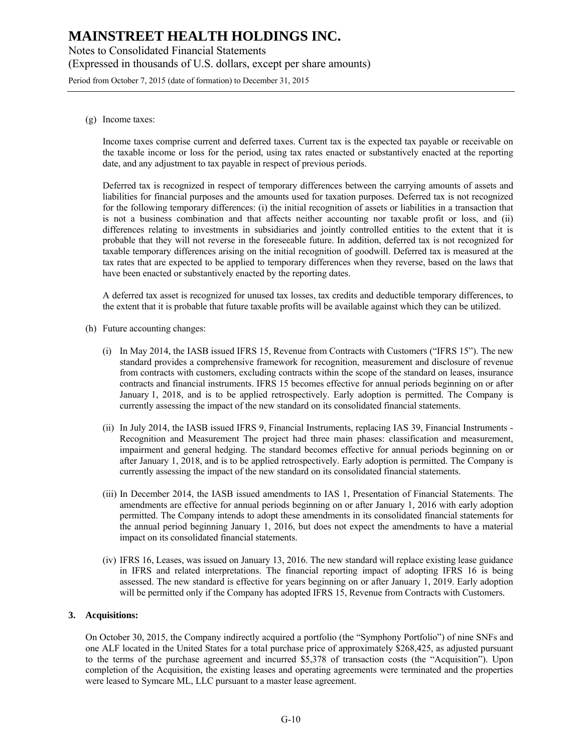Notes to Consolidated Financial Statements

(Expressed in thousands of U.S. dollars, except per share amounts)

Period from October 7, 2015 (date of formation) to December 31, 2015

(g) Income taxes:

Income taxes comprise current and deferred taxes. Current tax is the expected tax payable or receivable on the taxable income or loss for the period, using tax rates enacted or substantively enacted at the reporting date, and any adjustment to tax payable in respect of previous periods.

Deferred tax is recognized in respect of temporary differences between the carrying amounts of assets and liabilities for financial purposes and the amounts used for taxation purposes. Deferred tax is not recognized for the following temporary differences: (i) the initial recognition of assets or liabilities in a transaction that is not a business combination and that affects neither accounting nor taxable profit or loss, and (ii) differences relating to investments in subsidiaries and jointly controlled entities to the extent that it is probable that they will not reverse in the foreseeable future. In addition, deferred tax is not recognized for taxable temporary differences arising on the initial recognition of goodwill. Deferred tax is measured at the tax rates that are expected to be applied to temporary differences when they reverse, based on the laws that have been enacted or substantively enacted by the reporting dates.

A deferred tax asset is recognized for unused tax losses, tax credits and deductible temporary differences, to the extent that it is probable that future taxable profits will be available against which they can be utilized.

- (h) Future accounting changes:
	- (i) In May 2014, the IASB issued IFRS 15, Revenue from Contracts with Customers ("IFRS 15"). The new standard provides a comprehensive framework for recognition, measurement and disclosure of revenue from contracts with customers, excluding contracts within the scope of the standard on leases, insurance contracts and financial instruments. IFRS 15 becomes effective for annual periods beginning on or after January 1, 2018, and is to be applied retrospectively. Early adoption is permitted. The Company is currently assessing the impact of the new standard on its consolidated financial statements.
	- (ii) In July 2014, the IASB issued IFRS 9, Financial Instruments, replacing IAS 39, Financial Instruments Recognition and Measurement The project had three main phases: classification and measurement, impairment and general hedging. The standard becomes effective for annual periods beginning on or after January 1, 2018, and is to be applied retrospectively. Early adoption is permitted. The Company is currently assessing the impact of the new standard on its consolidated financial statements.
	- (iii) In December 2014, the IASB issued amendments to IAS 1, Presentation of Financial Statements. The amendments are effective for annual periods beginning on or after January 1, 2016 with early adoption permitted. The Company intends to adopt these amendments in its consolidated financial statements for the annual period beginning January 1, 2016, but does not expect the amendments to have a material impact on its consolidated financial statements.
	- (iv) IFRS 16, Leases, was issued on January 13, 2016. The new standard will replace existing lease guidance in IFRS and related interpretations. The financial reporting impact of adopting IFRS 16 is being assessed. The new standard is effective for years beginning on or after January 1, 2019. Early adoption will be permitted only if the Company has adopted IFRS 15, Revenue from Contracts with Customers.

### **3. Acquisitions:**

On October 30, 2015, the Company indirectly acquired a portfolio (the "Symphony Portfolio") of nine SNFs and one ALF located in the United States for a total purchase price of approximately \$268,425, as adjusted pursuant to the terms of the purchase agreement and incurred \$5,378 of transaction costs (the "Acquisition"). Upon completion of the Acquisition, the existing leases and operating agreements were terminated and the properties were leased to Symcare ML, LLC pursuant to a master lease agreement.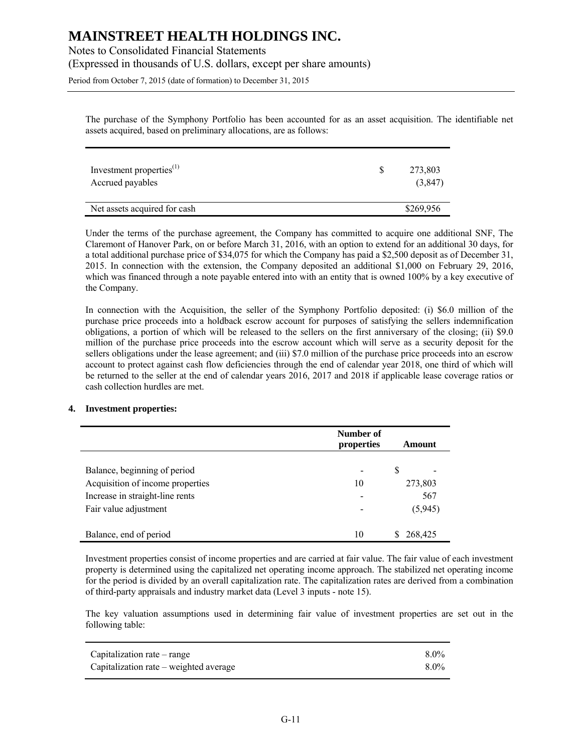Notes to Consolidated Financial Statements

(Expressed in thousands of U.S. dollars, except per share amounts)

Period from October 7, 2015 (date of formation) to December 31, 2015

The purchase of the Symphony Portfolio has been accounted for as an asset acquisition. The identifiable net assets acquired, based on preliminary allocations, are as follows:

| Investment properties $(1)$<br>Accrued payables | S | 273,803<br>(3,847) |
|-------------------------------------------------|---|--------------------|
| Net assets acquired for cash                    |   | \$269,956          |

Under the terms of the purchase agreement, the Company has committed to acquire one additional SNF, The Claremont of Hanover Park, on or before March 31, 2016, with an option to extend for an additional 30 days, for a total additional purchase price of \$34,075 for which the Company has paid a \$2,500 deposit as of December 31, 2015. In connection with the extension, the Company deposited an additional \$1,000 on February 29, 2016, which was financed through a note payable entered into with an entity that is owned 100% by a key executive of the Company.

In connection with the Acquisition, the seller of the Symphony Portfolio deposited: (i) \$6.0 million of the purchase price proceeds into a holdback escrow account for purposes of satisfying the sellers indemnification obligations, a portion of which will be released to the sellers on the first anniversary of the closing; (ii) \$9.0 million of the purchase price proceeds into the escrow account which will serve as a security deposit for the sellers obligations under the lease agreement; and (iii) \$7.0 million of the purchase price proceeds into an escrow account to protect against cash flow deficiencies through the end of calendar year 2018, one third of which will be returned to the seller at the end of calendar years 2016, 2017 and 2018 if applicable lease coverage ratios or cash collection hurdles are met.

### **4. Investment properties:**

|                                  | Number of<br>properties | Amount   |
|----------------------------------|-------------------------|----------|
|                                  |                         |          |
| Balance, beginning of period     |                         | S        |
| Acquisition of income properties | 10                      | 273,803  |
| Increase in straight-line rents  |                         | 567      |
| Fair value adjustment            |                         | (5, 945) |
|                                  |                         |          |
| Balance, end of period           | 10                      | 268,425  |

Investment properties consist of income properties and are carried at fair value. The fair value of each investment property is determined using the capitalized net operating income approach. The stabilized net operating income for the period is divided by an overall capitalization rate. The capitalization rates are derived from a combination of third-party appraisals and industry market data (Level 3 inputs - note 15).

The key valuation assumptions used in determining fair value of investment properties are set out in the following table:

| Capitalization rate – range            | $8.0\%$ |
|----------------------------------------|---------|
| Capitalization rate – weighted average | 8.0%    |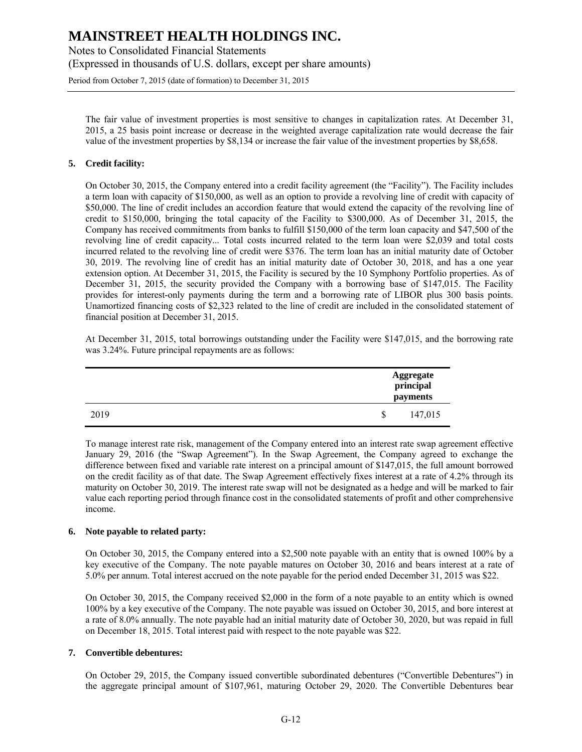Notes to Consolidated Financial Statements (Expressed in thousands of U.S. dollars, except per share amounts)

Period from October 7, 2015 (date of formation) to December 31, 2015

The fair value of investment properties is most sensitive to changes in capitalization rates. At December 31, 2015, a 25 basis point increase or decrease in the weighted average capitalization rate would decrease the fair value of the investment properties by \$8,134 or increase the fair value of the investment properties by \$8,658.

### **5. Credit facility:**

On October 30, 2015, the Company entered into a credit facility agreement (the "Facility"). The Facility includes a term loan with capacity of \$150,000, as well as an option to provide a revolving line of credit with capacity of \$50,000. The line of credit includes an accordion feature that would extend the capacity of the revolving line of credit to \$150,000, bringing the total capacity of the Facility to \$300,000. As of December 31, 2015, the Company has received commitments from banks to fulfill \$150,000 of the term loan capacity and \$47,500 of the revolving line of credit capacity... Total costs incurred related to the term loan were \$2,039 and total costs incurred related to the revolving line of credit were \$376. The term loan has an initial maturity date of October 30, 2019. The revolving line of credit has an initial maturity date of October 30, 2018, and has a one year extension option. At December 31, 2015, the Facility is secured by the 10 Symphony Portfolio properties. As of December 31, 2015, the security provided the Company with a borrowing base of \$147,015. The Facility provides for interest-only payments during the term and a borrowing rate of LIBOR plus 300 basis points. Unamortized financing costs of \$2,323 related to the line of credit are included in the consolidated statement of financial position at December 31, 2015.

At December 31, 2015, total borrowings outstanding under the Facility were \$147,015, and the borrowing rate was 3.24%. Future principal repayments are as follows:

|      | <b>Aggregate</b><br>principal<br>payments |         |
|------|-------------------------------------------|---------|
| 2019 | \$                                        | 147,015 |

To manage interest rate risk, management of the Company entered into an interest rate swap agreement effective January 29, 2016 (the "Swap Agreement"). In the Swap Agreement, the Company agreed to exchange the difference between fixed and variable rate interest on a principal amount of \$147,015, the full amount borrowed on the credit facility as of that date. The Swap Agreement effectively fixes interest at a rate of 4.2% through its maturity on October 30, 2019. The interest rate swap will not be designated as a hedge and will be marked to fair value each reporting period through finance cost in the consolidated statements of profit and other comprehensive income.

### **6. Note payable to related party:**

On October 30, 2015, the Company entered into a \$2,500 note payable with an entity that is owned 100% by a key executive of the Company. The note payable matures on October 30, 2016 and bears interest at a rate of 5.0% per annum. Total interest accrued on the note payable for the period ended December 31, 2015 was \$22.

On October 30, 2015, the Company received \$2,000 in the form of a note payable to an entity which is owned 100% by a key executive of the Company. The note payable was issued on October 30, 2015, and bore interest at a rate of 8.0% annually. The note payable had an initial maturity date of October 30, 2020, but was repaid in full on December 18, 2015. Total interest paid with respect to the note payable was \$22.

### **7. Convertible debentures:**

On October 29, 2015, the Company issued convertible subordinated debentures ("Convertible Debentures") in the aggregate principal amount of \$107,961, maturing October 29, 2020. The Convertible Debentures bear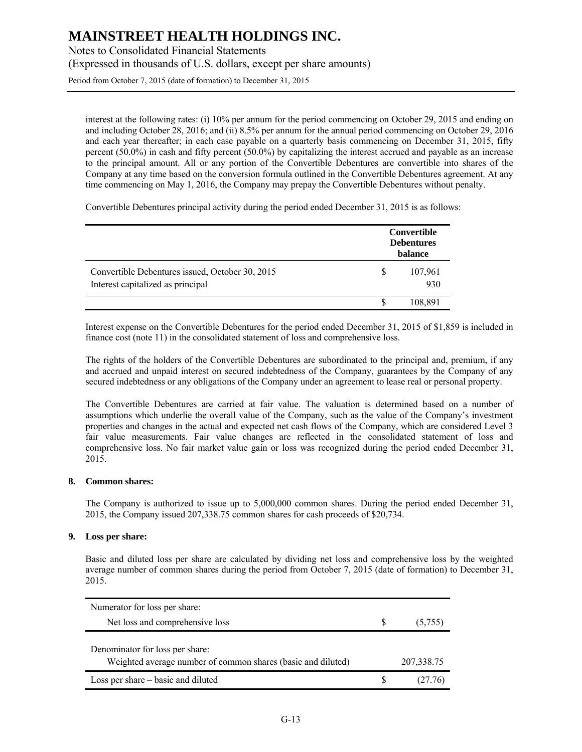Notes to Consolidated Financial Statements (Expressed in thousands of U.S. dollars, except per share amounts)

Period from October 7, 2015 (date of formation) to December 31, 2015

interest at the following rates: (i) 10% per annum for the period commencing on October 29, 2015 and ending on and including October 28, 2016; and (ii) 8.5% per annum for the annual period commencing on October 29, 2016 and each year thereafter; in each case payable on a quarterly basis commencing on December 31, 2015, fifty percent (50.0%) in cash and fifty percent (50.0%) by capitalizing the interest accrued and payable as an increase to the principal amount. All or any portion of the Convertible Debentures are convertible into shares of the Company at any time based on the conversion formula outlined in the Convertible Debentures agreement. At any time commencing on May 1, 2016, the Company may prepay the Convertible Debentures without penalty.

Convertible Debentures principal activity during the period ended December 31, 2015 is as follows:

|                                                                                      | Convertible<br><b>Debentures</b><br>balance |                |
|--------------------------------------------------------------------------------------|---------------------------------------------|----------------|
| Convertible Debentures issued, October 30, 2015<br>Interest capitalized as principal | S                                           | 107,961<br>930 |
|                                                                                      |                                             | 108,891        |

Interest expense on the Convertible Debentures for the period ended December 31, 2015 of \$1,859 is included in finance cost (note 11) in the consolidated statement of loss and comprehensive loss.

The rights of the holders of the Convertible Debentures are subordinated to the principal and, premium, if any and accrued and unpaid interest on secured indebtedness of the Company, guarantees by the Company of any secured indebtedness or any obligations of the Company under an agreement to lease real or personal property.

The Convertible Debentures are carried at fair value. The valuation is determined based on a number of assumptions which underlie the overall value of the Company, such as the value of the Company's investment properties and changes in the actual and expected net cash flows of the Company, which are considered Level 3 fair value measurements. Fair value changes are reflected in the consolidated statement of loss and comprehensive loss. No fair market value gain or loss was recognized during the period ended December 31, 2015.

### **8. Common shares:**

The Company is authorized to issue up to 5,000,000 common shares. During the period ended December 31, 2015, the Company issued 207,338.75 common shares for cash proceeds of \$20,734.

#### **9. Loss per share:**

Basic and diluted loss per share are calculated by dividing net loss and comprehensive loss by the weighted average number of common shares during the period from October 7, 2015 (date of formation) to December 31, 2015.

| Numerator for loss per share:                                                                   |            |
|-------------------------------------------------------------------------------------------------|------------|
| Net loss and comprehensive loss                                                                 | (5,755)    |
| Denominator for loss per share:<br>Weighted average number of common shares (basic and diluted) | 207,338.75 |
| Loss per share – basic and diluted                                                              | (27.76)    |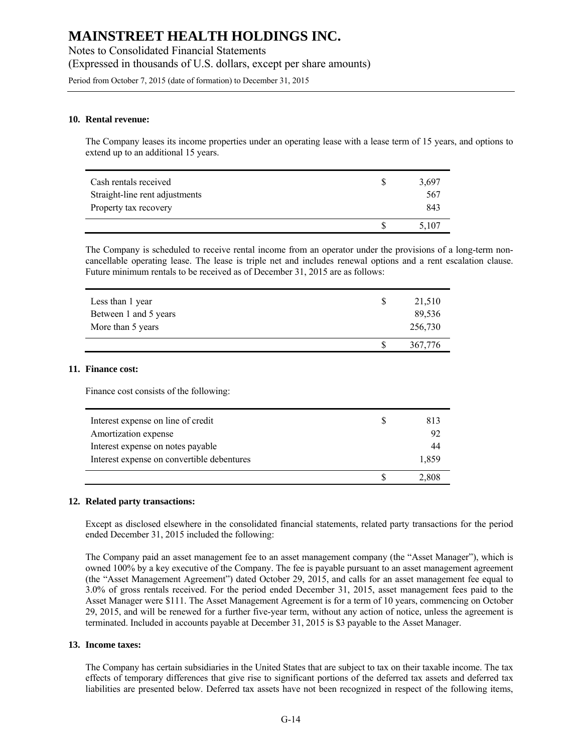Notes to Consolidated Financial Statements

(Expressed in thousands of U.S. dollars, except per share amounts)

Period from October 7, 2015 (date of formation) to December 31, 2015

#### **10. Rental revenue:**

The Company leases its income properties under an operating lease with a lease term of 15 years, and options to extend up to an additional 15 years.

| Cash rentals received<br>Straight-line rent adjustments | 3,697<br>567 |
|---------------------------------------------------------|--------------|
| Property tax recovery                                   | 843          |
|                                                         | 5.107        |

The Company is scheduled to receive rental income from an operator under the provisions of a long-term noncancellable operating lease. The lease is triple net and includes renewal options and a rent escalation clause. Future minimum rentals to be received as of December 31, 2015 are as follows:

| Less than 1 year      | S | 21,510  |
|-----------------------|---|---------|
| Between 1 and 5 years |   | 89,536  |
| More than 5 years     |   | 256,730 |
|                       |   | 367,776 |

#### **11. Finance cost:**

Finance cost consists of the following:

| Interest expense on line of credit         | 813   |
|--------------------------------------------|-------|
| Amortization expense                       | 92    |
| Interest expense on notes payable          | 44    |
| Interest expense on convertible debentures | 1,859 |
|                                            | 2,808 |

#### **12. Related party transactions:**

Except as disclosed elsewhere in the consolidated financial statements, related party transactions for the period ended December 31, 2015 included the following:

The Company paid an asset management fee to an asset management company (the "Asset Manager"), which is owned 100% by a key executive of the Company. The fee is payable pursuant to an asset management agreement (the "Asset Management Agreement") dated October 29, 2015, and calls for an asset management fee equal to 3.0% of gross rentals received. For the period ended December 31, 2015, asset management fees paid to the Asset Manager were \$111. The Asset Management Agreement is for a term of 10 years, commencing on October 29, 2015, and will be renewed for a further five-year term, without any action of notice, unless the agreement is terminated. Included in accounts payable at December 31, 2015 is \$3 payable to the Asset Manager.

#### **13. Income taxes:**

The Company has certain subsidiaries in the United States that are subject to tax on their taxable income. The tax effects of temporary differences that give rise to significant portions of the deferred tax assets and deferred tax liabilities are presented below. Deferred tax assets have not been recognized in respect of the following items,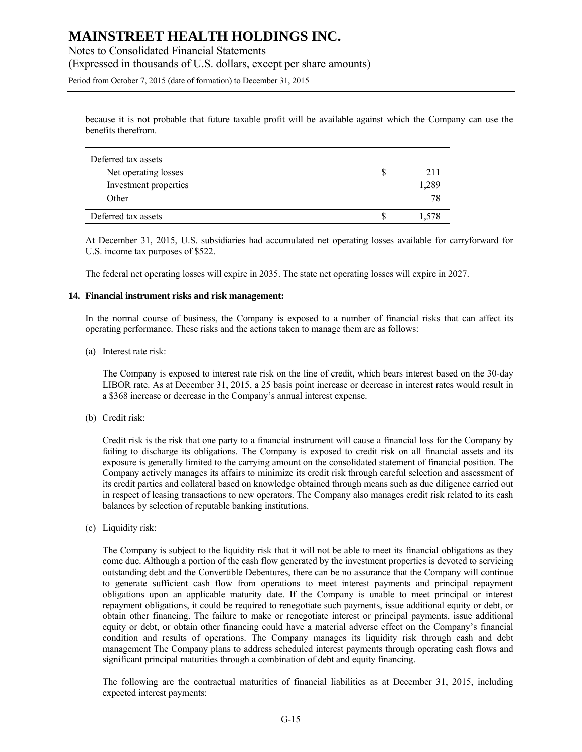Notes to Consolidated Financial Statements

(Expressed in thousands of U.S. dollars, except per share amounts)

Period from October 7, 2015 (date of formation) to December 31, 2015

because it is not probable that future taxable profit will be available against which the Company can use the benefits therefrom.

| Deferred tax assets<br>Net operating losses<br>Investment properties<br>Other | 211<br>1,289<br>78 |
|-------------------------------------------------------------------------------|--------------------|
| Deferred tax assets                                                           | 1.578              |

At December 31, 2015, U.S. subsidiaries had accumulated net operating losses available for carryforward for U.S. income tax purposes of \$522.

The federal net operating losses will expire in 2035. The state net operating losses will expire in 2027.

### **14. Financial instrument risks and risk management:**

In the normal course of business, the Company is exposed to a number of financial risks that can affect its operating performance. These risks and the actions taken to manage them are as follows:

(a) Interest rate risk:

The Company is exposed to interest rate risk on the line of credit, which bears interest based on the 30-day LIBOR rate. As at December 31, 2015, a 25 basis point increase or decrease in interest rates would result in a \$368 increase or decrease in the Company's annual interest expense.

(b) Credit risk:

Credit risk is the risk that one party to a financial instrument will cause a financial loss for the Company by failing to discharge its obligations. The Company is exposed to credit risk on all financial assets and its exposure is generally limited to the carrying amount on the consolidated statement of financial position. The Company actively manages its affairs to minimize its credit risk through careful selection and assessment of its credit parties and collateral based on knowledge obtained through means such as due diligence carried out in respect of leasing transactions to new operators. The Company also manages credit risk related to its cash balances by selection of reputable banking institutions.

(c) Liquidity risk:

The Company is subject to the liquidity risk that it will not be able to meet its financial obligations as they come due. Although a portion of the cash flow generated by the investment properties is devoted to servicing outstanding debt and the Convertible Debentures, there can be no assurance that the Company will continue to generate sufficient cash flow from operations to meet interest payments and principal repayment obligations upon an applicable maturity date. If the Company is unable to meet principal or interest repayment obligations, it could be required to renegotiate such payments, issue additional equity or debt, or obtain other financing. The failure to make or renegotiate interest or principal payments, issue additional equity or debt, or obtain other financing could have a material adverse effect on the Company's financial condition and results of operations. The Company manages its liquidity risk through cash and debt management The Company plans to address scheduled interest payments through operating cash flows and significant principal maturities through a combination of debt and equity financing.

The following are the contractual maturities of financial liabilities as at December 31, 2015, including expected interest payments: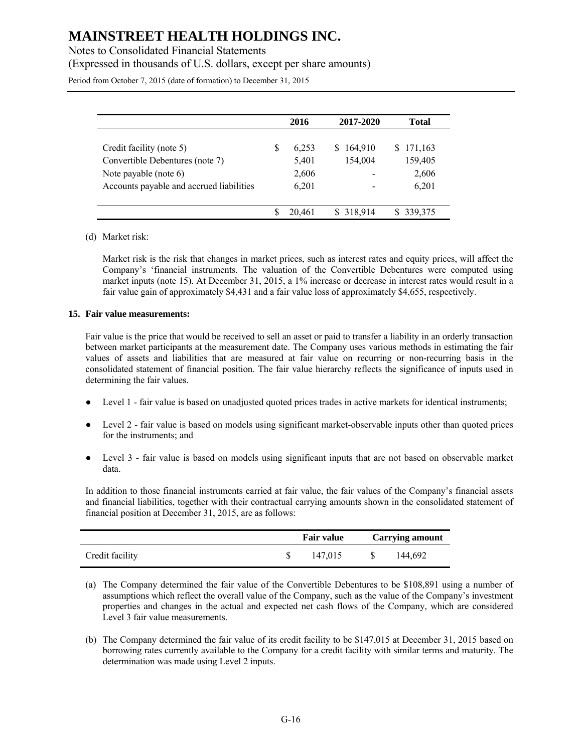Notes to Consolidated Financial Statements

(Expressed in thousands of U.S. dollars, except per share amounts)

Period from October 7, 2015 (date of formation) to December 31, 2015

|                                          |   | 2016   | 2017-2020    | Total     |
|------------------------------------------|---|--------|--------------|-----------|
| Credit facility (note 5)                 | S | 6,253  | 164,910<br>S | \$171,163 |
| Convertible Debentures (note 7)          |   | 5,401  | 154,004      | 159,405   |
| Note payable (note 6)                    |   | 2,606  |              | 2,606     |
| Accounts payable and accrued liabilities |   | 6,201  |              | 6,201     |
|                                          |   | 20.461 | \$ 318,914   | 339,375   |

(d) Market risk:

Market risk is the risk that changes in market prices, such as interest rates and equity prices, will affect the Company's 'financial instruments. The valuation of the Convertible Debentures were computed using market inputs (note 15). At December 31, 2015, a 1% increase or decrease in interest rates would result in a fair value gain of approximately \$4,431 and a fair value loss of approximately \$4,655, respectively.

### **15. Fair value measurements:**

Fair value is the price that would be received to sell an asset or paid to transfer a liability in an orderly transaction between market participants at the measurement date. The Company uses various methods in estimating the fair values of assets and liabilities that are measured at fair value on recurring or non-recurring basis in the consolidated statement of financial position. The fair value hierarchy reflects the significance of inputs used in determining the fair values.

- Level 1 fair value is based on unadjusted quoted prices trades in active markets for identical instruments;
- Level 2 fair value is based on models using significant market-observable inputs other than quoted prices for the instruments; and
- Level 3 fair value is based on models using significant inputs that are not based on observable market data.

In addition to those financial instruments carried at fair value, the fair values of the Company's financial assets and financial liabilities, together with their contractual carrying amounts shown in the consolidated statement of financial position at December 31, 2015, are as follows:

|                 | <b>Fair value</b> | <b>Carrying amount</b> |
|-----------------|-------------------|------------------------|
| Credit facility | 147.015           | 144,692                |

<sup>(</sup>a) The Company determined the fair value of the Convertible Debentures to be \$108,891 using a number of assumptions which reflect the overall value of the Company, such as the value of the Company's investment properties and changes in the actual and expected net cash flows of the Company, which are considered Level 3 fair value measurements.

(b) The Company determined the fair value of its credit facility to be \$147,015 at December 31, 2015 based on borrowing rates currently available to the Company for a credit facility with similar terms and maturity. The determination was made using Level 2 inputs.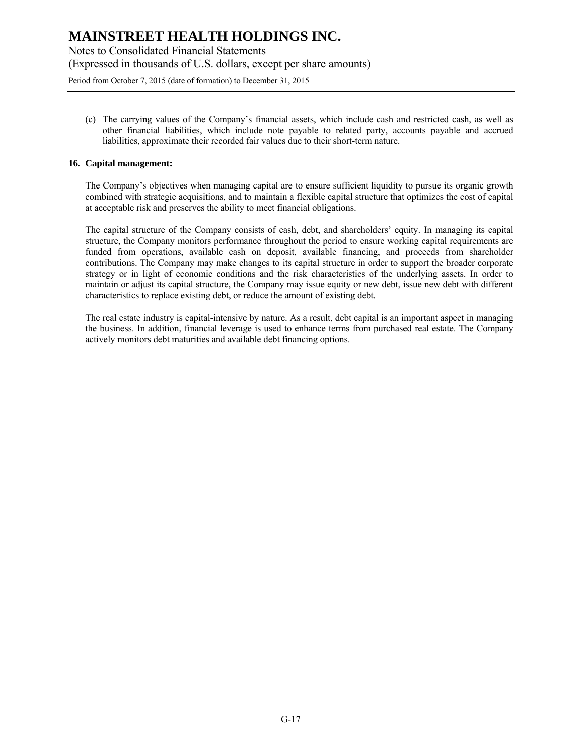Notes to Consolidated Financial Statements (Expressed in thousands of U.S. dollars, except per share amounts)

Period from October 7, 2015 (date of formation) to December 31, 2015

(c) The carrying values of the Company's financial assets, which include cash and restricted cash, as well as other financial liabilities, which include note payable to related party, accounts payable and accrued liabilities, approximate their recorded fair values due to their short-term nature.

### **16. Capital management:**

The Company's objectives when managing capital are to ensure sufficient liquidity to pursue its organic growth combined with strategic acquisitions, and to maintain a flexible capital structure that optimizes the cost of capital at acceptable risk and preserves the ability to meet financial obligations.

The capital structure of the Company consists of cash, debt, and shareholders' equity. In managing its capital structure, the Company monitors performance throughout the period to ensure working capital requirements are funded from operations, available cash on deposit, available financing, and proceeds from shareholder contributions. The Company may make changes to its capital structure in order to support the broader corporate strategy or in light of economic conditions and the risk characteristics of the underlying assets. In order to maintain or adjust its capital structure, the Company may issue equity or new debt, issue new debt with different characteristics to replace existing debt, or reduce the amount of existing debt.

The real estate industry is capital-intensive by nature. As a result, debt capital is an important aspect in managing the business. In addition, financial leverage is used to enhance terms from purchased real estate. The Company actively monitors debt maturities and available debt financing options.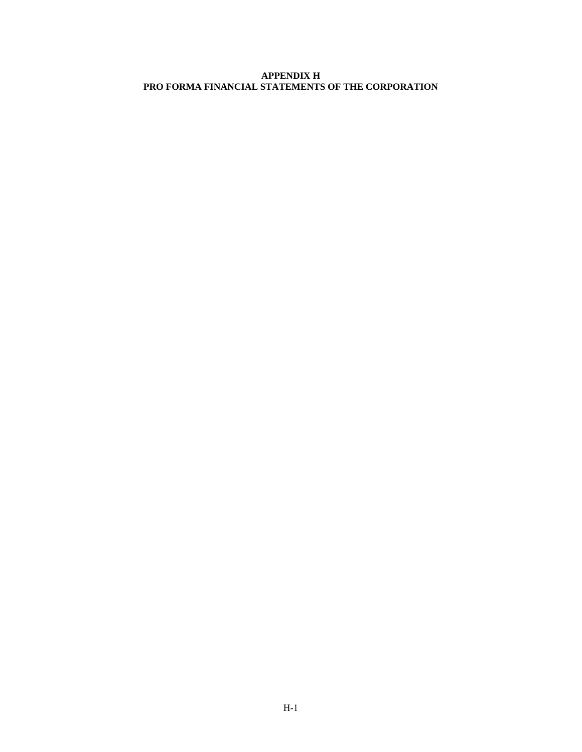### **APPENDIX H PRO FORMA FINANCIAL STATEMENTS OF THE CORPORATION**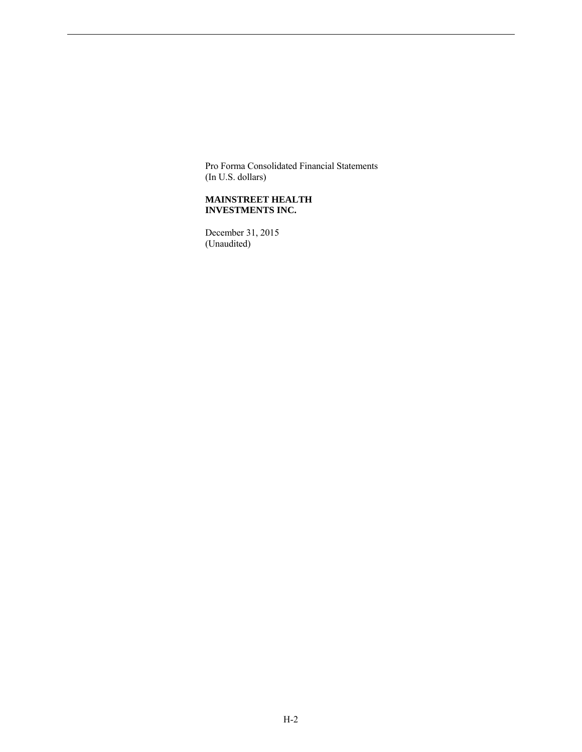Pro Forma Consolidated Financial Statements (In U.S. dollars)

### **MAINSTREET HEALTH INVESTMENTS INC.**

December 31, 2015 (Unaudited)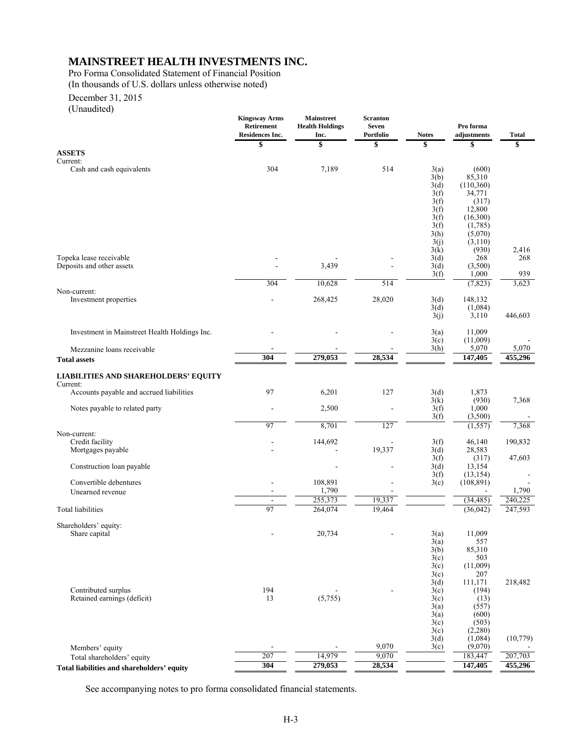Pro Forma Consolidated Statement of Financial Position

(In thousands of U.S. dollars unless otherwise noted)

December 31, 2015 (Unaudited)

|                                                                             | <b>Kingsway Arms</b><br><b>Retirement</b><br><b>Residences Inc.</b> | <b>Mainstreet</b><br><b>Health Holdings</b><br>Inc. | <b>Scranton</b><br><b>Seven</b><br>Portfolio | <b>Notes</b>                                                                         | Pro forma<br>adjustments                                                                                         | <b>Total</b>      |
|-----------------------------------------------------------------------------|---------------------------------------------------------------------|-----------------------------------------------------|----------------------------------------------|--------------------------------------------------------------------------------------|------------------------------------------------------------------------------------------------------------------|-------------------|
| <b>ASSETS</b>                                                               | \$                                                                  | \$                                                  | \$                                           | \$                                                                                   | \$                                                                                                               | \$                |
| Current:                                                                    |                                                                     |                                                     |                                              |                                                                                      |                                                                                                                  |                   |
| Cash and cash equivalents                                                   | 304                                                                 | 7,189                                               | 514                                          | 3(a)<br>3(b)<br>3(d)<br>3(f)<br>3(f)<br>3(f)<br>3(f)<br>3(f)<br>3(h)<br>3(i)<br>3(k) | (600)<br>85,310<br>(110, 360)<br>34,771<br>(317)<br>12,800<br>(16,300)<br>(1,785)<br>(5,070)<br>(3,110)<br>(930) | 2,416             |
| Topeka lease receivable                                                     |                                                                     |                                                     |                                              | 3(d)                                                                                 | 268                                                                                                              | 268               |
| Deposits and other assets                                                   |                                                                     | 3,439                                               |                                              | 3(d)<br>3(f)                                                                         | (3,500)<br>1,000                                                                                                 | 939               |
|                                                                             | 304                                                                 | 10,628                                              | 514                                          |                                                                                      | (7, 823)                                                                                                         | 3,623             |
| Non-current:<br>Investment properties                                       |                                                                     | 268,425                                             | 28,020                                       | 3(d)<br>3(d)<br>3(j)                                                                 | 148,132<br>(1,084)<br>3,110                                                                                      | 446,603           |
| Investment in Mainstreet Health Holdings Inc.<br>Mezzanine loans receivable |                                                                     |                                                     |                                              | 3(a)<br>3(c)<br>3(h)                                                                 | 11,009<br>(11,009)<br>5,070                                                                                      | 5,070             |
| <b>Total assets</b>                                                         | 304                                                                 | 279,053                                             | 28,534                                       |                                                                                      | 147,405                                                                                                          | 455,296           |
| <b>LIABILITIES AND SHAREHOLDERS' EQUITY</b>                                 |                                                                     |                                                     |                                              |                                                                                      |                                                                                                                  |                   |
| Current:                                                                    |                                                                     |                                                     |                                              |                                                                                      |                                                                                                                  |                   |
| Accounts payable and accrued liabilities                                    | 97                                                                  | 6,201                                               | 127                                          | 3(d)<br>3(k)                                                                         | 1,873<br>(930)                                                                                                   | 7,368             |
| Notes payable to related party                                              |                                                                     | 2,500                                               |                                              | 3(f)<br>3(f)                                                                         | 1,000<br>(3,500)                                                                                                 |                   |
|                                                                             | 97                                                                  | 8,701                                               | 127                                          |                                                                                      | (1, 557)                                                                                                         | 7,368             |
| Non-current:<br>Credit facility<br>Mortgages payable                        |                                                                     | 144,692                                             | 19,337                                       | 3(f)<br>3(d)<br>3(f)                                                                 | 46,140<br>28,583<br>(317)                                                                                        | 190,832<br>47,603 |
| Construction loan payable                                                   |                                                                     |                                                     |                                              | 3(d)                                                                                 | 13,154                                                                                                           |                   |
| Convertible debentures<br>Unearned revenue                                  |                                                                     | 108,891<br>1,790                                    |                                              | 3(f)<br>3(c)                                                                         | (13, 154)<br>(108, 891)                                                                                          | 1,790             |
|                                                                             |                                                                     | 255,373                                             | 19,337                                       |                                                                                      | (34, 485)                                                                                                        | 240,225           |
| Total liabilities                                                           | 97                                                                  | 264,074                                             | 19,464                                       |                                                                                      | (36,042)                                                                                                         | 247,593           |
| Shareholders' equity:<br>Share capital                                      |                                                                     | 20,734                                              |                                              | 3(a)<br>3(a)<br>3(b)                                                                 | 11,009<br>557<br>85,310                                                                                          |                   |
| Contributed surplus<br>Retained earnings (deficit)                          | 194<br>13                                                           | (5,755)                                             |                                              | 3(c)<br>3(c)<br>3(c)<br>3(d)<br>3(c)<br>3(c)<br>3(a)<br>3(a)                         | 503<br>(11,009)<br>207<br>111,171<br>(194)<br>(13)<br>(557)<br>(600)                                             | 218,482           |
| Members' equity                                                             |                                                                     |                                                     | 9,070                                        | 3(c)<br>3(c)<br>3(d)<br>3(c)                                                         | (503)<br>(2,280)<br>(1,084)<br>(9,070)                                                                           | (10, 779)         |
| Total shareholders' equity                                                  | 207                                                                 | 14,979                                              | 9,070                                        |                                                                                      | 183,447                                                                                                          | 207,703           |
| Total liabilities and shareholders' equity                                  | 304                                                                 | 279,053                                             | 28,534                                       |                                                                                      | 147,405                                                                                                          | 455,296           |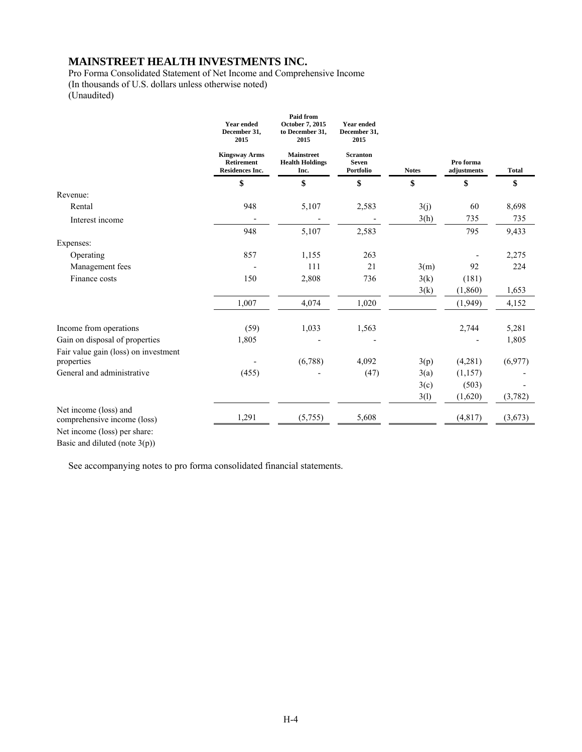Pro Forma Consolidated Statement of Net Income and Comprehensive Income (In thousands of U.S. dollars unless otherwise noted) (Unaudited)

|                                                      | <b>Year ended</b><br>December 31,<br>2015                           | <b>Paid from</b><br>October 7, 2015<br>to December 31,<br>2015 | <b>Year ended</b><br>December 31,<br>2015    |              |                          |              |
|------------------------------------------------------|---------------------------------------------------------------------|----------------------------------------------------------------|----------------------------------------------|--------------|--------------------------|--------------|
|                                                      | <b>Kingsway Arms</b><br><b>Retirement</b><br><b>Residences Inc.</b> | <b>Mainstreet</b><br><b>Health Holdings</b><br>Inc.            | <b>Scranton</b><br><b>Seven</b><br>Portfolio | <b>Notes</b> | Pro forma<br>adjustments | <b>Total</b> |
|                                                      | \$                                                                  | \$                                                             | \$                                           | \$           | \$                       | \$           |
| Revenue:                                             |                                                                     |                                                                |                                              |              |                          |              |
| Rental                                               | 948                                                                 | 5,107                                                          | 2,583                                        | 3(j)         | 60                       | 8,698        |
| Interest income                                      |                                                                     |                                                                |                                              | 3(h)         | 735                      | 735          |
|                                                      | 948                                                                 | 5,107                                                          | 2,583                                        |              | 795                      | 9,433        |
| Expenses:                                            |                                                                     |                                                                |                                              |              |                          |              |
| Operating                                            | 857                                                                 | 1,155                                                          | 263                                          |              |                          | 2,275        |
| Management fees                                      |                                                                     | 111                                                            | 21                                           | 3(m)         | 92                       | 224          |
| Finance costs                                        | 150                                                                 | 2,808                                                          | 736                                          | 3(k)         | (181)                    |              |
|                                                      |                                                                     |                                                                |                                              | 3(k)         | (1,860)                  | 1,653        |
|                                                      | 1,007                                                               | 4,074                                                          | 1,020                                        |              | (1,949)                  | 4,152        |
| Income from operations                               | (59)                                                                | 1,033                                                          | 1,563                                        |              | 2,744                    | 5,281        |
| Gain on disposal of properties                       | 1,805                                                               |                                                                |                                              |              |                          | 1,805        |
| Fair value gain (loss) on investment<br>properties   |                                                                     | (6,788)                                                        | 4,092                                        | 3(p)         | (4,281)                  | (6,977)      |
| General and administrative                           | (455)                                                               |                                                                | (47)                                         | 3(a)         | (1,157)                  |              |
|                                                      |                                                                     |                                                                |                                              | 3(c)         | (503)                    |              |
|                                                      |                                                                     |                                                                |                                              | 3(1)         | (1,620)                  | (3,782)      |
| Net income (loss) and<br>comprehensive income (loss) | 1,291                                                               | (5,755)                                                        | 5,608                                        |              | (4, 817)                 | (3,673)      |
| Net income (loss) per share:                         |                                                                     |                                                                |                                              |              |                          |              |

Basic and diluted (note 3(p))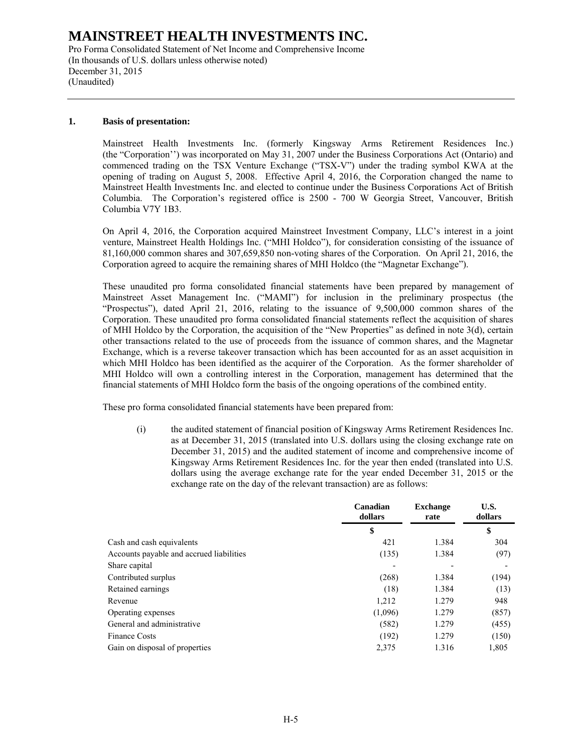Pro Forma Consolidated Statement of Net Income and Comprehensive Income (In thousands of U.S. dollars unless otherwise noted) December 31, 2015 (Unaudited)

#### **1. Basis of presentation:**

Mainstreet Health Investments Inc. (formerly Kingsway Arms Retirement Residences Inc.) (the "Corporation'') was incorporated on May 31, 2007 under the Business Corporations Act (Ontario) and commenced trading on the TSX Venture Exchange ("TSX-V") under the trading symbol KWA at the opening of trading on August 5, 2008. Effective April 4, 2016, the Corporation changed the name to Mainstreet Health Investments Inc. and elected to continue under the Business Corporations Act of British Columbia. The Corporation's registered office is 2500 - 700 W Georgia Street, Vancouver, British Columbia V7Y 1B3.

On April 4, 2016, the Corporation acquired Mainstreet Investment Company, LLC's interest in a joint venture, Mainstreet Health Holdings Inc. ("MHI Holdco"), for consideration consisting of the issuance of 81,160,000 common shares and 307,659,850 non-voting shares of the Corporation. On April 21, 2016, the Corporation agreed to acquire the remaining shares of MHI Holdco (the "Magnetar Exchange").

These unaudited pro forma consolidated financial statements have been prepared by management of Mainstreet Asset Management Inc. ("MAMI") for inclusion in the preliminary prospectus (the "Prospectus"), dated April 21, 2016, relating to the issuance of 9,500,000 common shares of the Corporation. These unaudited pro forma consolidated financial statements reflect the acquisition of shares of MHI Holdco by the Corporation, the acquisition of the "New Properties" as defined in note 3(d), certain other transactions related to the use of proceeds from the issuance of common shares, and the Magnetar Exchange, which is a reverse takeover transaction which has been accounted for as an asset acquisition in which MHI Holdco has been identified as the acquirer of the Corporation. As the former shareholder of MHI Holdco will own a controlling interest in the Corporation, management has determined that the financial statements of MHI Holdco form the basis of the ongoing operations of the combined entity.

These pro forma consolidated financial statements have been prepared from:

(i) the audited statement of financial position of Kingsway Arms Retirement Residences Inc. as at December 31, 2015 (translated into U.S. dollars using the closing exchange rate on December 31, 2015) and the audited statement of income and comprehensive income of Kingsway Arms Retirement Residences Inc. for the year then ended (translated into U.S. dollars using the average exchange rate for the year ended December 31, 2015 or the exchange rate on the day of the relevant transaction) are as follows:

|                                          | Canadian<br>dollars | <b>Exchange</b><br>rate | U.S.<br>dollars |
|------------------------------------------|---------------------|-------------------------|-----------------|
|                                          | \$                  |                         | \$              |
| Cash and cash equivalents                | 421                 | 1.384                   | 304             |
| Accounts payable and accrued liabilities | (135)               | 1.384                   | (97)            |
| Share capital                            |                     |                         |                 |
| Contributed surplus                      | (268)               | 1.384                   | (194)           |
| Retained earnings                        | (18)                | 1.384                   | (13)            |
| Revenue                                  | 1,212               | 1.279                   | 948             |
| Operating expenses                       | (1,096)             | 1.279                   | (857)           |
| General and administrative               | (582)               | 1.279                   | (455)           |
| <b>Finance Costs</b>                     | (192)               | 1.279                   | (150)           |
| Gain on disposal of properties           | 2,375               | 1.316                   | 1,805           |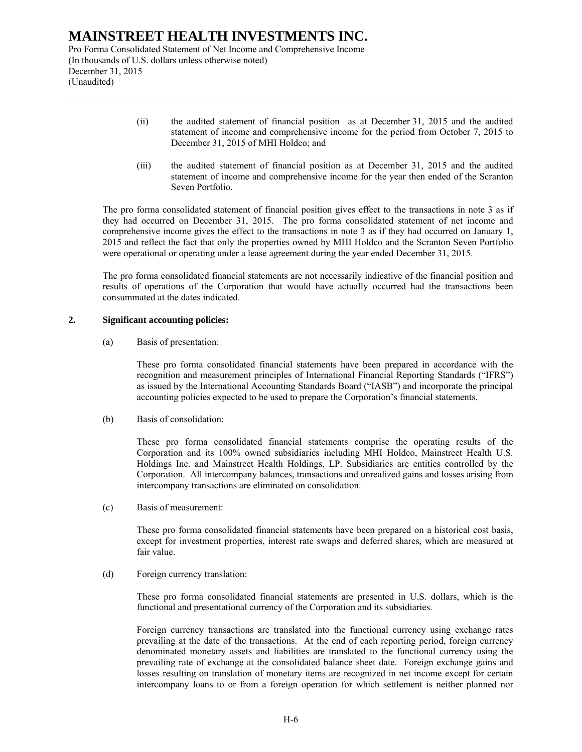Pro Forma Consolidated Statement of Net Income and Comprehensive Income (In thousands of U.S. dollars unless otherwise noted) December 31, 2015 (Unaudited)

- (ii) the audited statement of financial position as at December 31, 2015 and the audited statement of income and comprehensive income for the period from October 7, 2015 to December 31, 2015 of MHI Holdco; and
- (iii) the audited statement of financial position as at December 31, 2015 and the audited statement of income and comprehensive income for the year then ended of the Scranton Seven Portfolio.

The pro forma consolidated statement of financial position gives effect to the transactions in note 3 as if they had occurred on December 31, 2015. The pro forma consolidated statement of net income and comprehensive income gives the effect to the transactions in note 3 as if they had occurred on January 1, 2015 and reflect the fact that only the properties owned by MHI Holdco and the Scranton Seven Portfolio were operational or operating under a lease agreement during the year ended December 31, 2015.

The pro forma consolidated financial statements are not necessarily indicative of the financial position and results of operations of the Corporation that would have actually occurred had the transactions been consummated at the dates indicated.

### **2. Significant accounting policies:**

(a) Basis of presentation:

These pro forma consolidated financial statements have been prepared in accordance with the recognition and measurement principles of International Financial Reporting Standards ("IFRS") as issued by the International Accounting Standards Board ("IASB") and incorporate the principal accounting policies expected to be used to prepare the Corporation's financial statements.

(b) Basis of consolidation:

These pro forma consolidated financial statements comprise the operating results of the Corporation and its 100% owned subsidiaries including MHI Holdco, Mainstreet Health U.S. Holdings Inc. and Mainstreet Health Holdings, LP. Subsidiaries are entities controlled by the Corporation. All intercompany balances, transactions and unrealized gains and losses arising from intercompany transactions are eliminated on consolidation.

(c) Basis of measurement:

These pro forma consolidated financial statements have been prepared on a historical cost basis, except for investment properties, interest rate swaps and deferred shares, which are measured at fair value.

(d) Foreign currency translation:

These pro forma consolidated financial statements are presented in U.S. dollars, which is the functional and presentational currency of the Corporation and its subsidiaries.

Foreign currency transactions are translated into the functional currency using exchange rates prevailing at the date of the transactions. At the end of each reporting period, foreign currency denominated monetary assets and liabilities are translated to the functional currency using the prevailing rate of exchange at the consolidated balance sheet date. Foreign exchange gains and losses resulting on translation of monetary items are recognized in net income except for certain intercompany loans to or from a foreign operation for which settlement is neither planned nor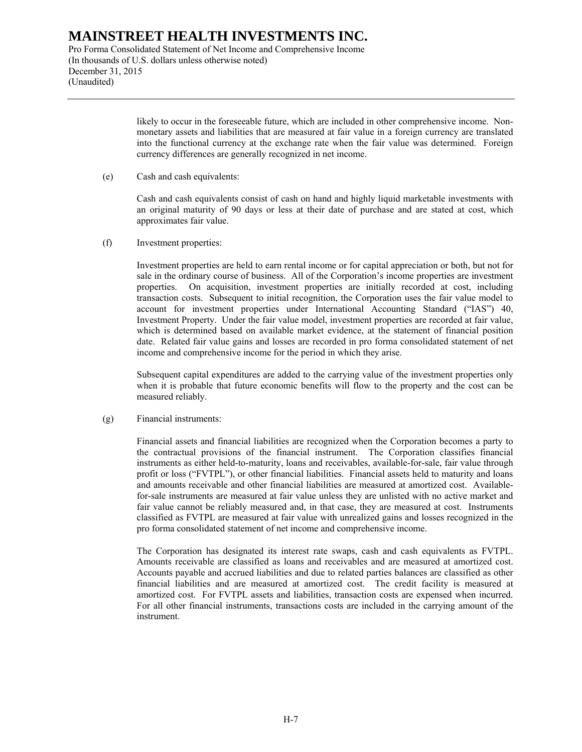Pro Forma Consolidated Statement of Net Income and Comprehensive Income (In thousands of U.S. dollars unless otherwise noted) December 31, 2015 (Unaudited)

> likely to occur in the foreseeable future, which are included in other comprehensive income. Nonmonetary assets and liabilities that are measured at fair value in a foreign currency are translated into the functional currency at the exchange rate when the fair value was determined. Foreign currency differences are generally recognized in net income.

(e) Cash and cash equivalents:

Cash and cash equivalents consist of cash on hand and highly liquid marketable investments with an original maturity of 90 days or less at their date of purchase and are stated at cost, which approximates fair value.

(f) Investment properties:

Investment properties are held to earn rental income or for capital appreciation or both, but not for sale in the ordinary course of business. All of the Corporation's income properties are investment properties. On acquisition, investment properties are initially recorded at cost, including transaction costs. Subsequent to initial recognition, the Corporation uses the fair value model to account for investment properties under International Accounting Standard ("IAS") 40, Investment Property. Under the fair value model, investment properties are recorded at fair value, which is determined based on available market evidence, at the statement of financial position date. Related fair value gains and losses are recorded in pro forma consolidated statement of net income and comprehensive income for the period in which they arise.

Subsequent capital expenditures are added to the carrying value of the investment properties only when it is probable that future economic benefits will flow to the property and the cost can be measured reliably.

#### (g) Financial instruments:

Financial assets and financial liabilities are recognized when the Corporation becomes a party to the contractual provisions of the financial instrument. The Corporation classifies financial instruments as either held-to-maturity, loans and receivables, available-for-sale, fair value through profit or loss ("FVTPL"), or other financial liabilities. Financial assets held to maturity and loans and amounts receivable and other financial liabilities are measured at amortized cost. Availablefor-sale instruments are measured at fair value unless they are unlisted with no active market and fair value cannot be reliably measured and, in that case, they are measured at cost. Instruments classified as FVTPL are measured at fair value with unrealized gains and losses recognized in the pro forma consolidated statement of net income and comprehensive income.

The Corporation has designated its interest rate swaps, cash and cash equivalents as FVTPL. Amounts receivable are classified as loans and receivables and are measured at amortized cost. Accounts payable and accrued liabilities and due to related parties balances are classified as other financial liabilities and are measured at amortized cost. The credit facility is measured at amortized cost. For FVTPL assets and liabilities, transaction costs are expensed when incurred. For all other financial instruments, transactions costs are included in the carrying amount of the instrument.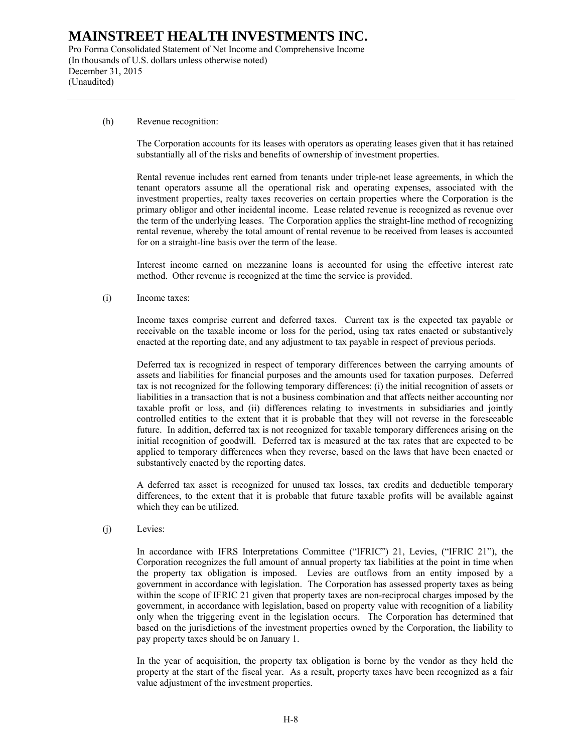#### (h) Revenue recognition:

The Corporation accounts for its leases with operators as operating leases given that it has retained substantially all of the risks and benefits of ownership of investment properties.

Rental revenue includes rent earned from tenants under triple-net lease agreements, in which the tenant operators assume all the operational risk and operating expenses, associated with the investment properties, realty taxes recoveries on certain properties where the Corporation is the primary obligor and other incidental income. Lease related revenue is recognized as revenue over the term of the underlying leases. The Corporation applies the straight-line method of recognizing rental revenue, whereby the total amount of rental revenue to be received from leases is accounted for on a straight-line basis over the term of the lease.

Interest income earned on mezzanine loans is accounted for using the effective interest rate method. Other revenue is recognized at the time the service is provided.

#### (i) Income taxes:

Income taxes comprise current and deferred taxes. Current tax is the expected tax payable or receivable on the taxable income or loss for the period, using tax rates enacted or substantively enacted at the reporting date, and any adjustment to tax payable in respect of previous periods.

Deferred tax is recognized in respect of temporary differences between the carrying amounts of assets and liabilities for financial purposes and the amounts used for taxation purposes. Deferred tax is not recognized for the following temporary differences: (i) the initial recognition of assets or liabilities in a transaction that is not a business combination and that affects neither accounting nor taxable profit or loss, and (ii) differences relating to investments in subsidiaries and jointly controlled entities to the extent that it is probable that they will not reverse in the foreseeable future. In addition, deferred tax is not recognized for taxable temporary differences arising on the initial recognition of goodwill. Deferred tax is measured at the tax rates that are expected to be applied to temporary differences when they reverse, based on the laws that have been enacted or substantively enacted by the reporting dates.

A deferred tax asset is recognized for unused tax losses, tax credits and deductible temporary differences, to the extent that it is probable that future taxable profits will be available against which they can be utilized.

(j) Levies:

In accordance with IFRS Interpretations Committee ("IFRIC") 21, Levies, ("IFRIC 21"), the Corporation recognizes the full amount of annual property tax liabilities at the point in time when the property tax obligation is imposed. Levies are outflows from an entity imposed by a government in accordance with legislation. The Corporation has assessed property taxes as being within the scope of IFRIC 21 given that property taxes are non-reciprocal charges imposed by the government, in accordance with legislation, based on property value with recognition of a liability only when the triggering event in the legislation occurs. The Corporation has determined that based on the jurisdictions of the investment properties owned by the Corporation, the liability to pay property taxes should be on January 1.

In the year of acquisition, the property tax obligation is borne by the vendor as they held the property at the start of the fiscal year. As a result, property taxes have been recognized as a fair value adjustment of the investment properties.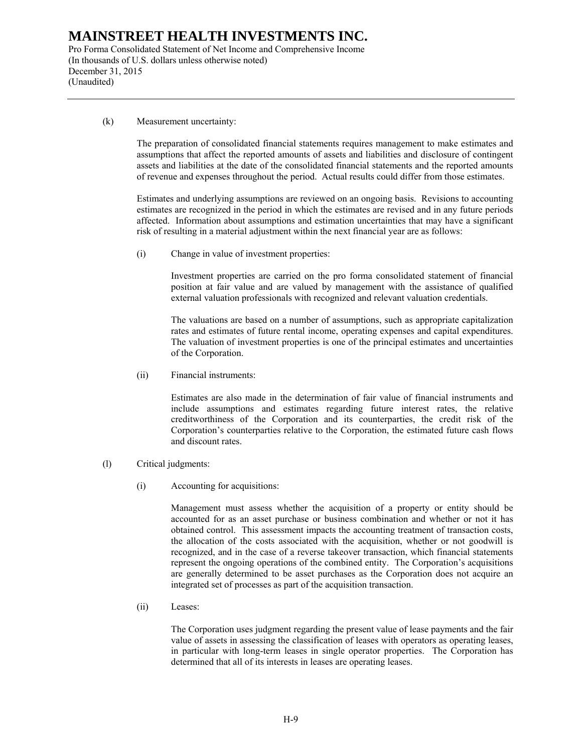#### (k) Measurement uncertainty:

The preparation of consolidated financial statements requires management to make estimates and assumptions that affect the reported amounts of assets and liabilities and disclosure of contingent assets and liabilities at the date of the consolidated financial statements and the reported amounts of revenue and expenses throughout the period. Actual results could differ from those estimates.

Estimates and underlying assumptions are reviewed on an ongoing basis. Revisions to accounting estimates are recognized in the period in which the estimates are revised and in any future periods affected. Information about assumptions and estimation uncertainties that may have a significant risk of resulting in a material adjustment within the next financial year are as follows:

(i) Change in value of investment properties:

Investment properties are carried on the pro forma consolidated statement of financial position at fair value and are valued by management with the assistance of qualified external valuation professionals with recognized and relevant valuation credentials.

The valuations are based on a number of assumptions, such as appropriate capitalization rates and estimates of future rental income, operating expenses and capital expenditures. The valuation of investment properties is one of the principal estimates and uncertainties of the Corporation.

(ii) Financial instruments:

Estimates are also made in the determination of fair value of financial instruments and include assumptions and estimates regarding future interest rates, the relative creditworthiness of the Corporation and its counterparties, the credit risk of the Corporation's counterparties relative to the Corporation, the estimated future cash flows and discount rates.

### (l) Critical judgments:

(i) Accounting for acquisitions:

Management must assess whether the acquisition of a property or entity should be accounted for as an asset purchase or business combination and whether or not it has obtained control. This assessment impacts the accounting treatment of transaction costs, the allocation of the costs associated with the acquisition, whether or not goodwill is recognized, and in the case of a reverse takeover transaction, which financial statements represent the ongoing operations of the combined entity. The Corporation's acquisitions are generally determined to be asset purchases as the Corporation does not acquire an integrated set of processes as part of the acquisition transaction.

(ii) Leases:

The Corporation uses judgment regarding the present value of lease payments and the fair value of assets in assessing the classification of leases with operators as operating leases, in particular with long-term leases in single operator properties. The Corporation has determined that all of its interests in leases are operating leases.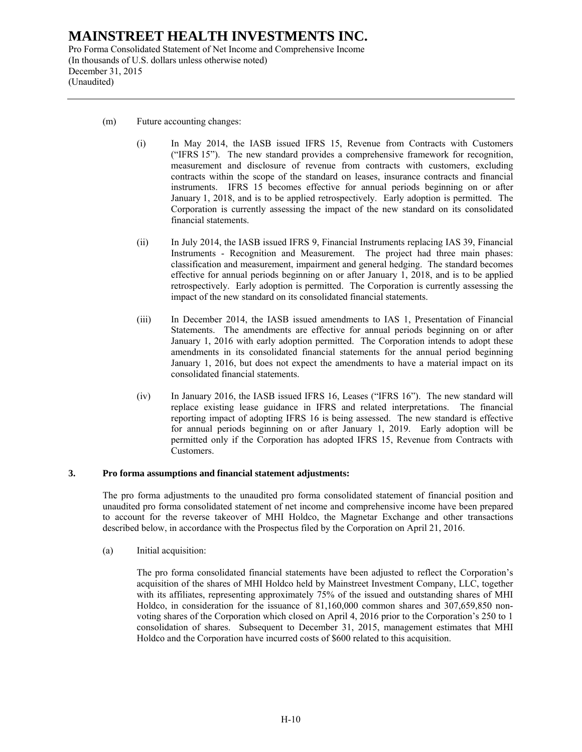### **MAINSTREET HEALTH INVESTMENTS INC.** Pro Forma Consolidated Statement of Net Income and Comprehensive Income (In thousands of U.S. dollars unless otherwise noted) December 31, 2015

(Unaudited)

- (m) Future accounting changes:
	- (i) In May 2014, the IASB issued IFRS 15, Revenue from Contracts with Customers ("IFRS 15"). The new standard provides a comprehensive framework for recognition, measurement and disclosure of revenue from contracts with customers, excluding contracts within the scope of the standard on leases, insurance contracts and financial instruments. IFRS 15 becomes effective for annual periods beginning on or after January 1, 2018, and is to be applied retrospectively. Early adoption is permitted. The Corporation is currently assessing the impact of the new standard on its consolidated financial statements.
	- (ii) In July 2014, the IASB issued IFRS 9, Financial Instruments replacing IAS 39, Financial Instruments - Recognition and Measurement. The project had three main phases: classification and measurement, impairment and general hedging. The standard becomes effective for annual periods beginning on or after January 1, 2018, and is to be applied retrospectively. Early adoption is permitted. The Corporation is currently assessing the impact of the new standard on its consolidated financial statements.
	- (iii) In December 2014, the IASB issued amendments to IAS 1, Presentation of Financial Statements. The amendments are effective for annual periods beginning on or after January 1, 2016 with early adoption permitted. The Corporation intends to adopt these amendments in its consolidated financial statements for the annual period beginning January 1, 2016, but does not expect the amendments to have a material impact on its consolidated financial statements.
	- (iv) In January 2016, the IASB issued IFRS 16, Leases ("IFRS 16"). The new standard will replace existing lease guidance in IFRS and related interpretations. The financial reporting impact of adopting IFRS 16 is being assessed. The new standard is effective for annual periods beginning on or after January 1, 2019. Early adoption will be permitted only if the Corporation has adopted IFRS 15, Revenue from Contracts with Customers.

#### **3. Pro forma assumptions and financial statement adjustments:**

The pro forma adjustments to the unaudited pro forma consolidated statement of financial position and unaudited pro forma consolidated statement of net income and comprehensive income have been prepared to account for the reverse takeover of MHI Holdco, the Magnetar Exchange and other transactions described below, in accordance with the Prospectus filed by the Corporation on April 21, 2016.

(a) Initial acquisition:

The pro forma consolidated financial statements have been adjusted to reflect the Corporation's acquisition of the shares of MHI Holdco held by Mainstreet Investment Company, LLC, together with its affiliates, representing approximately 75% of the issued and outstanding shares of MHI Holdco, in consideration for the issuance of 81,160,000 common shares and 307,659,850 nonvoting shares of the Corporation which closed on April 4, 2016 prior to the Corporation's 250 to 1 consolidation of shares. Subsequent to December 31, 2015, management estimates that MHI Holdco and the Corporation have incurred costs of \$600 related to this acquisition.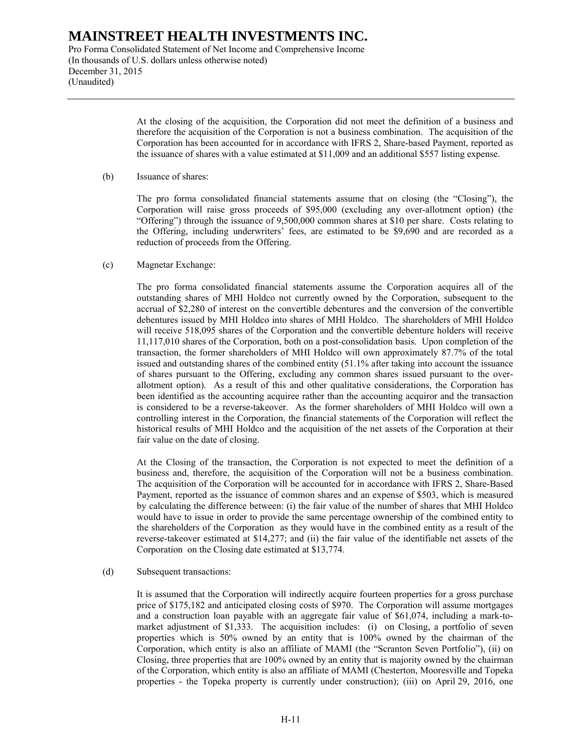Pro Forma Consolidated Statement of Net Income and Comprehensive Income (In thousands of U.S. dollars unless otherwise noted) December 31, 2015 (Unaudited)

> At the closing of the acquisition, the Corporation did not meet the definition of a business and therefore the acquisition of the Corporation is not a business combination. The acquisition of the Corporation has been accounted for in accordance with IFRS 2, Share-based Payment, reported as the issuance of shares with a value estimated at \$11,009 and an additional \$557 listing expense.

(b) Issuance of shares:

The pro forma consolidated financial statements assume that on closing (the "Closing"), the Corporation will raise gross proceeds of \$95,000 (excluding any over-allotment option) (the "Offering") through the issuance of 9,500,000 common shares at \$10 per share. Costs relating to the Offering, including underwriters' fees, are estimated to be \$9,690 and are recorded as a reduction of proceeds from the Offering.

(c) Magnetar Exchange:

The pro forma consolidated financial statements assume the Corporation acquires all of the outstanding shares of MHI Holdco not currently owned by the Corporation, subsequent to the accrual of \$2,280 of interest on the convertible debentures and the conversion of the convertible debentures issued by MHI Holdco into shares of MHI Holdco. The shareholders of MHI Holdco will receive 518,095 shares of the Corporation and the convertible debenture holders will receive 11,117,010 shares of the Corporation, both on a post-consolidation basis. Upon completion of the transaction, the former shareholders of MHI Holdco will own approximately 87.7% of the total issued and outstanding shares of the combined entity (51.1% after taking into account the issuance of shares pursuant to the Offering, excluding any common shares issued pursuant to the overallotment option). As a result of this and other qualitative considerations, the Corporation has been identified as the accounting acquiree rather than the accounting acquiror and the transaction is considered to be a reverse-takeover. As the former shareholders of MHI Holdco will own a controlling interest in the Corporation, the financial statements of the Corporation will reflect the historical results of MHI Holdco and the acquisition of the net assets of the Corporation at their fair value on the date of closing.

At the Closing of the transaction, the Corporation is not expected to meet the definition of a business and, therefore, the acquisition of the Corporation will not be a business combination. The acquisition of the Corporation will be accounted for in accordance with IFRS 2, Share-Based Payment, reported as the issuance of common shares and an expense of \$503, which is measured by calculating the difference between: (i) the fair value of the number of shares that MHI Holdco would have to issue in order to provide the same percentage ownership of the combined entity to the shareholders of the Corporation as they would have in the combined entity as a result of the reverse-takeover estimated at \$14,277; and (ii) the fair value of the identifiable net assets of the Corporation on the Closing date estimated at \$13,774.

(d) Subsequent transactions:

It is assumed that the Corporation will indirectly acquire fourteen properties for a gross purchase price of \$175,182 and anticipated closing costs of \$970. The Corporation will assume mortgages and a construction loan payable with an aggregate fair value of \$61,074, including a mark-tomarket adjustment of \$1,333. The acquisition includes: (i) on Closing, a portfolio of seven properties which is 50% owned by an entity that is 100% owned by the chairman of the Corporation, which entity is also an affiliate of MAMI (the "Scranton Seven Portfolio"), (ii) on Closing, three properties that are 100% owned by an entity that is majority owned by the chairman of the Corporation, which entity is also an affiliate of MAMI (Chesterton, Mooresville and Topeka properties - the Topeka property is currently under construction); (iii) on April 29, 2016, one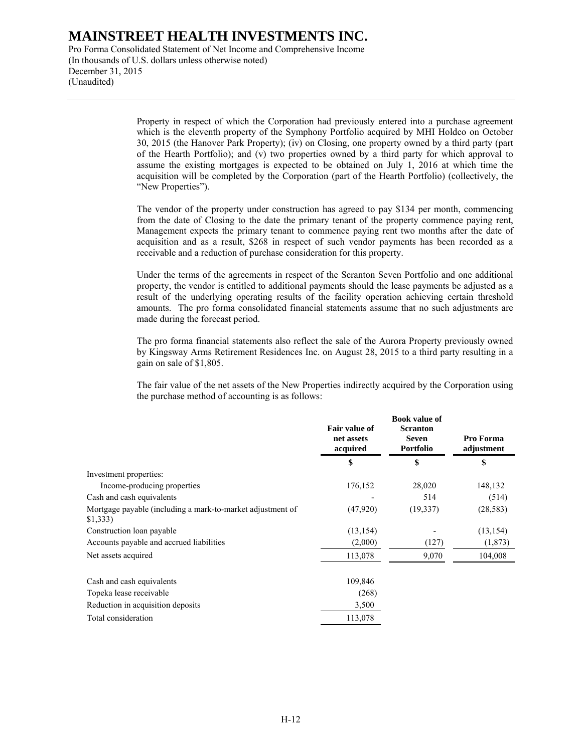Pro Forma Consolidated Statement of Net Income and Comprehensive Income (In thousands of U.S. dollars unless otherwise noted) December 31, 2015 (Unaudited)

> Property in respect of which the Corporation had previously entered into a purchase agreement which is the eleventh property of the Symphony Portfolio acquired by MHI Holdco on October 30, 2015 (the Hanover Park Property); (iv) on Closing, one property owned by a third party (part of the Hearth Portfolio); and (v) two properties owned by a third party for which approval to assume the existing mortgages is expected to be obtained on July 1, 2016 at which time the acquisition will be completed by the Corporation (part of the Hearth Portfolio) (collectively, the "New Properties").

> The vendor of the property under construction has agreed to pay \$134 per month, commencing from the date of Closing to the date the primary tenant of the property commence paying rent, Management expects the primary tenant to commence paying rent two months after the date of acquisition and as a result, \$268 in respect of such vendor payments has been recorded as a receivable and a reduction of purchase consideration for this property.

> Under the terms of the agreements in respect of the Scranton Seven Portfolio and one additional property, the vendor is entitled to additional payments should the lease payments be adjusted as a result of the underlying operating results of the facility operation achieving certain threshold amounts. The pro forma consolidated financial statements assume that no such adjustments are made during the forecast period.

> The pro forma financial statements also reflect the sale of the Aurora Property previously owned by Kingsway Arms Retirement Residences Inc. on August 28, 2015 to a third party resulting in a gain on sale of \$1,805.

> The fair value of the net assets of the New Properties indirectly acquired by the Corporation using the purchase method of accounting is as follows:

|                                                                        | Fair value of<br>net assets<br>acquired | <b>Book value of</b><br><b>Scranton</b><br><b>Seven</b><br><b>Portfolio</b> | Pro Forma<br>adjustment |
|------------------------------------------------------------------------|-----------------------------------------|-----------------------------------------------------------------------------|-------------------------|
|                                                                        | \$                                      | \$                                                                          | \$                      |
| Investment properties:                                                 |                                         |                                                                             |                         |
| Income-producing properties                                            | 176,152                                 | 28,020                                                                      | 148,132                 |
| Cash and cash equivalents                                              |                                         | 514                                                                         | (514)                   |
| Mortgage payable (including a mark-to-market adjustment of<br>\$1,333) | (47,920)                                | (19, 337)                                                                   | (28, 583)               |
| Construction loan payable                                              | (13, 154)                               |                                                                             | (13, 154)               |
| Accounts payable and accrued liabilities                               | (2,000)                                 | (127)                                                                       | (1, 873)                |
| Net assets acquired                                                    | 113,078                                 | 9,070                                                                       | 104,008                 |
| Cash and cash equivalents                                              | 109,846                                 |                                                                             |                         |
| Topeka lease receivable                                                | (268)                                   |                                                                             |                         |
| Reduction in acquisition deposits                                      | 3,500                                   |                                                                             |                         |
| Total consideration                                                    | 113,078                                 |                                                                             |                         |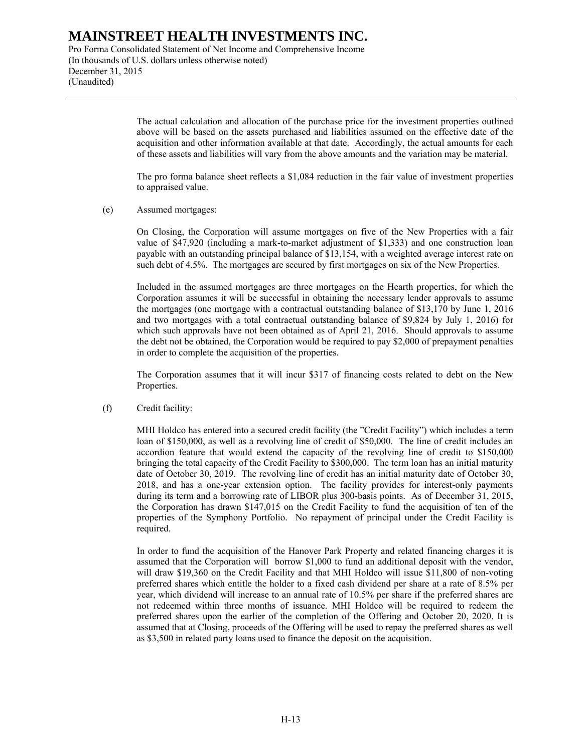Pro Forma Consolidated Statement of Net Income and Comprehensive Income (In thousands of U.S. dollars unless otherwise noted) December 31, 2015 (Unaudited)

> The actual calculation and allocation of the purchase price for the investment properties outlined above will be based on the assets purchased and liabilities assumed on the effective date of the acquisition and other information available at that date. Accordingly, the actual amounts for each of these assets and liabilities will vary from the above amounts and the variation may be material.

> The pro forma balance sheet reflects a \$1,084 reduction in the fair value of investment properties to appraised value.

#### (e) Assumed mortgages:

On Closing, the Corporation will assume mortgages on five of the New Properties with a fair value of \$47,920 (including a mark-to-market adjustment of \$1,333) and one construction loan payable with an outstanding principal balance of \$13,154, with a weighted average interest rate on such debt of 4.5%. The mortgages are secured by first mortgages on six of the New Properties.

Included in the assumed mortgages are three mortgages on the Hearth properties, for which the Corporation assumes it will be successful in obtaining the necessary lender approvals to assume the mortgages (one mortgage with a contractual outstanding balance of \$13,170 by June 1, 2016 and two mortgages with a total contractual outstanding balance of \$9,824 by July 1, 2016) for which such approvals have not been obtained as of April 21, 2016. Should approvals to assume the debt not be obtained, the Corporation would be required to pay \$2,000 of prepayment penalties in order to complete the acquisition of the properties.

The Corporation assumes that it will incur \$317 of financing costs related to debt on the New Properties.

### (f) Credit facility:

MHI Holdco has entered into a secured credit facility (the "Credit Facility") which includes a term loan of \$150,000, as well as a revolving line of credit of \$50,000. The line of credit includes an accordion feature that would extend the capacity of the revolving line of credit to \$150,000 bringing the total capacity of the Credit Facility to \$300,000. The term loan has an initial maturity date of October 30, 2019. The revolving line of credit has an initial maturity date of October 30, 2018, and has a one-year extension option. The facility provides for interest-only payments during its term and a borrowing rate of LIBOR plus 300-basis points. As of December 31, 2015, the Corporation has drawn \$147,015 on the Credit Facility to fund the acquisition of ten of the properties of the Symphony Portfolio. No repayment of principal under the Credit Facility is required.

In order to fund the acquisition of the Hanover Park Property and related financing charges it is assumed that the Corporation will borrow \$1,000 to fund an additional deposit with the vendor, will draw \$19,360 on the Credit Facility and that MHI Holdco will issue \$11,800 of non-voting preferred shares which entitle the holder to a fixed cash dividend per share at a rate of 8.5% per year, which dividend will increase to an annual rate of 10.5% per share if the preferred shares are not redeemed within three months of issuance. MHI Holdco will be required to redeem the preferred shares upon the earlier of the completion of the Offering and October 20, 2020. It is assumed that at Closing, proceeds of the Offering will be used to repay the preferred shares as well as \$3,500 in related party loans used to finance the deposit on the acquisition.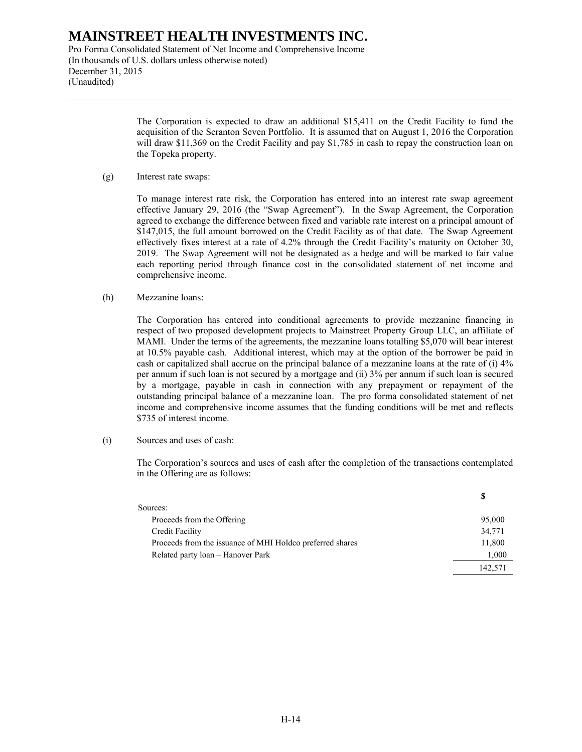Pro Forma Consolidated Statement of Net Income and Comprehensive Income (In thousands of U.S. dollars unless otherwise noted) December 31, 2015 (Unaudited)

> The Corporation is expected to draw an additional \$15,411 on the Credit Facility to fund the acquisition of the Scranton Seven Portfolio. It is assumed that on August 1, 2016 the Corporation will draw \$11,369 on the Credit Facility and pay \$1,785 in cash to repay the construction loan on the Topeka property.

(g) Interest rate swaps:

To manage interest rate risk, the Corporation has entered into an interest rate swap agreement effective January 29, 2016 (the "Swap Agreement"). In the Swap Agreement, the Corporation agreed to exchange the difference between fixed and variable rate interest on a principal amount of \$147,015, the full amount borrowed on the Credit Facility as of that date. The Swap Agreement effectively fixes interest at a rate of 4.2% through the Credit Facility's maturity on October 30, 2019. The Swap Agreement will not be designated as a hedge and will be marked to fair value each reporting period through finance cost in the consolidated statement of net income and comprehensive income.

### (h) Mezzanine loans:

The Corporation has entered into conditional agreements to provide mezzanine financing in respect of two proposed development projects to Mainstreet Property Group LLC, an affiliate of MAMI. Under the terms of the agreements, the mezzanine loans totalling \$5,070 will bear interest at 10.5% payable cash. Additional interest, which may at the option of the borrower be paid in cash or capitalized shall accrue on the principal balance of a mezzanine loans at the rate of (i) 4% per annum if such loan is not secured by a mortgage and (ii) 3% per annum if such loan is secured by a mortgage, payable in cash in connection with any prepayment or repayment of the outstanding principal balance of a mezzanine loan. The pro forma consolidated statement of net income and comprehensive income assumes that the funding conditions will be met and reflects \$735 of interest income.

(i) Sources and uses of cash:

The Corporation's sources and uses of cash after the completion of the transactions contemplated in the Offering are as follows:

|                                                           | \$      |
|-----------------------------------------------------------|---------|
| Sources:                                                  |         |
| Proceeds from the Offering                                | 95,000  |
| Credit Facility                                           | 34,771  |
| Proceeds from the issuance of MHI Holdco preferred shares | 11,800  |
| Related party loan – Hanover Park                         | 1,000   |
|                                                           | 142.571 |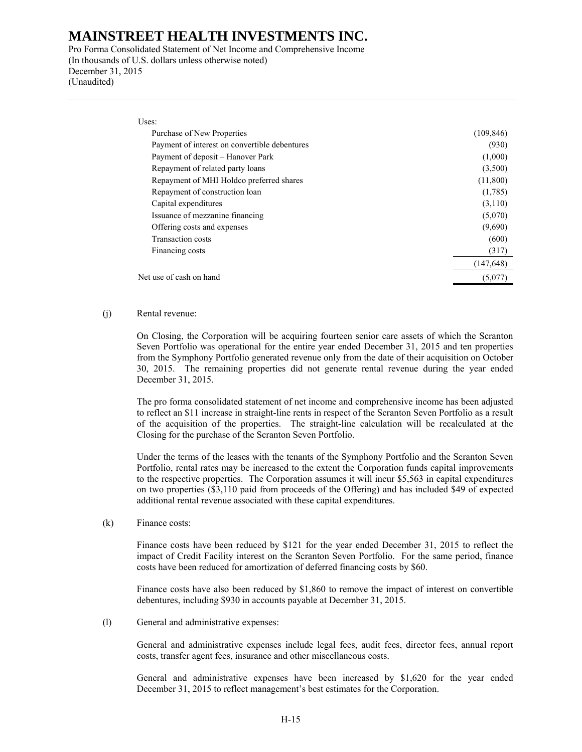Pro Forma Consolidated Statement of Net Income and Comprehensive Income (In thousands of U.S. dollars unless otherwise noted) December 31, 2015 (Unaudited)

| Purchase of New Properties                    | (109, 846) |
|-----------------------------------------------|------------|
| Payment of interest on convertible debentures | (930)      |
| Payment of deposit – Hanover Park             | (1,000)    |
| Repayment of related party loans              | (3,500)    |
| Repayment of MHI Holdco preferred shares      | (11,800)   |
| Repayment of construction loan                | (1,785)    |
| Capital expenditures                          | (3,110)    |
| Issuance of mezzanine financing               | (5,070)    |
| Offering costs and expenses                   | (9,690)    |
| <b>Transaction costs</b>                      | (600)      |
| Financing costs                               | (317)      |
|                                               | (147, 648) |
| Net use of cash on hand                       | (5,077)    |

#### (j) Rental revenue:

On Closing, the Corporation will be acquiring fourteen senior care assets of which the Scranton Seven Portfolio was operational for the entire year ended December 31, 2015 and ten properties from the Symphony Portfolio generated revenue only from the date of their acquisition on October 30, 2015. The remaining properties did not generate rental revenue during the year ended December 31, 2015.

The pro forma consolidated statement of net income and comprehensive income has been adjusted to reflect an \$11 increase in straight-line rents in respect of the Scranton Seven Portfolio as a result of the acquisition of the properties. The straight-line calculation will be recalculated at the Closing for the purchase of the Scranton Seven Portfolio.

Under the terms of the leases with the tenants of the Symphony Portfolio and the Scranton Seven Portfolio, rental rates may be increased to the extent the Corporation funds capital improvements to the respective properties. The Corporation assumes it will incur \$5,563 in capital expenditures on two properties (\$3,110 paid from proceeds of the Offering) and has included \$49 of expected additional rental revenue associated with these capital expenditures.

(k) Finance costs:

Finance costs have been reduced by \$121 for the year ended December 31, 2015 to reflect the impact of Credit Facility interest on the Scranton Seven Portfolio. For the same period, finance costs have been reduced for amortization of deferred financing costs by \$60.

Finance costs have also been reduced by \$1,860 to remove the impact of interest on convertible debentures, including \$930 in accounts payable at December 31, 2015.

(l) General and administrative expenses:

General and administrative expenses include legal fees, audit fees, director fees, annual report costs, transfer agent fees, insurance and other miscellaneous costs.

General and administrative expenses have been increased by \$1,620 for the year ended December 31, 2015 to reflect management's best estimates for the Corporation.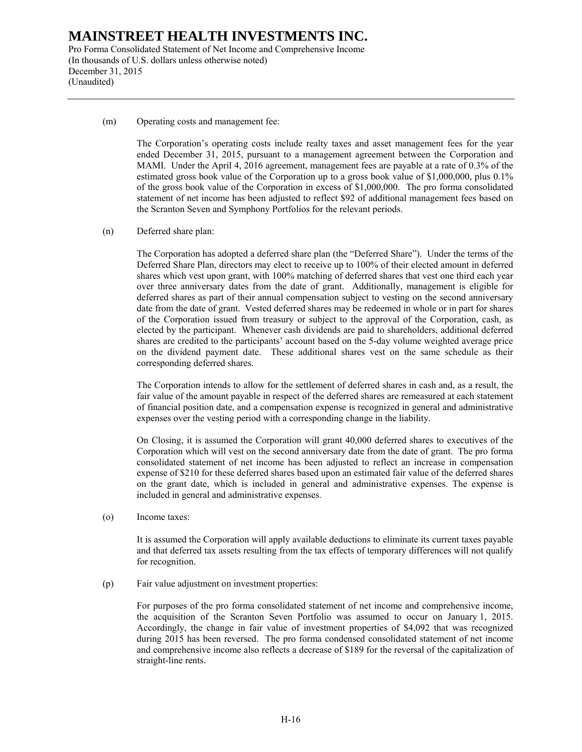Pro Forma Consolidated Statement of Net Income and Comprehensive Income (In thousands of U.S. dollars unless otherwise noted) December 31, 2015 (Unaudited)

#### (m) Operating costs and management fee:

The Corporation's operating costs include realty taxes and asset management fees for the year ended December 31, 2015, pursuant to a management agreement between the Corporation and MAMI. Under the April 4, 2016 agreement, management fees are payable at a rate of 0.3% of the estimated gross book value of the Corporation up to a gross book value of \$1,000,000, plus 0.1% of the gross book value of the Corporation in excess of \$1,000,000. The pro forma consolidated statement of net income has been adjusted to reflect \$92 of additional management fees based on the Scranton Seven and Symphony Portfolios for the relevant periods.

#### (n) Deferred share plan:

The Corporation has adopted a deferred share plan (the "Deferred Share"). Under the terms of the Deferred Share Plan, directors may elect to receive up to 100% of their elected amount in deferred shares which vest upon grant, with 100% matching of deferred shares that vest one third each year over three anniversary dates from the date of grant. Additionally, management is eligible for deferred shares as part of their annual compensation subject to vesting on the second anniversary date from the date of grant. Vested deferred shares may be redeemed in whole or in part for shares of the Corporation issued from treasury or subject to the approval of the Corporation, cash, as elected by the participant. Whenever cash dividends are paid to shareholders, additional deferred shares are credited to the participants' account based on the 5-day volume weighted average price on the dividend payment date. These additional shares vest on the same schedule as their corresponding deferred shares.

The Corporation intends to allow for the settlement of deferred shares in cash and, as a result, the fair value of the amount payable in respect of the deferred shares are remeasured at each statement of financial position date, and a compensation expense is recognized in general and administrative expenses over the vesting period with a corresponding change in the liability.

On Closing, it is assumed the Corporation will grant 40,000 deferred shares to executives of the Corporation which will vest on the second anniversary date from the date of grant. The pro forma consolidated statement of net income has been adjusted to reflect an increase in compensation expense of \$210 for these deferred shares based upon an estimated fair value of the deferred shares on the grant date, which is included in general and administrative expenses. The expense is included in general and administrative expenses.

(o) Income taxes:

It is assumed the Corporation will apply available deductions to eliminate its current taxes payable and that deferred tax assets resulting from the tax effects of temporary differences will not qualify for recognition.

(p) Fair value adjustment on investment properties:

For purposes of the pro forma consolidated statement of net income and comprehensive income, the acquisition of the Scranton Seven Portfolio was assumed to occur on January 1, 2015. Accordingly, the change in fair value of investment properties of \$4,092 that was recognized during 2015 has been reversed. The pro forma condensed consolidated statement of net income and comprehensive income also reflects a decrease of \$189 for the reversal of the capitalization of straight-line rents.